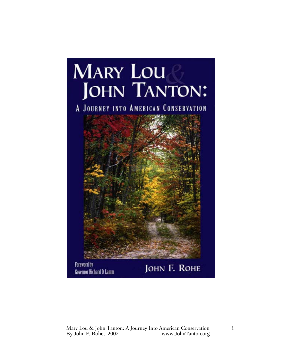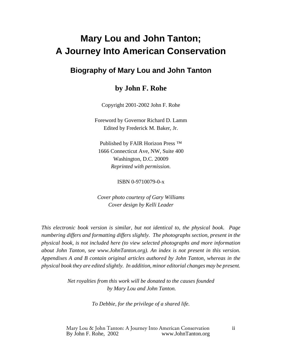# **Mary Lou and John Tanton; A Journey Into American Conservation**

# **Biography of Mary Lou and John Tanton**

#### **by John F. Rohe**

Copyright 2001-2002 John F. Rohe

Foreword by Governor Richard D. Lamm Edited by Frederick M. Baker, Jr.

Published by FAIR Horizon Press ™ 1666 Connecticut Ave, NW, Suite 400 Washington, D.C. 20009 *Reprinted with permission.* 

ISBN 0-9710079-0-x

*Cover photo courtesy of Gary Williams Cover design by Kelli Leader* 

*This electronic book version is similar, but not identical to, the physical book. Page numbering differs and formatting differs slightly. The photographs section, present in the physical book, is not included here (to view selected photographs and more information about John Tanton, see www.JohnTanton.org). An index is not present in this version. Appendixes A and B contain original articles authored by John Tanton, whereas in the physical book they are edited slightly. In addition, minor editorial changes may be present.* 

> *Net royalties from this work will be donated to the causes founded by Mary Lou and John Tanton.*

> > *To Debbie, for the privilege of a shared life.*

Mary Lou & John Tanton: A Journey Into American Conservation ii<br>By John F. Rohe, 2002 www.JohnTanton.org By John F. Rohe, 2002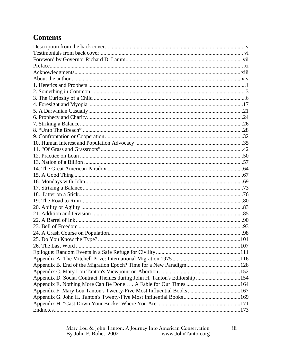# **Contents**

| Appendix D. Social Contract Themes during John H. Tanton's Editorship 154 |  |
|---------------------------------------------------------------------------|--|
|                                                                           |  |
|                                                                           |  |
|                                                                           |  |
|                                                                           |  |
|                                                                           |  |

Mary Lou & John Tanton: A Journey Into American Conservation<br>By John F. Rohe, 2002 www.John<br/>Tanton.org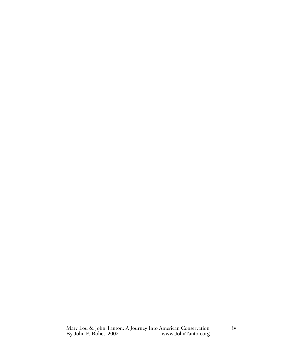Mary Lou & John Tanton: A Journey Into American Conservation iv By John F. Rohe, 2002 www.JohnTanton.org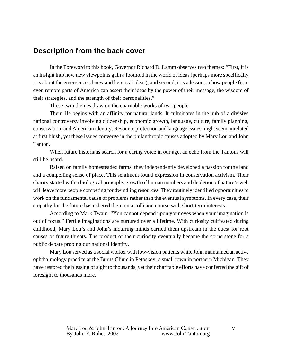#### **Description from the back cover**

In the Foreword to this book, Governor Richard D. Lamm observes two themes: "First, it is an insight into how new viewpoints gain a foothold in the world of ideas (perhaps more specifically it is about the emergence of new and heretical ideas), and second, it is a lesson on how people from even remote parts of America can assert their ideas by the power of their message, the wisdom of their strategies, and the strength of their personalities."

These twin themes draw on the charitable works of two people.

Their life begins with an affinity for natural lands. It culminates in the hub of a divisive national controversy involving citizenship, economic growth, language, culture, family planning, conservation, and American identity. Resource protection and language issues might seem unrelated at first blush, yet these issues converge in the philanthropic causes adopted by Mary Lou and John Tanton.

When future historians search for a caring voice in our age, an echo from the Tantons will still be heard.

Raised on family homesteaded farms, they independently developed a passion for the land and a compelling sense of place. This sentiment found expression in conservation activism. Their charity started with a biological principle: growth of human numbers and depletion of nature's web will leave more people competing for dwindling resources. They routinely identified opportunities to work on the fundamental cause of problems rather than the eventual symptoms. In every case, their empathy for the future has ushered them on a collision course with short-term interests.

According to Mark Twain, "You cannot depend upon your eyes when your imagination is out of focus." Fertile imaginations are nurtured over a lifetime. With curiosity cultivated during childhood, Mary Lou's and John's inquiring minds carried them upstream in the quest for root causes of future threats. The product of their curiosity eventually became the cornerstone for a public debate probing our national identity.

Mary Lou served as a social worker with low-vision patients while John maintained an active ophthalmology practice at the Burns Clinic in Petoskey, a small town in northern Michigan. They have restored the blessing of sight to thousands, yet their charitable efforts have conferred the gift of foresight to thousands more.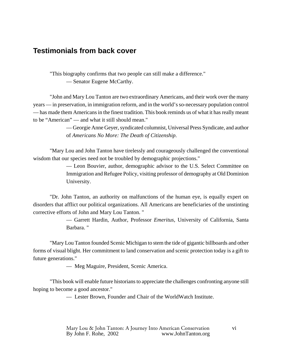#### **Testimonials from back cover**

"This biography confirms that two people can still make a difference." — Senator Eugene McCarthy.

"John and Mary Lou Tanton are two extraordinary Americans, and their work over the many years — in preservation, in immigration reform, and in the world's so-necessary population control — has made them Americans in the finest tradition. This book reminds us of what it has really meant to be "American" — and what it still should mean."

> — Georgie Anne Geyer, syndicated columnist, Universal Press Syndicate, and author of *Americans No More: The Death of Citizenship*.

"Mary Lou and John Tanton have tirelessly and courageously challenged the conventional wisdom that our species need not be troubled by demographic projections."

> — Leon Bouvier, author, demographic advisor to the U.S. Select Committee on Immigration and Refugee Policy, visiting professor of demography at Old Dominion University.

"Dr. John Tanton, an authority on malfunctions of the human eye, is equally expert on disorders that afflict our political organizations. All Americans are beneficiaries of the unstinting corrective efforts of John and Mary Lou Tanton. "

> — Garrett Hardin, Author, Professor *Emeritus*, University of California, Santa Barbara. "

"Mary Lou Tanton founded Scenic Michigan to stem the tide of gigantic billboards and other forms of visual blight. Her commitment to land conservation and scenic protection today is a gift to future generations."

— Meg Maguire, President, Scenic America.

"This book will enable future historians to appreciate the challenges confronting anyone still hoping to become a good ancestor."

— Lester Brown, Founder and Chair of the WorldWatch Institute.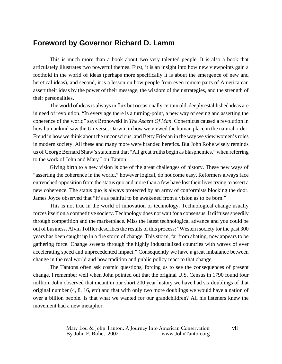#### **Foreword by Governor Richard D. Lamm**

This is much more than a book about two very talented people. It is also a book that articulately illustrates two powerful themes. First, it is an insight into how new viewpoints gain a foothold in the world of ideas (perhaps more specifically it is about the emergence of new and heretical ideas), and second, it is a lesson on how people from even remote parts of America can assert their ideas by the power of their message, the wisdom of their strategies, and the strength of their personalities.

The world of ideas is always in flux but occasionally certain old, deeply established ideas are in need of revolution. "In every age there is a turning-point, a new way of seeing and asserting the coherence of the world" says Bronowski in *The Ascent Of Man*. Copernicus caused a revolution in how humankind saw the Universe, Darwin in how we viewed the human place in the natural order, Freud in how we think about the unconscious, and Betty Friedan in the way we view women's roles in modern society. All these and many more were branded heretics. But John Rohe wisely reminds us of George Bernard Shaw's statement that "All great truths begin as blasphemies," when referring to the work of John and Mary Lou Tanton.

Giving birth to a new vision is one of the great challenges of history. These new ways of "asserting the coherence in the world," however logical, do not come easy. Reformers always face entrenched opposition from the status quo and more than a few have lost their lives trying to assert a new coherence. The status quo is always protected by an army of conformists blocking the door. James Joyce observed that "It's as painful to be awakened from a vision as to be born."

This is not true in the world of innovation or technology. Technological change usually forces itself on a competitive society. Technology does not wait for a consensus. It diffuses speedily through competition and the marketplace. Miss the latest technological advance and you could be out of business. Alvin Toffler describes the results of this process: "Western society for the past 300 years has been caught up in a fire storm of change. This storm, far from abating, now appears to be gathering force. Change sweeps through the highly industrialized countries with waves of ever accelerating speed and unprecedented impact." Consequently we have a great imbalance between change in the real world and how tradition and public policy react to that change.

The Tantons often ask cosmic questions, forcing us to see the consequences of present change. I remember well when John pointed out that the original U.S. Census in 1790 found four million. John observed that meant in our short 200 year history we have had six doublings of that original number (4, 8, 16, etc) and that with only two more doublings we would have a nation of over a billion people. Is that what we wanted for our grandchildren? All his listeners knew the movement had a new metaphor.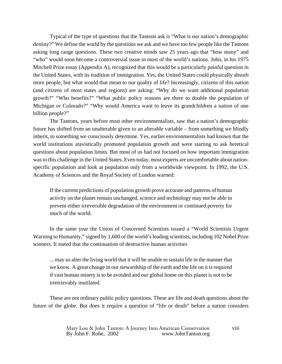Typical of the type of questions that the Tantons ask is "What is our nation's demographic destiny?" We define the world by the questions we ask and we have too few people like the Tantons asking long range questions. These two creative minds saw 25 years ago that "how many" and "who" would soon become a controversial issue in most of the world's nations. John, in his 1975 Mitchell Prize essay (Appendix A), recognized that this would be a particularly painful question in the United States, with its tradition of immigration. Yes, the United States could physically absorb more people, but what would that mean to our quality of life? Increasingly, citizens of this nation (and citizens of most states and regions) are asking: "Why do we want additional population growth?" "Who benefits?" "What public policy reasons are there to double the population of Michigan or Colorado?" "Why would America want to leave its grandchildren a nation of one billion people?"

The Tantons, years before most other environmentalists, saw that a nation's demographic future has shifted from an unalterable given to an alterable variable – from something we blindly inherit, to something we consciously determine. Yes, earlier environmentalists had known that the world institutions atavistically promoted population growth and were starting to ask heretical questions about population limits. But most of us had not focused on how important immigration was to this challenge in the United States. Even today, most experts are uncomfortable about nationspecific population and look at population only from a worldwide viewpoint. In 1992, the U.S. Academy of Sciences and the Royal Society of London warned:

If the current predictions of population growth prove accurate and patterns of human activity on the planet remain unchanged, science and technology may not be able to prevent either irreversible degradation of the environment or continued poverty for much of the world.

In the same year the Union of Concerned Scientists issued a "World Scientists Urgent Warning to Humanity," signed by 1,600 of the world's leading scientists, including 102 Nobel Prize winners. It stated that the continuation of destructive human activities

... may so alter the living world that it will be unable to sustain life in the manner that we know. A great change in our stewardship of the earth and the life on it is required if vast human misery is to be avoided and our global home on this planet is not to be irretrievably mutilated.

These are not ordinary public policy questions. These are life and death questions about the future of the globe. But does it require a question of "life or death" before a nation considers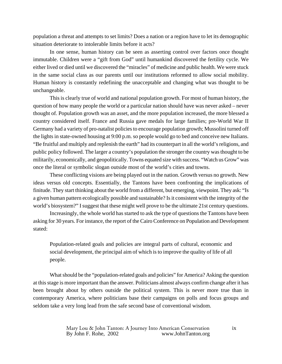population a threat and attempts to set limits? Does a nation or a region have to let its demographic situation deteriorate to intolerable limits before it acts?

In one sense, human history can be seen as asserting control over factors once thought immutable. Children were a "gift from God" until humankind discovered the fertility cycle. We either lived or died until we discovered the "miracles" of medicine and public health. We were stuck in the same social class as our parents until our institutions reformed to allow social mobility. Human history is constantly redefining the unacceptable and changing what was thought to be unchangeable.

This is clearly true of world and national population growth. For most of human history, the question of how many people the world or a particular nation should have was never asked – never thought of. Population growth was an asset, and the more population increased, the more blessed a country considered itself. France and Russia gave medals for large families; pre-World War II Germany had a variety of pro-natalist policies to encourage population growth; Mussolini turned off the lights in state-owned housing at 9:00 p.m. so people would go to bed and conceive new Italians. "Be fruitful and multiply and replenish the earth" had its counterpart in all the world's religions, and public policy followed. The larger a country's population the stronger the country was thought to be militarily, economically, and geopolitically. Towns equated size with success. "Watch us Grow" was once the literal or symbolic slogan outside most of the world's cities and towns.

These conflicting visions are being played out in the nation. Growth versus no growth. New ideas versus old concepts. Essentially, the Tantons have been confronting the implications of finitude. They start thinking about the world from a different, but emerging, viewpoint. They ask: "Is a given human pattern ecologically possible and sustainable? Is it consistent with the integrity of the world's biosystem?" I suggest that these might well prove to be the ultimate 21st century questions.

Increasingly, the whole world has started to ask the type of questions the Tantons have been asking for 30 years. For instance, the report of the Cairo Conference on Population and Development stated:

Population-related goals and policies are integral parts of cultural, economic and social development, the principal aim of which is to improve the quality of life of all people.

What should be the "population-related goals and policies" for America? Asking the question at this stage is more important than the answer. Politicians almost always confirm change after it has been brought about by others outside the political system. This is never more true than in contemporary America, where politicians base their campaigns on polls and focus groups and seldom take a very long lead from the safe second base of conventional wisdom.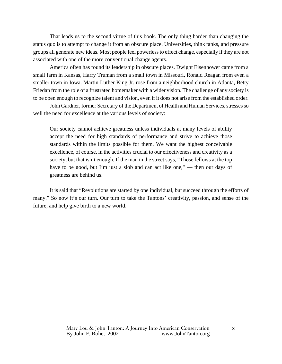That leads us to the second virtue of this book. The only thing harder than changing the status quo is to attempt to change it from an obscure place. Universities, think tanks, and pressure groups all generate new ideas. Most people feel powerless to effect change, especially if they are not associated with one of the more conventional change agents.

America often has found its leadership in obscure places. Dwight Eisenhower came from a small farm in Kansas, Harry Truman from a small town in Missouri, Ronald Reagan from even a smaller town in Iowa. Martin Luther King Jr. rose from a neighborhood church in Atlanta, Betty Friedan from the role of a frustrated homemaker with a wider vision. The challenge of any society is to be open enough to recognize talent and vision, even if it does not arise from the established order.

John Gardner, former Secretary of the Department of Health and Human Services, stresses so well the need for excellence at the various levels of society:

Our society cannot achieve greatness unless individuals at many levels of ability accept the need for high standards of performance and strive to achieve those standards within the limits possible for them. We want the highest conceivable excellence, of course, in the activities crucial to our effectiveness and creativity as a society, but that isn't enough. If the man in the street says, "Those fellows at the top have to be good, but I'm just a slob and can act like one," — then our days of greatness are behind us.

It is said that "Revolutions are started by one individual, but succeed through the efforts of many." So now it's our turn. Our turn to take the Tantons' creativity, passion, and sense of the future, and help give birth to a new world.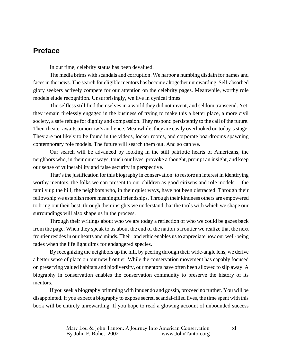#### **Preface**

In our time, celebrity status has been devalued.

The media brims with scandals and corruption. We harbor a numbing disdain for names and faces in the news. The search for eligible mentors has become altogether unrewarding. Self-absorbed glory seekers actively compete for our attention on the celebrity pages. Meanwhile, worthy role models elude recognition. Unsurprisingly, we live in cynical times.

The selfless still find themselves in a world they did not invent, and seldom transcend. Yet, they remain tirelessly engaged in the business of trying to make this a better place, a more civil society, a safe refuge for dignity and compassion. They respond persistently to the call of the future. Their theater awaits tomorrow's audience. Meanwhile, they are easily overlooked on today's stage. They are not likely to be found in the videos, locker rooms, and corporate boardrooms spawning contemporary role models. The future will search them out. And so can we.

Our search will be advanced by looking in the still patriotic hearts of Americans, the neighbors who, in their quiet ways, touch our lives, provoke a thought, prompt an insight, and keep our sense of vulnerability and false security in perspective.

That's the justification for this biography in conservation: to restore an interest in identifying worthy mentors, the folks we can present to our children as good citizens and role models – the family up the hill, the neighbors who, in their quiet ways, have not been distracted. Through their fellowship we establish more meaningful friendships. Through their kindness others are empowered to bring out their best; through their insights we understand that the tools with which we shape our surroundings will also shape us in the process.

Through their writings about who we are today a reflection of who we could be gazes back from the page. When they speak to us about the end of the nation's frontier we realize that the next frontier resides in our hearts and minds. Their land ethic enables us to appreciate how our well-being fades when the life light dims for endangered species.

By recognizing the neighbors up the hill, by peering through their wide-angle lens, we derive a better sense of place on our new frontier. While the conservation movement has capably focused on preserving valued habitats and biodiversity, our mentors have often been allowed to slip away. A biography in conservation enables the conservation community to preserve the history of its mentors.

If you seek a biography brimming with innuendo and gossip, proceed no further. You will be disappointed. If you expect a biography to expose secret, scandal-filled lives, the time spent with this book will be entirely unrewarding. If you hope to read a glowing account of unbounded success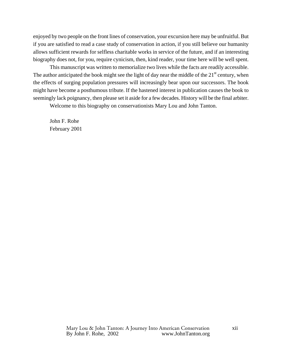enjoyed by two people on the front lines of conservation, your excursion here may be unfruitful. But if you are satisfied to read a case study of conservation in action, if you still believe our humanity allows sufficient rewards for selfless charitable works in service of the future, and if an interesting biography does not, for you, require cynicism, then, kind reader, your time here will be well spent.

This manuscript was written to memorialize two lives while the facts are readily accessible. The author anticipated the book might see the light of day near the middle of the  $21<sup>st</sup>$  century, when the effects of surging population pressures will increasingly bear upon our successors. The book might have become a posthumous tribute. If the hastened interest in publication causes the book to seemingly lack poignancy, then please set it aside for a few decades. History will be the final arbiter.

Welcome to this biography on conservationists Mary Lou and John Tanton.

John F. Rohe February 2001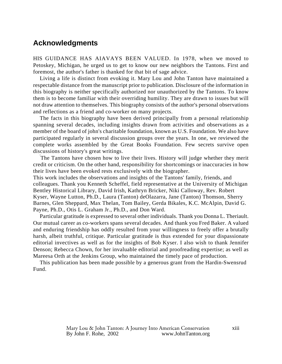#### **Acknowledgments**

HIS GUIDANCE HAS AIAVAYS BEEN VALUED. In 1978, when we moved to Petoskey, Michigan, he urged us to get to know our new neighbors the Tantons. First and foremost, the author's father is thanked for that bit of sage advice.

Living a life is distinct from evoking it. Mary Lou and John Tanton have maintained a respectable distance from the manuscript prior to publication. Disclosure of the information in this biography is neither specifically authorized nor unauthorized by the Tantons. To know them is to become familiar with their overriding humility. They are drawn to issues but will not draw attention to themselves. This biography consists of the author's personal observations and reflections as a friend and co-worker on many projects.

The facts in this biography have been derived principally from a personal relationship spanning several decades, including insights drawn from activities and observations as a member of the board of john's charitable foundation, known as U.S. Foundation. We also have participated regularly in several discussion groups over the years. In one, we reviewed the complete works assembled by the Great Books Foundation. Few secrets survive open discussions of history's great writings. '

 The Tantons have chosen how to live their lives. History will judge whether they merit credit or criticism. On the other hand, responsibility for shortcomings or inaccuracies in how their lives have been evoked rests exclusively with the biographer.

This work includes the observations and insights of the Tantons' family, friends, and colleagues. Thank you Kenneth Scheffel, field representative at the University of Michigan Bentley Historical Library, David Irish, Kathryn Bricker, Niki Calloway, Rev. Robert Kyser, Wayne Lutton, Ph.D., Laura (Tanton) deOlazarra, Jane (Tanton) Thomson, Sherry Barnes, Glen Sheppard, Max Thelan, Tom Bailey, Gerda Bikales, K.C. McAlpin, David G. Payne, Ph.D., Otis L. Graham Jr., Ph.D., and Don Ward.

Particular gratitude is expressed to several other individuals. Thank you Donna L. Theriault. Our mutual career as co-workers spans several decades. And thank you Fred Baker. A valued and enduring friendship has oddly resulted from your willingness to freely offer a brutally harsh, albeit truthful, critique. Particular gratitude is thus extended for your dispassionate editorial invectives as well as for the insights of Bob Kyser. I also wish to thank Jennifer Denson; Rebecca Chown, for her invaluable editorial and proofreading expertise; as well as Mareesa Orth at the Jenkins Group, who maintained the timely pace of production.

This publication has been made possible by a generous grant from the Hardin-Swensrud Fund.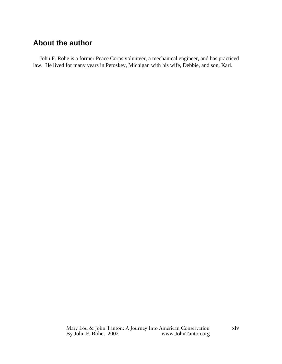# **About the author**

John F. Rohe is a former Peace Corps volunteer, a mechanical engineer, and has practiced law. He lived for many years in Petoskey, Michigan with his wife, Debbie, and son, Karl.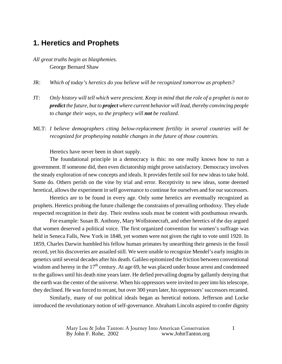#### **1. Heretics and Prophets**

- *All great truths begin as blasphemies.* George Bernard Shaw
- JR: *Which of today's heretics do you believe will be recognized tomorrow as prophets?*
- JT: *Only history will tell which were prescient. Keep in mind that the role of a prophet is not to predict the future, but to project where current behavior will lead, thereby convincing people to change their ways, so the prophecy will not be realized.*
- MLT: *I believe demographers citing below-replacement fertility in several countries will be recognized for prophesying notable changes in the future of those countries.*

Heretics have never been in short supply.

The foundational principle in a democracy is this: no one really knows how to run a government. If someone did, then even dictatorship might prove satisfactory. Democracy involves the steady exploration of new concepts and ideals. It provides fertile soil for new ideas to take hold. Some do. Others perish on the vine by trial and error. Receptivity to new ideas, some deemed heretical, allows the experiment in self governance to continue for ourselves and for our successors.

Heretics are to be found in every age. Only some heretics are eventually recognized as prophets. Heretics probing the future challenge the constraints of prevailing orthodoxy. They elude respected recognition in their day. Their restless souls must be content with posthumous rewards.

For example: Susan B. Anthony, Mary Wollstonecraft, and other heretics of the day argued that women deserved a political voice. The first organized convention for women's suffrage was held in Seneca Falls, New York in 1848, yet women were not given the right to vote until 1920. In 1859, Charles Darwin humbled his fellow human primates by unearthing their genesis in the fossil record, yet his discoveries are assailed still. We were unable to recognize Mendel's early insights in genetics until several decades after his death. Galileo epitomized the friction between conventional wisdom and heresy in the  $17<sup>th</sup>$  century. At age 69, he was placed under house arrest and condemned to the gallows until his death nine years later. He defied prevailing dogma by gallantly denying that the earth was the center of the universe. When his oppressors were invited to peer into his telescope, they declined. He was forced to recant, but over 300 years later, his oppressors' successors recanted.

Similarly, many of our political ideals began as heretical notions. Jefferson and Locke introduced the revolutionary notion of self-governance. Abraham Lincoln aspired to confer dignity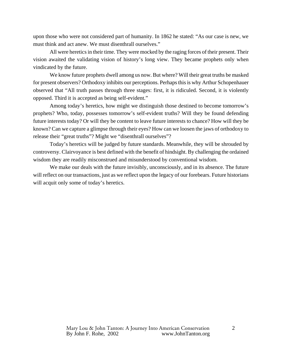upon those who were not considered part of humanity. In 1862 he stated: "As our case is new, we must think and act anew. We must disenthrall ourselves."

All were heretics in their time. They were mocked by the raging forces of their present. Their vision awaited the validating vision of history's long view. They became prophets only when vindicated by the future.

We know future prophets dwell among us now. But where? Will their great truths be masked for present observers? Orthodoxy inhibits our perceptions. Perhaps this is why Arthur Schopenhauer observed that "All truth passes through three stages: first, it is ridiculed. Second, it is violently opposed. Third it is accepted as being self-evident."

Among today's heretics, how might we distinguish those destined to become tomorrow's prophets? Who, today, possesses tomorrow's self-evident truths? Will they be found defending future interests today? Or will they be content to leave future interests to chance? How will they be known? Can we capture a glimpse through their eyes? How can we loosen the jaws of orthodoxy to release their "great truths"? Might we "disenthrall ourselves"?

Today's heretics will be judged by future standards. Meanwhile, they will be shrouded by controversy. Clairvoyance is best defined with the benefit of hindsight. By challenging the ordained wisdom they are readily misconstrued and misunderstood by conventional wisdom.

We make our deals with the future invisibly, unconsciously, and in its absence. The future will reflect on our transactions, just as we reflect upon the legacy of our forebears. Future historians will acquit only some of today's heretics.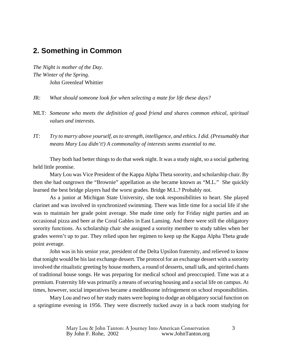# **2. Something in Common**

*The Night is mother of the Day. The Winter of the Spring.*  John Greenleaf Whittier

JR: *What should someone look for when selecting a mate for life these days?*

- MLT: *Someone who meets the definition of good friend and shares common ethical, spiritual values and interests.*
- JT: *Try to marry above yourself, as to strength, intelligence, and ethics. I did. (Presumably that means Mary Lou didn't!) A commonality of interests seems essential to me.*

They both had better things to do that week night. It was a study night, so a social gathering held little promise.

Mary Lou was Vice President of the Kappa Alpha Theta sorority, and scholarship chair. By then she had outgrown the "Brownie" appellation as she became known as "M.L." She quickly learned the best bridge players had the worst grades. Bridge M.L.? Probably not.

As a junior at Michigan State University, she took responsibilities to heart. She played clarinet and was involved in synchronized swimming. There was little time for a social life if she was to maintain her grade point average. She made time only for Friday night parties and an occasional pizza and beer at the Coral Gables in East Lansing. And there were still the obligatory sorority functions. As scholarship chair she assigned a sorority member to study tables when her grades weren't up to par. They relied upon her regimen to keep up the Kappa Alpha Theta grade point average.

John was in his senior year, president of the Delta Upsilon fraternity, and relieved to know that tonight would be his last exchange dessert. The protocol for an exchange dessert with a sorority involved the ritualistic greeting by house mothers, a round of desserts, small talk, and spirited chants of traditional house songs. He was preparing for medical school and preoccupied. Time was at a premium. Fraternity life was primarily a means of securing housing and a social life on campus. At times, however, social imperatives became a meddlesome infringement on school responsibilities.

Mary Lou and two of her study mates were hoping to dodge an obligatory social function on a springtime evening in 1956. They were discreetly tucked away in a back room studying for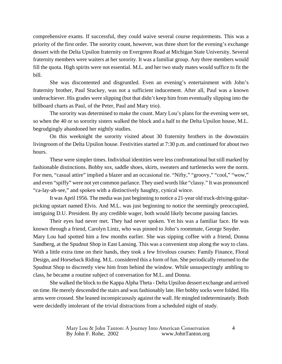comprehensive exams. If successful, they could waive several course requirements. This was a priority of the first order. The sorority count, however, was three short for the evening's exchange dessert with the Delta Upsilon fraternity on Evergreen Road at Michigan State University. Several fraternity members were waiters at her sorority. It was a familiar group. Any three members would fill the quota. High spirits were not essential. M.L. and her two study mates would suffice to fit the bill.

She was discontented and disgruntled. Even an evening's entertainment with John's fraternity brother, Paul Stuckey, was not a sufficient inducement. After all, Paul was a known underachiever. His grades were slipping (but that didn't keep him from eventually slipping into the billboard charts as Paul, of the Peter, Paul and Mary trio).

The sorority was determined to make the count. Mary Lou's plans for the evening were set, so when the 40 or so sorority sisters walked the block and a half to the Delta Upsilon house, M.L. begrudgingly abandoned her nightly studies.

On this weeknight the sorority visited about 30 fraternity brothers in the downstairs livingroom of the Delta Upsilon house. Festivities started at 7:30 p.m. and continued for about two hours.

These were simpler times. Individual identities were less confrontational but still marked by fashionable distinctions. Bobby sox, saddle shoes, skirts, sweaters and turtlenecks were the norm. For men, "casual attire" implied a blazer and an occasional tie. "Nifty," "groovy," "cool," "wow," and even "spiffy" were not yet common parlance. They used words like "classy." It was pronounced "ca-lay-ah-see," and spoken with a distinctively haughty, cynical wince.

It was April 1956. The media was just beginning to notice a 21-year old truck-driving-guitarpicking upstart named Elvis. And M.L. was just beginning to notice the seemingly preoccupied, intriguing D.U. President. By any credible wager, both would likely become passing fancies.

Their eyes had never met. They had never spoken. Yet his was a familiar face. He was known through a friend, Carolyn Lintz, who was pinned to John's roommate, George Snyder. Mary Lou had spotted him a few months earlier. She was sipping coffee with a friend, Donna Sandberg, at the Spudnut Shop in East Lansing. This was a convenient stop along the way to class. With a little extra time on their hands, they took a few frivolous courses: Family Finance, Floral Design, and Horseback Riding. M.L. considered this a form of fun. She periodically returned to the Spudnut Shop to discreetly view him from behind the window. While unsuspectingly ambling to class, he became a routine subject of conversation for M.L. and Donna.

She walked the block to the Kappa Alpha Theta - Delta Upsilon dessert exchange and arrived on time. He merely descended the stairs and was fashionably late. Her bobby socks were folded. His arms were crossed. She leaned inconspicuously against the wall. He mingled indeterminately. Both were decidedly intolerant of the trivial distractions from a scheduled night of study.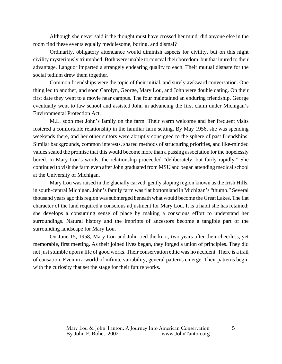Although she never said it the thought must have crossed her mind: did anyone else in the room find these events equally meddlesome, boring, and dismal?

Ordinarily, obligatory attendance would diminish aspects for civility, but on this night civility mysteriously triumphed. Both were unable to conceal their boredom, but that inured to their advantage. Languor imparted a strangely endearing quality to each. Their mutual distaste for the social tedium drew them together.

Common friendships were the topic of their initial, and surely awkward conversation. One thing led to another, and soon Carolyn, George, Mary Lou, and John were double dating. On their first date they went to a movie near campus. The four maintained an enduring friendship. George eventually went to law school and assisted John in advancing the first claim under Michigan's Environmental Protection Act.

M.L. soon met John's family on the farm. Their warm welcome and her frequent visits fostered a comfortable relationship in the familiar farm setting. By May 1956, she was spending weekends there, and her other suitors were abruptly consigned to the sphere of past friendships. Similar backgrounds, common interests, shared methods of structuring priorities, and like-minded values sealed the promise that this would become more than a passing association for the hopelessly bored. In Mary Lou's words, the relationship proceeded "deliberately, but fairly rapidly." She continued to visit the farm even after John graduated from MSU and began attending medical school at the University of Michigan.

Mary Lou was raised in the glacially carved, gently sloping region known as the Irish Hills, in south-central Michigan. John's family farm was flat bottomland in Michigan's "thumb." Several thousand years ago this region was submerged beneath what would become the Great Lakes. The flat character of the land required a conscious adjustment for Mary Lou. It is a habit she has retained; she develops a consuming sense of place by making a conscious effort to understand her surroundings. Natural history and the imprints of ancestors become a tangible part of the surrounding landscape for Mary Lou.

On June 15, 1958, Mary Lou and John tied the knot, two years after their cheerless, yet memorable, first meeting. As their joined lives began, they forged a union of principles. They did not just stumble upon a life of good works. Their conservation ethic was no accident. There is a trail of causation. Even in a world of infinite variability, general patterns emerge. Their patterns begin with the curiosity that set the stage for their future works.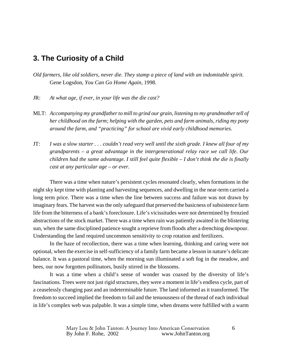### **3. The Curiosity of a Child**

- *Old farmers, like old soldiers, never die. They stamp a piece of land with an indomitable spirit.*  Gene Logsdon, *You Can Go Home Again,* 1998*.*
- JR: *At what age, if ever, in your life was the die cast?*
- MLT: *Accompanying my grandfather to mill to grind our grain, listening to my grandmother tell of her childhood on the farm; helping with the garden, pets and farm animals, riding my pony around the farm, and "practicing" for school are vivid early childhood memories.*
- JT: *I was a slow starter . . . couldn't read very well until the sixth grade. I knew all four of my grandparents – a great advantage in the intergenerational relay race we call life. Our children had the same advantage. I still feel quite flexible – I don't think the die is finally cast at any particular age – or ever.*

There was a time when nature's persistent cycles resonated clearly, when formations in the night sky kept time with planting and harvesting sequences, and dwelling in the near-term carried a long term price. There was a time when the line between success and failure was not drawn by imaginary fears. The harvest was the only safeguard that preserved the basicness of subsistence farm life from the bitterness of a bank's foreclosure. Life's vicissitudes were not determined by frenzied abstractions of the stock market. There was a time when rain was patiently awaited in the blistering sun, when the same disciplined patience sought a reprieve from floods after a drenching downpour. Understanding the land required uncommon sensitivity to crop rotation and fertilizers.

In the haze of recollection, there was a time when learning, thinking and caring were not optional, when the exercise in self-sufficiency of a family farm became a lesson in nature's delicate balance. It was a pastoral time, when the morning sun illuminated a soft fog in the meadow, and bees, our now forgotten pollinators, busily stirred in the blossoms.

It was a time when a child's sense of wonder was coaxed by the diversity of life's fascinations. Trees were not just rigid structures, they were a moment in life's endless cycle, part of a ceaselessly changing past and an indeterminable future. The land informed as it transformed. The freedom to succeed implied the freedom to fail and the tenuousness of the thread of each individual in life's complex web was palpable. It was a simple time, when dreams were fulfilled with a warm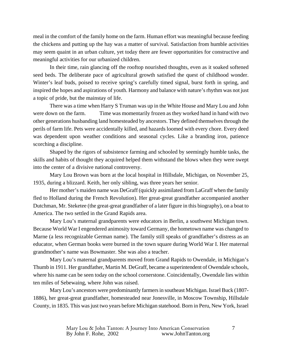meal in the comfort of the family home on the farm. Human effort was meaningful because feeding the chickens and putting up the hay was a matter of survival. Satisfaction from humble activities may seem quaint in an urban culture, yet today there are fewer opportunities for constructive and meaningful activities for our urbanized children.

In their time, rain glancing off the rooftop nourished thoughts, even as it soaked softened seed beds. The deliberate pace of agricultural growth satisfied the quest of childhood wonder. Winter's leaf buds, poised to receive spring's carefully timed signal, burst forth in spring, and inspired the hopes and aspirations of youth. Harmony and balance with nature's rhythm was not just a topic of pride, but the mainstay of life.

There was a time when Harry S Truman was up in the White House and Mary Lou and John were down on the farm. Time was momentarily frozen as they worked hand in hand with two other generations husbanding land homesteaded by ancestors. They defined themselves through the perils of farm life. Pets were accidentally killed, and hazards loomed with every chore. Every deed was dependent upon weather conditions and seasonal cycles. Like a branding iron, patience scorching a discipline.

Shaped by the rigors of subsistence farming and schooled by seemingly humble tasks, the skills and habits of thought they acquired helped them withstand the blows when they were swept into the center of a divisive national controversy.

Mary Lou Brown was born at the local hospital in Hillsdale, Michigan, on November 25, 1935, during a blizzard. Keith, her only sibling, was three years her senior.

Her mother's maiden name was DeGraff (quickly assimilated from LaGraff when the family fled to Holland during the French Revolution). Her great-great grandfather accompanied another Dutchman, Mr. Steketee (the great-great grandfather of a later figure in this biography), on a boat to America. The two settled in the Grand Rapids area.

Mary Lou's maternal grandparents were educators in Berlin, a southwest Michigan town. Because World War I engendered animosity toward Germany, the hometown name was changed to Marne (a less recognizable German name). The family still speaks of grandfather's distress as an educator, when German books were burned in the town square during World War I. Her maternal grandmother's name was Bowmaster. She was also a teacher.

Mary Lou's maternal grandparents moved from Grand Rapids to Owendale, in Michigan's Thumb in 1911. Her grandfather, Martin M. DeGraff, became a superintendent of Owendale schools, where his name can be seen today on the school cornerstone. Coincidentally, Owendale lies within ten miles of Sebewaing, where John was raised.

Mary Lou's ancestors were predominantly farmers in southeast Michigan. Israel Buck (1807- 1886), her great-great grandfather, homesteaded near Jonesville, in Moscow Township, Hillsdale County, in 1835. This was just two years before Michigan statehood. Born in Peru, New York, Israel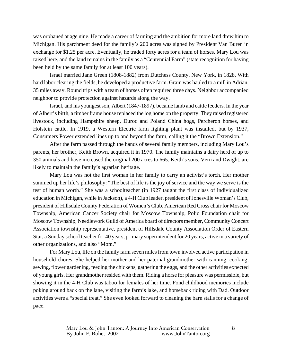was orphaned at age nine. He made a career of farming and the ambition for more land drew him to Michigan. His parchment deed for the family's 200 acres was signed by President Van Buren in exchange for \$1.25 per acre. Eventually, he traded forty acres for a team of horses. Mary Lou was raised here, and the land remains in the family as a "Centennial Farm" (state recognition for having been held by the same family for at least 100 years).

Israel married Jane Green (1808-1882) from Dutchess County, New York, in 1828. With hard labor clearing the fields, he developed a productive farm. Grain was hauled to a mill in Adrian, 35 miles away. Round trips with a team of horses often required three days. Neighbor accompanied neighbor to provide protection against hazards along the way.

Israel, and his youngest son, Albert (1847-1897), became lamb and cattle feeders. In the year of Albert's birth, a timber frame house replaced the log home on the property. They raised registered livestock, including Hampshire sheep, Duroc and Poland China hogs, Percheron horses, and Holstein cattle. In 1919, a Western Electric farm lighting plant was installed, but by 1937, Consumers Power extended lines up to and beyond the farm, calling it the "Brown Extension."

After the farm passed through the hands of several family members, including Mary Lou's parents, her brother, Keith Brown, acquired it in 1970. The family maintains a dairy herd of up to 350 animals and have increased the original 200 acres to 665. Keith's sons, Vern and Dwight, are likely to maintain the family's agrarian heritage.

Mary Lou was not the first woman in her family to carry an activist's torch. Her mother summed up her life's philosophy: "The best of life is the joy of service and the way we serve is the test of human worth." She was a schoolteacher (in 1927 taught the first class of individualized education in Michigan, while in Jackson), a 4-H Club leader, president of Jonesville Woman's Club, president of Hillsdale County Federation of Women's Club, American Red Cross chair for Moscow Township, American Cancer Society chair for Moscow Township, Polio Foundation chair for Moscow Township, Needlework Guild of America board of directors member, Community Concert Association township representative, president of Hillsdale County Association Order of Eastern Star, a Sunday school teacher for 40 years, primary superintendent for 20 years, active in a variety of other organizations, and also "Mom."

For Mary Lou, life on the family farm seven miles from town involved active participation in household chores. She helped her mother and her paternal grandmother with canning, cooking, sewing, flower gardening, feeding the chickens, gathering the eggs, and the other activities expected of young girls. Her grandmother resided with them. Riding a horse for pleasure was permissible, but showing it in the 4-H Club was taboo for females of her time. Fond childhood memories include poking around back on the lane, visiting the farm's lake, and horseback riding with Dad. Outdoor activities were a "special treat." She even looked forward to cleaning the barn stalls for a change of pace.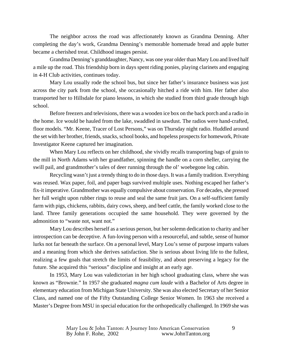The neighbor across the road was affectionately known as Grandma Denning. After completing the day's work, Grandma Denning's memorable homemade bread and apple butter became a cherished treat. Childhood images persist.

Grandma Denning's granddaughter, Nancy, was one year older than Mary Lou and lived half a mile up the road. This friendship born in days spent riding ponies, playing clarinets and engaging in 4-H Club activities, continues today.

Mary Lou usually rode the school bus, but since her father's insurance business was just across the city park from the school, she occasionally hitched a ride with him. Her father also transported her to Hillsdale for piano lessons, in which she studied from third grade through high school.

Before freezers and televisions, there was a wooden ice box on the back porch and a radio in the home. Ice would be hauled from the lake, swaddled in sawdust. The radios were hand-crafted, floor models. "Mr. Keene, Tracer of Lost Persons," was on Thursday night radio. Huddled around the set with her brother, friends, snacks, school books, and hopeless prospects for homework, Private Investigator Keene captured her imagination.

When Mary Lou reflects on her childhood, she vividly recalls transporting bags of grain to the mill in North Adams with her grandfather, spinning the handle on a corn sheller, carrying the swill pail, and grandmother's tales of deer running through the ol' woebegone log cabin.

Recycling wasn't just a trendy thing to do in those days. It was a family tradition. Everything was reused. Wax paper, foil, and paper bags survived multiple uses. Nothing escaped her father's fix-it imperative. Grandmother was equally compulsive about conservation. For decades, she pressed her full weight upon rubber rings to reuse and seal the same fruit jars. On a self-sufficient family farm with pigs, chickens, rabbits, dairy cows, sheep, and beef cattle, the family worked close to the land. Three family generations occupied the same household. They were governed by the admonition to "waste not, want not."

Mary Lou describes herself as a serious person, but her solemn dedication to charity and her introspection can be deceptive. A fun-loving person with a resourceful, and subtle, sense of humor lurks not far beneath the surface. On a personal level, Mary Lou's sense of purpose imparts values and a meaning from which she derives satisfaction. She is serious about living life to the fullest, realizing a few goals that stretch the limits of feasibility, and about preserving a legacy for the future. She acquired this "serious" discipline and insight at an early age.

In 1953, Mary Lou was valedictorian in her high school graduating class, where she was known as "Brownie." In 1957 she graduated *magna cum laude* with a Bachelor of Arts degree in elementary education from Michigan State University. She was also elected Secretary of her Senior Class, and named one of the Fifty Outstanding College Senior Women. In 1963 she received a Master's Degree from MSU in special education for the orthopedically challenged. In 1969 she was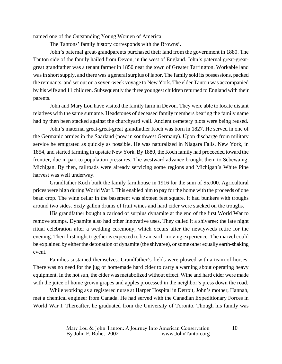named one of the Outstanding Young Women of America.

The Tantons' family history corresponds with the Browns'.

John's paternal great-grandparents purchased their land from the government in 1880. The Tanton side of the family hailed from Devon, in the west of England. John's paternal great-greatgreat grandfather was a tenant farmer in 1850 near the town of Greater Tarrington. Workable land was in short supply, and there was a general surplus of labor. The family sold its possessions, packed the remnants, and set out on a seven-week voyage to New York. The elder Tanton was accompanied by his wife and 11 children. Subsequently the three youngest children returned to England with their parents.

John and Mary Lou have visited the family farm in Devon. They were able to locate distant relatives with the same surname. Headstones of deceased family members bearing the family name had by then been stacked against the churchyard wall. Ancient cemetery plots were being reused.

John's maternal great-great-great grandfather Koch was born in 1827. He served in one of the Germanic armies in the Saarland (now in southwest Germany). Upon discharge from military service he emigrated as quickly as possible. He was naturalized in Niagara Falls, New York, in 1854, and started farming in upstate New York. By 1880, the Koch family had proceeded toward the frontier, due in part to population pressures. The westward advance brought them to Sebewaing, Michigan. By then, railroads were already servicing some regions and Michigan's White Pine harvest was well underway.

Grandfather Koch built the family farmhouse in 1916 for the sum of \$5,000. Agricultural prices were high during World War I. This enabled him to pay for the home with the proceeds of one bean crop. The wine cellar in the basement was sixteen feet square. It had bunkers with troughs around two sides. Sixty gallon drums of fruit wines and hard cider were stacked on the troughs.

His grandfather bought a carload of surplus dynamite at the end of the first World War to remove stumps. Dynamite also had other innovative uses. They called it a shivaree: the late night ritual celebration after a wedding ceremony, which occurs after the newlyweds retire for the evening. Their first night together is expected to be an earth-moving experience. The marvel could be explained by either the detonation of dynamite (the shivaree), or some other equally earth-shaking event.

Families sustained themselves. Grandfather's fields were plowed with a team of horses. There was no need for the jug of homemade hard cider to carry a warning about operating heavy equipment. In the hot sun, the cider was metabolized without effect. Wine and hard cider were made with the juice of home grown grapes and apples processed in the neighbor's press down the road.

While working as a registered nurse at Harper Hospital in Detroit, John's mother, Hannah, met a chemical engineer from Canada. He had served with the Canadian Expeditionary Forces in World War I. Thereafter, he graduated from the University of Toronto. Though his family was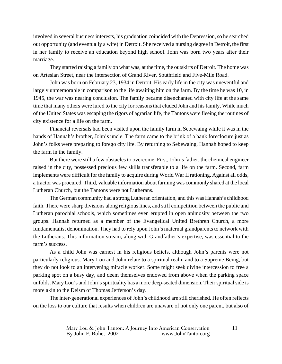involved in several business interests, his graduation coincided with the Depression, so he searched out opportunity (and eventually a wife) in Detroit. She received a nursing degree in Detroit, the first in her family to receive an education beyond high school. John was born two years after their marriage.

They started raising a family on what was, at the time, the outskirts of Detroit. The home was on Artesian Street, near the intersection of Grand River, Southfield and Five-Mile Road.

John was born on February 23, 1934 in Detroit. His early life in the city was uneventful and largely unmemorable in comparison to the life awaiting him on the farm. By the time he was 10, in 1945, the war was nearing conclusion. The family became disenchanted with city life at the same time that many others were lured to the city for reasons that eluded John and his family. While much of the United States was escaping the rigors of agrarian life, the Tantons were fleeing the routines of city existence for a life on the farm.

Financial reversals had been visited upon the family farm in Sebewaing while it was in the hands of Hannah's brother, John's uncle. The farm came to the brink of a bank foreclosure just as John's folks were preparing to forego city life. By returning to Sebewaing, Hannah hoped to keep the farm in the family.

But there were still a few obstacles to overcome. First, John's father, the chemical engineer raised in the city, possessed precious few skills transferable to a life on the farm. Second, farm implements were difficult for the family to acquire during World War II rationing. Against all odds, a tractor was procured. Third, valuable information about farming was commonly shared at the local Lutheran Church, but the Tantons were not Lutherans.

The German community had a strong Lutheran orientation, and this was Hannah's childhood faith. There were sharp divisions along religious lines, and stiff competition between the public and Lutheran parochial schools, which sometimes even erupted in open animosity between the two groups. Hannah returned as a member of the Evangelical United Brethren Church, a more fundamentalist denomination. They had to rely upon John's maternal grandparents to network with the Lutherans. This information stream, along with Grandfather's expertise, was essential to the farm's success.

As a child John was earnest in his religious beliefs, although John's parents were not particularly religious. Mary Lou and John relate to a spiritual realm and to a Supreme Being, but they do not look to an intervening miracle worker. Some might seek divine intercession to free a parking spot on a busy day, and deem themselves endowed from above when the parking space unfolds. Mary Lou's and John's spirituality has a more deep-seated dimension. Their spiritual side is more akin to the Deism of Thomas Jefferson's day.

The inter-generational experiences of John's childhood are still cherished. He often reflects on the loss to our culture that results when children are unaware of not only one parent, but also of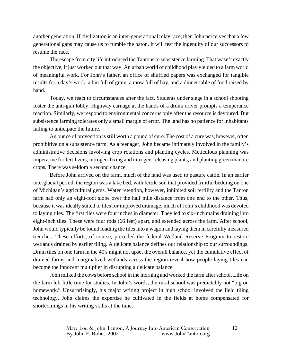another generation. If civilization is an inter-generational relay race, then John perceives that a few generational gaps may cause us to fumble the baton. It will test the ingenuity of our successors to resume the race.

The escape from city life introduced the Tantons to subsistence farming. That wasn't exactly the objective; it just worked out that way. An urban world of childhood play yielded to a farm world of meaningful work. For John's father, an office of shuffled papers was exchanged for tangible results for a day's work: a bin full of grain, a mow full of hay, and a dinner table of food raised by hand.

Today, we react to circumstances after the fact. Students under siege in a school shooting foster the anti-gun lobby. Highway carnage at the hands of a drunk driver prompts a temperance reaction. Similarly, we respond to environmental concerns only after the resource is devoured. But subsistence farming tolerates only a small margin of error. The land has no patience for inhabitants failing to anticipate the future.

An ounce of prevention is still worth a pound of cure. The cost of a cure was, however, often prohibitive on a subsistence farm. As a teenager, John became intimately involved in the family's administrative decisions involving crop rotations and planting cycles. Meticulous planning was imperative for fertilizers, nitrogen-fixing and nitrogen-releasing plants, and planting green manure crops. There was seldom a second chance.

Before John arrived on the farm, much of the land was used to pasture cattle. In an earlier interglacial period, the region was a lake bed, with fertile soil that provided fruitful bedding on one of Michigan's agricultural gems. Water retention, however, inhibited soil fertility and the Tanton farm had only an eight-foot slope over the half mile distance from one end to the other. Thus, because it was ideally suited to tiles for improved drainage, much of John's childhood was devoted to laying tiles. The first tiles were four inches in diameter. They led to six-inch mains draining into eight-inch tiles. These were four rods (66 feet) apart, and extended across the farm. After school, John would typically be found loading the tiles into a wagon and laying them in carefully measured trenches. These efforts, of course, preceded the federal Wetland Reserve Program to restore wetlands drained by earlier tiling. A delicate balance defines our relationship to our surroundings. Drain tiles on one farm in the 40's might not upset the overall balance, yet the cumulative effect of drained farms and marginalized wetlands across the region reveal how people laying tiles can become the innocent multiplier in disrupting a delicate balance.

John milked the cows before school in the morning and worked the farm after school. Life on the farm left little time for studies. In John's words, the rural school was predictably not "big on homework." Unsurprisingly, his major writing project in high school involved the field tiling technology. John claims the expertise he cultivated in the fields at home compensated for shortcomings in his writing skills at the time.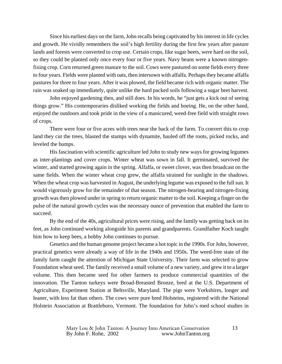Since his earliest days on the farm, John recalls being captivated by his interest in life cycles and growth. He vividly remembers the soil's high fertility during the first few years after pasture lands and forests were converted to crop use. Certain crops, like sugar beets, were hard on the soil, so they could be planted only once every four or five years. Navy beans were a known nitrogenfixing crop. Corn returned green manure to the soil. Cows were pastured on some fields every three to four years. Fields were planted with oats, then intersown with alfalfa. Perhaps they became alfalfa pastures for three to four years. After it was plowed, the field became rich with organic matter. The rain was soaked up immediately, quite unlike the hard packed soils following a sugar beet harvest.

John enjoyed gardening then, and still does. In his words, he "just gets a kick out of seeing things grow." His contemporaries disliked working the fields and hoeing. He, on the other hand, enjoyed the outdoors and took pride in the view of a manicured, weed-free field with straight rows of crops.

There were four or five acres with trees near the back of the farm. To convert this to crop land they cut the trees, blasted the stumps with dynamite, hauled off the roots, picked rocks, and leveled the bumps.

His fascination with scientific agriculture led John to study new ways for growing legumes as inter-plantings and cover crops. Winter wheat was sown in fall. It germinated, survived the winter, and started growing again in the spring. Alfalfa, or sweet clover, was then broadcast on the same fields. When the winter wheat crop grew, the alfalfa strained for sunlight in the shadows. When the wheat crop was harvested in August, the underlying legume was exposed to the full sun. It would vigorously grow for the remainder of that season. The nitrogen-bearing and nitrogen-fixing growth was then plowed under in spring to return organic matter to the soil. Keeping a finger on the pulse of the natural growth cycles was the necessary ounce of prevention that enabled the farm to succeed.

By the end of the 40s, agricultural prices were rising, and the family was getting back on its feet, as John continued working alongside his parents and grandparents. Grandfather Koch taught him how to keep bees, a hobby John continues to pursue.

Genetics and the human genome project became a hot topic in the 1990s. For John, however, practical genetics were already a way of life in the 1940s and 1950s. The weed-free state of the family farm caught the attention of Michigan State University. Their farm was selected to grow Foundation wheat seed. The family received a small volume of a new variety, and grew it to a larger volume. This then became seed for other farmers to produce commercial quantities of the innovation. The Tanton turkeys were Broad-Breasted Bronze, bred at the U.S. Department of Agriculture, Experiment Station at Beltsville, Maryland. The pigs were Yorkshires, longer and leaner, with less fat than others. The cows were pure bred Holsteins, registered with the National Holstein Association at Brattleboro, Vermont. The foundation for John's med school studies in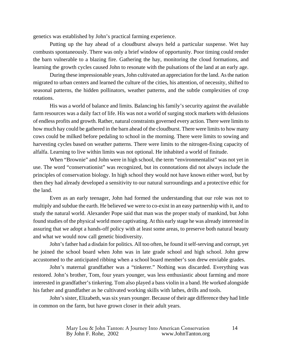genetics was established by John's practical farming experience.

Putting up the hay ahead of a cloudburst always held a particular suspense. Wet hay combusts spontaneously. There was only a brief window of opportunity. Poor timing could render the barn vulnerable to a blazing fire. Gathering the hay, monitoring the cloud formations, and learning the growth cycles caused John to resonate with the pulsations of the land at an early age.

During these impressionable years, John cultivated an appreciation for the land. As the nation migrated to urban centers and learned the culture of the cities, his attention, of necessity, shifted to seasonal patterns, the hidden pollinators, weather patterns, and the subtle complexities of crop rotations.

His was a world of balance and limits. Balancing his family's security against the available farm resources was a daily fact of life. His was not a world of surging stock markets with delusions of endless profits and growth. Rather, natural constraints governed every action. There were limits to how much hay could be gathered in the barn ahead of the cloudburst. There were limits to how many cows could be milked before pedaling to school in the morning. There were limits to sowing and harvesting cycles based on weather patterns. There were limits to the nitrogen-fixing capacity of alfalfa. Learning to live within limits was not optional. He inhabited a world of finitude.

When "Brownie" and John were in high school, the term "environmentalist" was not yet in use. The word "conservationist" was recognized, but its connotations did not always include the principles of conservation biology. In high school they would not have known either word, but by then they had already developed a sensitivity to our natural surroundings and a protective ethic for the land.

Even as an early teenager, John had formed the understanding that our role was not to multiply and subdue the earth. He believed we were to co-exist in an easy partnership with it, and to study the natural world. Alexander Pope said that man was the proper study of mankind, but John found studies of the physical world more captivating. At this early stage he was already interested in assuring that we adopt a hands-off policy with at least some areas, to preserve both natural beauty and what we would now call genetic biodiversity.

John's father had a disdain for politics. All too often, he found it self-serving and corrupt, yet he joined the school board when John was in late grade school and high school. John grew accustomed to the anticipated ribbing when a school board member's son drew enviable grades.

John's maternal grandfather was a "tinkerer." Nothing was discarded. Everything was restored. John's brother, Tom, four years younger, was less enthusiastic about farming and more interested in grandfather's tinkering. Tom also played a bass violin in a band. He worked alongside his father and grandfather as he cultivated working skills with lathes, drills and tools.

John's sister, Elizabeth, was six years younger. Because of their age difference they had little in common on the farm, but have grown closer in their adult years.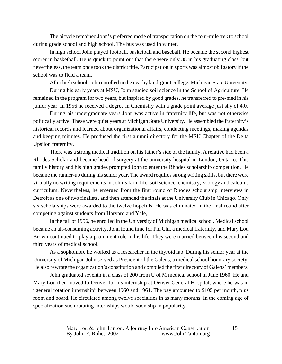The bicycle remained John's preferred mode of transportation on the four-mile trek to school during grade school and high school. The bus was used in winter.

In high school John played football, basketball and baseball. He became the second highest scorer in basketball. He is quick to point out that there were only 38 in his graduating class, but nevertheless, the team once took the district title. Participation in sports was almost obligatory if the school was to field a team.

After high school, John enrolled in the nearby land-grant college, Michigan State University.

During his early years at MSU, John studied soil science in the School of Agriculture. He remained in the program for two years, but inspired by good grades, he transferred to pre-med in his junior year. In 1956 he received a degree in Chemistry with a grade point average just shy of 4.0.

During his undergraduate years John was active in fraternity life, but was not otherwise politically active. These were quiet years at Michigan State University. He assembled the fraternity's historical records and learned about organizational affairs, conducting meetings, making agendas and keeping minutes. He produced the first alumni directory for the MSU Chapter of the Delta Upsilon fraternity.

There was a strong medical tradition on his father's side of the family. A relative had been a Rhodes Scholar and became head of surgery at the university hospital in London, Ontario. This family history and his high grades prompted John to enter the Rhodes scholarship competition. He became the runner-up during his senior year. The award requires strong writing skills, but there were virtually no writing requirements in John's farm life, soil science, chemistry, zoology and calculus curriculum. Nevertheless, he emerged from the first round of Rhodes scholarship interviews in Detroit as one of two finalists, and then attended the finals at the University Club in Chicago. Only six scholarships were awarded to the twelve hopefuls. He was eliminated in the final round after competing against students from Harvard and Yale,.

In the fall of 1956, he enrolled in the University of Michigan medical school. Medical school became an all-consuming activity. John found time for Phi Chi, a medical fraternity, and Mary Lou Brown continued to play a prominent role in his life. They were married between his second and third years of medical school.

As a sophomore he worked as a researcher in the thyroid lab. During his senior year at the University of Michigan John served as President of the Galens, a medical school honorary society. He also rewrote the organization's constitution and compiled the first directory of Galens' members.

John graduated seventh in a class of 200 from U of M medical school in June 1960. He and Mary Lou then moved to Denver for his internship at Denver General Hospital, where he was in "general rotation internship" between 1960 and 1961. The pay amounted to \$105 per month, plus room and board. He circulated among twelve specialties in as many months. In the coming age of specialization such rotating internships would soon slip in popularity.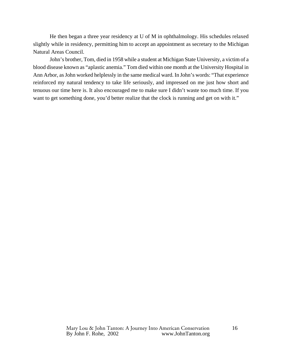He then began a three year residency at U of M in ophthalmology. His schedules relaxed slightly while in residency, permitting him to accept an appointment as secretary to the Michigan Natural Areas Council.

John's brother, Tom, died in 1958 while a student at Michigan State University, a victim of a blood disease known as "aplastic anemia." Tom died within one month at the University Hospital in Ann Arbor, as John worked helplessly in the same medical ward. In John's words: "That experience reinforced my natural tendency to take life seriously, and impressed on me just how short and tenuous our time here is. It also encouraged me to make sure I didn't waste too much time. If you want to get something done, you'd better realize that the clock is running and get on with it."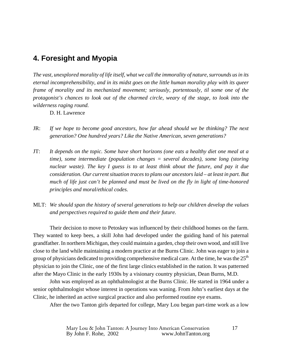# **4. Foresight and Myopia**

*The vast, unexplored morality of life itself, what we call the immorality of nature, surrounds us in its eternal incomprehensibility, and in its midst goes on the little human morality play with its queer frame of morality and its mechanized movement; seriously, portentously, til some one of the protagonist's chances to look out of the charmed circle, weary of the stage, to look into the wilderness raging round.*

D. H. Lawrence

- JR: *If we hope to become good ancestors, how far ahead should we be thinking? The next generation? One hundred years? Like the Native American, seven generations?*
- JT: *It depends on the topic. Some have short horizons (one eats a healthy diet one meal at a time), some intermediate (population changes = several decades), some long (storing nuclear waste). The key I guess is to at least think about the future, and pay it due consideration. Our current situation traces to plans our ancestors laid – at least in part. But much of life just can't be planned and must be lived on the fly in light of time-honored principles and moral/ethical codes.*
- MLT: *We should span the history of several generations to help our children develop the values and perspectives required to guide them and their future.*

Their decision to move to Petoskey was influenced by their childhood homes on the farm. They wanted to keep bees, a skill John had developed under the guiding hand of his paternal grandfather. In northern Michigan, they could maintain a garden, chop their own wood, and still live close to the land while maintaining a modern practice at the Burns Clinic. John was eager to join a group of physicians dedicated to providing comprehensive medical care. At the time, he was the  $25<sup>th</sup>$ physician to join the Clinic, one of the first large clinics established in the nation. It was patterned after the Mayo Clinic in the early 1930s by a visionary country physician, Dean Burns, M.D.

John was employed as an ophthalmologist at the Burns Clinic. He started in 1964 under a senior ophthalmologist whose interest in operations was waning. From John's earliest days at the Clinic, he inherited an active surgical practice and also performed routine eye exams.

After the two Tanton girls departed for college, Mary Lou began part-time work as a low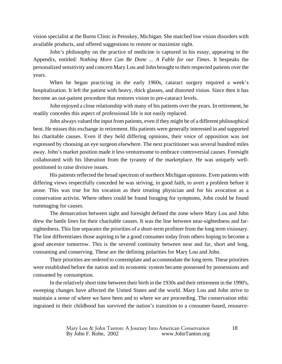vision specialist at the Burns Clinic in Petoskey, Michigan. She matched low vision disorders with available products, and offered suggestions to restore or maximize sight.

John's philosophy on the practice of medicine is captured in his essay, appearing in the Appendix, entitled: *Nothing More Can Be Done ... A Fable for our Times*. It bespeaks the personalized sensitivity and concern Mary Lou and John brought to their respected patients over the years.

When he began practicing in the early 1960s, cataract surgery required a week's hospitalization. It left the patient with heavy, thick glasses, and distorted vision. Since then it has become an out-patient procedure that restores vision to pre-cataract levels.

John enjoyed a close relationship with many of his patients over the years. In retirement, he readily concedes this aspect of professional life is not easily replaced.

John always valued the input from patients, even if they might be of a different philosophical bent. He misses this exchange in retirement. His patients were generally interested in and supported his charitable causes. Even if they held differing opinions, their voice of opposition was not expressed by choosing an eye surgeon elsewhere. The next practitioner was several hundred miles away. John's market position made it less venturesome to embrace controversial causes. Foresight collaborated with his liberation from the tyranny of the marketplace. He was uniquely wellpositioned to raise divisive issues.

His patients reflected the broad spectrum of northern Michigan opinions. Even patients with differing views respectfully conceded he was striving, in good faith, to avert a problem before it arose. This was true for his vocation as their treating physician and for his avocation as a conservation activist. Where others could be found foraging for symptoms, John could be found rummaging for causes.

The demarcation between sight and foresight defined the zone where Mary Lou and John drew the battle lines for their charitable causes. It was the line between near-sightedness and farsightedness. This line separates the priorities of a short-term profiteer from the long term visionary. The line differentiates those aspiring to be a good consumer today from others hoping to become a good ancestor tomorrow. This is the severed continuity between near and far, short and long, consuming and conserving. These are the defining polarities for Mary Lou and John.

Their priorities are ordered to contemplate and accommodate the long term. These priorities were established before the nation and its economic system became possessed by possessions and consumed by consumption.

In the relatively short time between their birth in the 1930s and their retirement in the 1990's, sweeping changes have affected the United States and the world. Mary Lou and John strive to maintain a sense of where we have been and to where we are proceeding. The conservation ethic ingrained in their childhood has survived the nation's transition to a consumer-based, resource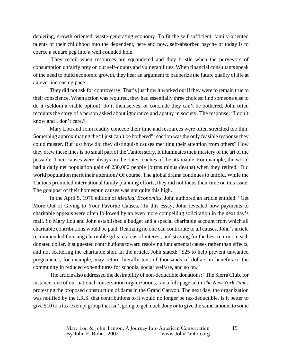depleting, growth-oriented, waste-generating economy. To fit the self-sufficient, family-oriented talents of their childhood into the dependent, here and now, self-absorbed psyche of today is to coerce a square peg into a well-rounded hole.

 They recoil when resources are squandered and they bristle when the purveyors of consumption unfairly prey on our self-doubts and vulnerabilities. When financial consultants speak of the need to build economic growth, they hear an argument to pauperize the future quality of life at an ever increasing pace.

They did not ask for controversy. That's just how it worked out if they were to remain true to their conscience. When action was required, they had essentially three choices: find someone else to do it (seldom a viable option), do it themselves, or conclude they can't be bothered. John often recounts the story of a person asked about ignorance and apathy in society. The response: "I don't know and I don't care."

Mary Lou and John readily concede their time and resources were often stretched too thin. Something approximating the "I just can't be bothered" reaction was the only feasible response they could muster. But just how did they distinguish causes meriting their attention from others? How they drew these lines is no small part of the Tanton story. It illuminates their mastery of the art of the possible. Their causes were always on the outer reaches of the attainable. For example, the world had a daily net population gain of 230,000 people (births minus deaths) when they retired.<sup>i</sup> Did world population merit their attention? Of course. The global drama continues to unfold. While the Tantons promoted international family planning efforts, they did not focus their time on this issue. The goalpost of their homespun causes was not quite this high.

In the April 5, 1976 edition of *Medical Economics*, John authored an article entitled: "Get More Out of Giving to Your Favorite Causes." In this essay, John revealed how payments to charitable appeals were often followed by an even more compelling solicitation in the next day's mail. So Mary Lou and John established a budget and a special charitable account from which all charitable contributions would be paid. Realizing no one can contribute to all causes, John's article recommended focusing charitable gifts in areas of interest, and striving for the best return on each donated dollar. It suggested contributions toward resolving fundamental causes rather than effects, and not scattering the charitable shot. In the article, John stated: "\$25 to help prevent unwanted pregnancies, for example, may return literally tens of thousands of dollars in benefits to the community in reduced expenditures for schools, social welfare, and so on."

The article also addressed the desirability of non-deductible donations: "The Sierra Club, for instance, one of our national conservation organizations, ran a full-page ad in *The New York Times* protesting the proposed construction of dams in the Grand Canyon. The next day, the organization was notified by the I.R.S. that contributions to it would no longer be tax-deductible. Is it better to give \$10 to a tax-exempt group that isn't going to get much done or to give the same amount to some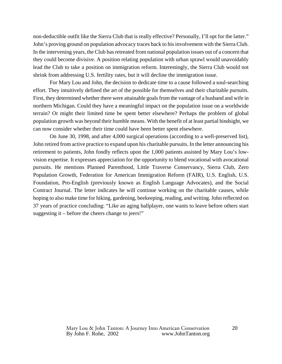non-deductible outfit like the Sierra Club that is really effective? Personally, I'll opt for the latter." John's proving ground on population advocacy traces back to his involvement with the Sierra Club. In the intervening years, the Club has retreated from national population issues out of a concern that they could become divisive. A position relating population with urban sprawl would unavoidably lead the Club to take a position on immigration reform. Interestingly, the Sierra Club would not shrink from addressing U.S. fertility rates, but it will decline the immigration issue.

For Mary Lou and John, the decision to dedicate time to a cause followed a soul-searching effort. They intuitively defined the art of the possible for themselves and their charitable pursuits. First, they determined whether there were attainable goals from the vantage of a husband and wife in northern Michigan. Could they have a meaningful impact on the population issue on a worldwide terrain? Or might their limited time be spent better elsewhere? Perhaps the problem of global population growth was beyond their humble means. With the benefit of at least partial hindsight, we can now consider whether their time could have been better spent elsewhere.

On June 30, 1998, and after 4,000 surgical operations (according to a well-preserved list), John retired from active practice to expand upon his charitable pursuits. In the letter announcing his retirement to patients, John fondly reflects upon the 1,000 patients assisted by Mary Lou's lowvision expertise. It expresses appreciation for the opportunity to blend vocational with avocational pursuits. He mentions Planned Parenthood, Little Traverse Conservancy, Sierra Club, Zero Population Growth, Federation for American Immigration Reform (FAIR), U.S. English, U.S. Foundation, Pro-English (previously known as English Language Advocates), and the Social Contract Journal. The letter indicates he will continue working on the charitable causes, while hoping to also make time for hiking, gardening, beekeeping, reading, and writing. John reflected on 37 years of practice concluding: "Like an aging ballplayer, one wants to leave before others start suggesting it – before the cheers change to jeers!"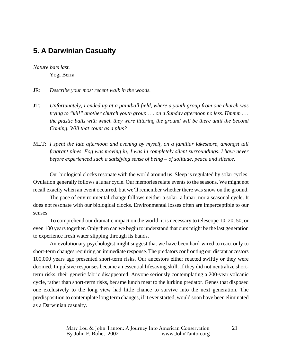## **5. A Darwinian Casualty**

*Nature bats last.*

Yogi Berra

- JR: *Describe your most recent walk in the woods.*
- JT: *Unfortunately, I ended up at a paintball field, where a youth group from one church was trying to "kill" another church youth group . . . on a Sunday afternoon no less. Hmmm . . . the plastic balls with which they were littering the ground will be there until the Second Coming. Will that count as a plus?*
- MLT: *I spent the late afternoon and evening by myself, on a familiar lakeshore, amongst tall fragrant pines. Fog was moving in; I was in completely silent surroundings. I have never before experienced such a satisfying sense of being – of solitude, peace and silence.*

Our biological clocks resonate with the world around us. Sleep is regulated by solar cycles. Ovulation generally follows a lunar cycle. Our memories relate events to the seasons. We might not recall exactly when an event occurred, but we'll remember whether there was snow on the ground.

The pace of environmental change follows neither a solar, a lunar, nor a seasonal cycle. It does not resonate with our biological clocks. Environmental losses often are imperceptible to our senses.

To comprehend our dramatic impact on the world, it is necessary to telescope 10, 20, 50, or even 100 years together. Only then can we begin to understand that ours might be the last generation to experience fresh water slipping through its hands.

An evolutionary psychologist might suggest that we have been hard-wired to react only to short-term changes requiring an immediate response. The predators confronting our distant ancestors 100,000 years ago presented short-term risks. Our ancestors either reacted swiftly or they were doomed. Impulsive responses became an essential lifesaving skill. If they did not neutralize shortterm risks, their genetic fabric disappeared. Anyone seriously contemplating a 200-year volcanic cycle, rather than short-term risks, became lunch meat to the lurking predator. Genes that disposed one exclusively to the long view had little chance to survive into the next generation. The predisposition to contemplate long term changes, if it ever started, would soon have been eliminated as a Darwinian casualty.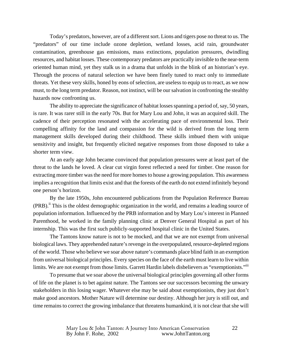Today's predators, however, are of a different sort. Lions and tigers pose no threat to us. The "predators" of our time include ozone depletion, wetland losses, acid rain, groundwater contamination, greenhouse gas emissions, mass extinctions, population pressures, dwindling resources, and habitat losses. These contemporary predators are practically invisible to the near-term oriented human mind, yet they stalk us in a drama that unfolds in the blink of an historian's eye. Through the process of natural selection we have been finely tuned to react only to immediate threats. Yet these very skills, honed by eons of selection, are useless to equip us to react, as we now must, to the long term predator. Reason, not instinct, will be our salvation in confronting the stealthy hazards now confronting us.

The ability to appreciate the significance of habitat losses spanning a period of, say, 50 years, is rare. It was rarer still in the early 70s. But for Mary Lou and John, it was an acquired skill. The cadence of their perception resonated with the accelerating pace of environmental loss. Their compelling affinity for the land and compassion for the wild is derived from the long term management skills developed during their childhood. These skills imbued them with unique sensitivity and insight, but frequently elicited negative responses from those disposed to take a shorter term view.

At an early age John became convinced that population pressures were at least part of the threat to the lands he loved. A clear cut virgin forest reflected a need for timber. One reason for extracting more timber was the need for more homes to house a growing population. This awareness implies a recognition that limits exist and that the forests of the earth do not extend infinitely beyond one person's horizon.

By the late 1950s, John encountered publications from the Population Reference Bureau  $(PRB)$ .<sup>ii</sup> This is the oldest demographic organization in the world, and remains a leading source of population information. Influenced by the PRB information and by Mary Lou's interest in Planned Parenthood, he worked in the family planning clinic at Denver General Hospital as part of his internship. This was the first such publicly-supported hospital clinic in the United States.

The Tantons know nature is not to be mocked, and that we are not exempt from universal biological laws. They apprehended nature's revenge in the overpopulated, resource-depleted regions of the world. Those who believe we soar above nature's commands place blind faith in an exemption from universal biological principles. Every species on the face of the earth must learn to live within limits. We are not exempt from those limits. Garrett Hardin labels disbelievers as "exemptionists."iii

To presume that we soar above the universal biological principles governing all other forms of life on the planet is to bet against nature. The Tantons see our successors becoming the unwary stakeholders in this losing wager. Whatever else may be said about exemptionists, they just don't make good ancestors. Mother Nature will determine our destiny. Although her jury is still out, and time remains to correct the growing imbalance that threatens humankind, it is not clear that she will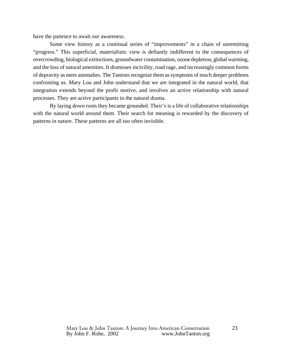have the patience to await our awareness.

Some view history as a continual series of "improvements" in a chain of unremitting "progress." This superficial, materialistic view is defiantly indifferent to the consequences of overcrowding, biological extinctions, groundwater contamination, ozone depletion, global warming, and the loss of natural amenities. It dismisses incivility, road rage, and increasingly common forms of depravity as mere anomalies. The Tantons recognize them as symptoms of much deeper problems confronting us. Mary Lou and John understand that we are integrated in the natural world, that integration extends beyond the profit motive, and involves an active relationship with natural processes. They are active participants in the natural drama.

By laying down roots they became grounded. Their's is a life of collaborative relationships with the natural world around them. Their search for meaning is rewarded by the discovery of patterns in nature. These patterns are all too often invisible.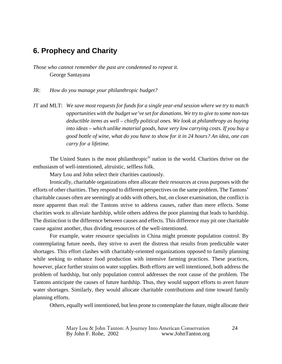### **6. Prophecy and Charity**

*Those who cannot remember the past are condemned to repeat it.* George Santayana

JR: *How do you manage your philanthropic budget?*

JT and MLT: *We save most requests for funds for a single year-end session where we try to match opportunities with the budget we've set for donations. We try to give to some non-tax deductible items as well – chiefly political ones. We look at philanthropy as buying into ideas – which unlike material goods, have very low carrying costs. If you buy a good bottle of wine, what do you have to show for it in 24 hours? An idea, one can carry for a lifetime.* 

The United States is the most philanthropic<sup>iv</sup> nation in the world. Charities thrive on the enthusiasm of well-intentioned, altruistic, selfless folk.

Mary Lou and John select their charities cautiously.

Ironically, charitable organizations often allocate their resources at cross purposes with the efforts of other charities. They respond to different perspectives on the same problem. The Tantons' charitable causes often are seemingly at odds with others, but, on closer examination, the conflict is more apparent than real: the Tantons strive to address causes, rather than mere effects. Some charities work to alleviate hardship, while others address the poor planning that leads to hardship. The distinction is the difference between causes and effects. This difference may pit one charitable cause against another, thus dividing resources of the well-intentioned.

For example, water resource specialists in China might promote population control. By contemplating future needs, they strive to avert the distress that results from predictable water shortages. This effort clashes with charitably-oriented organizations opposed to family planning while seeking to enhance food production with intensive farming practices. These practices, however, place further strains on water supplies. Both efforts are well intentioned, both address the problem of hardship, but only population control addresses the root cause of the problem. The Tantons anticipate the causes of future hardship. Thus, they would support efforts to avert future water shortages. Similarly, they would allocate charitable contributions and time toward family planning efforts.

Others, equally well intentioned, but less prone to contemplate the future, might allocate their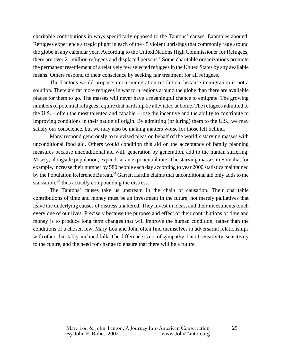charitable contributions in ways specifically opposed to the Tantons' causes. Examples abound. Refugees experience a tragic plight in each of the 45 violent uprisings that commonly rage around the globe in any calendar year. According to the United Nations High Commissioner for Refugees, there are over 21 million refugees and displaced persons.<sup> $v$ </sup> Some charitable organizations promote the permanent resettlement of a relatively few selected refugees in the United States by any available means. Others respond to their conscience by seeking fair treatment for all refugees.

The Tantons would propose a non-immigration resolution, because immigration is not a solution. There are far more refugees in war torn regions around the globe than there are available places for them to go. The masses will never have a meaningful chance to emigrate. The growing numbers of potential refugees require that hardship be alleviated at home. The refugees admitted to the U.S. – often the most talented and capable – lose the incentive and the ability to contribute to improving conditions in their nation of origin. By admitting (or luring) them to the U.S., we may satisfy our conscience, but we may also be making matters worse for those left behind.

Many respond generously to televised pleas on behalf of the world's starving masses with unconditional food aid. Others would condition this aid on the acceptance of family planning measures because unconditional aid will, generation by generation, add to the human suffering. Misery, alongside population, expands at an exponential rate. The starving masses in Somalia, for example, increase their number by 580 people each day according to year 2000 statistics maintained by the Population Reference Bureau.<sup>vi</sup> Garrett Hardin claims that unconditional aid only adds to the starvation,<sup>vii</sup> thus actually compounding the distress.

The Tantons' causes take us upstream in the chain of causation. Their charitable contributions of time and money must be an investment in the future, not merely palliatives that leave the underlying causes of distress unaltered. They invest in ideas, and their investments touch every one of our lives. Precisely because the purpose and effect of their contributions of time and money is to produce long term changes that will improve the human condition, rather than the conditions of a chosen few, Mary Lou and John often find themselves in adversarial relationships with other charitably-inclined folk. The difference is not of sympathy, but of sensitivity: sensitivity to the future, and the need for change to ensure that there will be a future.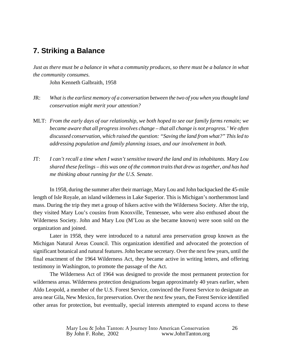# **7. Striking a Balance**

*Just as there must be a balance in what a community produces, so there must be a balance in what the community consumes.*

John Kenneth Galbraith, 1958

- JR: *What is the earliest memory of a conversation between the two of you when you thought land conservation might merit your attention?*
- MLT: *From the early days of our relationship, we both hoped to see our family farms remain; we became aware that all progress involves change – that all change is not progress.' We often discussed conservation, which raised the question: "Saving the land from what?" This led to addressing population and family planning issues, and our involvement in both.*
- JT: *I can't recall a time when I wasn't sensitive toward the land and its inhabitants. Mary Lou shared these feelings – this was one of the common traits that drew us together, and has had me thinking about running for the U.S. Senate.*

In 1958, during the summer after their marriage, Mary Lou and John backpacked the 45-mile length of Isle Royale, an island wilderness in Lake Superior. This is Michigan's northernmost land mass. During the trip they met a group of hikers active with the Wilderness Society. After the trip, they visited Mary Lou's cousins from Knoxville, Tennessee, who were also enthused about the Wilderness Society. John and Mary Lou (M'Lou as she became known) were soon sold on the organization and joined.

Later in 1958, they were introduced to a natural area preservation group known as the Michigan Natural Areas Council. This organization identified and advocated the protection of significant botanical and natural features. John became secretary. Over the next few years, until the final enactment of the 1964 Wilderness Act, they became active in writing letters, and offering testimony in Washington, to promote the passage of the Act.

The Wilderness Act of 1964 was designed to provide the most permanent protection for wilderness areas. Wilderness protection designations began approximately 40 years earlier, when Aldo Leopold, a member of the U.S. Forest Service, convinced the Forest Service to designate an area near Gila, New Mexico, for preservation. Over the next few years, the Forest Service identified other areas for protection, but eventually, special interests attempted to expand access to these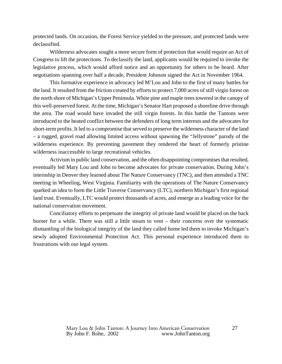protected lands. On occasion, the Forest Service yielded to the pressure, and protected lands were declassified.

Wilderness advocates sought a more secure form of protection that would require an Act of Congress to lift the protections. To declassify the land, applicants would be required to invoke the legislative process, which would afford notice and an opportunity for others to be heard. After negotiations spanning over half a decade, President Johnson signed the Act in November 1964.

This formative experience in advocacy led M'Lou and John to the first of many battles for the land. It resulted from the friction created by efforts to protect 7,000 acres of still virgin forest on the north shore of Michigan's Upper Peninsula. White pine and maple trees towered in the canopy of this well-preserved forest. At the time, Michigan's Senator Hart proposed a shoreline drive through the area. The road would have invaded the still virgin forests. In this battle the Tantons were introduced to the heated conflict between the defenders of long term interests and the advocates for short-term profits. It led to a compromise that served to preserve the wilderness character of the land – a rugged, gravel road allowing limited access without spawning the "Jellystone" parody of the wilderness experience. By preventing pavement they rendered the heart of formerly pristine wilderness inaccessible to large recreational vehicles.

Activism in public land conservation, and the often disappointing compromises that resulted, eventually led Mary Lou and John to become advocates for private conservation. During John's internship in Denver they learned about The Nature Conservancy (TNC), and then attended a TNC meeting in Wheeling, West Virginia. Familiarity with the operations of The Nature Conservancy sparked an idea to form the Little Traverse Conservancy (LTC), northern Michigan's first regional land trust. Eventually, LTC would protect thousands of acres, and emerge as a leading voice for the national conservation movement.

Conciliatory efforts to perpetuate the integrity of private land would be placed on the back burner for a while. There was still a little steam to vent – their concerns over the systematic dismantling of the biological integrity of the land they called home led them to invoke Michigan's newly adopted Environmental Protection Act. This personal experience introduced them to frustrations with our legal system.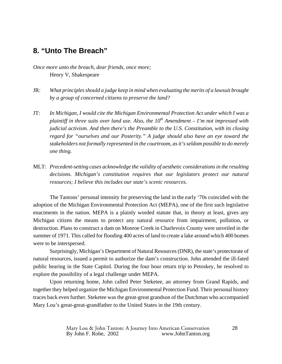# **8. "Unto The Breach"**

*Once more unto the breach, dear friends, once more;* Henry V, Shakespeare

- JR: *What principles should a judge keep in mind when evaluating the merits of a lawsuit brought by a group of concerned citizens to preserve the land?*
- JT: *In Michigan, I would cite the Michigan Environmental Protection Act under which I was a plaintiff in three suits over land use. Also, the*  $10<sup>th</sup>$  *Amendment – I'm not impressed with judicial activism. And then there's the Preamble to the U.S. Constitution, with its closing regard for "ourselves and our Posterity." A judge should also have an eye toward the stakeholders not formally represented in the courtroom, as it's seldom possible to do merely one thing.*
- MLT: *Precedent-setting cases acknowledge the validity of aesthetic considerations in the resulting decisions. Michigan's constitution requires that our legislators protect our natural resources; I believe this includes our state's scenic resources.*

The Tantons' personal intensity for preserving the land in the early '70s coincided with the adoption of the Michigan Environmental Protection Act (MEPA), one of the first such legislative enactments in the nation. MEPA is a plainly worded statute that, in theory at least, gives any Michigan citizen the means to protect any natural resource from impairment, pollution, or destruction. Plans to construct a dam on Monroe Creek in Charlevoix County were unveiled in the summer of 1971. This called for flooding 400 acres of land to create a lake around which 400 homes were to be interspersed.

Surprisingly, Michigan's Department of Natural Resources (DNR), the state's protectorate of natural resources, issued a permit to authorize the dam's construction. John attended the ill-fated public hearing in the State Capitol. During the four hour return trip to Petoskey, he resolved to explore the possibility of a legal challenge under MEPA.

Upon returning home, John called Peter Steketee, an attorney from Grand Rapids, and together they helped organize the Michigan Environmental Protection Fund. Their personal history traces back even further. Steketee was the great-great grandson of the Dutchman who accompanied Mary Lou's great-great-grandfather to the United States in the 19th century.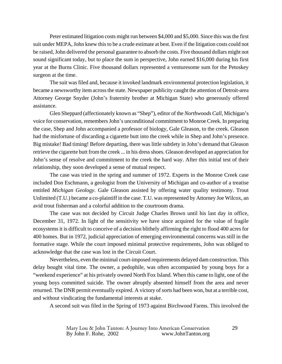Peter estimated litigation costs might run between \$4,000 and \$5,000. Since this was the first suit under MEPA, John knew this to be a crude estimate at best. Even if the litigation costs could not be raised, John delivered the personal guarantee to absorb the costs. Five thousand dollars might not sound significant today, but to place the sum in perspective, John earned \$16,000 during his first year at the Burns Clinic. Five thousand dollars represented a venturesome sum for the Petoskey surgeon at the time.

The suit was filed and, because it invoked landmark environmental protection legislation, it became a newsworthy item across the state. Newspaper publicity caught the attention of Detroit-area Attorney George Snyder (John's fraternity brother at Michigan State) who generously offered assistance.

Glen Sheppard (affectionately known as "Shep"), editor of the *Northwoods Call*, Michigan's voice for conservation, remembers John's unconditional commitment to Monroe Creek. In preparing the case, Shep and John accompanied a professor of biology, Gale Gleason, to the creek. Gleason had the misfortune of discarding a cigarette butt into the creek while in Shep and John's presence. Big mistake! Bad timing! Before departing, there was little subtlety in John's demand that Gleason retrieve the cigarette butt from the creek ... in his dress shoes. Gleason developed an appreciation for John's sense of resolve and commitment to the creek the hard way. After this initial test of their relationship, they soon developed a sense of mutual respect.

The case was tried in the spring and summer of 1972. Experts in the Monroe Creek case included Don Eschmann, a geologist from the University of Michigan and co-author of a treatise entitled *Michigan Geology*. Gale Gleason assisted by offering water quality testimony. Trout Unlimited (T.U.) became a co-plaintiff in the case. T.U. was represented by Attorney Joe Wilcox, an avid trout fisherman and a colorful addition to the courtroom drama.

The case was not decided by Circuit Judge Charles Brown until his last day in office, December 31, 1972. In light of the sensitivity we have since acquired for the value of fragile ecosystems it is difficult to conceive of a decision blithely affirming the right to flood 400 acres for 400 homes. But in 1972, judicial appreciation of emerging environmental concerns was still in the formative stage. While the court imposed minimal protective requirements, John was obliged to acknowledge that the case was lost in the Circuit Court.

Nevertheless, even the minimal court-imposed requirements delayed dam construction. This delay bought vital time. The owner, a pedophile, was often accompanied by young boys for a "weekend experience" at his privately owned North Fox Island. When this came to light, one of the young boys committed suicide. The owner abruptly absented himself from the area and never returned. The DNR permit eventually expired. A victory of sorts had been won, but at a terrible cost, and without vindicating the fundamental interests at stake.

A second suit was filed in the Spring of 1973 against Birchwood Farms. This involved the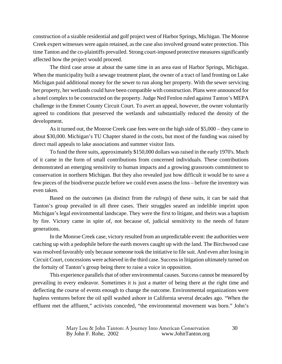construction of a sizable residential and golf project west of Harbor Springs, Michigan. The Monroe Creek expert witnesses were again retained, as the case also involved ground water protection. This time Tanton and the co-plaintiffs prevailed. Strong court-imposed protective measures significantly affected how the project would proceed.

The third case arose at about the same time in an area east of Harbor Springs, Michigan. When the municipality built a sewage treatment plant, the owner of a tract of land fronting on Lake Michigan paid additional money for the sewer to run along her property. With the sewer servicing her property, her wetlands could have been compatible with construction. Plans were announced for a hotel complex to be constructed on the property. Judge Ned Fenlon ruled against Tanton's MEPA challenge in the Emmet County Circuit Court. To avert an appeal, however, the owner voluntarily agreed to conditions that preserved the wetlands and substantially reduced the density of the development.

As it turned out, the Monroe Creek case fees were on the high side of \$5,000 – they came to about \$30,000. Michigan's TU Chapter shared in the costs, but most of the funding was raised by direct mail appeals to lake associations and summer visitor lists.

To fund the three suits, approximately \$150,000 dollars was raised in the early 1970's. Much of it came in the form of small contributions from concerned individuals. These contributions demonstrated an emerging sensitivity to human impacts and a growing grassroots commitment to conservation in northern Michigan. But they also revealed just how difficult it would be to save a few pieces of the biodiverse puzzle before we could even assess the loss *–* before the inventory was even taken.

Based on the *outcomes* (as distinct from the *rulings*) of these suits, it can be said that Tanton's group prevailed in all three cases. Their struggles seared an indelible imprint upon Michigan's legal environmental landscape. They were the first to litigate, and theirs was a baptism by fire. Victory came in spite of, not because of, judicial sensitivity to the needs of future generations.

In the Monroe Creek case, victory resulted from an unpredictable event: the authorities were catching up with a pedophile before the earth movers caught up with the land. The Birchwood case was resolved favorably only because someone took the initiative to file suit. And even after losing in Circuit Court, concessions were achieved in the third case. Success in litigation ultimately turned on the fortuity of Tanton's group being there to raise a voice in opposition.

This experience parallels that of other environmental causes. Success cannot be measured by prevailing in every endeavor. Sometimes it is just a matter of being there at the right time and deflecting the course of events enough to change the outcome. Environmental organizations were hapless ventures before the oil spill washed ashore in California several decades ago. "When the effluent met the affluent," activists conceded, "the environmental movement was born." John's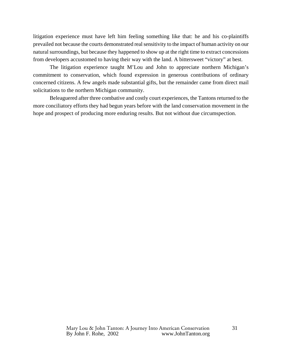litigation experience must have left him feeling something like that: he and his co-plaintiffs prevailed not because the courts demonstrated real sensitivity to the impact of human activity on our natural surroundings, but because they happened to show up at the right time to extract concessions from developers accustomed to having their way with the land. A bittersweet "victory" at best.

The litigation experience taught M'Lou and John to appreciate northern Michigan's commitment to conservation, which found expression in generous contributions of ordinary concerned citizens. A few angels made substantial gifts, but the remainder came from direct mail solicitations to the northern Michigan community.

Beleaguered after three combative and costly court experiences, the Tantons returned to the more conciliatory efforts they had begun years before with the land conservation movement in the hope and prospect of producing more enduring results. But not without due circumspection.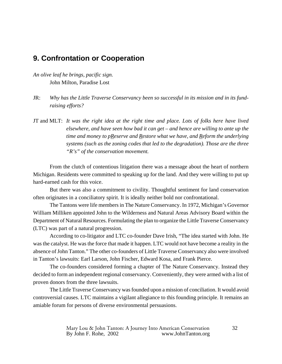### **9. Confrontation or Cooperation**

- *An olive leaf he brings, pacific sign.* John Milton, Paradise Lost
- JR: *Why has the Little Traverse Conservancy been so successful in its mission and in its fundraising efforts?*
- JT and MLT: *It was the right idea at the right time and place. Lots of folks here have lived elsewhere, and have seen how bad it can get – and hence are willing to ante up the time and money to pReserve and Restore what we have, and Reform the underlying systems (such as the zoning codes that led to the degradation). Those are the three "R's" of the conservation movement.*

From the clutch of contentious litigation there was a message about the heart of northern Michigan. Residents were committed to speaking up for the land. And they were willing to put up hard-earned cash for this voice.

But there was also a commitment to civility. Thoughtful sentiment for land conservation often originates in a conciliatory spirit. It is ideally neither bold nor confrontational.

The Tantons were life members in The Nature Conservancy. In 1972, Michigan's Governor William Milliken appointed John to the Wilderness and Natural Areas Advisory Board within the Department of Natural Resources. Formulating the plan to organize the Little Traverse Conservancy (LTC) was part of a natural progression.

According to co-litigator and LTC co-founder Dave Irish, "The idea started with John. He was the catalyst. He was the force that made it happen. LTC would not have become a reality in the absence of John Tanton." The other co-founders of Little Traverse Conservancy also were involved in Tanton's lawsuits: Earl Larson, John Fischer, Edward Kosa, and Frank Pierce.

The co-founders considered forming a chapter of The Nature Conservancy. Instead they decided to form an independent regional conservancy. Conveniently, they were armed with a list of proven donors from the three lawsuits.

The Little Traverse Conservancy was founded upon a mission of conciliation. It would avoid controversial causes. LTC maintains a vigilant allegiance to this founding principle. It remains an amiable forum for persons of diverse environmental persuasions.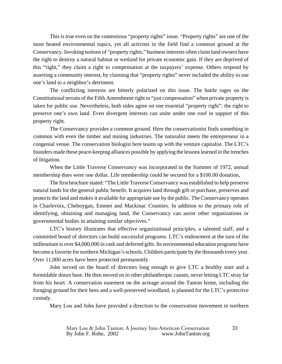This is true even on the contentious "property rights" issue. "Property rights" are one of the most heated environmental topics, yet all activists in the field find a common ground at the Conservancy. Invoking notions of "property rights," business interests often claim land owners have the right to destroy a natural habitat or wetland for private economic gain. If they are deprived of this "right," they claim a right to compensation at the taxpayers' expense. Others respond by asserting a community interest, by claiming that "property rights" never included the ability to use one's land to a neighbor's detriment.

The conflicting interests are bitterly polarized on this issue. The battle rages on the Constitutional terrain of the Fifth Amendment right to "just compensation" when private property is taken for public use. Nevertheless, both sides agree on one essential "property right": the right to preserve one's own land. Even divergent interests can unite under one roof in support of this property right.

The Conservancy provides a common ground. Here the conservationist finds something in common with even the timber and mining industries. The naturalist meets the entrepreneur in a congenial venue. The conservation biologist here teams up with the venture capitalist. The LTC's founders made these peace-keeping alliances possible by applying the lessons learned in the trenches of litigation.

When the Little Traverse Conservancy was incorporated in the Summer of 1972, annual membership dues were one dollar. Life membership could be secured for a \$100.00 donation,

The first brochure stated: "The Little Traverse Conservancy was established to help preserve natural lands for the general public benefit. It acquires land through gift or purchase, preserves and protects the land and makes it available for appropriate use by the public. The Conservancy operates in Charlevoix, Cheboygan, Emmet and Mackinac Counties. In addition to the primary role of identifying, obtaining and managing land, the Conservancy can assist other organizations or governmental bodies in attaining similar objectives."

LTC's history illustrates that effective organizational principles, a talented staff, and a committed board of directors can build successful programs. LTC's endowment at the turn of the millennium is over \$4,000,000 in cash and deferred gifts. Its environmental education programs have become a favorite for northern Michigan's schools. Children participate by the thousands every year. Over 11,000 acres have been protected permanently.

John served on the board of directors long enough to give LTC a healthy start and a formidable donor base. He then moved on to other philanthropic causes, never letting LTC stray far from his heart. A conservation easement on the acreage around the Tanton home, including the foraging ground for their bees and a well-preserved woodland, is planned for the LTC's protective custody.

Mary Lou and John have provided a direction to the conservation movement in northern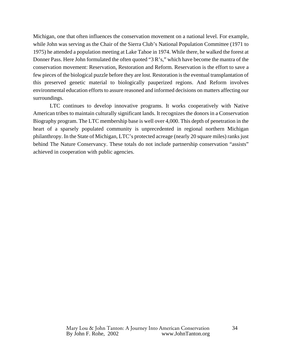Michigan, one that often influences the conservation movement on a national level. For example, while John was serving as the Chair of the Sierra Club's National Population Committee (1971 to 1975) he attended a population meeting at Lake Tahoe in 1974. While there, he walked the forest at Donner Pass. Here John formulated the often quoted "3 R's," which have become the mantra of the conservation movement: Reservation, Restoration and Reform. Reservation is the effort to save a few pieces of the biological puzzle before they are lost. Restoration is the eventual transplantation of this preserved genetic material to biologically pauperized regions. And Reform involves environmental education efforts to assure reasoned and informed decisions on matters affecting our surroundings.

LTC continues to develop innovative programs. It works cooperatively with Native American tribes to maintain culturally significant lands. It recognizes the donors in a Conservation Biography program. The LTC membership base is well over 4,000. This depth of penetration in the heart of a sparsely populated community is unprecedented in regional northern Michigan philanthropy. In the State of Michigan, LTC's protected acreage (nearly 20 square miles) ranks just behind The Nature Conservancy. These totals do not include partnership conservation "assists" achieved in cooperation with public agencies.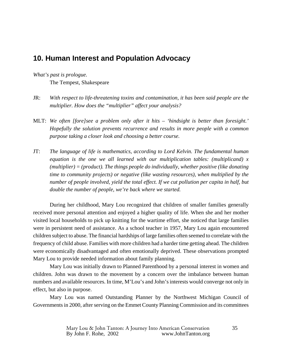# **10. Human Interest and Population Advocacy**

#### *What's past is prologue.*

The Tempest, Shakespeare

- JR: *With respect to life-threatening toxins and contamination, it has been said people are the multiplier. How does the "multiplier" affect your analysis?*
- MLT: *We often [fore]see a problem only after it hits 'hindsight is better than foresight.' Hopefully the solution prevents recurrence and results in more people with a common purpose taking a closer look and choosing a better course.*
- JT: *The language of life is mathematics, according to Lord Kelvin. The fundamental human equation is the one we all learned with our multiplication tables: (multiplicand) x (multiplier) = (product). The things people do individually, whether positive (like donating time to community projects) or negative (like wasting resources), when multiplied by the number of people involved, yield the total effect. If we cut pollution per capita in half, but double the number of people, we're back where we started.*

During her childhood, Mary Lou recognized that children of smaller families generally received more personal attention and enjoyed a higher quality of life. When she and her mother visited local households to pick up knitting for the wartime effort, she noticed that large families were in persistent need of assistance. As a school teacher in 1957, Mary Lou again encountered children subject to abuse. The financial hardships of large families often seemed to correlate with the frequency of child abuse. Families with more children had a harder time getting ahead. The children were economically disadvantaged and often emotionally deprived. These observations prompted Mary Lou to provide needed information about family planning.

Mary Lou was initially drawn to Planned Parenthood by a personal interest in women and children. John was drawn to the movement by a concern over the imbalance between human numbers and available resources. In time, M'Lou's and John's interests would converge not only in effect, but also in purpose.

Mary Lou was named Outstanding Planner by the Northwest Michigan Council of Governments in 2000, after serving on the Emmet County Planning Commission and its committees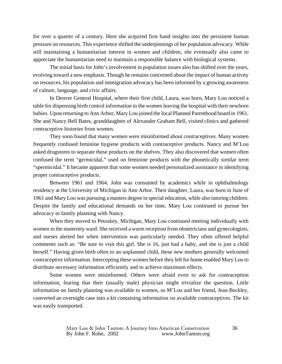for over a quarter of a century. Here she acquired first hand insights into the persistent human pressure on resources. This experience shifted the underpinnings of her population advocacy. While still maintaining a humanitarian interest in women and children, she eventually also came to appreciate the humanitarian need to maintain a responsible balance with biological systems.

The initial basis for John's involvement in population issues also has shifted over the years, evolving toward a new emphasis. Though he remains concerned about the impact of human activity on resources, his population and immigration advocacy has been informed by a growing awareness of culture, language, and civic affairs.

In Denver General Hospital, where their first child, Laura, was born, Mary Lou noticed a table for dispensing birth control information to the women leaving the hospital with their newborn babies. Upon returning to Ann Arbor, Mary Lou joined the local Planned Parenthood board in 1961. She and Nancy Bell Bates, granddaughter of Alexander Graham Bell, visited clinics and gathered contraceptive histories from women.

They soon found that many women were misinformed about contraceptives. Many women frequently confused feminine hygiene products with contraceptive products. Nancy and M'Lou asked drugstores to separate these products on the shelves. They also discovered that women often confused the term "germicidal," used on feminine products with the phonetically similar term "spermicidal." It became apparent that some women needed personalized assistance in identifying proper contraceptive products.

Between 1961 and 1964, John was consumed by academics while in ophthalmology residency at the University of Michigan in Ann Arbor. Their daughter, Laura, was born in June of 1961 and Mary Lou was pursuing a masters degree in special education, while also tutoring children. Despite the family and educational demands on her time, Mary Lou continued to pursue her advocacy in family planning with Nancy.

When they moved to Petoskey, Michigan, Mary Lou continued meeting individually with women in the maternity ward. She received a warm reception from obstetricians and gynecologists, and nurses alerted her when intervention was particularly needed. They often offered helpful comments such as: "Be sure to visit this girl. She is 16, just had a baby, and she is just a child herself." Having given birth often to an unplanned child, these new mothers generally welcomed contraceptive information. Intercepting these women before they left for home enabled Mary Lou to distribute necessary information efficiently and to achieve maximum effects.

Some women were misinformed. Others were afraid even to ask for contraception information, fearing that their (usually male) physician might trivialize the question. Little information on family planning was available to women, so M'Lou and her friend, Jean Beckley, converted an overnight case into a kit containing information on available contraceptives. The kit was easily transported.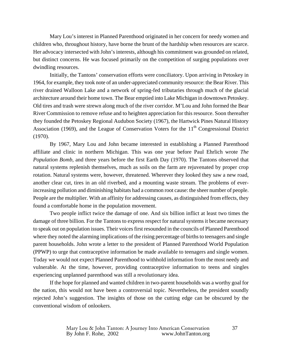Mary Lou's interest in Planned Parenthood originated in her concern for needy women and children who, throughout history, have borne the brunt of the hardship when resources are scarce. Her advocacy intersected with John's interests, although his commitment was grounded on related, but distinct concerns. He was focused primarily on the competition of surging populations over dwindling resources.

Initially, the Tantons' conservation efforts were conciliatory. Upon arriving in Petoskey in 1964, for example, they took note of an under-appreciated community resource: the Bear River. This river drained Walloon Lake and a network of spring-fed tributaries through much of the glacial architecture around their home town. The Bear emptied into Lake Michigan in downtown Petoskey. Old tires and trash were strewn along much of the river corridor. M'Lou and John formed the Bear River Commission to remove refuse and to heighten appreciation for this resource. Soon thereafter they founded the Petoskey Regional Audubon Society (1967), the Hartwick Pines Natural History Association (1969), and the League of Conservation Voters for the  $11<sup>th</sup>$  Congressional District (1970).

By 1967, Mary Lou and John became interested in establishing a Planned Parenthood affiliate and clinic in northern Michigan. This was one year before Paul Ehrlich wrote *The Population Bomb,* and three years before the first Earth Day (1970). The Tantons observed that natural systems replenish themselves, much as soils on the farm are rejuvenated by proper crop rotation. Natural systems were, however, threatened. Wherever they looked they saw a new road, another clear cut, tires in an old riverbed, and a mounting waste stream. The problems of everincreasing pollution and diminishing habitats had a common root cause: the sheer number of people. People are the multiplier. With an affinity for addressing causes, as distinguished from effects, they found a comfortable home in the population movement.

Two people inflict twice the damage of one. And six billion inflict at least two times the damage of three billion. For the Tantons to express respect for natural systems it became necessary to speak out on population issues. Their voices first resounded in the councils of Planned Parenthood where they noted the alarming implications of the rising percentage of births to teenagers and single parent households. John wrote a letter to the president of Planned Parenthood World Population (PPWP) to urge that contraceptive information be made available to teenagers and single women. Today we would not expect Planned Parenthood to withhold information from the most needy and vulnerable. At the time, however, providing contraceptive information to teens and singles experiencing unplanned parenthood was still a revolutionary idea.

If the hope for planned and wanted children in two-parent households was a worthy goal for the nation, this would not have been a controversial topic. Nevertheless, the president soundly rejected John's suggestion. The insights of those on the cutting edge can be obscured by the conventional wisdom of onlookers.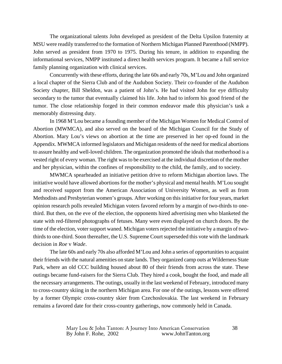The organizational talents John developed as president of the Delta Upsilon fraternity at MSU were readily transferred to the formation of Northern Michigan Planned Parenthood (NMPP). John served as president from 1970 to 1975. During his tenure, in addition to expanding the informational services, NMPP instituted a direct health services program. It became a full service family planning organization with clinical services.

Concurrently with these efforts, during the late 60s and early 70s, M'Lou and John organized a local chapter of the Sierra Club and of the Audubon Society. Their co-founder of the Audubon Society chapter, Bill Sheldon, was a patient of John's. He had visited John for eye difficulty secondary to the tumor that eventually claimed his life. John had to inform his good friend of the tumor. The close relationship forged in their common endeavor made this physician's task a memorably distressing duty.

In 1968 M'Lou became a founding member of the Michigan Women for Medical Control of Abortion (MWMCA), and also served on the board of the Michigan Council for the Study of Abortion. Mary Lou's views on abortion at the time are preserved in her op-ed found in the Appendix. MWMCA informed legislators and Michigan residents of the need for medical abortions to assure healthy and well-loved children. The organization promoted the ideals that motherhood is a vested right of every woman. The right was to be exercised at the individual discretion of the mother and her physician, within the confines of responsibility to the child, the family, and to society.

MWMCA spearheaded an initiative petition drive to reform Michigan abortion laws. The initiative would have allowed abortions for the mother's physical and mental health. M'Lou sought and received support from the American Association of University Women, as well as from Methodists and Presbyterian women's groups. After working on this initiative for four years, market opinion research polls revealed Michigan voters favored reform by a margin of two-thirds to onethird. But then, on the eve of the election, the opponents hired advertising men who blanketed the state with red-filtered photographs of fetuses. Many were even displayed on church doors. By the time of the election, voter support waned. Michigan voters rejected the initiative by a margin of twothirds to one-third. Soon thereafter, the U.S. Supreme Court superseded this vote with the landmark decision in *Roe* v *Wade*.

The late 60s and early 70s also afforded M'Lou and John a series of opportunities to acquaint their friends with the natural amenities on state lands. They organized camp outs at Wilderness State Park, where an old CCC building housed about 80 of their friends from across the state. These outings became fund-raisers for the Sierra Club. They hired a cook, bought the food, and made all the necessary arrangements. The outings, usually in the last weekend of February, introduced many to cross-country skiing in the northern Michigan area. For one of the outings, lessons were offered by a former Olympic cross-country skier from Czechoslovakia. The last weekend in February remains a favored date for their cross-country gatherings, now commonly held in Canada.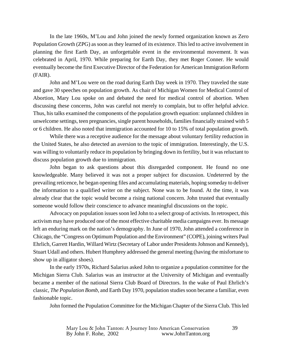In the late 1960s, M'Lou and John joined the newly formed organization known as Zero Population Growth (ZPG) as soon as they learned of its existence. This led to active involvement in planning the first Earth Day, an unforgettable event in the environmental movement. It was celebrated in April, 1970. While preparing for Earth Day, they met Roger Conner. He would eventually become the first Executive Director of the Federation for American Immigration Reform (FAIR).

John and M'Lou were on the road during Earth Day week in 1970. They traveled the state and gave 30 speeches on population growth. As chair of Michigan Women for Medical Control of Abortion, Mary Lou spoke on and debated the need for medical control of abortion. When discussing these concerns, John was careful not merely to complain, but to offer helpful advice. Thus, his talks examined the components of the population growth equation: unplanned children in unwelcome settings, teen pregnancies, single parent households, families financially strained with 5 or 6 children. He also noted that immigration accounted for 10 to 15% of total population growth.

While there was a receptive audience for the message about voluntary fertility reduction in the United States, he also detected an aversion to the topic of immigration. Interestingly, the U.S. was willing to voluntarily reduce its population by bringing down its fertility, but it was reluctant to discuss population growth due to immigration.

John began to ask questions about this disregarded component. He found no one knowledgeable. Many believed it was not a proper subject for discussion. Undeterred by the prevailing reticence, he began opening files and accumulating materials, hoping someday to deliver the information to a qualified writer on the subject. None was to be found. At the time, it was already clear that the topic would become a rising national concern. John trusted that eventually someone would follow their conscience to advance meaningful discussions on the topic.

Advocacy on population issues soon led John to a select group of activists. In retrospect, this activism may have produced one of the most effective charitable media campaigns ever. Its message left an enduring mark on the nation's demography. In June of 1970, John attended a conference in Chicago, the "Congress on Optimum Population and the Environment" (COPE), joining writers Paul Ehrlich, Garrett Hardin, Willard Wirtz (Secretary of Labor under Presidents Johnson and Kennedy), Stuart Udall and others. Hubert Humphrey addressed the general meeting (having the misfortune to show up in alligator shoes).

In the early 1970s, Richard Salarius asked John to organize a population committee for the Michigan Sierra Club. Salarius was an instructor at the University of Michigan and eventually became a member of the national Sierra Club Board of Directors. In the wake of Paul Ehrlich's classic, *The Population Bomb,* and Earth Day 1970, population studies soon became a familiar, even fashionable topic.

John formed the Population Committee for the Michigan Chapter of the Sierra Club. This led

Mary Lou & John Tanton: A Journey Into American Conservation 39<br>By John F. Rohe, 2002 www.JohnTanton.org By John F. Rohe,  $2002$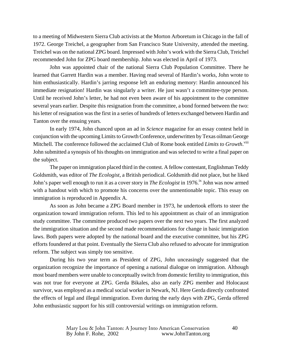to a meeting of Midwestern Sierra Club activists at the Morton Arboretum in Chicago in the fall of 1972. George Treichel, a geographer from San Francisco State University, attended the meeting. Treichel was on the national ZPG board. Impressed with John's work with the Sierra Club, Treichel recommended John for ZPG board membership. John was elected in April of 1973.

John was appointed chair of the national Sierra Club Population Committee. There he learned that Garrett Hardin was a member. Having read several of Hardin's works, John wrote to him enthusiastically. Hardin's jarring response left an enduring memory: Hardin announced his immediate resignation! Hardin was singularly a writer. He just wasn't a committee-type person. Until he received John's letter, he had not even been aware of his appointment to the committee several years earlier. Despite this resignation from the committee, a bond formed between the two: his letter of resignation was the first in a series of hundreds of letters exchanged between Hardin and Tanton over the ensuing years.

In early 1974, John chanced upon an ad in *Science* magazine for an essay contest held in conjunction with the upcoming Limits to Growth Conference, underwritten by Texas oilman George Mitchell. The conference followed the acclaimed Club of Rome book entitled *Limits to Growth*.<sup>viii</sup> John submitted a synopsis of his thoughts on immigration and was selected to write a final paper on the subject.

The paper on immigration placed third in the contest. A fellow contestant, Englishman Teddy Goldsmith, was editor of *The Ecologist*, a British periodical. Goldsmith did not place, but he liked John's paper well enough to run it as a cover story in *The Ecologist* in 1976.<sup>ix</sup> John was now armed with a handout with which to promote his concerns over the unmentionable topic. This essay on immigration is reproduced in Appendix A.

As soon as John became a ZPG Board member in 1973, he undertook efforts to steer the organization toward immigration reform. This led to his appointment as chair of an immigration study committee. The committee produced two papers over the next two years. The first analyzed the immigration situation and the second made recommendations for change in basic immigration laws. Both papers were adopted by the national board and the executive committee, but his ZPG efforts foundered at that point. Eventually the Sierra Club also refused to advocate for immigration reform. The subject was simply too sensitive.

During his two year term as President of ZPG, John unceasingly suggested that the organization recognize the importance of opening a national dialogue on immigration. Although most board members were unable to conceptually switch from domestic fertility to immigration, this was not true for everyone at ZPG. Gerda Bikales, also an early ZPG member and Holocaust survivor, was employed as a medical social worker in Newark, NJ. Here Gerda directly confronted the effects of legal and illegal immigration. Even during the early days with ZPG, Gerda offered John enthusiastic support for his still controversial writings on immigration reform.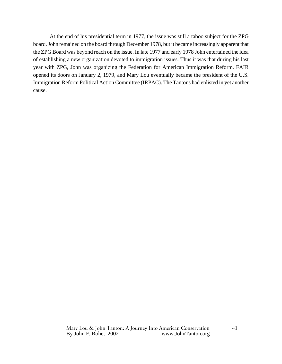At the end of his presidential term in 1977, the issue was still a taboo subject for the ZPG board. John remained on the board through December 1978, but it became increasingly apparent that the ZPG Board was beyond reach on the issue. In late 1977 and early 1978 John entertained the idea of establishing a new organization devoted to immigration issues. Thus it was that during his last year with ZPG, John was organizing the Federation for American Immigration Reform. FAIR opened its doors on January 2, 1979, and Mary Lou eventually became the president of the U.S. Immigration Reform Political Action Committee (IRPAC). The Tantons had enlisted in yet another cause.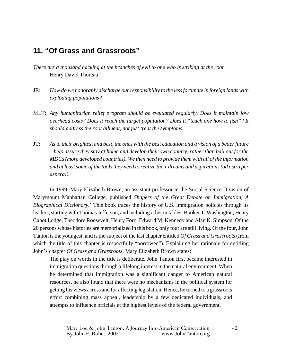# **11. "Of Grass and Grassroots"**

*There are a thousand hacking at the branches of evil to one who is striking at the root.* Henry David Thoreau

- JR: *How do we honorably discharge our responsibility to the less fortunate in foreign lands with exploding populations?*
- MLT: *Any humanitarian relief program should be evaluated regularly. Does it maintain low overhead costs? Does it reach the target population? Does it "teach one how to fish"? It should address the root ailment, not just treat the symptoms.*
- JT: *As to their brightest and best, the ones with the best education and a vision of a better future – help assure they stay at home and develop their own country, rather than bail out for the MDCs (more developed countries). We then need to provide them with all of the information and at least some of the tools they need to realize their dreams and aspirations (ad astra per aspera!).*

In 1999, Mary Elizabeth Brown, an assistant professor in the Social Science Division of Marymount Manhattan College, published *Shapers of the Great Debate on Immigration, A*  Biographical Dictionary.<sup>x</sup> This book traces the history of U.S. immigration policies through its leaders, starting with Thomas Jefferson, and including other notables: Booker T. Washington, Henry Cabot Lodge, Theodore Roosevelt, Henry Ford, Edward M. Kennedy and Alan K. Simpson. Of the 20 persons whose histories are memorialized in this book, only four are still living. Of the four, John Tanton is the youngest, and is the subject of the last chapter entitled *Of Grass and Grassroots* (from which the title of this chapter is respectfully "borrowed"). Explaining her rationale for entitling John's chapter *Of Grass and Grassroots*, Mary Elizabeth Brown states:

The play on words in the title is deliberate. John Tanton first became interested in immigration questions through a lifelong interest in the natural environment. When he determined that immigration was a significant danger to American natural resources, he also found that there were no mechanisms in the political system for getting his views across and for affecting legislation. Hence, he turned to a grassroots effort combining mass appeal, leadership by a few dedicated individuals, and attempts to influence officials at the highest levels of the federal government.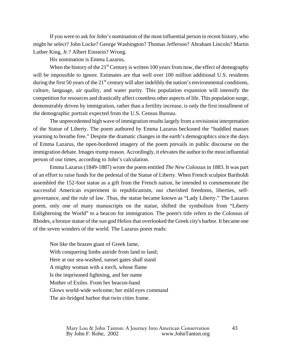If you were to ask for John's nomination of the most influential person in recent history, who might he select? John Locke? George Washington? Thomas Jefferson? Abraham Lincoln? Martin Luther King, Jr.? Albert Einstein? Wrong.

His nomination is Emma Lazarus.

When the history of the  $21<sup>st</sup>$  Century is written 100 years from now, the effect of demography will be impossible to ignore. Estimates are that well over 100 million additional U.S. residents during the first 50 years of the  $21<sup>st</sup>$  century will alter indelibly the nation's environmental conditions, culture, language, air quality, and water purity. This population expansion will intensify the competition for resources and drastically affect countless other aspects of life. This population surge, demonstrably driven by immigration, rather than a fertility increase, is only the first installment of the demographic portrait expected from the U.S. Census Bureau.

The unprecedented high wave of immigration results largely from a revisionist interpretation of the Statue of Liberty. The poem authored by Emma Lazarus beckoned the "huddled masses yearning to breathe free." Despite the dramatic changes in the earth's demographics since the days of Emma Lazarus, the open-bordered imagery of the poem prevails in public discourse on the immigration debate. Images trump reason. Accordingly, it elevates the author to the most influential person of our times, according to John's calculation.

Emma Lazarus (1849-1887) wrote the poem entitled *The New Colossus* in 1883. It was part of an effort to raise funds for the pedestal of the Statue of Liberty. When French sculptor Bartholdi assembled the 152-foot statue as a gift from the French nation, he intended to commemorate the successful American experiment in republicanism, our cherished freedoms, liberties, selfgovernance, and the rule of law. Thus, the statue became known as "Lady Liberty." The Lazarus poem, only one of many manuscripts on the statue, shifted the symbolism from "Liberty Enlightening the World" to a beacon for immigration. The poem's title refers to the Colossus of Rhodes, a bronze statue of the sun god Helios that overlooked the Greek city's harbor. It became one of the seven wonders of the world. The Lazarus poem reads:

Not like the brazen giant of Greek fame, With conquering limbs astride from land to land; Here at our sea-washed, sunset gates shall stand A mighty woman with a torch, whose flame Is the imprisoned lightning, and her name Mother of Exiles. From her beacon-hand Glows world-wide welcome; her mild eyes command The air-bridged harbor that twin cities frame.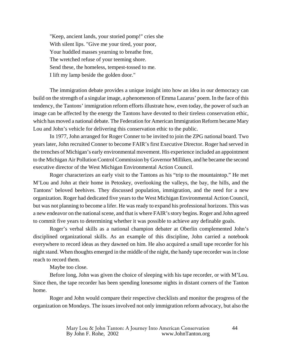"Keep, ancient lands, your storied pomp!" cries she With silent lips. "Give me your tired, your poor, Your huddled masses yearning to breathe free, The wretched refuse of your teeming shore. Send these, the homeless, tempest-tossed to me. I lift my lamp beside the golden door."

The immigration debate provides a unique insight into how an idea in our democracy can build on the strength of a singular image, a phenomenon of Emma Lazarus' poem. In the face of this tendency, the Tantons' immigration reform efforts illustrate how, even today, the power of such an image can be affected by the energy the Tantons have devoted to their tireless conservation ethic, which has moved a national debate. The Federation for American Immigration Reform became Mary Lou and John's vehicle for delivering this conservation ethic to the public.

In 1977, John arranged for Roger Conner to be invited to join the ZPG national board. Two years later, John recruited Conner to become FAIR's first Executive Director. Roger had served in the trenches of Michigan's early environmental movement. His experience included an appointment to the Michigan Air Pollution Control Commission by Governor Milliken, and he became the second executive director of the West Michigan Environmental Action Council.

Roger characterizes an early visit to the Tantons as his "trip to the mountaintop." He met M'Lou and John at their home in Petoskey, overlooking the valleys, the bay, the hills, and the Tantons' beloved beehives. They discussed population, immigration, and the need for a new organization. Roger had dedicated five years to the West Michigan Environmental Action Council, but was not planning to become a lifer. He was ready to expand his professional horizons. This was a new endeavor on the national scene, and that is where FAIR's story begins. Roger and John agreed to commit five years to determining whether it was possible to achieve any definable goals.

Roger's verbal skills as a national champion debater at Oberlin complemented John's disciplined organizational skills. As an example of this discipline, John carried a notebook everywhere to record ideas as they dawned on him. He also acquired a small tape recorder for his night stand. When thoughts emerged in the middle of the night, the handy tape recorder was in close reach to record them.

Maybe too close.

Before long, John was given the choice of sleeping with his tape recorder, or with M'Lou. Since then, the tape recorder has been spending lonesome nights in distant corners of the Tanton home.

Roger and John would compare their respective checklists and monitor the progress of the organization on Mondays. The issues involved not only immigration reform advocacy, but also the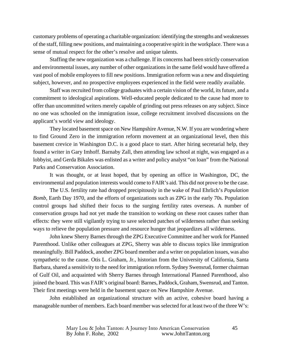customary problems of operating a charitable organization: identifying the strengths and weaknesses of the staff, filling new positions, and maintaining a cooperative spirit in the workplace. There was a sense of mutual respect for the other's resolve and unique talents.

Staffing the new organization was a challenge. If its concerns had been strictly conservation and environmental issues, any number of other organizations in the same field would have offered a vast pool of mobile employees to fill new positions. Immigration reform was a new and disquieting subject, however, and no prospective employees experienced in the field were readily available.

Staff was recruited from college graduates with a certain vision of the world, its future, and a commitment to ideological aspirations. Well-educated people dedicated to the cause had more to offer than uncommitted writers merely capable of grinding out press releases on any subject. Since no one was schooled on the immigration issue, college recruitment involved discussions on the applicant's world view and ideology.

They located basement space on New Hampshire Avenue, N.W. If you are wondering where to find Ground Zero in the immigration reform movement at an organizational level, then this basement crevice in Washington D.C. is a good place to start. After hiring secretarial help, they found a writer in Gary Imhoff. Barnaby Zall, then attending law school at night, was engaged as a lobbyist, and Gerda Bikales was enlisted as a writer and policy analyst "on loan" from the National Parks and Conservation Association.

It was thought, or at least hoped, that by opening an office in Washington, DC, the environmental and population interests would come to FAIR's aid. This did not prove to be the case.

The U.S. fertility rate had dropped precipitously in the wake of Paul Ehrlich's *Population Bomb*, Earth Day 1970, and the efforts of organizations such as ZPG in the early 70s. Population control groups had shifted their focus to the surging fertility rates overseas. A number of conservation groups had not yet made the transition to working on these root causes rather than effects: they were still vigilantly trying to save selected patches of wilderness rather than seeking ways to relieve the population pressure and resource hunger that jeopardizes all wilderness.

John knew Sherry Barnes through the ZPG Executive Committee and her work for Planned Parenthood. Unlike other colleagues at ZPG, Sherry was able to discuss topics like immigration meaningfully. Bill Paddock, another ZPG board member and a writer on population issues, was also sympathetic to the cause. Otis L. Graham, Jr., historian from the University of California, Santa Barbara, shared a sensitivity to the need for immigration reform. Sydney Swensrud, former chairman of Gulf Oil, and acquainted with Sherry Barnes through International Planned Parenthood, also joined the board. This was FAIR's original board: Barnes, Paddock, Graham, Swensrud, and Tanton. Their first meetings were held in the basement space on New Hampshire Avenue.

John established an organizational structure with an active, cohesive board having a manageable number of members. Each board member was selected for at least two of the three W's: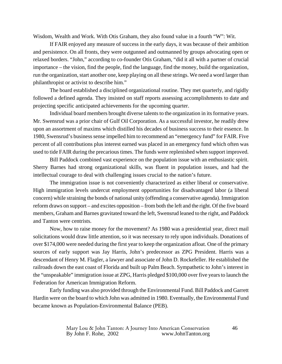Wisdom, Wealth and Work. With Otis Graham, they also found value in a fourth "W": Wit.

If FAIR enjoyed any measure of success in the early days, it was because of their ambition and persistence. On all fronts, they were outgunned and outmanned by groups advocating open or relaxed borders. "John," according to co-founder Otis Graham, "did it all with a partner of crucial importance – the vision, find the people, find the language, find the money, build the organization, run the organization, start another one, keep playing on all these strings. We need a word larger than philanthropist or activist to describe him."

The board established a disciplined organizational routine. They met quarterly, and rigidly followed a defined agenda. They insisted on staff reports assessing accomplishments to date and projecting specific anticipated achievements for the upcoming quarter.

Individual board members brought diverse talents to the organization in its formative years. Mr. Swensrud was a prior chair of Gulf Oil Corporation. As a successful investor, he readily drew upon an assortment of maxims which distilled his decades of business success to their essence. In 1980, Swensrud's business sense impelled him to recommend an "emergency fund" for FAIR. Five percent of all contributions plus interest earned was placed in an emergency fund which often was used to tide FAIR during the precarious times. The funds were replenished when support improved.

Bill Paddock combined vast experience on the population issue with an enthusiastic spirit. Sherry Barnes had strong organizational skills, was fluent in population issues, and had the intellectual courage to deal with challenging issues crucial to the nation's future.

The immigration issue is not conveniently characterized as either liberal or conservative. High immigration levels undercut employment opportunities for disadvantaged labor (a liberal concern) while straining the bonds of national unity (offending a conservative agenda). Immigration reform draws on support – and excites opposition – from both the left and the right. Of the five board members, Graham and Barnes gravitated toward the left, Swensrud leaned to the right, and Paddock and Tanton were centrists.

Now, how to raise money for the movement? As 1980 was a presidential year, direct mail solicitations would draw little attention, so it was necessary to rely upon individuals. Donations of over \$174,000 were needed during the first year to keep the organization afloat. One of the primary sources of early support was Jay Harris, John's predecessor as ZPG President. Harris was a descendant of Henry M. Flagler, a lawyer and associate of John D. Rockefeller. He established the railroads down the east coast of Florida and built up Palm Beach. Sympathetic to John's interest in the "unspeakable" immigration issue at ZPG, Harris pledged \$100,000 over five years to launch the Federation for American Immigration Reform.

Early funding was also provided through the Environmental Fund. Bill Paddock and Garrett Hardin were on the board to which John was admitted in 1980. Eventually, the Environmental Fund became known as Population-Environmental Balance (PEB).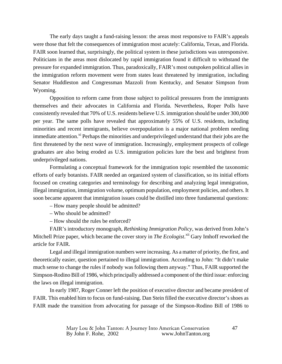The early days taught a fund-raising lesson: the areas most responsive to FAIR's appeals were those that felt the consequences of immigration most acutely: California, Texas, and Florida. FAIR soon learned that, surprisingly, the political system in these jurisdictions was unresponsive. Politicians in the areas most dislocated by rapid immigration found it difficult to withstand the pressure for expanded immigration. Thus, paradoxically, FAIR's most outspoken political allies in the immigration reform movement were from states least threatened by immigration, including Senator Huddleston and Congressman Mazzoli from Kentucky, and Senator Simpson from Wyoming.

Opposition to reform came from those subject to political pressures from the immigrants themselves and their advocates in California and Florida. Nevertheless, Roper Polls have consistently revealed that 70% of U.S. residents believe U.S. immigration should be under 300,000 per year. The same polls have revealed that approximately 55% of U.S. residents, including minorities and recent immigrants, believe overpopulation is a major national problem needing immediate attention.<sup>xi</sup> Perhaps the minorities and underprivileged understand that their jobs are the first threatened by the next wave of immigration. Increasingly, employment prospects of college graduates are also being eroded as U.S. immigration policies lure the best and brightest from underprivileged nations.

Formulating a conceptual framework for the immigration topic resembled the taxonomic efforts of early botanists. FAIR needed an organized system of classification, so its initial efforts focused on creating categories and terminology for describing and analyzing legal immigration, illegal immigration, immigration volume, optimum population, employment policies, and others. It soon became apparent that immigration issues could be distilled into three fundamental questions:

– How many people should be admitted?

– Who should be admitted?

– How should the rules be enforced?

FAIR's introductory monograph, *Rethinking Immigration Policy,* was derived from John's Mitchell Prize paper, which became the cover story in *The Ecologist*.<sup>xii</sup> Gary Imhoff reworked the article for FAIR.

Legal and illegal immigration numbers were increasing. As a matter of priority, the first, and theoretically easier, question pertained to illegal immigration. According to John: "It didn't make much sense to change the rules if nobody was following them anyway." Thus, FAIR supported the Simpson-Rodino Bill of 1986, which principally addressed a component of the third issue: enforcing the laws on illegal immigration.

In early 1987, Roger Conner left the position of executive director and became president of FAIR. This enabled him to focus on fund-raising. Dan Stein filled the executive director's shoes as FAIR made the transition from advocating for passage of the Simpson-Rodino Bill of 1986 to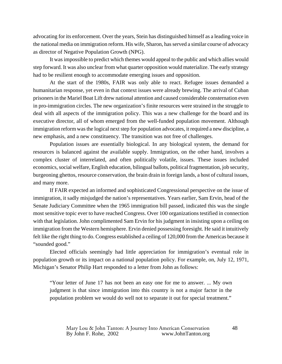advocating for its enforcement. Over the years, Stein has distinguished himself as a leading voice in the national media on immigration reform. His wife, Sharon, has served a similar course of advocacy as director of Negative Population Growth (NPG).

It was impossible to predict which themes would appeal to the public and which allies would step forward. It was also unclear from what quarter opposition would materialize. The early strategy had to be resilient enough to accommodate emerging issues and opposition.

At the start of the 1980s, FAIR was only able to react. Refugee issues demanded a humanitarian response, yet even in that context issues were already brewing. The arrival of Cuban prisoners in the Mariel Boat Lift drew national attention and caused considerable consternation even in pro-immigration circles. The new organization's finite resources were strained in the struggle to deal with all aspects of the immigration policy. This was a new challenge for the board and its executive director, all of whom emerged from the well-funded population movement. Although immigration reform was the logical next step for population advocates, it required a new discipline, a new emphasis, and a new constituency. The transition was not free of challenges.

Population issues are essentially biological. In any biological system, the demand for resources is balanced against the available supply. Immigration, on the other hand, involves a complex cluster of interrelated, and often politically volatile, issues. These issues included economics, social welfare, English education, bilingual ballots, political fragmentation, job security, burgeoning ghettos, resource conservation, the brain drain in foreign lands, a host of cultural issues, and many more.

If FAIR expected an informed and sophisticated Congressional perspective on the issue of immigration, it sadly misjudged the nation's representatives. Years earlier, Sam Ervin, head of the Senate Judiciary Committee when the 1965 immigration bill passed, indicated this was the single most sensitive topic ever to have reached Congress. Over 100 organizations testified in connection with that legislation. John complimented Sam Ervin for his judgment in insisting upon a ceiling on immigration from the Western hemisphere. Ervin denied possessing foresight. He said it intuitively felt like the right thing to do. Congress established a ceiling of 120,000 from the Americas because it "sounded good."

Elected officials seemingly had little appreciation for immigration's eventual role in population growth or its impact on a national population policy. For example, on, July 12, 1971, Michigan's Senator Philip Hart responded to a letter from John as follows:

"Your letter of June 17 has not been an easy one for me to answer. ... My own judgment is that since immigration into this country is not a major factor in the population problem we would do well not to separate it out for special treatment."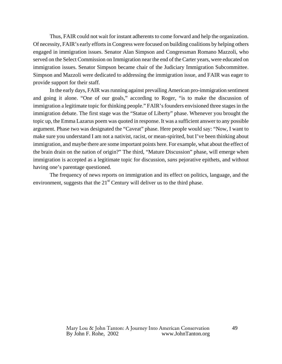Thus, FAIR could not wait for instant adherents to come forward and help the organization. Of necessity, FAIR's early efforts in Congress were focused on building coalitions by helping others engaged in immigration issues. Senator Alan Simpson and Congressman Romano Mazzoli, who served on the Select Commission on Immigration near the end of the Carter years, were educated on immigration issues. Senator Simpson became chair of the Judiciary Immigration Subcommittee. Simpson and Mazzoli were dedicated to addressing the immigration issue, and FAIR was eager to provide support for their staff.

In the early days, FAIR was running against prevailing American pro-immigration sentiment and going it alone. "One of our goals," according to Roger, "is to make the discussion of immigration a legitimate topic for thinking people." FAIR's founders envisioned three stages in the immigration debate. The first stage was the "Statue of Liberty" phase. Whenever you brought the topic up, the Emma Lazarus poem was quoted in response. It was a sufficient answer to any possible argument. Phase two was designated the "Caveat" phase. Here people would say: "Now, I want to make sure you understand I am not a nativist, racist, or mean-spirited, but I've been thinking about immigration, and maybe there are some important points here. For example, what about the effect of the brain drain on the nation of origin?" The third, "Mature Discussion" phase, will emerge when immigration is accepted as a legitimate topic for discussion, *sans* pejorative epithets, and without having one's parentage questioned.

The frequency of news reports on immigration and its effect on politics, language, and the environment, suggests that the  $21<sup>st</sup>$  Century will deliver us to the third phase.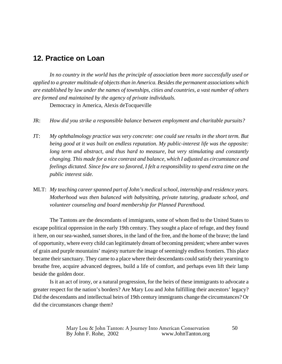### **12. Practice on Loan**

*In no country in the world has the principle of association been more successfully used or applied to a greater multitude of objects than in America. Besides the permanent associations which are established by law under the names of townships, cities and countries, a vast number of others are formed and maintained by the agency of private individuals.*

Democracy in America, Alexis deTocqueville

- JR: *How did you strike a responsible balance between employment and charitable pursuits?*
- JT: *My ophthalmology practice was very concrete: one could see results in the short term. But being good at it was built on endless reputation. My public-interest life was the opposite:*  long term and abstract, and thus hard to measure, but very stimulating and constantly *changing. This made for a nice contrast and balance, which I adjusted as circumstance and feelings dictated. Since few are so favored, I felt a responsibility to spend extra time on the public interest side.*
- MLT: *My teaching career spanned part of John's medical school, internship and residence years. Motherhood was then balanced with babysitting, private tutoring, graduate school, and volunteer counseling and board membership for Planned Parenthood.*

The Tantons are the descendants of immigrants, some of whom fled to the United States to escape political oppression in the early 19th century. They sought a place of refuge, and they found it here, on our sea-washed, sunset shores, in the land of the free, and the home of the brave; the land of opportunity, where every child can legitimately dream of becoming president; where amber waves of grain and purple mountains' majesty nurture the image of seemingly endless frontiers. This place became their sanctuary. They came to a place where their descendants could satisfy their yearning to breathe free, acquire advanced degrees, build a life of comfort, and perhaps even lift their lamp beside the golden door.

Is it an act of irony, or a natural progression, for the heirs of these immigrants to advocate a greater respect for the nation's borders? Are Mary Lou and John fulfilling their ancestors' legacy? Did the descendants and intellectual heirs of 19th century immigrants change the circumstances? Or did the circumstances change them?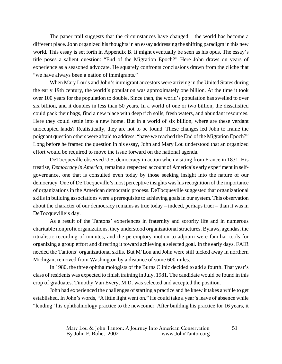The paper trail suggests that the circumstances have changed – the world has become a different place. John organized his thoughts in an essay addressing the shifting paradigm in this new world. This essay is set forth in Appendix B. It might eventually be seen as his opus. The essay's title poses a salient question: "End of the Migration Epoch?" Here John draws on years of experience as a seasoned advocate. He squarely confronts conclusions drawn from the cliche that "we have always been a nation of immigrants."

When Mary Lou's and John's immigrant ancestors were arriving in the United States during the early 19th century, the world's population was approximately one billion. At the time it took over 100 years for the population to double. Since then, the world's population has swelled to over six billion, and it doubles in less than 50 years. In a world of one or two billion, the dissatisfied could pack their bags, find a new place with deep rich soils, fresh waters, and abundant resources. Here they could settle into a new home. But in a world of six billion, where are these verdant unoccupied lands? Realistically, they are not to be found. These changes led John to frame the poignant question others were afraid to address: "have we reached the End of the Migration Epoch?" Long before he framed the question in his essay, John and Mary Lou understood that an organized effort would be required to move the issue forward on the national agenda.

DeTocqueville observed U.S. democracy in action when visiting from France in 1831. His treatise, *Democracy in America,* remains a respected account of America's early experiment in selfgovernance, one that is consulted even today by those seeking insight into the nature of our democracy. One of De Tocqueville's most perceptive insights was his recognition of the importance of organizations in the American democratic process. DeTocqueville suggested that organizational skills in building associations were a prerequisite to achieving goals in our system. This observation about the character of our democracy remains as true today – indeed, perhaps truer – than it was in DeTocqueville's day.

As a result of the Tantons' experiences in fraternity and sorority life and in numerous charitable nonprofit organizations, they understood organizational structures. Bylaws, agendas, the ritualistic recording of minutes, and the peremptory motion to adjourn were familiar tools for organizing a group effort and directing it toward achieving a selected goal. In the early days, FAIR needed the Tantons' organizational skills. But M'Lou and John were still tucked away in northern Michigan, removed from Washington by a distance of some 600 miles.

In 1980, the three ophthalmologists of the Burns Clinic decided to add a fourth. That year's class of residents was expected to finish training in July, 1981. The candidate would be found in this crop of graduates. Timothy Van Every, M.D. was selected and accepted the position.

John had experienced the challenges of starting a practice and he knew it takes a while to get established. In John's words, "A little light went on." He could take a year's leave of absence while "lending" his ophthalmology practice to the newcomer. After building his practice for 16 years, it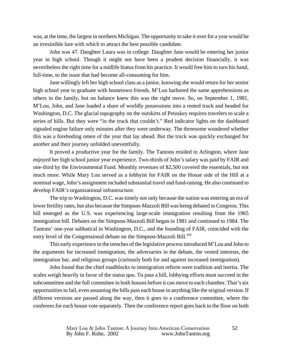was, at the time, the largest in northern Michigan. The opportunity to take it over for a year would be an irresistible lure with which to attract the best possible candidate.

John was 47. Daughter Laura was in college. Daughter Jane would be entering her junior year in high school. Though it might not have been a prudent decision financially, it was nevertheless the right time for a midlife hiatus from his practice. It would free him to turn his hand, full-time, to the issue that had become all-consuming for him.

Jane willingly left her high school class as a junior, knowing she would return for her senior high school year to graduate with hometown friends. M'Lou harbored the same apprehensions as others in the family, but on balance knew this was the right move. So, on September 1, 1981, M'Lou, John, and Jane loaded a share of worldly possessions into a rented truck and headed for Washington, D.C. The glacial topography on the outskirts of Petoskey requires travelers to scale a series of hills. But they were "in the truck that couldn't." Red indicator lights on the dashboard signaled engine failure only minutes after they were underway. The threesome wondered whether this was a foreboding omen of the year that lay ahead. But the truck was quickly exchanged for another and their journey unfolded uneventfully.

It proved a productive year for the family. The Tantons resided in Arlington, where Jane enjoyed her high school junior year experience. Two-thirds of John's salary was paid by FAIR and one-third by the Environmental Fund. Monthly revenues of \$2,500 covered the essentials, but not much more. While Mary Lou served as a lobbyist for FAIR on the House side of the Hill at a nominal wage, John's assignment included substantial travel and fund-raising. He also continued to develop FAIR's organizational infrastructure.

The trip to Washington, D.C. was timely not only because the nation was entering an era of lower fertility rates, but also because the Simpson-Mazzoli Bill was being debated in Congress. This bill emerged as the U.S. was experiencing large-scale immigration resulting from the 1965 immigration bill. Debates on the Simpson-Mazzoli Bill began in 1981 and continued to 1984. The Tantons' one-year sabbatical in Washington, D.C., and the founding of FAIR, coincided with the entry level of the Congressional debate on the Simpson-Mazzoli Bill.<sup>xiii</sup>

This early experience in the trenches of the legislative process introduced M'Lou and John to the arguments for increased immigration, the adversaries in the debate, the vested interests, the immigration bar, and religious groups (curiously both for and against increased immigration).

John found that the chief roadblocks to immigration reform were tradition and inertia. The scales weigh heavily in favor of the status quo. To pass a bill, lobbying efforts must succeed in the subcommittee and the full committee in both houses before it can move to each chamber. That's six opportunities to fail, even assuming the bills pass each house in anything like the original version. If different versions are passed along the way, then it goes to a conference committee, where the conferees for each house vote separately. Then the conference report goes back to the floor on both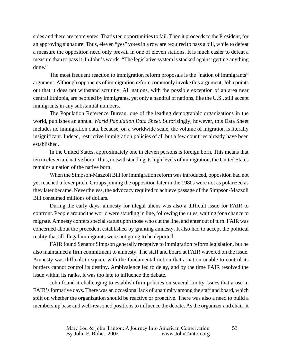sides and there are more votes. That's ten opportunities to fail. Then it proceeds to the President, for an approving signature. Thus, eleven "yes" votes in a row are required to pass a bill, while to defeat a measure the opposition need only prevail in one of eleven stations. It is much easier to defeat a measure than to pass it. In John's words, "The legislative system is stacked against getting anything done."

The most frequent reaction to immigration reform proposals is the "nation of immigrants" argument. Although opponents of immigration reform commonly invoke this argument, John points out that it does not withstand scrutiny. All nations, with the possible exception of an area near central Ethiopia, are peopled by immigrants, yet only a handful of nations, like the U.S., still accept immigrants in any substantial numbers.

The Population Reference Bureau, one of the leading demographic organizations in the world, publishes an annual *World Population Data Sheet*. Surprisingly, however, this Data Sheet includes no immigration data, because, on a worldwide scale, the volume of migration is literally insignificant. Indeed, restrictive immigration policies of all but a few countries already have been established.

In the United States, approximately one in eleven persons is foreign born. This means that ten in eleven are native born. Thus, notwithstanding its high levels of immigration, the United States remains a nation of the native born.

When the Simpson-Mazzoli Bill for immigration reform was introduced, opposition had not yet reached a fever pitch. Groups joining the opposition later in the 1980s were not as polarized as they later became. Nevertheless, the advocacy required to achieve passage of the Simpson-Mazzoli Bill consumed millions of dollars.

During the early days, amnesty for illegal aliens was also a difficult issue for FAIR to confront. People around the world were standing in line, following the rules, waiting for a chance to migrate. Amnesty confers special status upon those who cut the line, and enter out of turn. FAIR was concerned about the precedent established by granting amnesty. It also had to accept the political reality that all illegal immigrants were not going to be deported.

FAIR found Senator Simpson generally receptive to immigration reform legislation, but he also maintained a firm commitment to amnesty. The staff and board at FAIR wavered on the issue. Amnesty was difficult to square with the fundamental notion that a nation unable to control its borders cannot control its destiny. Ambivalence led to delay, and by the time FAIR resolved the issue within its ranks, it was too late to influence the debate.

John found it challenging to establish firm policies on several knotty issues that arose in FAIR's formative days. There was an occasional lack of unanimity among the staff and board, which split on whether the organization should be reactive or proactive. There was also a need to build a membership base and well-reasoned positions to influence the debate. As the organizer and chair, it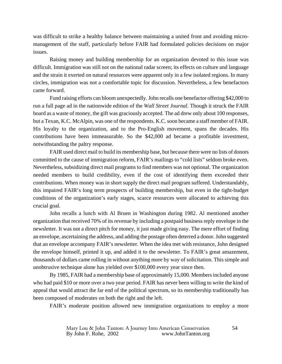was difficult to strike a healthy balance between maintaining a united front and avoiding micromanagement of the staff, particularly before FAIR had formulated policies decisions on major issues.

Raising money and building membership for an organization devoted to this issue was difficult. Immigration was still not on the national radar screen; its effects on culture and language and the strain it exerted on natural resources were apparent only in a few isolated regions. In many circles, immigration was not a comfortable topic for discussion. Nevertheless, a few benefactors came forward.

Fund raising efforts can bloom unexpectedly. John recalls one benefactor offering \$42,000 to run a full page ad in the nationwide edition of the *Wall Street Journal.* Though it struck the FAIR board as a waste of money, the gift was graciously accepted. The ad drew only about 100 responses, but a Texan, K.C. McAlpin, was one of the respondents. K.C. soon became a staff member of FAIR. His loyalty to the organization, and to the Pro-English movement, spans the decades. His contributions have been immeasurable. So the \$42,000 ad became a profitable investment, notwithstanding the paltry response.

FAIR used direct mail to build its membership base, but because there were no lists of donors committed to the cause of immigration reform, FAIR's mailings to "cold lists" seldom broke even. Nevertheless, subsidizing direct mail programs to find members was not optional. The organization needed members to build credibility, even if the cost of identifying them exceeded their contributions. When money was in short supply the direct mail program suffered. Understandably, this impaired FAIR's long term prospects of building membership, but even in the tight-budget conditions of the organization's early stages, scarce resources were allocated to achieving this crucial goal.

John recalls a lunch with Al Bruen in Washington during 1982. Al mentioned another organization that received 70% of its revenue by including a postpaid business reply envelope in the newsletter. It was not a direct pitch for money, it just made giving easy. The mere effort of finding an envelope, ascertaining the address, and adding the postage often deterred a donor. John suggested that an envelope accompany FAIR's newsletter. When the idea met with resistance, John designed the envelope himself, printed it up, and added it to the newsletter. To FAIR's great amazement, thousands of dollars came rolling in without anything more by way of solicitation. This simple and unobtrusive technique alone has yielded over \$100,000 every year since then.

By 1985, FAIR had a membership base of approximately 15,000. Members included anyone who had paid \$10 or more over a two year period. FAIR has never been willing to write the kind of appeal that would attract the far end of the political spectrum, so its membership traditionally has been composed of moderates on both the right and the left.

FAIR's moderate position allowed new immigration organizations to employ a more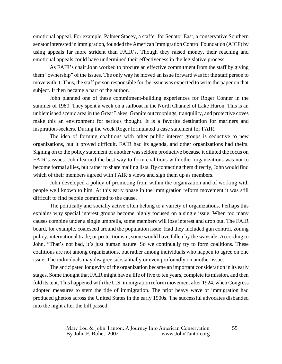emotional appeal. For example, Palmer Stacey, a staffer for Senator East, a conservative Southern senator interested in immigration, founded the American Immigration Control Foundation (AICF) by using appeals far more strident than FAIR's. Though they raised money, their reaching and emotional appeals could have undermined their effectiveness in the legislative process.

As FAIR's chair John worked to procure an effective commitment from the staff by giving them "ownership" of the issues. The only way he moved an issue forward was for the staff person to move with it. Thus, the staff person responsible for the issue was expected to write the paper on that subject. It then became a part of the author.

John planned one of these commitment-building experiences for Roger Conner in the summer of 1980. They spent a week on a sailboat in the North Channel of Lake Huron. This is an unblemished scenic area in the Great Lakes. Granite outcroppings, tranquility, and protective coves make this an environment for serious thought. It is a favorite destination for mariners and inspiration-seekers. During the week Roger formulated a case statement for FAIR.

The idea of forming coalitions with other public interest groups is seductive to new organizations, but it proved difficult. FAIR had its agenda, and other organizations had theirs. Signing on to the policy statement of another was seldom productive because it diluted the focus on FAIR's issues. John learned the best way to form coalitions with other organizations was not to become formal allies, but rather to share mailing lists. By contacting them directly, John would find which of their members agreed with FAIR's views and sign them up as members.

John developed a policy of promoting from within the organization and of working with people well known to him. At this early phase in the immigration reform movement it was still difficult to find people committed to the cause.

The politically and socially active often belong to a variety of organizations. Perhaps this explains why special interest groups become highly focused on a single issue. When too many causes combine under a single umbrella, some members will lose interest and drop out. The FAIR board, for example, coalesced around the population issue. Had they included gun control, zoning policy, international trade, or protectionism, some would have fallen by the wayside. According to John, "That's not bad, it's just human nature. So we continually try to form coalitions. These coalitions are not among organizations, but rather among individuals who happen to agree on one issue. The individuals may disagree substantially or even profoundly on another issue."

The anticipated longevity of the organization became an important consideration in its early stages. Some thought that FAIR might have a life of five to ten years, complete its mission, and then fold its tent. This happened with the U.S. immigration reform movement after 1924, when Congress adopted measures to stem the tide of immigration. The prior heavy wave of immigration had produced ghettos across the United States in the early 1900s. The successful advocates disbanded into the night after the bill passed.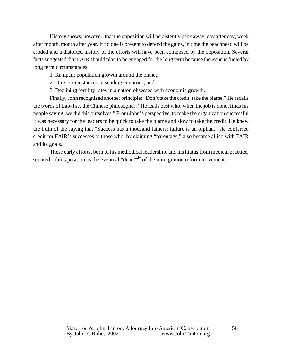History shows, however, that the opposition will persistently peck away, day after day, week after month, month after year. If no one is present to defend the gains, in time the beachhead will be eroded and a distorted history of the efforts will have been composed by the opposition. Several facts suggested that FAIR should plan to be engaged for the long term because the issue is fueled by long term circumstances:

- 1. Rampant population growth around the planet,
- 2. Dire circumstances in sending countries, and
- 3. Declining fertility rates in a nation obsessed with economic growth.

Finally, John recognized another principle: "Don't take the credit, take the blame." He recalls the words of Lao-Tse, the Chinese philosopher: "He leads best who, when the job is done, finds his people saying: we did this ourselves." From John's perspective, to make the organization successful it was necessary for the leaders to be quick to take the blame and slow to take the credit. He knew the truth of the saying that "Success has a thousand fathers; failure is an orphan." He conferred credit for FAIR's successes to those who, by claiming "parentage," also became allied with FAIR and its goals.

These early efforts, born of his methodical leadership, and his hiatus from medical practice, secured John's position as the eventual "dean"xiv of the immigration reform movement.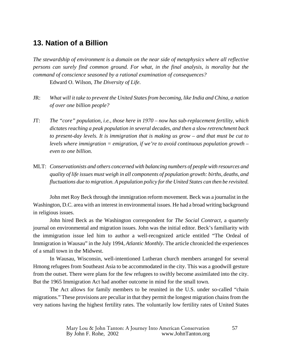# **13. Nation of a Billion**

*The stewardship of environment is a domain on the near side of metaphysics where all reflective persons can surely find common ground. For what, in the final analysis, is morality but the command of conscience seasoned by a rational examination of consequences?* Edward O. Wilson, *The Diversity of Life*.

JR: *What will it take to prevent the United States from becoming, like India and China, a nation of over one billion people?*

- JT: *The "core" population, i.e., those here in 1970 now has sub-replacement fertility, which dictates reaching a peak population in several decades, and then a slow retrenchment back to present-day levels. It is immigration that is making us grow – and that must be cut to levels where immigration = emigration, if we're to avoid continuous population growth – even to one billion.*
- MLT: *Conservationists and others concerned with balancing numbers of people with resources and quality of life issues must weigh in all components of population growth: births, deaths, and fluctuations due to migration. A population policy for the United States can then be revisited.*

John met Roy Beck through the immigration reform movement. Beck was a journalist in the Washington, D.C. area with an interest in environmental issues. He had a broad writing background in religious issues.

John hired Beck as the Washington correspondent for *The Social Contract*, a quarterly journal on environmental and migration issues. John was the initial editor. Beck's familiarity with the immigration issue led him to author a well-recognized article entitled "The Ordeal of Immigration in Wausau" in the July 1994, *Atlantic Monthly*. The article chronicled the experiences of a small town in the Midwest.

In Wausau, Wisconsin, well-intentioned Lutheran church members arranged for several Hmong refugees from Southeast Asia to be accommodated in the city. This was a goodwill gesture from the outset. There were plans for the few refugees to swiftly become assimilated into the city. But the 1965 Immigration Act had another outcome in mind for the small town.

The Act allows for family members to be reunited in the U.S. under so-called "chain migrations." These provisions are peculiar in that they permit the longest migration chains from the very nations having the highest fertility rates. The voluntarily low fertility rates of United States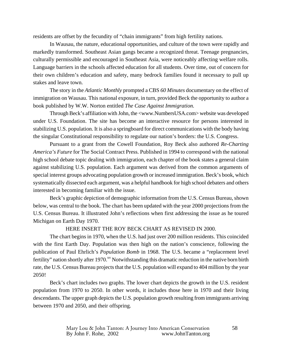residents are offset by the fecundity of "chain immigrants" from high fertility nations.

In Wausau, the nature, educational opportunities, and culture of the town were rapidly and markedly transformed. Southeast Asian gangs became a recognized threat. Teenage pregnancies, culturally permissible and encouraged in Southeast Asia, were noticeably affecting welfare rolls. Language barriers in the schools affected education for all students. Over time, out of concern for their own children's education and safety, many bedrock families found it necessary to pull up stakes and leave town.

The story in the *Atlantic Monthly* prompted a CBS *60 Minutes* documentary on the effect of immigration on Wausau. This national exposure, in turn, provided Beck the opportunity to author a book published by W.W. Norton entitled *The Case Against Immigration.*

Through Beck's affiliation with John, the <www.NumbersUSA.com> website was developed under U.S. Foundation. The site has become an interactive resource for persons interested in stabilizing U.S. population. It is also a springboard for direct communications with the body having the singular Constitutional responsibility to regulate our nation's borders: the U.S. Congress.

Pursuant to a grant from the Cowell Foundation, Roy Beck also authored *Re-Charting America's Future* for The Social Contract Press. Published in 1994 to correspond with the national high school debate topic dealing with immigration, each chapter of the book states a general claim against stabilizing U.S. population. Each argument was derived from the common arguments of special interest groups advocating population growth or increased immigration. Beck's book, which systematically dissected each argument, was a helpful handbook for high school debaters and others interested in becoming familiar with the issue.

Beck's graphic depiction of demographic information from the U.S. Census Bureau, shown below, was central to the book. The chart has been updated with the year 2000 projections from the U.S. Census Bureau. It illustrated John's reflections when first addressing the issue as he toured Michigan on Earth Day 1970.

### HERE INSERT THE ROY BECK CHART AS REVISED IN 2000.

The chart begins in 1970, when the U.S. had just over 200 million residents. This coincided with the first Earth Day. Population was then high on the nation's conscience, following the publication of Paul Ehrlich's *Population Bomb* in 1968. The U.S. became a "replacement level fertility" nation shortly after  $1970$ <sup>xv</sup> Notwithstanding this dramatic reduction in the native born birth rate, the U.S. Census Bureau projects that the U.S. population will expand to 404 million by the year 2050!

Beck's chart includes two graphs. The lower chart depicts the growth in the U.S. resident population from 1970 to 2050. In other words, it includes those here in 1970 and their living descendants. The upper graph depicts the U.S. population growth resulting from immigrants arriving between 1970 and 2050, and their offspring.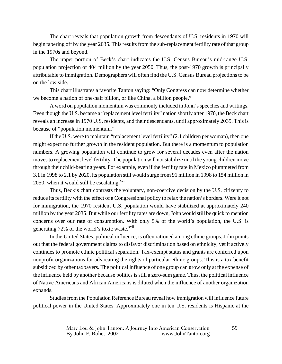The chart reveals that population growth from descendants of U.S. residents in 1970 will begin tapering off by the year 2035. This results from the sub-replacement fertility rate of that group in the 1970s and beyond.

The upper portion of Beck's chart indicates the U.S. Census Bureau's mid-range U.S. population projection of 404 million by the year 2050. Thus, the post-1970 growth is principally attributable to immigration. Demographers will often find the U.S. Census Bureau projections to be on the low side.

This chart illustrates a favorite Tanton saying: "Only Congress can now determine whether we become a nation of one-half billion, or like China, a billion people."

A word on population momentum was commonly included in John's speeches and writings. Even though the U.S. became a "replacement level fertility" nation shortly after 1970, the Beck chart reveals an increase in 1970 U.S. residents, and their descendants, until approximately 2035. This is because of "population momentum."

If the U.S. were to maintain "replacement level fertility" (2.1 children per woman), then one might expect no further growth in the resident population. But there is a momentum to population numbers. A growing population will continue to grow for several decades even after the nation moves to replacement level fertility. The population will not stabilize until the young children move through their child-bearing years. For example, even if the fertility rate in Mexico plummeted from 3.1 in 1998 to 2.1 by 2020, its population still would surge from 91 million in 1998 to 154 million in 2050, when it would still be escalating. $x<sup>vi</sup>$ 

Thus, Beck's chart contrasts the voluntary, non-coercive decision by the U.S. citizenry to reduce its fertility with the effect of a Congressional policy to relax the nation's borders. Were it not for immigration, the 1970 resident U.S. population would have stabilized at approximately 240 million by the year 2035. But while our fertility rates are down, John would still be quick to mention concerns over our rate of consumption. With only 5% of the world's population, the U.S. is generating 72% of the world's toxic waste. $^{xvii}$ 

In the United States, political influence, is often rationed among ethnic groups. John points out that the federal government claims to disfavor discrimination based on ethnicity, yet it actively continues to promote ethnic political separation. Tax-exempt status and grants are conferred upon nonprofit organizations for advocating the rights of particular ethnic groups. This is a tax benefit subsidized by other taxpayers. The political influence of one group can grow only at the expense of the influence held by another because politics is still a zero-sum game. Thus, the political influence of Native Americans and African Americans is diluted when the influence of another organization expands.

Studies from the Population Reference Bureau reveal how immigration will influence future political power in the United States. Approximately one in ten U.S. residents is Hispanic at the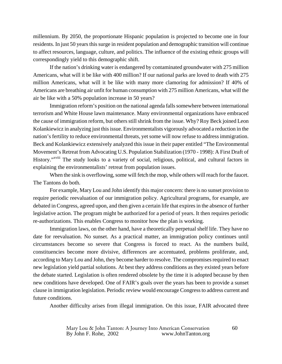millennium. By 2050, the proportionate Hispanic population is projected to become one in four residents. In just 50 years this surge in resident population and demographic transition will continue to affect resources, language, culture, and politics. The influence of the existing ethnic groups will correspondingly yield to this demographic shift.

If the nation's drinking water is endangered by contaminated groundwater with 275 million Americans, what will it be like with 400 million? If our national parks are loved to death with 275 million Americans, what will it be like with many more clamoring for admission? If 40% of Americans are breathing air unfit for human consumption with 275 million Americans, what will the air be like with a 50% population increase in 50 years?

Immigration reform's position on the national agenda falls somewhere between international terrorism and White House lawn maintenance. Many environmental organizations have embraced the cause of immigration reform, but others still shrink from the issue. Why? Roy Beck joined Leon Kolankiewicz in analyzing just this issue. Environmentalists vigorously advocated a reduction in the nation's fertility to reduce environmental threats, yet some will now refuse to address immigration. Beck and Kolankiewicz extensively analyzed this issue in their paper entitled "The Environmental Movement's Retreat from Advocating U.S. Population Stabilization (1970 - 1998): A First Draft of History."<sup>xviii</sup> The study looks to a variety of social, religious, political, and cultural factors in explaining the environmentalists' retreat from population issues.

When the sink is overflowing, some will fetch the mop, while others will reach for the faucet. The Tantons do both.

For example, Mary Lou and John identify this major concern: there is no sunset provision to require periodic reevaluation of our immigration policy. Agricultural programs, for example, are debated in Congress, agreed upon, and then given a certain life that expires in the absence of further legislative action. The program might be authorized for a period of years. It then requires periodic re-authorizations. This enables Congress to monitor how the plan is working.

Immigration laws, on the other hand, have a theoretically perpetual shelf life. They have no date for reevaluation. No sunset. As a practical matter, an immigration policy continues until circumstances become so severe that Congress is forced to react. As the numbers build, constituencies become more divisive, differences are accentuated, problems proliferate, and, according to Mary Lou and John, they become harder to resolve. The compromises required to enact new legislation yield partial solutions. At best they address conditions as they existed years before the debate started. Legislation is often rendered obsolete by the time it is adopted because by then new conditions have developed. One of FAIR's goals over the years has been to provide a sunset clause in immigration legislation. Periodic review would encourage Congress to address current and future conditions.

Another difficulty arises from illegal immigration. On this issue, FAIR advocated three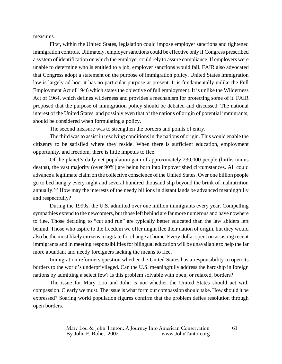measures.

First, within the United States, legislation could impose employer sanctions and tightened immigration controls. Ultimately, employer sanctions could be effective only if Congress prescribed a system of identification on which the employer could rely to assure compliance. If employers were unable to determine who is entitled to a job, employer sanctions would fail. FAIR also advocated that Congress adopt a statement on the purpose of immigration policy. United States immigration law is largely ad hoc; it has no particular purpose at present. It is fundamentally unlike the Full Employment Act of 1946 which states the objective of full employment. It is unlike the Wilderness Act of 1964, which defines wilderness and provides a mechanism for protecting some of it. FAIR proposed that the purpose of immigration policy should be debated and discussed. The national interest of the United States, and possibly even that of the nations of origin of potential immigrants, should be considered when formulating a policy.

The second measure was to strengthen the borders and points of entry.

The third was to assist in resolving conditions in the nations of origin. This would enable the citizenry to be satisfied where they reside. When there is sufficient education, employment opportunity, and freedom, there is little impetus to flee.

Of the planet's daily net population gain of approximately 230,000 people (births minus deaths), the vast majority (over 90%) are being born into impoverished circumstances. All could advance a legitimate claim on the collective conscience of the United States. Over one billion people go to bed hungry every night and several hundred thousand slip beyond the brink of malnutrition annually.<sup>xix</sup> How may the interests of the needy billions in distant lands be advanced meaningfully and respectfully?

During the 1990s, the U.S. admitted over one million immigrants every year. Compelling sympathies extend to the newcomers, but those left behind are far more numerous and have nowhere to flee. Those deciding to "cut and run" are typically better educated than the law abiders left behind. Those who aspire to the freedom we offer might flee their nation of origin, but they would also be the most likely citizens to agitate for change at home. Every dollar spent on assisting recent immigrants and in meeting responsibilities for bilingual education will be unavailable to help the far more abundant and needy foreigners lacking the means to flee.

Immigration reformers question whether the United States has a responsibility to open its borders to the world's underprivileged. Can the U.S. meaningfully address the hardship in foreign nations by admitting a select few? Is this problem solvable with open, or relaxed, borders?

The issue for Mary Lou and John is not whether the United States should act with compassion. Clearly we must. The issue is what form our compassion should take. How should it be expressed? Soaring world population figures confirm that the problem defies resolution through open borders.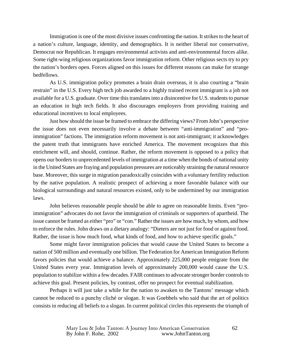Immigration is one of the most divisive issues confronting the nation. It strikes to the heart of a nation's culture, language, identity, and demographics. It is neither liberal nor conservative, Democrat nor Republican. It engages environmental activists and anti-environmental forces alike. Some right-wing religious organizations favor immigration reform. Other religious sects try to pry the nation's borders open. Forces aligned on this issues for different reasons can make for strange bedfellows.

As U.S. immigration policy promotes a brain drain overseas, it is also courting a "brain restrain" in the U.S. Every high tech job awarded to a highly trained recent immigrant is a job not available for a U.S. graduate. Over time this translates into a disincentive for U.S. students to pursue an education in high tech fields. It also discourages employers from providing training and educational incentives to local employees.

Just how should the issue be framed to embrace the differing views? From John's perspective the issue does not even necessarily involve a debate between "anti-immigration" and "proimmigration" factions. The immigration reform movement is not anti-immigrant; it acknowledges the patent truth that immigrants have enriched America. The movement recognizes that this enrichment will, and should, continue. Rather, the reform movement is opposed to a policy that opens our borders to unprecedented levels of immigration at a time when the bonds of national unity in the United States are fraying and population pressures are noticeably straining the natural resource base. Moreover, this surge in migration paradoxically coincides with a voluntary fertility reduction by the native population. A realistic prospect of achieving a more favorable balance with our biological surroundings and natural resources existed, only to be undermined by our immigration laws.

John believes reasonable people should be able to agree on reasonable limits. Even "proimmigration" advocates do not favor the immigration of criminals or supporters of apartheid. The issue cannot be framed as either "pro" or "con." Rather the issues are how much, by whom, and how to enforce the rules. John draws on a dietary analogy: "Dieters are not just for food or against food. Rather, the issue is how much food, what kinds of food, and how to achieve specific goals."

Some might favor immigration policies that would cause the United States to become a nation of 500 million and eventually one billion. The Federation for American Immigration Reform favors policies that would achieve a balance. Approximately 225,000 people emigrate from the United States every year. Immigration levels of approximately 200,000 would cause the U.S. population to stabilize within a few decades. FAIR continues to advocate stronger border controls to achieve this goal. Present policies, by contrast, offer no prospect for eventual stabilization.

Perhaps it will just take a while for the nation to awaken to the Tantons' message which cannot be reduced to a punchy cliché or slogan. It was Goebbels who said that the art of politics consists in reducing all beliefs to a slogan. In current political circles this represents the triumph of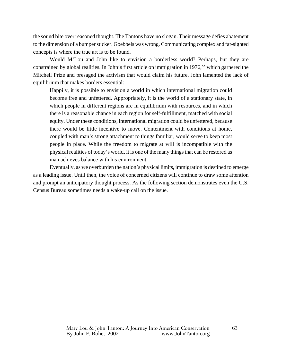the sound bite over reasoned thought. The Tantons have no slogan. Their message defies abatement to the dimension of a bumper sticker. Goebbels was wrong. Communicating complex and far-sighted concepts is where the true art is to be found.

Would M'Lou and John like to envision a borderless world? Perhaps, but they are constrained by global realities. In John's first article on immigration in  $1976$ <sup>xx</sup> which garnered the Mitchell Prize and presaged the activism that would claim his future, John lamented the lack of equilibrium that makes borders essential:

Happily, it is possible to envision a world in which international migration could become free and unfettered. Appropriately, it is the world of a stationary state, in which people in different regions are in equilibrium with resources, and in which there is a reasonable chance in each region for self-fulfillment, matched with social equity. Under these conditions, international migration could be unfettered, because there would be little incentive to move. Contentment with conditions at home, coupled with man's strong attachment to things familiar, would serve to keep most people in place. While the freedom to migrate at will is incompatible with the physical realities of today's world, it is one of the many things that can be restored as man achieves balance with his environment.

Eventually, as we overburden the nation's physical limits, immigration is destined to emerge as a leading issue. Until then, the voice of concerned citizens will continue to draw some attention and prompt an anticipatory thought process. As the following section demonstrates even the U.S. Census Bureau sometimes needs a wake-up call on the issue.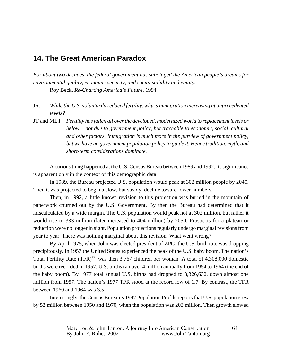#### **14. The Great American Paradox**

*For about two decades, the federal government has sabotaged the American people's dreams for environmental quality, economic security, and social stability and equity.*

Roy Beck, *Re-Charting America's Future*, 1994

- JR: *While the U.S. voluntarily reduced fertility, why is immigration increasing at unprecedented levels?*
- JT and MLT: *Fertility has fallen all over the developed, modernized world to replacement levels or below – not due to government policy, but traceable to economic, social, cultural and other factors. Immigration is much more in the purview of government policy, but we have no government population policy to guide it. Hence tradition, myth, and short-term considerations dominate.*

A curious thing happened at the U.S. Census Bureau between 1989 and 1992. Its significance is apparent only in the context of this demographic data.

In 1989, the Bureau projected U.S. population would peak at 302 million people by 2040. Then it was projected to begin a slow, but steady, decline toward lower numbers.

Then, in 1992, a little known revision to this projection was buried in the mountain of paperwork churned out by the U.S. Government. By then the Bureau had determined that it miscalculated by a wide margin. The U.S. population would peak not at 302 million, but rather it would rise to 383 million (later increased to 404 million) by 2050. Prospects for a plateau or reduction were no longer in sight. Population projections regularly undergo marginal revisions from year to year. There was nothing marginal about this revision. What went wrong?

By April 1975, when John was elected president of ZPG, the U.S. birth rate was dropping precipitously. In 1957 the United States experienced the peak of the U.S. baby boom. The nation's Total Fertility Rate (TFR)<sup>xxi</sup> was then 3.767 children per woman. A total of 4,308,000 domestic births were recorded in 1957. U.S. births ran over 4 million annually from 1954 to 1964 (the end of the baby boom). By 1977 total annual U.S. births had dropped to 3,326,632, down almost one million from 1957. The nation's 1977 TFR stood at the record low of 1.7. By contrast, the TFR between 1960 and 1964 was 3.5!

Interestingly, the Census Bureau's 1997 Population Profile reports that U.S. population grew by 52 million between 1950 and 1970, when the population was 203 million. Then growth slowed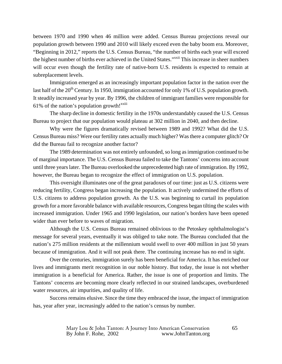between 1970 and 1990 when 46 million were added. Census Bureau projections reveal our population growth between 1990 and 2010 will likely exceed even the baby boom era. Moreover, "Beginning in 2012," reports the U.S. Census Bureau, "the number of births each year will exceed the highest number of births ever achieved in the United States."xxii This increase in sheer numbers will occur even though the fertility rate of native-born U.S. residents is expected to remain at subreplacement levels.

Immigration emerged as an increasingly important population factor in the nation over the last half of the  $20<sup>th</sup>$  Century. In 1950, immigration accounted for only 1% of U.S. population growth. It steadily increased year by year. By 1996, the children of immigrant families were responsible for 61% of the nation's population growth! $x^{\text{xiiii}}$ 

The sharp decline in domestic fertility in the 1970s understandably caused the U.S. Census Bureau to project that our population would plateau at 302 million in 2040, and then decline.

Why were the figures dramatically revised between 1989 and 1992? What did the U.S. Census Bureau miss? Were our fertility rates actually much higher? Was there a computer glitch? Or did the Bureau fail to recognize another factor?

The 1989 determination was not entirely unfounded, so long as immigration continued to be of marginal importance. The U.S. Census Bureau failed to take the Tantons' concerns into account until three years later. The Bureau overlooked the unprecedented high rate of immigration. By 1992, however, the Bureau began to recognize the effect of immigration on U.S. population.

This oversight illuminates one of the great paradoxes of our time: just as U.S. citizens were reducing fertility, Congress began increasing the population. It actively undermined the efforts of U.S. citizens to address population growth. As the U.S. was beginning to curtail its population growth for a more favorable balance with available resources, Congress began tilting the scales with increased immigration. Under 1965 and 1990 legislation, our nation's borders have been opened wider than ever before to waves of migration.

Although the U.S. Census Bureau remained oblivious to the Petoskey ophthalmologist's message for several years, eventually it was obliged to take note. The Bureau concluded that the nation's 275 million residents at the millennium would swell to over 400 million in just 50 years because of immigration. And it will not peak there. The continuing increase has no end in sight.

Over the centuries, immigration surely has been beneficial for America. It has enriched our lives and immigrants merit recognition in our noble history. But today, the issue is not whether immigration is a beneficial for America. Rather, the issue is one of proportion and limits. The Tantons' concerns are becoming more clearly reflected in our strained landscapes, overburdened water resources, air impurities, and quality of life.

Success remains elusive. Since the time they embraced the issue, the impact of immigration has, year after year, increasingly added to the nation's census by number.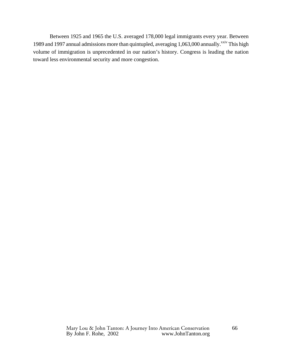Between 1925 and 1965 the U.S. averaged 178,000 legal immigrants every year. Between 1989 and 1997 annual admissions more than quintupled, averaging  $1,063,000$  annually.<sup>xxiv</sup> This high volume of immigration is unprecedented in our nation's history. Congress is leading the nation toward less environmental security and more congestion.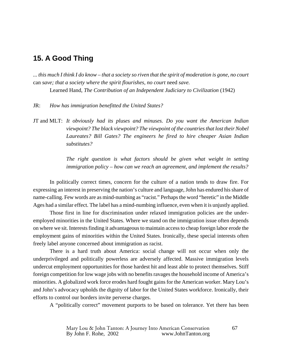### **15. A Good Thing**

*... this much I think I do know – that a society so riven that the spirit of moderation is gone, no court*  can *save*; that a *society* where the *spirit flourishes, no court* need *save*.

Learned Hand, *The Contribution of an Independent Judiciary to Civilization* (1942)

JR: *How has immigration benefitted the United States?*

JT and MLT: *It obviously had its pluses and minuses. Do you want the American Indian viewpoint? The black viewpoint? The viewpoint of the countries that lost their Nobel Laureates? Bill Gates? The engineers he fired to hire cheaper Asian Indian substitutes?* 

> *The right question is what factors should be given what weight in setting immigration policy – how can we reach an agreement, and implement the results?*

In politically correct times, concern for the culture of a nation tends to draw fire. For expressing an interest in preserving the nation's culture and language, John has endured his share of name-calling. Few words are as mind-numbing as "racist." Perhaps the word "heretic" in the Middle Ages had a similar effect. The label has a mind-numbing influence, even when it is unjustly applied.

Those first in line for discrimination under relaxed immigration policies are the underemployed minorities in the United States. Where we stand on the immigration issue often depends on where we sit. Interests finding it advantageous to maintain access to cheap foreign labor erode the employment gains of minorities within the United States. Ironically, these special interests often freely label anyone concerned about immigration as racist.

There is a hard truth about America: social change will not occur when only the underprivileged and politically powerless are adversely affected. Massive immigration levels undercut employment opportunities for those hardest hit and least able to protect themselves. Stiff foreign competition for low wage jobs with no benefits ravages the household income of America's minorities. A globalized work force erodes hard fought gains for the American worker. Mary Lou's and John's advocacy upholds the dignity of labor for the United States workforce. Ironically, their efforts to control our borders invite perverse charges.

A "politically correct" movement purports to be based on tolerance. Yet there has been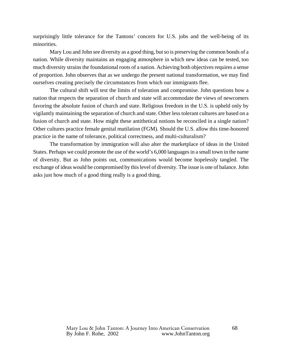surprisingly little tolerance for the Tantons' concern for U.S. jobs and the well-being of its minorities.

Mary Lou and John see diversity as a good thing, but so is preserving the common bonds of a nation. While diversity maintains an engaging atmosphere in which new ideas can be tested, too much diversity strains the foundational roots of a nation. Achieving both objectives requires a sense of proportion. John observes that as we undergo the present national transformation, we may find ourselves creating precisely the circumstances from which our immigrants flee.

The cultural shift will test the limits of toleration and compromise. John questions how a nation that respects the separation of church and state will accommodate the views of newcomers favoring the absolute fusion of church and state. Religious freedom in the U.S. is upheld only by vigilantly maintaining the separation of church and state. Other less tolerant cultures are based on a fusion of church and state. How might these antithetical notions be reconciled in a single nation? Other cultures practice female genital mutilation (FGM). Should the U.S. allow this time-honored practice in the name of tolerance, political correctness, and multi-culturalism?

The transformation by immigration will also alter the marketplace of ideas in the United States. Perhaps we could promote the use of the world's 6,000 languages in a small town in the name of diversity. But as John points out, communications would become hopelessly tangled. The exchange of ideas would be compromised by this level of diversity. The issue is one of balance. John asks just how much of a good thing really is a good thing.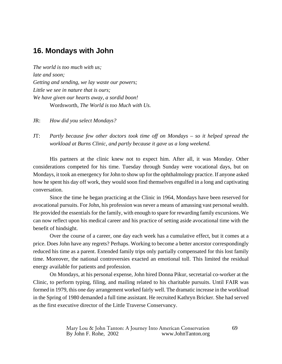## **16. Mondays with John**

*The world is too much with us; late and soon; Getting and sending, we lay waste our powers; Little we see in nature that is ours; We have given our hearts away, a sordid boon!*  Wordsworth*, The World is too Much with Us.*

JR: *How did you select Mondays?*

JT: *Partly because few other doctors took time off on Mondays – so it helped spread the workload at Burns Clinic, and partly because it gave us a long weekend.*

His partners at the clinic knew not to expect him. After all, it was Monday. Other considerations competed for his time. Tuesday through Sunday were vocational days, but on Mondays, it took an emergency for John to show up for the ophthalmology practice. If anyone asked how he spent his day off work, they would soon find themselves engulfed in a long and captivating conversation.

Since the time he began practicing at the Clinic in 1964, Mondays have been reserved for avocational pursuits. For John, his profession was never a means of amassing vast personal wealth. He provided the essentials for the family, with enough to spare for rewarding family excursions. We can now reflect upon his medical career and his practice of setting aside avocational time with the benefit of hindsight.

Over the course of a career, one day each week has a cumulative effect, but it comes at a price. Does John have any regrets? Perhaps. Working to become a better ancestor correspondingly reduced his time as a parent. Extended family trips only partially compensated for this lost family time. Moreover, the national controversies exacted an emotional toll. This limited the residual energy available for patients and profession.

On Mondays, at his personal expense, John hired Donna Pikur, secretarial co-worker at the Clinic, to perform typing, filing, and mailing related to his charitable pursuits. Until FAIR was formed in 1979, this one day arrangement worked fairly well. The dramatic increase in the workload in the Spring of 1980 demanded a full time assistant. He recruited Kathryn Bricker. She had served as the first executive director of the Little Traverse Conservancy.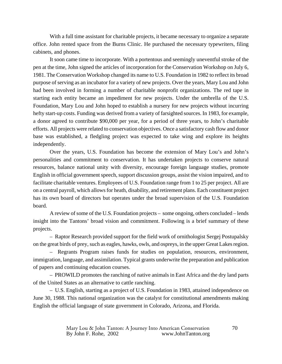With a full time assistant for charitable projects, it became necessary to organize a separate office. John rented space from the Burns Clinic. He purchased the necessary typewriters, filing cabinets, and phones.

It soon came time to incorporate. With a portentous and seemingly uneventful stroke of the pen at the time, John signed the articles of incorporation for the Conservation Workshop on July 6, 1981. The Conservation Workshop changed its name to U.S. Foundation in 1982 to reflect its broad purpose of serving as an incubator for a variety of new projects. Over the years, Mary Lou and John had been involved in forming a number of charitable nonprofit organizations. The red tape in starting each entity became an impediment for new projects. Under the umbrella of the U.S. Foundation, Mary Lou and John hoped to establish a nursery for new projects without incurring hefty start-up costs. Funding was derived from a variety of farsighted sources. In 1983, for example, a donor agreed to contribute \$90,000 per year, for a period of three years, to John's charitable efforts. All projects were related to conservation objectives. Once a satisfactory cash flow and donor base was established, a fledgling project was expected to take wing and explore its heights independently.

Over the years, U.S. Foundation has become the extension of Mary Lou's and John's personalities and commitment to conservation. It has undertaken projects to conserve natural resources, balance national unity with diversity, encourage foreign language studies, promote English in official government speech, support discussion groups, assist the vision impaired, and to facilitate charitable ventures. Employees of U.S. Foundation range from 1 to 25 per project. All are on a central payroll, which allows for heath, disability, and retirement plans. Each constituent project has its own board of directors but operates under the broad supervision of the U.S. Foundation board.

A review of some of the U.S. Foundation projects – some ongoing, others concluded – lends insight into the Tantons' broad vision and commitment. Following is a brief summary of these projects.

– Raptor Research provided support for the field work of ornithologist Sergej Postupalsky on the great birds of prey, such as eagles, hawks, owls, and ospreys, in the upper Great Lakes region.

– Regrants Program raises funds for studies on population, resources, environment, immigration, language, and assimilation. Typical grants underwrite the preparation and publication of papers and continuing education courses.

– PROWILD promotes the ranching of native animals in East Africa and the dry land parts of the United States as an alternative to cattle ranching.

– U.S. English, starting as a project of U.S. Foundation in 1983, attained independence on June 30, 1988. This national organization was the catalyst for constitutional amendments making English the official language of state government in Colorado, Arizona, and Florida.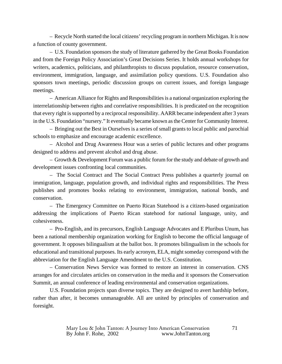– Recycle North started the local citizens' recycling program in northern Michigan. It is now a function of county government.

– U.S. Foundation sponsors the study of literature gathered by the Great Books Foundation and from the Foreign Policy Association's Great Decisions Series. It holds annual workshops for writers, academics, politicians, and philanthropists to discuss population, resource conservation, environment, immigration, language, and assimilation policy questions. U.S. Foundation also sponsors town meetings, periodic discussion groups on current issues, and foreign language meetings.

– American Alliance for Rights and Responsibilities is a national organization exploring the interrelationship between rights and correlative responsibilities. It is predicated on the recognition that every right is supported by a reciprocal responsibility. AARR became independent after 3 years in the U.S. Foundation "nursery." It eventually became known as the Center for Community Interest.

– Bringing out the Best in Ourselves is a series of small grants to local public and parochial schools to emphasize and encourage academic excellence.

– Alcohol and Drug Awareness Hour was a series of public lectures and other programs designed to address and prevent alcohol and drug abuse.

– Growth & Development Forum was a public forum for the study and debate of growth and development issues confronting local communities.

– The Social Contract and The Social Contract Press publishes a quarterly journal on immigration, language, population growth, and individual rights and responsibilities. The Press publishes and promotes books relating to environment, immigration, national bonds, and conservation.

– The Emergency Committee on Puerto Rican Statehood is a citizen-based organization addressing the implications of Puerto Rican statehood for national language, unity, and cohesiveness.

– Pro-English, and its precursors, English Language Advocates and E Pluribus Unum, has been a national membership organization working for English to become the official language of government. It opposes bilingualism at the ballot box. It promotes bilingualism in the schools for educational and transitional purposes. Its early acronym, ELA, might someday correspond with the abbreviation for the English Language Amendment to the U.S. Constitution.

– Conservation News Service was formed to restore an interest in conservation. CNS arranges for and circulates articles on conservation in the media and it sponsors the Conservation Summit, an annual conference of leading environmental and conservation organizations.

U.S. Foundation projects span diverse topics. They are designed to avert hardship before, rather than after, it becomes unmanageable. All are united by principles of conservation and foresight.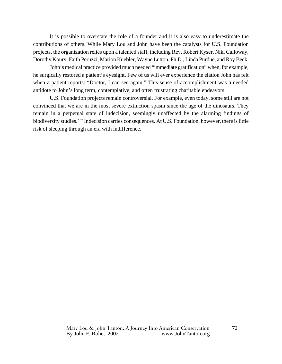It is possible to overstate the role of a founder and it is also easy to underestimate the contributions of others. While Mary Lou and John have been the catalysts for U.S. Foundation projects, the organization relies upon a talented staff, including Rev. Robert Kyser, Niki Calloway, Dorothy Koury, Faith Peruzzi, Marion Kuebler, Wayne Lutton, Ph.D., Linda Purdue, and Roy Beck.

John's medical practice provided much needed "immediate gratification" when, for example, he surgically restored a patient's eyesight. Few of us will ever experience the elation John has felt when a patient reports: "Doctor, I can see again." This sense of accomplishment was a needed antidote to John's long term, contemplative, and often frustrating charitable endeavors.

U.S. Foundation projects remain controversial. For example, even today, some still are not convinced that we are in the most severe extinction spasm since the age of the dinosaurs. They remain in a perpetual state of indecision, seemingly unaffected by the alarming findings of biodiversity studies.<sup>xxv</sup> Indecision carries consequences. At U.S. Foundation, however, there is little risk of sleeping through an era with indifference.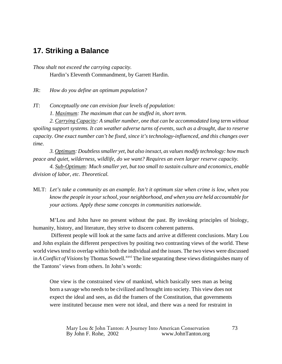## **17. Striking a Balance**

*Thou shalt not exceed the carrying capacity.*  Hardin's Eleventh Commandment, by Garrett Hardin.

JR: *How do you define an optimum population?* 

JT: *Conceptually one can envision four levels of population:* 

*1. Maximum: The maximum that can be stuffed in, short term.* 

*2. Carrying Capacity: A smaller number, one that can be accommodated long term without spoiling support systems. It can weather adverse turns of events, such as a drought, due to reserve capacity. One exact number can't be fixed, since it's technology-influenced, and this changes over time.* 

*3. Optimum: Doubtless smaller yet, but also inexact, as values modify technology: how much peace and quiet, wilderness, wildlife, do we want? Requires an even larger reserve capacity.* 

*4. Sub-Optimum: Much smaller yet, but too small to sustain culture and economics, enable division of labor, etc. Theoretical.*

MLT: *Let's take a community as an example. Isn't it optimum size when crime is low, when you know the people in your school, your neighborhood, and when you are held accountable for your actions. Apply these same concepts in communities nationwide.* 

M'Lou and John have no present without the past. By invoking principles of biology, humanity, history, and literature, they strive to discern coherent patterns.

 Different people will look at the same facts and arrive at different conclusions. Mary Lou and John explain the different perspectives by positing two contrasting views of the world. These world views tend to overlap within both the individual and the issues. The two views were discussed in *A Conflict of Visions* by Thomas Sowell.<sup>xxvi</sup> The line separating these views distinguishes many of the Tantons' views from others. In John's words:

One view is the constrained view of mankind, which basically sees man as being born a savage who needs to be civilized and brought into society. This view does not expect the ideal and sees, as did the framers of the Constitution, that governments were instituted because men were not ideal, and there was a need for restraint in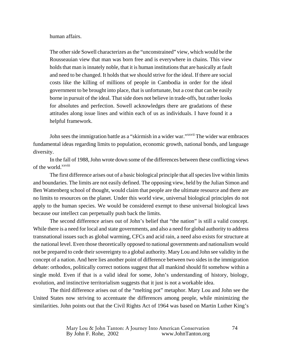human affairs.

The other side Sowell characterizes as the "unconstrained" view, which would be the Rousseauian view that man was born free and is everywhere in chains. This view holds that man is innately noble, that it is human institutions that are basically at fault and need to be changed. It holds that we should strive for the ideal. If there are social costs like the killing of millions of people in Cambodia in order for the ideal government to be brought into place, that is unfortunate, but a cost that can be easily borne in pursuit of the ideal. That side does not believe in trade-offs, but rather looks for absolutes and perfection. Sowell acknowledges there are gradations of these attitudes along issue lines and within each of us as individuals. I have found it a helpful framework.

John sees the immigration battle as a "skirmish in a wider war."<sup>xxvii</sup> The wider war embraces fundamental ideas regarding limits to population, economic growth, national bonds, and language diversity.

In the fall of 1988, John wrote down some of the differences between these conflicting views of the world xxviii

The first difference arises out of a basic biological principle that all species live within limits and boundaries. The limits are not easily defined. The opposing view, held by the Julian Simon and Ben Wattenberg school of thought, would claim that people are the ultimate resource and there are no limits to resources on the planet. Under this world view, universal biological principles do not apply to the human species. We would be considered exempt to these universal biological laws because our intellect can perpetually push back the limits.

The second difference arises out of John's belief that "the nation" is still a valid concept. While there is a need for local and state governments, and also a need for global authority to address transnational issues such as global warming, CFCs and acid rain, a need also exists for structure at the national level. Even those theoretically opposed to national governments and nationalism would not be prepared to cede their sovereignty to a global authority. Mary Lou and John see validity in the concept of a nation. And here lies another point of difference between two sides in the immigration debate: orthodox, politically correct notions suggest that all mankind should fit somehow within a single mold. Even if that is a valid ideal for some, John's understanding of history, biology, evolution, and instinctive territorialism suggests that it just is not a workable idea.

The third difference arises out of the "melting pot" metaphor. Mary Lou and John see the United States now striving to accentuate the differences among people, while minimizing the similarities. John points out that the Civil Rights Act of 1964 was based on Martin Luther King's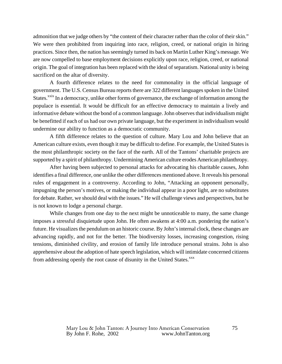admonition that we judge others by "the content of their character rather than the color of their skin." We were then prohibited from inquiring into race, religion, creed, or national origin in hiring practices. Since then, the nation has seemingly turned its back on Martin Luther King's message. We are now compelled to base employment decisions explicitly upon race, religion, creed, or national origin. The goal of integration has been replaced with the ideal of separatism. National unity is being sacrificed on the altar of diversity.

A fourth difference relates to the need for commonality in the official language of government. The U.S. Census Bureau reports there are 322 different languages spoken in the United States.<sup>xxix</sup> In a democracy, unlike other forms of governance, the exchange of information among the populace is essential. It would be difficult for an effective democracy to maintain a lively and informative debate without the bond of a common language. John observes that individualism might be benefitted if each of us had our own private language, but the experiment in individualism would undermine our ability to function as a democratic community.

A fifth difference relates to the question of culture. Mary Lou and John believe that an American culture exists, even though it may be difficult to define. For example, the United States is the most philanthropic society on the face of the earth. All of the Tantons' charitable projects are supported by a spirit of philanthropy. Undermining American culture erodes American philanthropy.

After having been subjected to personal attacks for advocating his charitable causes, John identifies a final difference, one unlike the other differences mentioned above. It reveals his personal rules of engagement in a controversy. According to John, "Attacking an opponent personally, impugning the person's motives, or making the individual appear in a poor light, are no substitutes for debate. Rather, we should deal with the issues." He will challenge views and perspectives, but he is not known to lodge a personal charge.

While changes from one day to the next might be unnoticeable to many, the same change imposes a stressful disquietude upon John. He often awakens at 4:00 a.m. pondering the nation's future. He visualizes the pendulum on an historic course. By John's internal clock, these changes are advancing rapidly, and not for the better. The biodiversity losses, increasing congestion, rising tensions, diminished civility, and erosion of family life introduce personal strains. John is also apprehensive about the adoption of hate speech legislation, which will intimidate concerned citizens from addressing openly the root cause of disunity in the United States.<sup>xxx</sup>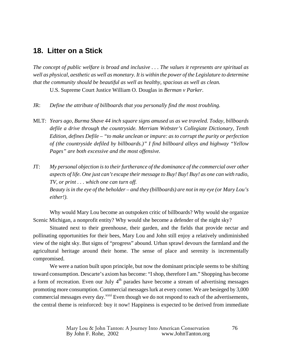#### **18. Litter on a Stick**

*The concept of public welfare is broad and inclusive . . . The values it represents are spiritual as well as physical, aesthetic as well as monetary. It is within the power of the Legislature to determine that the community should be beautiful as well as healthy, spacious as well as clean.* 

U.S. Supreme Court Justice William O. Douglas in *Berman v Parker*.

- JR: *Define the attribute of billboards that you personally find the most troubling.*
- MLT: *Years ago, Burma Shave 44 inch square signs amused us as we traveled. Today, billboards defile a drive through the countryside. Merriam Webster's Collegiate Dictionary, Tenth Edition, defines Defile – "to make unclean or impure: as to corrupt the purity or perfection of (the countryside defiled by billboards.)" I find billboard alleys and highway "Yellow Pages" are both excessive and the most offensive.*
- JT: *My personal objection is to their furtherance of the dominance of the commercial over other aspects of life. One just can't escape their message to Buy! Buy! Buy! as one can with radio, TV, or print . . . which one can turn off. Beauty is in the eye of the beholder – and they (billboards) are not in my eye (or Mary Lou's either!).*

Why would Mary Lou become an outspoken critic of billboards? Why would she organize Scenic Michigan, a nonprofit entity? Why would she become a defender of the night sky?

Situated next to their greenhouse, their garden, and the fields that provide nectar and pollinating opportunities for their bees, Mary Lou and John still enjoy a relatively undiminished view of the night sky. But signs of "progress" abound. Urban sprawl devours the farmland and the agricultural heritage around their home. The sense of place and serenity is incrementally compromised.

We were a nation built upon principle, but now the dominant principle seems to be shifting toward consumption. Descarte's axiom has become: "I shop, therefore I am." Shopping has become a form of recreation. Even our July  $4<sup>th</sup>$  parades have become a stream of advertising messages promoting more consumption. Commercial messages lurk at every corner. We are besieged by 3,000 commercial messages every day.<sup>xxxi</sup> Even though we do not respond to each of the advertisements, the central theme is reinforced: buy it now! Happiness is expected to be derived from immediate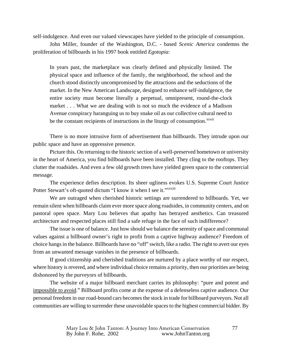self-indulgence. And even our valued viewscapes have yielded to the principle of consumption.

John Miller, founder of the Washington, D.C. - based *Scenic America* condemns the proliferation of billboards in his 1997 book entitled *Egotopia*:

In years past, the marketplace was clearly defined and physically limited. The physical space and influence of the family, the neighborhood, the school and the church stood distinctly uncompromised by the attractions and the seductions of the market. In the New American Landscape, designed to enhance self-indulgence, the entire society must become literally a perpetual, omnipresent, round-the-clock market . . . What we are dealing with is not so much the evidence of a Madison Avenue conspiracy haranguing us to buy snake oil as our collective cultural need to be the constant recipients of instructions in the liturgy of consumption.<sup>xxxii</sup>

There is no more intrusive form of advertisement than billboards. They intrude upon our public space and have an oppressive presence.

Picture this. On returning to the historic section of a well-preserved hometown or university in the heart of America, you find billboards have been installed. They cling to the rooftops. They clutter the roadsides. And even a few old growth trees have yielded green space to the commercial message.

The experience defies description. Its sheer ugliness evokes U.S. Supreme Court Justice Potter Stewart's oft-quoted dictum "I know it when I see it."<sup>xxxiii</sup>

We are outraged when cherished historic settings are surrendered to billboards. Yet, we remain silent when billboards claim ever more space along roadsides, in community centers, and on pastoral open space. Mary Lou believes that apathy has betrayed aesthetics. Can treasured architecture and respected places still find a safe refuge in the face of such indifference?

The issue is one of balance. Just how should we balance the serenity of space and communal values against a billboard owner's right to profit from a captive highway audience? Freedom of choice hangs in the balance. Billboards have no "off" switch, like a radio. The right to avert our eyes from an unwanted message vanishes in the presence of billboards.

If good citizenship and cherished traditions are nurtured by a place worthy of our respect, where history is revered, and where individual choice remains a priority, then our priorities are being dishonored by the purveyors of billboards.

The website of a major billboard merchant carries its philosophy: "pure and potent and impossible to avoid." Billboard profits come at the expense of a defenseless captive audience. Our personal freedom in our road-bound cars becomes the stock in trade for billboard purveyors. Not all communities are willing to surrender these unavoidable spaces to the highest commercial bidder. By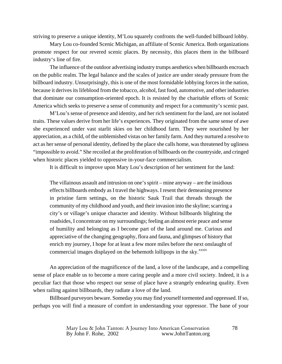striving to preserve a unique identity, M'Lou squarely confronts the well-funded billboard lobby.

Mary Lou co-founded Scenic Michigan, an affiliate of Scenic America. Both organizations promote respect for our revered scenic places. By necessity, this places them in the billboard industry's line of fire.

The influence of the outdoor advertising industry trumps aesthetics when billboards encroach on the public realm. The legal balance and the scales of justice are under steady pressure from the billboard industry. Unsurprisingly, this is one of the most formidable lobbying forces in the nation, because it derives its lifeblood from the tobacco, alcohol, fast food, automotive, and other industries that dominate our consumption-oriented epoch. It is resisted by the charitable efforts of Scenic America which seeks to preserve a sense of community and respect for a community's scenic past.

M'Lou's sense of presence and identity, and her rich sentiment for the land, are not isolated traits. These values derive from her life's experiences. They originated from the same sense of awe she experienced under vast starlit skies on her childhood farm. They were nourished by her appreciation, as a child, of the unblemished vistas on her family farm. And they nurtured a resolve to act as her sense of personal identity, defined by the place she calls home, was threatened by ugliness "impossible to avoid." She recoiled at the proliferation of billboards on the countryside, and cringed when historic places yielded to oppressive in-your-face commercialism.

It is difficult to improve upon Mary Lou's description of her sentiment for the land:

The villainous assault and intrusion on one's spirit – mine anyway – are the insidious effects billboards embody as I travel the highways. I resent their demeaning presence in pristine farm settings, on the historic Sauk Trail that threads through the community of my childhood and youth, and their invasion into the skyline; scarring a city's or village's unique character and identity. Without billboards blighting the roadsides, I concentrate on my surroundings; feeling an almost eerie peace and sense of humility and belonging as I become part of the land around me. Curious and appreciative of the changing geography, flora and fauna, and glimpses of history that enrich my journey, I hope for at least a few more miles before the next onslaught of commercial images displayed on the behemoth lollipops in the sky.<sup>xxxiv</sup>

An appreciation of the magnificence of the land, a love of the landscape, and a compelling sense of place enable us to become a more caring people and a more civil society. Indeed, it is a peculiar fact that those who respect our sense of place have a strangely endearing quality. Even when railing against billboards, they radiate a love of the land.

Billboard purveyors beware. Someday you may find yourself tormented and oppressed. If so, perhaps you will find a measure of comfort in understanding your oppressor. The bane of your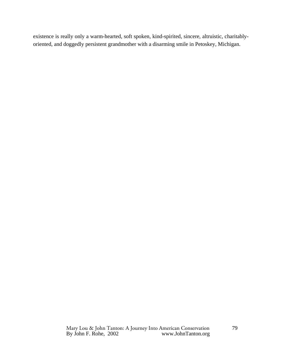existence is really only a warm-hearted, soft spoken, kind-spirited, sincere, altruistic, charitablyoriented, and doggedly persistent grandmother with a disarming smile in Petoskey, Michigan.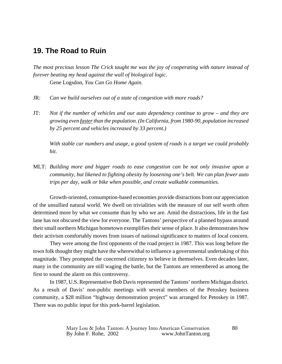## **19. The Road to Ruin**

*The most precious lesson The Crick taught me was the joy of cooperating with nature instead of forever beating my head against the wall of biological logic.* Gene Logsdon, *You Can Go Home Again.*

- JR: *Can we build ourselves out of a state of congestion with more roads?*
- JT: *Not if the number of vehicles and our auto dependency continue to grow and they are growing even faster than the population. (In California, from 1980-90, population increased by 25 percent and vehicles increased by 33 percent.)*

*With stable car numbers and usage, a good system of roads is a target we could probably hit*.

MLT: *Building more and bigger roads to ease congestion can be not only invasive upon a community, but likened to fighting obesity by loosening one's belt. We can plan fewer auto trips per day, walk or bike when possible, and create walkable communities.* 

Growth-oriented, consumption-based economies provide distractions from our appreciation of the unsullied natural world. We dwell on trivialities with the measure of our self worth often determined more by what we consume than by who we are. Amid the distractions, life in the fast lane has not obscured the view for everyone. The Tantons' perspective of a planned bypass around their small northern Michigan hometown exemplifies their sense of place. It also demonstrates how their activism comfortably moves from issues of national significance to matters of local concern.

They were among the first opponents of the road project in 1987. This was long before the town folk thought they might have the wherewithal to influence a governmental undertaking of this magnitude. They prompted the concerned citizenry to believe in themselves. Even decades later, many in the community are still waging the battle, but the Tantons are remembered as among the first to sound the alarm on this controversy.

In 1987, U.S. Representative Bob Davis represented the Tantons' northern Michigan district. As a result of Davis' non-public meetings with several members of the Petoskey business community, a \$28 million "highway demonstration project" was arranged for Petoskey in 1987. There was no public input for this pork-barrel legislation.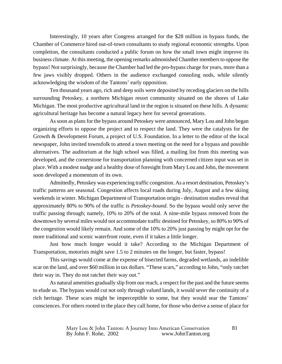Interestingly, 10 years after Congress arranged for the \$28 million in bypass funds, the Chamber of Commerce hired out-of-town consultants to study regional economic strengths. Upon completion, the consultants conducted a public forum on how the small town might improve its business climate. At this meeting, the opening remarks admonished Chamber members to oppose the bypass! Not surprisingly, because the Chamber had led the pro-bypass charge for years, more than a few jaws visibly dropped. Others in the audience exchanged consoling nods, while silently acknowledging the wisdom of the Tantons' early opposition.

Ten thousand years ago, rich and deep soils were deposited by receding glaciers on the hills surrounding Petoskey, a northern Michigan resort community situated on the shores of Lake Michigan. The most productive agricultural land in the region is situated on these hills. A dynamic agricultural heritage has become a natural legacy here for several generations.

As soon as plans for the bypass around Petoskey were announced, Mary Lou and John began organizing efforts to oppose the project and to respect the land. They were the catalysts for the Growth & Development Forum, a project of U.S. Foundation. In a letter to the editor of the local newspaper, John invited townsfolk to attend a town meeting on the need for a bypass and possible alternatives. The auditorium at the high school was filled, a mailing list from this meeting was developed, and the cornerstone for transportation planning with concerned citizen input was set in place. With a modest nudge and a healthy dose of foresight from Mary Lou and John, the movement soon developed a momentum of its own.

Admittedly, Petoskey was experiencing traffic congestion. As a resort destination, Petoskey's traffic patterns are seasonal. Congestion affects local roads during July, August and a few skiing weekends in winter. Michigan Department of Transportation origin - destination studies reveal that approximately 80% to 90% of the traffic is *Petoskey-bound*. So the bypass would only serve the traffic passing through; namely, 10% to 20% of the total. A nine-mile bypass removed from the downtown by several miles would not accommodate traffic destined for Petoskey, so 80% to 90% of the congestion would likely remain. And some of the 10% to 20% just passing by might opt for the more traditional and scenic waterfront route, even if it takes a little longer.

Just how much longer would it take? According to the Michigan Department of Transportation, motorists might save 1.5 to 2 minutes on the longer, but faster, bypass!

This savings would come at the expense of bisected farms, degraded wetlands, an indelible scar on the land, and over \$60 million in tax dollars. "These scars," according to John, "only ratchet their way in. They do not ratchet their way out."

As natural amenities gradually slip from our reach, a respect for the past and the future seems to elude us. The bypass would cut not only through valued lands, it would sever the continuity of a rich heritage. These scars might be imperceptible to some, but they would sear the Tantons' consciences. For others rooted in the place they call home, for those who derive a sense of place for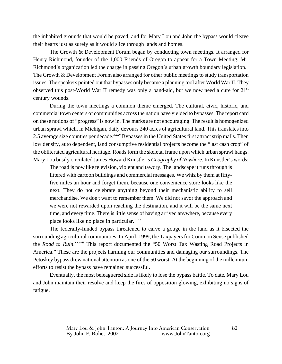the inhabited grounds that would be paved, and for Mary Lou and John the bypass would cleave their hearts just as surely as it would slice through lands and homes.

The Growth & Development Forum began by conducting town meetings. It arranged for Henry Richmond, founder of the 1,000 Friends of Oregon to appear for a Town Meeting. Mr. Richmond's organization led the charge in passing Oregon's urban growth boundary legislation. The Growth & Development Forum also arranged for other public meetings to study transportation issues. The speakers pointed out that bypasses only became a planning tool after World War II. They observed this post-World War II remedy was only a band-aid, but we now need a cure for 21<sup>st</sup> century wounds.

During the town meetings a common theme emerged. The cultural, civic, historic, and commercial town centers of communities across the nation have yielded to bypasses. The report card on these notions of "progress" is now in. The marks are not encouraging. The result is homogenized urban sprawl which, in Michigan, daily devours 240 acres of agricultural land. This translates into 2.5 average size counties per decade.<sup>xxxv</sup> Bypasses in the United States first attract strip malls. Then low density, auto dependent, land consumptive residential projects become the "last cash crop" of the obliterated agricultural heritage. Roads form the skeletal frame upon which urban sprawl hangs. Mary Lou busily circulated James Howard Kunstler's *Geography of Nowhere*. In Kunstler's words:

The road is now like television, violent and tawdry. The landscape it runs through is littered with cartoon buildings and commercial messages. We whiz by them at fiftyfive miles an hour and forget them, because one convenience store looks like the next. They do not celebrate anything beyond their mechanistic ability to sell merchandise. We don't want to remember them. We did not savor the approach and we were not rewarded upon reaching the destination, and it will be the same next time, and every time. There is little sense of having arrived anywhere, because every place looks like no place in particular.<sup>xxxvi</sup>

The federally-funded bypass threatened to carve a gouge in the land as it bisected the surrounding agricultural communities. In April, 1999, the Taxpayers for Common Sense published the *Road to Ruin*.<sup>xxxvii</sup> This report documented the "50 Worst Tax Wasting Road Projects in America." These are the projects harming our communities and damaging our surroundings. The Petoskey bypass drew national attention as one of the 50 worst. At the beginning of the millennium efforts to resist the bypass have remained successful.

Eventually, the most beleaguered side is likely to lose the bypass battle. To date, Mary Lou and John maintain their resolve and keep the fires of opposition glowing, exhibiting no signs of fatigue.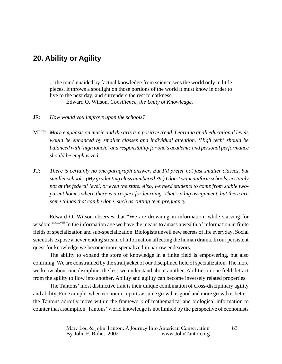# **20. Ability or Agility**

... the mind unaided by factual knowledge from science sees the world only in little pieces. It throws a spotlight on those portions of the world it must know in order to live to the next day, and surrenders the rest to darkness.

Edward O. Wilson, *Consilience, the Unity of Knowledge*.

- JR: *How would you improve upon the schools?*
- MLT: *More emphasis on music and the arts is a positive trend. Learning at all educational levels would be enhanced by smaller classes and individual attention. 'High tech' should be balanced with 'high touch,' and responsibility for one's academic and personal performance should be emphasized.*
- JT: *There is certainly no one-paragraph answer. But I'd prefer not just smaller classes, but smaller schools. (My graduating class numbered 39.) I don't want uniform schools, certainly not at the federal level, or even the state. Also, we need students to come from stable twoparent homes where there is a respect for learning. That's a big assignment, but there are some things that can be done, such as cutting teen pregnancy.*

Edward O. Wilson observes that "We are drowning in information, while starving for wisdom."<sup>xxxviii</sup> In the information age we have the means to amass a wealth of information in finite fields of specialization and sub-specialization. Biologists unveil new secrets of life everyday. Social scientists expose a never ending stream of information affecting the human drama. In our persistent quest for knowledge we become more specialized in narrow endeavors.

The ability to expand the store of knowledge in a finite field is empowering, but also confining. We are constrained by the straitjacket of our disciplined field of specialization. The more we know about one discipline, the less we understand about another. Abilities in one field detract from the agility to flow into another. Ability and agility can become inversely related properties.

The Tantons' most distinctive trait is their unique combination of cross-disciplinary agility and ability. For example, when economic reports assume growth is good and more growth is better, the Tantons adroitly move within the framework of mathematical and biological information to counter that assumption. Tantons' world knowledge is not limited by the perspective of economists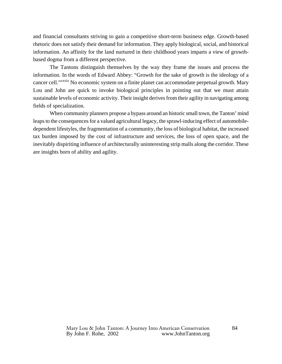and financial consultants striving to gain a competitive short-term business edge. Growth-based rhetoric does not satisfy their demand for information. They apply biological, social, and historical information. An affinity for the land nurtured in their childhood years imparts a view of growthbased dogma from a different perspective.

The Tantons distinguish themselves by the way they frame the issues and process the information. In the words of Edward Abbey: "Growth for the sake of growth is the ideology of a cancer cell."<sup>xxxix</sup> No economic system on a finite planet can accommodate perpetual growth. Mary Lou and John are quick to invoke biological principles in pointing out that we must attain sustainable levels of economic activity. Their insight derives from their agility in navigating among fields of specialization.

When community planners propose a bypass around an historic small town, the Tanton' mind leaps to the consequences for a valued agricultural legacy, the sprawl-inducing effect of automobiledependent lifestyles, the fragmentation of a community, the loss of biological habitat, the increased tax burden imposed by the cost of infrastructure and services, the loss of open space, and the inevitably dispiriting influence of architecturally uninteresting strip malls along the corridor. These are insights born of ability and agility.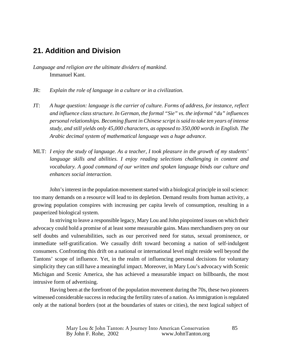# **21. Addition and Division**

*Language and religion are the ultimate dividers of mankind.*  Immanuel Kant.

- JR: *Explain the role of language in a culture or in a civilization.*
- JT: *A huge question: language is the carrier of culture. Forms of address, for instance, reflect and influence class structure. In German, the formal "Sie" vs. the informal "du" influences personal relationships. Becoming fluent in Chinese script is said to take ten years of intense study, and still yields only 45,000 characters, as opposed to 350,000 words in English. The Arabic decimal system of mathematical language was a huge advance.*
- MLT: *I enjoy the study of language. As a teacher, I took pleasure in the growth of my students'*  language skills and abilities. I enjoy reading selections challenging in content and *vocabulary. A good command of our written and spoken language binds our culture and enhances social interaction.*

John's interest in the population movement started with a biological principle in soil science: too many demands on a resource will lead to its depletion. Demand results from human activity, a growing population conspires with increasing per capita levels of consumption, resulting in a pauperized biological system.

In striving to leave a responsible legacy, Mary Lou and John pinpointed issues on which their advocacy could hold a promise of at least some measurable gains. Mass merchandisers prey on our self doubts and vulnerabilities, such as our perceived need for status, sexual prominence, or immediate self-gratification. We casually drift toward becoming a nation of self-indulgent consumers. Confronting this drift on a national or international level might reside well beyond the Tantons' scope of influence. Yet, in the realm of influencing personal decisions for voluntary simplicity they can still have a meaningful impact. Moreover, in Mary Lou's advocacy with Scenic Michigan and Scenic America, she has achieved a measurable impact on billboards, the most intrusive form of advertising.

Having been at the forefront of the population movement during the 70s, these two pioneers witnessed considerable success in reducing the fertility rates of a nation. As immigration is regulated only at the national borders (not at the boundaries of states or cities), the next logical subject of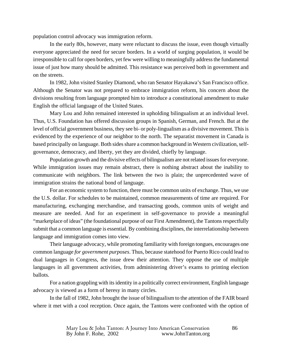population control advocacy was immigration reform.

In the early 80s, however, many were reluctant to discuss the issue, even though virtually everyone appreciated the need for secure borders. In a world of surging population, it would be irresponsible to call for open borders, yet few were willing to meaningfully address the fundamental issue of just how many should be admitted. This resistance was perceived both in government and on the streets.

In 1982, John visited Stanley Diamond, who ran Senator Hayakawa's San Francisco office. Although the Senator was not prepared to embrace immigration reform, his concern about the divisions resulting from language prompted him to introduce a constitutional amendment to make English the official language of the United States.

Mary Lou and John remained interested in upholding bilingualism at an individual level. Thus, U.S. Foundation has offered discussion groups in Spanish, German, and French. But at the level of official government business, they see bi- or poly-lingualism as a divisive movement. This is evidenced by the experience of our neighbor to the north. The separatist movement in Canada is based principally on language. Both sides share a common background in Western civilization, selfgovernance, democracy, and liberty, yet they are divided, chiefly by language.

Population growth and the divisive effects of bilingualism are not related issues for everyone. While immigration issues may remain abstract, there is nothing abstract about the inability to communicate with neighbors. The link between the two is plain; the unprecedented wave of immigration strains the national bond of language.

For an economic system to function, there must be common units of exchange. Thus, we use the U.S. dollar. For schedules to be maintained, common measurements of time are required. For manufacturing, exchanging merchandise, and transacting goods, common units of weight and measure are needed. And for an experiment in self-governance to provide a meaningful "marketplace of ideas" (the foundational purpose of our First Amendment), the Tantons respectfully submit that a common language is essential. By combining disciplines, the interrelationship between language and immigration comes into view.

Their language advocacy, while promoting familiarity with foreign tongues, encourages one common language *for government purposes*. Thus, because statehood for Puerto Rico could lead to dual languages in Congress, the issue drew their attention. They oppose the use of multiple languages in all government activities, from administering driver's exams to printing election ballots.

For a nation grappling with its identity in a politically correct environment, English language advocacy is viewed as a form of heresy in many circles.

In the fall of 1982, John brought the issue of bilingualism to the attention of the FAIR board where it met with a cool reception. Once again, the Tantons were confronted with the option of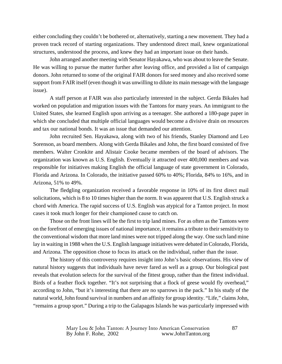either concluding they couldn't be bothered or, alternatively, starting a new movement. They had a proven track record of starting organizations. They understood direct mail, knew organizational structures, understood the process, and knew they had an important issue on their hands.

John arranged another meeting with Senator Hayakawa, who was about to leave the Senate. He was willing to pursue the matter further after leaving office, and provided a list of campaign donors. John returned to some of the original FAIR donors for seed money and also received some support from FAIR itself (even though it was unwilling to dilute its main message with the language issue).

A staff person at FAIR was also particularly interested in the subject. Gerda Bikales had worked on population and migration issues with the Tantons for many years. An immigrant to the United States, she learned English upon arriving as a teenager. She authored a 180-page paper in which she concluded that multiple official languages would become a divisive drain on resources and tax our national bonds. It was an issue that demanded our attention.

John recruited Sen. Hayakawa, along with two of his friends, Stanley Diamond and Leo Sorenson, as board members. Along with Gerda Bikales and John, the first board consisted of five members. Walter Cronkite and Alistair Cooke became members of the board of advisors. The organization was known as U.S. English. Eventually it attracted over 400,000 members and was responsible for initiatives making English the official language of state government in Colorado, Florida and Arizona. In Colorado, the initiative passed 60% to 40%; Florida, 84% to 16%, and in Arizona, 51% to 49%.

The fledgling organization received a favorable response in 10% of its first direct mail solicitations, which is 8 to 10 times higher than the norm. It was apparent that U.S. English struck a chord with America. The rapid success of U.S. English was atypical for a Tanton project. In most cases it took much longer for their championed cause to catch on.

Those on the front lines will be the first to trip land mines. For as often as the Tantons were on the forefront of emerging issues of national importance, it remains a tribute to their sensitivity to the conventional wisdom that more land mines were not tripped along the way. One such land mine lay in waiting in 1988 when the U.S. English language initiatives were debated in Colorado, Florida, and Arizona. The opposition chose to focus its attack on the individual, rather than the issue.

The history of this controversy requires insight into John's basic observations. His view of natural history suggests that individuals have never fared as well as a group. Our biological past reveals that evolution selects for the survival of the fittest group, rather than the fittest individual. Birds of a feather flock together. "It's not surprising that a flock of geese would fly overhead," according to John, "but it's interesting that there are no sparrows in the pack." In his study of the natural world, John found survival in numbers and an affinity for group identity. "Life," claims John, "remains a group sport." During a trip to the Galapagos Islands he was particularly impressed with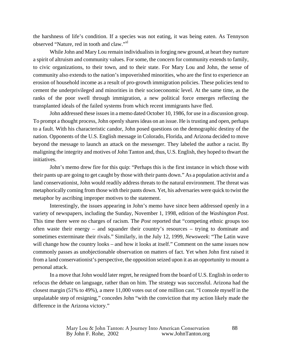the harshness of life's condition. If a species was not eating, it was being eaten. As Tennyson observed "Nature, red in tooth and claw."<sup>xl</sup>

While John and Mary Lou remain individualists in forging new ground, at heart they nurture a spirit of altruism and community values. For some, the concern for community extends to family, to civic organizations, to their town, and to their state. For Mary Lou and John, the sense of community also extends to the nation's impoverished minorities, who are the first to experience an erosion of household income as a result of pro-growth immigration policies. These policies tend to cement the underprivileged and minorities in their socioeconomic level. At the same time, as the ranks of the poor swell through immigration, a new political force emerges reflecting the transplanted ideals of the failed systems from which recent immigrants have fled.

John addressed these issues in a memo dated October 10, 1986, for use in a discussion group. To prompt a thought process, John openly shares ideas on an issue. He is trusting and open, perhaps to a fault. With his characteristic candor, John posed questions on the demographic destiny of the nation. Opponents of the U.S. English message in Colorado, Florida, and Arizona decided to move beyond the message to launch an attack on the messenger. They labeled the author a racist. By maligning the integrity and motives of John Tanton and, thus, U.S. English, they hoped to thwart the initiatives.

John's memo drew fire for this quip: "Perhaps this is the first instance in which those with their pants up are going to get caught by those with their pants down." As a population activist and a land conservationist, John would readily address threats to the natural environment. The threat was metaphorically coming from those with their pants down. Yet, his adversaries were quick to twist the metaphor by ascribing improper motives to the statement.

Interestingly, the issues appearing in John's memo have since been addressed openly in a variety of newspapers, including the Sunday, November 1, 1998, edition of the *Washington Post*. This time there were no charges of racism. The *Post* reported that "competing ethnic groups too often waste their energy – and squander their country's resources – trying to dominate and sometimes exterminate their rivals." Similarly, in the July 12, 1999, *Newsweek*: "The Latin wave will change how the country looks – and how it looks at itself." Comment on the same issues now commonly passes as unobjectionable observation on matters of fact. Yet when John first raised it from a land conservationist's perspective, the opposition seized upon it as an opportunity to mount a personal attack.

In a move that John would later regret, he resigned from the board of U.S. English in order to refocus the debate on language, rather than on him. The strategy was successful. Arizona had the closest margin (51% to 49%), a mere 11,000 votes out of one million cast. "I console myself in the unpalatable step of resigning," concedes John "with the conviction that my action likely made the difference in the Arizona victory."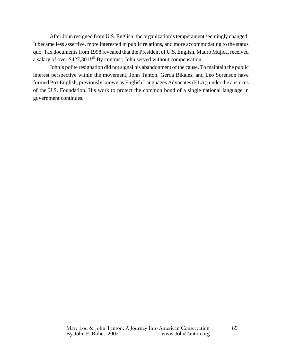After John resigned from U.S. English, the organization's temperament seemingly changed. It became less assertive, more interested in public relations, and more accommodating to the status quo. Tax documents from 1998 revealed that the President of U.S. English, Mauro Mujica, received a salary of over  $$427,301$ !<sup>xli</sup> By contrast, John served without compensation.

John's polite resignation did not signal his abandonment of the cause. To maintain the public interest perspective within the movement, John Tanton, Gerda Bikales, and Leo Sorenson have formed Pro-English, previously known as English Languages Advocates (ELA), under the auspices of the U.S. Foundation. His work to protect the common bond of a single national language in government continues.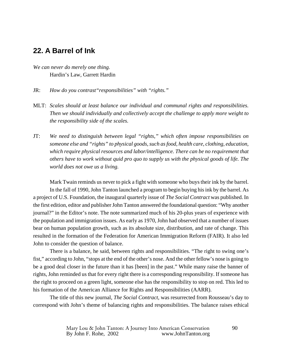#### **22. A Barrel of Ink**

*We can never do merely one thing.*  Hardin's Law, Garrett Hardin

JR: *How do you contrast"responsibilities" with "rights."*

- MLT: *Scales should at least balance our individual and communal rights and responsibilities. Then we should individually and collectively accept the challenge to apply more weight to the responsibility side of the scales.*
- JT: *We need to distinguish between legal "rights," which often impose responsibilities on someone else and "rights" to physical goods, such as food, health care, clothing, education, which require physical resources and labor/intelligence. There can be no requirement that others have to work without quid pro quo to supply us with the physical goods of life. The world does not owe us a living.*

Mark Twain reminds us never to pick a fight with someone who buys their ink by the barrel. In the fall of 1990, John Tanton launched a program to begin buying his ink by the barrel. As a project of U.S. Foundation, the inaugural quarterly issue of *The Social Contract* was published. In the first edition, editor and publisher John Tanton answered the foundational question: "Why another journal?" in the Editor's note. The note summarized much of his 20-plus years of experience with the population and immigration issues. As early as 1970, John had observed that a number of issues bear on human population growth, such as its absolute size, distribution, and rate of change. This resulted in the formation of the Federation for American Immigration Reform (FAIR). It also led John to consider the question of balance.

There is a balance, he said, between rights and responsibilities. "The right to swing one's fist," according to John, "stops at the end of the other's nose. And the other fellow's nose is going to be a good deal closer in the future than it has [been] in the past." While many raise the banner of rights, John reminded us that for every right there is a corresponding responsibility. If someone has the right to proceed on a green light, someone else has the responsibility to stop on red. This led to his formation of the American Alliance for Rights and Responsibilities (AARR).

The title of this new journal, *The Social Contract*, was resurrected from Rousseau's day to correspond with John's theme of balancing rights and responsibilities. The balance raises ethical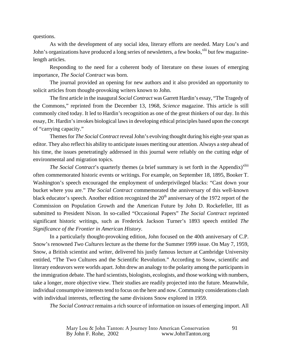questions.

As with the development of any social idea, literary efforts are needed. Mary Lou's and John's organizations have produced a long series of newsletters, a few books,<sup>xlii</sup> but few magazinelength articles.

Responding to the need for a coherent body of literature on these issues of emerging importance, *The Social Contract* was born.

The journal provided an opening for new authors and it also provided an opportunity to solicit articles from thought-provoking writers known to John.

The first article in the inaugural *Social Contract* was Garrett Hardin's essay, "The Tragedy of the Commons," reprinted from the December 13, 1968, *Science* magazine. This article is still commonly cited today. It led to Hardin's recognition as one of the great thinkers of our day. In this essay, Dr. Hardin's invokes biological laws in developing ethical principles based upon the concept of "carrying capacity."

Themes for *The Social Contract* reveal John's evolving thought during his eight-year span as editor. They also reflect his ability to anticipate issues meriting our attention. Always a step ahead of his time, the issues penetratingly addressed in this journal were reliably on the cutting edge of environmental and migration topics.

*The Social Contract's* quarterly themes (a brief summary is set forth in the Appendix)<sup>xliii</sup> often commemorated historic events or writings. For example, on September 18, 1895, Booker T. Washington's speech encouraged the employment of underprivileged blacks: "Cast down your bucket where you are." *The Social Contract* commemorated the anniversary of this well-known black educator's speech. Another edition recognized the  $20<sup>th</sup>$  anniversary of the 1972 report of the Commission on Population Growth and the American Future by John D. Rockefeller, III as submitted to President Nixon. In so-called "Occasional Papers" *The Social Contract* reprinted significant historic writings, such as Frederick Jackson Turner's 1893 speech entitled *The Significance of the Frontier in American History*.

In a particularly thought-provoking edition, John focused on the 40th anniversary of C.P. Snow's renowned *Two Cultures* lecture as the theme for the Summer 1999 issue. On May 7, 1959, Snow, a British scientist and writer, delivered his justly famous lecture at Cambridge University entitled, "The Two Cultures and the Scientific Revolution." According to Snow, scientific and literary endeavors were worlds apart. John drew an analogy to the polarity among the participants in the immigration debate. The hard scientists, biologists, ecologists, and those working with numbers, take a longer, more objective view. Their studies are readily projected into the future. Meanwhile, individual consumptive interests tend to focus on the here and now. Community considerations clash with individual interests, reflecting the same divisions Snow explored in 1959.

*The Social Contract* remains a rich source of information on issues of emerging import. All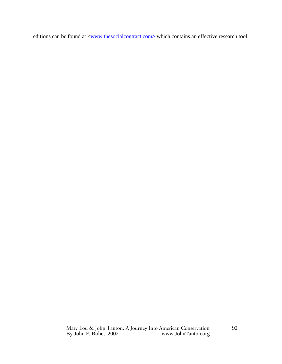editions can be found at  $\langle$ www.thesocialcontract.com which contains an effective research tool.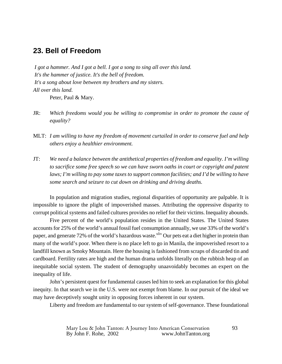#### **23. Bell of Freedom**

 *I got a hammer. And I got a bell. I got a song to sing all over this land. It's the hammer of justice. It's the bell of freedom. It's a song about love between my brothers and my sisters. All over this land.*

Peter, Paul & Mary.

- JR: *Which freedoms would you be willing to compromise in order to promote the cause of equality?*
- MLT: *I am willing to have my freedom of movement curtailed in order to conserve fuel and help others enjoy a healthier environment.*
- JT: *We need a balance between the antithetical properties of freedom and equality. I'm willing*  to sacrifice some free speech so we can have sworn oaths in court or copyright and patent *laws; I'm willing to pay some taxes to support common facilities; and I'd be willing to have some search and seizure to cut down on drinking and driving deaths.*

In population and migration studies, regional disparities of opportunity are palpable. It is impossible to ignore the plight of impoverished masses. Attributing the oppressive disparity to corrupt political systems and failed cultures provides no relief for their victims. Inequality abounds.

Five percent of the world's population resides in the United States. The United States accounts for 25% of the world's annual fossil fuel consumption annually, we use 33% of the world's paper, and generate 72% of the world's hazardous waste.<sup>xliv</sup> Our pets eat a diet higher in protein than many of the world's poor. When there is no place left to go in Manila, the impoverished resort to a landfill known as Smoky Mountain. Here the housing is fashioned from scraps of discarded tin and cardboard. Fertility rates are high and the human drama unfolds literally on the rubbish heap of an inequitable social system. The student of demography unaavoidably becomes an expert on the inequality of life.

John's persistent quest for fundamental causes led him to seek an explanation for this global inequity. In that search we in the U.S. were not exempt from blame. In our pursuit of the ideal we may have deceptively sought unity in opposing forces inherent in our system.

Liberty and freedom are fundamental to our system of self-governance. These foundational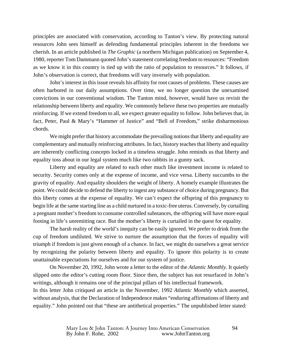principles are associated with conservation, according to Tanton's view. By protecting natural resources John sees himself as defending fundamental principles inherent in the freedoms we cherish. In an article published in *The Graphic* (a northern Michigan publication) on September 4, 1980, reporter Tom Dammann quoted John's statement correlating freedom to resources: "Freedom as we know it in this country is tied up with the ratio of population to resources." It follows, if John's observation is correct, that freedoms will vary inversely with population.

John's interest in this issue reveals his affinity for root causes of problems. These causes are often harbored in our daily assumptions. Over time, we no longer question the unexamined convictions in our conventional wisdom. The Tanton mind, however, would have us revisit the relationship between liberty and equality. We commonly believe these two properties are mutually reinforcing. If we extend freedom to all, we expect greater equality to follow. John believes that, in fact, Peter, Paul & Mary's "Hammer of Justice" and "Bell of Freedom," strike disharmonious chords.

We might prefer that history accommodate the prevailing notions that liberty and equality are complementary and mutually reinforcing attributes. In fact, history teaches that liberty and equality are inherently conflicting concepts locked in a timeless struggle. John reminds us that liberty and equality toss about in our legal system much like two rabbits in a gunny sack.

Liberty and equality are related to each other much like investment income is related to security. Security comes only at the expense of income, and vice versa. Liberty succumbs to the gravity of equality. And equality shoulders the weight of liberty. A homely example illustrates the point. We could decide to defend the liberty to ingest any substance of choice during pregnancy. But this liberty comes at the expense of equality. We can't expect the offspring of this pregnancy to begin life at the same starting line as a child nurtured in a toxic-free uterus. Conversely, by curtailing a pregnant mother's freedom to consume controlled substances, the offspring will have more equal footing in life's unremitting race. But the mother's liberty is curtailed in the quest for equality.

The harsh reality of the world's inequity can be easily ignored. We prefer to drink from the cup of freedom undiluted. We strive to nurture the assumption that the forces of equality will triumph if freedom is just given enough of a chance. In fact, we might do ourselves a great service by recognizing the polarity between liberty and equality. To ignore this polarity is to create unattainable expectations for ourselves and for our system of justice.

On November 20, 1992, John wrote a letter to the editor of the *Atlantic Monthly*. It quietly slipped onto the editor's cutting room floor. Since then, the subject has not resurfaced in John's writings, although it remains one of the principal pillars of his intellectual framework.

In this letter John critiqued an article in the November, 1992 *Atlantic Monthly* which asserted, without analysis, that the Declaration of Independence makes "enduring affirmations of liberty and equality." John pointed out that "these are antithetical properties." The unpublished letter stated: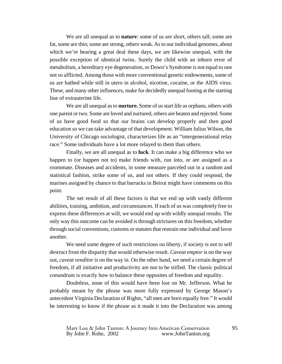We are all unequal as to **nature**: some of us are short, others tall; some are fat, some are thin; some are strong, others weak. As to our individual genomes, about which we're hearing a great deal these days, we are likewise unequal, with the possible exception of identical twins. Surely the child with an inborn error of metabolism, a hereditary eye degeneration, or Down's Syndrome is not equal to one not so afflicted. Among those with more conventional genetic endowments, some of us are bathed while still in utero in alcohol, nicotine, cocaine, or the AIDS virus. These, and many other influences, make for decidedly unequal footing at the starting line of extrauterine life.

We are all unequal as to **nurture.** Some of us start life as orphans, others with one parent or two. Some are loved and nurtured, others are beaten and rejected. Some of us have good food so that our brains can develop properly and then good education so we can take advantage of that development. William Julius Wilson, the University of Chicago sociologist, characterizes life as an "intergenerational relay race." Some individuals have a lot more relayed to them than others.

Finally, we are all unequal as to **luck**. It can make a big difference who we happen to (or happen not to) make friends with, run into, or are assigned as a roommate. Diseases and accidents, in some measure parceled out in a random and statistical fashion, strike some of us, and not others. If they could respond, the marines assigned by chance to that barracks in Beirut might have comments on this point.

The net result of all these factors is that we end up with vastly different abilities, training, ambition, and circumstances. If each of us was completely free to express these differences at will, we would end up with wildly unequal results. The only way this outcome can be avoided is through strictures on this freedom, whether through social conventions, customs or statutes that restrain one individual and favor another.

We need some degree of such restrictions on liberty, if society is not to self destruct from the disparity that would otherwise result. *Caveat emptor* is on the way out, *caveat venditor* is on the way in. On the other hand, we need a certain degree of freedom, if all initiative and productivity are not to be stifled. The classic political conundrum is exactly how to balance these opposites of freedom and equality.

Doubtless, none of this would have been lost on Mr. Jefferson. What he probably meant by the phrase was more fully expressed by George Mason's antecedent Virginia Declaration of Rights, "all men are born equally free." It would be interesting to know if the phrase as it made it into the Declaration was among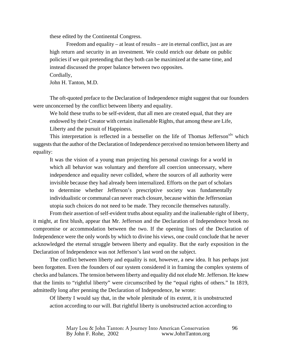these edited by the Continental Congress.

Freedom and equality – at least of results – are in eternal conflict, just as are high return and security in an investment. We could enrich our debate on public policies if we quit pretending that they both can be maximized at the same time, and instead discussed the proper balance between two opposites.

Cordially,

John H. Tanton, M.D.

The oft-quoted preface to the Declaration of Independence might suggest that our founders were unconcerned by the conflict between liberty and equality.

We hold these truths to be self-evident, that all men are created equal, that they are endowed by their Creator with certain inalienable Rights, that among these are Life, Liberty and the pursuit of Happiness.

This interpretation is reflected in a bestseller on the life of Thomas Jefferson<sup>xlv</sup> which suggests that the author of the Declaration of Independence perceived no tension between liberty and equality:

It was the vision of a young man projecting his personal cravings for a world in which all behavior was voluntary and therefore all coercion unnecessary, where independence and equality never collided, where the sources of all authority were invisible because they had already been internalized. Efforts on the part of scholars to determine whether Jefferson's prescriptive society was fundamentally individualistic or communal can never reach closure, because within the Jeffersonian utopia such choices do not need to be made. They reconcile themselves naturally.

From their assertion of self-evident truths about equality and the inalienable right of liberty, it might, at first blush, appear that Mr. Jefferson and the Declaration of Independence brook no compromise or accommodation between the two. If the opening lines of the Declaration of Independence were the only words by which to divine his views, one could conclude that he never acknowledged the eternal struggle between liberty and equality. But the early exposition in the Declaration of Independence was not Jefferson's last word on the subject.

The conflict between liberty and equality is not, however, a new idea. It has perhaps just been forgotten. Even the founders of our system considered it in framing the complex systems of checks and balances. The tension between liberty and equality did not elude Mr. Jefferson. He knew that the limits to "rightful liberty" were circumscribed by the "equal rights of others." In 1819, admittedly long after penning the Declaration of Independence, he wrote:

Of liberty I would say that, in the whole plenitude of its extent, it is unobstructed action according to our will. But rightful liberty is unobstructed action according to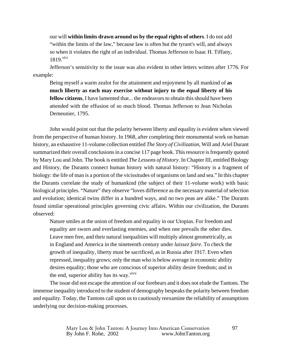our will **within limits drawn around us by the equal rights of others**. I do not add "within the limits of the law," because law is often but the tyrant's will, and always so when it violates the right of an individual. Thomas Jefferson to Isaac H. Tiffany,  $1819.$ <sup>xlvi</sup>

Jefferson's sensitivity to the issue was also evident in other letters written after 1776. For example:

Being myself a warm zealot for the attainment and enjoyment by all mankind of **as much liberty as each may exercise without injury to the equal liberty of his fellow citizens**, I have lamented that... the endeavors to obtain this should have been attended with the effusion of so much blood. Thomas Jefferson to Jean Nicholas Demeunier, 1795.

John would point out that the polarity between liberty and equality is evident when viewed from the perspective of human history. In 1968, after completing their monumental work on human history, an exhaustive 11-volume collection entitled *The Story of Civilization*, Will and Ariel Durant summarized their overall conclusions in a concise 117 page book. This resource is frequently quoted by Mary Lou and John. The book is entitled *The Lessons of History*. In Chapter III, entitled Biology and History, the Durants connect human history with natural history: "History is a fragment of biology: the life of man is a portion of the vicissitudes of organisms on land and sea." In this chapter the Durants correlate the study of humankind (the subject of their 11-volume work) with basic biological principles. "Nature" they observe "loves difference as the necessary material of selection and evolution; identical twins differ in a hundred ways, and no two peas are alike." The Durants found similar operational principles governing civic affairs. Within our civilization, the Durants observed:

Nature smiles at the union of freedom and equality in our Utopias. For freedom and equality are sworn and everlasting enemies, and when one prevails the other dies. Leave men free, and their natural inequalities will multiply almost geometrically, as in England and America in the nineteenth century under *laissez faire*. To check the growth of inequality, liberty must be sacrificed, as in Russia after 1917. Even when repressed, inequality grows; only the man who is below average in economic ability desires equality; those who are conscious of superior ability desire freedom; and in the end, superior ability has its way.<sup>xlvii</sup>

The issue did not escape the attention of our forebears and it does not elude the Tantons. The immense inequality introduced to the student of demography bespeaks the polarity between freedom and equality. Today, the Tantons call upon us to cautiously reexamine the reliability of assumptions underlying our decision-making processes.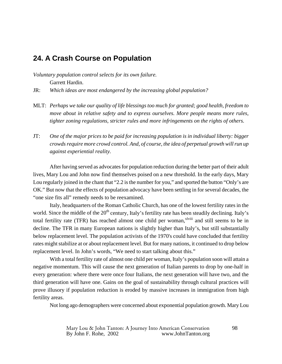## **24. A Crash Course on Population**

*Voluntary population control selects for its own failure.* 

Garrett Hardin.

- JR: *Which ideas are most endangered by the increasing global population?*
- MLT: *Perhaps we take our quality of life blessings too much for granted; good health, freedom to move about in relative safety and to express ourselves. More people means more rules, tighter zoning regulations, stricter rules and more infringements on the rights of others.*
- JT: *One of the major prices to be paid for increasing population is in individual liberty: bigger crowds require more crowd control. And, of course, the idea of perpetual growth will run up against experiential reality.*

After having served as advocates for population reduction during the better part of their adult lives, Mary Lou and John now find themselves poised on a new threshold. In the early days, Mary Lou regularly joined in the chant that "2.2 is the number for you," and sported the button "Only's are OK." But now that the effects of population advocacy have been settling in for several decades, the "one size fits all" remedy needs to be reexamined.

Italy, headquarters of the Roman Catholic Church, has one of the lowest fertility rates in the world. Since the middle of the  $20<sup>th</sup>$  century, Italy's fertility rate has been steadily declining. Italy's total fertility rate (TFR) has reached almost one child per woman,<sup>xlviii</sup> and still seems to be in decline. The TFR in many European nations is slightly higher than Italy's, but still substantially below replacement level. The population activists of the 1970's could have concluded that fertility rates might stabilize at or about replacement level. But for many nations, it continued to drop below replacement level. In John's words, "We need to start talking about this."

With a total fertility rate of almost one child per woman, Italy's population soon will attain a negative momentum. This will cause the next generation of Italian parents to drop by one-half in every generation: where there were once four Italians, the next generation will have two, and the third generation will have one. Gains on the goal of sustainability through cultural practices will prove illusory if population reduction is eroded by massive increases in immigration from high fertility areas.

Not long ago demographers were concerned about exponential population growth. Mary Lou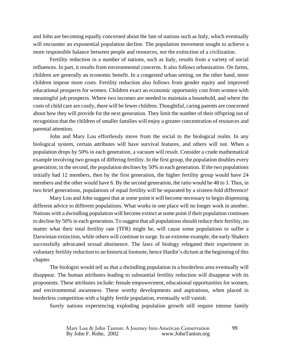and John are becoming equally concerned about the fate of nations such as Italy, which eventually will encounter an exponential population decline. The population movement sought to achieve a more responsible balance between people and resources, not the extinction of a civilization.

Fertility reduction in a number of nations, such as Italy, results from a variety of social influences. In part, it results from environmental concerns. It also follows urbanization. On farms, children are generally an economic benefit. In a congested urban setting, on the other hand, more children impose more costs. Fertility reduction also follows from gender equity and improved educational prospects for women. Children exact an economic opportunity cost from women with meaningful job prospects. Where two incomes are needed to maintain a household, and where the costs of child care are costly, there will be fewer children. Thoughtful, caring parents are concerned about how they will provide for the next generation. They limit the number of their offspring out of recognition that the children of smaller families will enjoy a greater concentration of resources and parental attention.

John and Mary Lou effortlessly move from the social to the biological realm. In any biological system, certain attributes will have survival features, and others will not. When a population drops by 50% in each generation, a vacuum will result. Consider a crude mathematical example involving two groups of differing fertility. In the first group, the population doubles every generation; in the second, the population declines by 50% in each generation. If the two populations initially had 12 members, then by the first generation, the higher fertility group would have 24 members and the other would have 6. By the second generation, the ratio would be 48 to 3. Thus, in two brief generations, populations of equal fertility will be separated by a sixteen-fold difference!

Mary Lou and John suggest that at some point it will become necessary to begin dispensing different advice to different populations. What works in one place will no longer work in another. Nations with a dwindling population will become extinct at some point if their population continues to decline by 50% in each generation. To suggest that all populations should reduce their fertility, no matter what their total fertility rate (TFR) might be, will cause some populations to suffer a Darwinian extinction, while others will continue to surge. In an extreme example, the early Shakers successfully advocated sexual abstinence. The laws of biology relegated their experiment in voluntary fertility reduction to an historical footnote, hence Hardin's dictum at the beginning of this chapter.

The biologist would tell us that a dwindling population in a borderless area eventually will disappear. The human attributes leading to substantial fertility reduction will disappear with its proponents. These attributes include: female empowerment, educational opportunities for women, and environmental awareness. These worthy developments and aspirations, when placed in borderless competition with a highly fertile population, eventually will vanish.

Surely nations experiencing exploding population growth still require intense family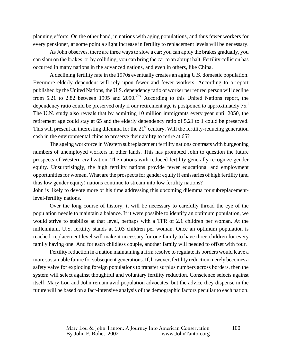planning efforts. On the other hand, in nations with aging populations, and thus fewer workers for every pensioner, at some point a slight increase in fertility to replacement levels will be necessary.

As John observes, there are three ways to slow a car: you can apply the brakes gradually, you can slam on the brakes, or by colliding, you can bring the car to an abrupt halt. Fertility collision has occurred in many nations in the advanced nations, and even in others, like China.

A declining fertility rate in the 1970s eventually creates an aging U.S. domestic population. Evermore elderly dependent will rely upon fewer and fewer workers. According to a report published by the United Nations, the U.S. dependency ratio of worker per retired person will decline from 5.21 to 2.82 between 1995 and 2050.<sup>xlix</sup> According to this United Nations report, the dependency ratio could be preserved only if our retirement age is postponed to approximately  $75<sup>1</sup>$ The U.N. study also reveals that by admitting 10 million immigrants every year until 2050, the retirement age could stay at 65 and the elderly dependency ratio of 5.21 to 1 could be preserved. This will present an interesting dilemma for the  $21<sup>st</sup>$  century. Will the fertility-reducing generation cash in the environmental chips to preserve their ability to retire at 65?

The ageing workforce in Western subreplacement fertility nations contrasts with burgeoning numbers of unemployed workers in other lands. This has prompted John to question the future prospects of Western civilization. The nations with reduced fertility generally recognize gender equity. Unsurprisingly, the high fertility nations provide fewer educational and employment opportunities for women. What are the prospects for gender equity if emissaries of high fertility (and thus low gender equity) nations continue to stream into low fertility nations?

John is likely to devote more of his time addressing this upcoming dilemma for subreplacementlevel-fertility nations.

Over the long course of history, it will be necessary to carefully thread the eye of the population needle to maintain a balance. If it were possible to identify an optimum population, we would strive to stabilize at that level, perhaps with a TFR of 2.1 children per woman. At the millennium, U.S. fertility stands at 2.03 children per woman. Once an optimum population is reached, replacement level will make it necessary for one family to have three children for every family having one. And for each childless couple, another family will needed to offset with four.

 Fertility reduction in a nation maintaining a firm resolve to regulate its borders would leave a more sustainable future for subsequent generations. If, however, fertility reduction merely becomes a safety valve for exploding foreign populations to transfer surplus numbers across borders, then the system will select against thoughtful and voluntary fertility reduction. Conscience selects against itself. Mary Lou and John remain avid population advocates, but the advice they dispense in the future will be based on a fact-intensive analysis of the demographic factors peculiar to each nation.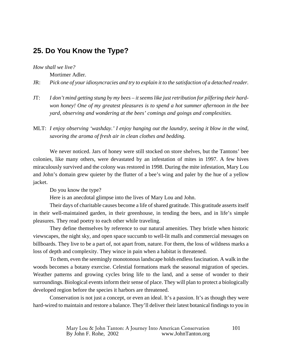## **25. Do You Know the Type?**

*How shall we live?* 

Mortimer Adler.

- JR: *Pick one of your idiosyncracies and try to explain it to the satisfaction of a detached reader.*
- JT: *I don't mind getting stung by my bees it seems like just retribution for pilfering their hardwon honey! One of my greatest pleasures is to spend a hot summer afternoon in the bee yard, observing and wondering at the bees' comings and goings and complexities.*
- MLT: *I enjoy observing 'washday.' I enjoy hanging out the laundry, seeing it blow in the wind, savoring the aroma of fresh air in clean clothes and bedding.*

We never noticed. Jars of honey were still stocked on store shelves, but the Tantons' bee colonies, like many others, were devastated by an infestation of mites in 1997. A few hives miraculously survived and the colony was restored in 1998. During the mite infestation, Mary Lou and John's domain grew quieter by the flutter of a bee's wing and paler by the hue of a yellow jacket.

Do you know the type?

Here is an anecdotal glimpse into the lives of Mary Lou and John.

Their days of charitable causes become a life of shared gratitude. This gratitude asserts itself in their well-maintained garden, in their greenhouse, in tending the bees, and in life's simple pleasures. They read poetry to each other while traveling.

They define themselves by reference to our natural amenities. They bristle when historic viewscapes, the night sky, and open space succumb to well-lit malls and commercial messages on billboards. They live to be a part of, not apart from, nature. For them, the loss of wildness marks a loss of depth and complexity. They wince in pain when a habitat is threatened.

To them, even the seemingly monotonous landscape holds endless fascination. A walk in the woods becomes a botany exercise. Celestial formations mark the seasonal migration of species. Weather patterns and growing cycles bring life to the land, and a sense of wonder to their surroundings. Biological events inform their sense of place. They will plan to protect a biologically developed region before the species it harbors are threatened.

Conservation is not just a concept, or even an ideal. It's a passion. It's as though they were hard-wired to maintain and restore a balance. They'll deliver their latest botanical findings to you in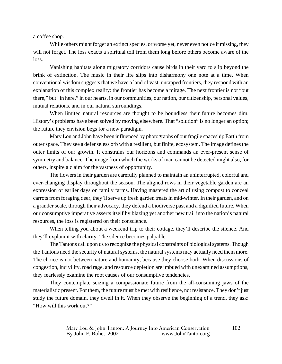a coffee shop.

While others might forget an extinct species, or worse yet, never even notice it missing, they will not forget. The loss exacts a spiritual toll from them long before others become aware of the loss.

Vanishing habitats along migratory corridors cause birds in their yard to slip beyond the brink of extinction. The music in their life slips into disharmony one note at a time. When conventional wisdom suggests that we have a land of vast, untapped frontiers, they respond with an explanation of this complex reality: the frontier has become a mirage. The next frontier is not "out there," but "in here," in our hearts, in our communities, our nation, our citizenship, personal values, mutual relations, and in our natural surroundings.

 When limited natural resources are thought to be boundless their future becomes dim. History's problems have been solved by moving elsewhere. That "solution" is no longer an option; the future they envision begs for a new paradigm.

Mary Lou and John have been influenced by photographs of our fragile spaceship Earth from outer space. They see a defenseless orb with a resilient, but finite, ecosystem. The image defines the outer limits of our growth. It constrains our horizons and commands an ever-present sense of symmetry and balance. The image from which the works of man cannot be detected might also, for others, inspire a claim for the vastness of opportunity.

The flowers in their garden are carefully planned to maintain an uninterrupted, colorful and ever-changing display throughout the season. The aligned rows in their vegetable garden are an expression of earlier days on family farms. Having mastered the art of using compost to conceal carrots from foraging deer, they'll serve up fresh garden treats in mid-winter. In their garden, and on a grander scale, through their advocacy, they defend a biodiverse past and a dignified future. When our consumptive imperative asserts itself by blazing yet another new trail into the nation's natural resources, the loss is registered on their conscience.

When telling you about a weekend trip to their cottage, they'll describe the silence. And they'll explain it with clarity. The silence becomes palpable.

The Tantons call upon us to recognize the physical constraints of biological systems. Though the Tantons need the security of natural systems, the natural systems may actually need them more. The choice is not between nature and humanity, because they choose both. When discussions of congestion, incivility, road rage, and resource depletion are imbued with unexamined assumptions, they fearlessly examine the root causes of our consumptive tendencies.

They contemplate seizing a compassionate future from the all-consuming jaws of the materialistic present. For them, the future must be met with resilience, not resistance. They don't just study the future domain, they dwell in it. When they observe the beginning of a trend, they ask: "How will this work out?"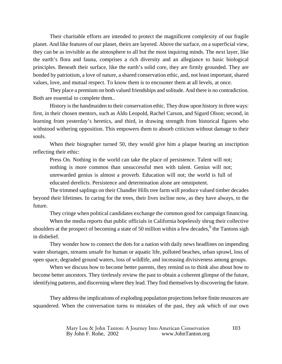Their charitable efforts are intended to protect the magnificent complexity of our fragile planet. And like features of our planet, theirs are layered. Above the surface, on a superficial view, they can be as invisible as the atmosphere to all but the most inquiring minds. The next layer, like the earth's flora and fauna, comprises a rich diversity and an allegiance to basic biological principles. Beneath their surface, like the earth's solid core, they are firmly grounded. They are bonded by patriotism, a love of nature, a shared conservation ethic, and, not least important, shared values, love, and mutual respect. To know them is to encounter them at all levels, at once.

They place a premium on both valued friendships and solitude. And there is no contradiction. Both are essential to complete them..

History is the handmaiden to their conservation ethic. They draw upon history in three ways: first, in their chosen mentors, such as Aldo Leopold, Rachel Carson, and Sigurd Olson; second, in learning from yesterday's heretics, and third, in drawing strength from historical figures who withstood withering opposition. This empowers them to absorb criticism without damage to their souls.

When their biographer turned 50, they would give him a plaque bearing an inscription reflecting their ethic:

Press On. Nothing in the world can take the place of persistence. Talent will not; nothing is more common than unsuccessful men with talent. Genius will not; unrewarded genius is almost a proverb. Education will not; the world is full of educated derelicts. Persistence and determination alone are omnipotent.

The trimmed saplings on their Chandler Hills tree farm will produce valued timber decades beyond their lifetimes. In caring for the trees, their lives incline now, as they have always, to the future.

They cringe when political candidates exchange the common good for campaign financing.

When the media reports that public officials in California hopelessly shrug their collective shoulders at the prospect of becoming a state of 50 million within a few decades,<sup>li</sup> the Tantons sigh in disbelief.

They wonder how to connect the dots for a nation with daily news headlines on impending water shortages, streams unsafe for human or aquatic life, polluted beaches, urban sprawl, loss of open space, degraded ground waters, loss of wildlife, and increasing divisiveness among groups.

When we discuss how to become better parents, they remind us to think also about how to become better ancestors. They tirelessly review the past to obtain a coherent glimpse of the future, identifying patterns, and discerning where they lead. They find themselves by discovering the future.

They address the implications of exploding population projections before finite resources are squandered. When the conversation turns to mistakes of the past, they ask which of our own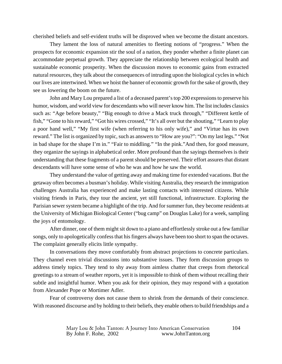cherished beliefs and self-evident truths will be disproved when we become the distant ancestors.

They lament the loss of natural amenities to fleeting notions of "progress." When the prospects for economic expansion stir the soul of a nation, they ponder whether a finite planet can accommodate perpetual growth. They appreciate the relationship between ecological health and sustainable economic prosperity. When the discussion moves to economic gains from extracted natural resources, they talk about the consequences of intruding upon the biological cycles in which our lives are intertwined. When we hoist the banner of economic growth for the sake of growth, they see us lowering the boom on the future.

John and Mary Lou prepared a list of a deceased parent's top 200 expressions to preserve his humor, wisdom, and world view for descendants who will never know him. The list includes classics such as: "Age before beauty," "Big enough to drive a Mack truck through," "Different kettle of fish," "Gone to his reward," "Got his wires crossed," "It's all over but the shouting," "Learn to play a poor hand well," "My first wife (when referring to his only wife)," and "Virtue has its own reward." The list is organized by topic, such as answers to "How are you?": "On my last legs." "Not in bad shape for the shape I'm in." "Fair to middling." "In the pink."And then, for good measure, they organize the sayings in alphabetical order. More profound than the sayings themselves is their understanding that these fragments of a parent should be preserved. Their effort assures that distant descendants will have some sense of who he was and how he saw the world.

They understand the value of getting away and making time for extended vacations. But the getaway often becomes a busman's holiday. While visiting Australia, they research the immigration challenges Australia has experienced and make lasting contacts with interested citizens. While visiting friends in Paris, they tour the ancient, yet still functional, infrastructure. Exploring the Parisian sewer system became a highlight of the trip. And for summer fun, they become residents at the University of Michigan Biological Center ("bug camp" on Douglas Lake) for a week, sampling the joys of entomology.

After dinner, one of them might sit down to a piano and effortlessly stroke out a few familiar songs, only to apologetically confess that his fingers always have been too short to span the octaves. The complaint generally elicits little sympathy.

In conversations they move comfortably from abstract projections to concrete particulars. They channel even trivial discussions into substantive issues. They form discussion groups to address timely topics. They tend to shy away from aimless chatter that creeps from rhetorical greetings to a stream of weather reports, yet it is impossible to think of them without recalling their subtle and insightful humor. When you ask for their opinion, they may respond with a quotation from Alexander Pope or Mortimer Adler.

Fear of controversy does not cause them to shrink from the demands of their conscience. With reasoned discourse and by holding to their beliefs, they enable others to build friendships and a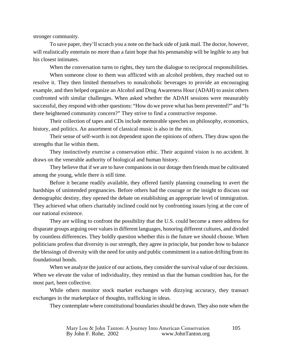stronger community.

To save paper, they'll scratch you a note on the back side of junk mail. The doctor, however, will realistically entertain no more than a faint hope that his penmanship will be legible to any but his closest intimates.

When the conversation turns to rights, they turn the dialogue to reciprocal responsibilities.

When someone close to them was afflicted with an alcohol problem, they reached out to resolve it. They then limited themselves to nonalcoholic beverages to provide an encouraging example, and then helped organize an Alcohol and Drug Awareness Hour (ADAH) to assist others confronted with similar challenges. When asked whether the ADAH sessions were measurably successful, they respond with other questions: "How do we prove what has been prevented?" and "Is there heightened community concern?" They strive to find a constructive response.

Their collection of tapes and CDs include memorable speeches on philosophy, economics, history, and politics. An assortment of classical music is also in the mix.

Their sense of self-worth is not dependent upon the opinions of others. They draw upon the strengths that lie within them.

They instinctively exercise a conservation ethic. Their acquired vision is no accident. It draws on the venerable authority of biological and human history.

They believe that if we are to have companions in our dotage then friends must be cultivated among the young, while there is still time.

Before it became readily available, they offered family planning counseling to avert the hardships of unintended pregnancies. Before others had the courage or the insight to discuss our demographic destiny, they opened the debate on establishing an appropriate level of immigration. They achieved what others charitably inclined could not by confronting issues lying at the core of our national existence.

They are willing to confront the possibility that the U.S. could become a mere address for disparate groups arguing over values in different languages, honoring different cultures, and divided by countless differences. They boldly question whether this is the future we should choose. When politicians profess that diversity is our strength, they agree in principle, but ponder how to balance the blessings of diversity with the need for unity and public commitment in a nation drifting from its foundational bonds.

When we analyze the justice of our actions, they consider the survival value of our decisions. When we elevate the value of individuality, they remind us that the human condition has, for the most part, been collective.

While others monitor stock market exchanges with dizzying accuracy, they transact exchanges in the marketplace of thoughts, trafficking in ideas.

They contemplate where constitutional boundaries should be drawn. They also note when the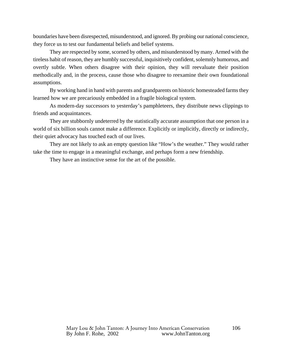boundaries have been disrespected, misunderstood, and ignored. By probing our national conscience, they force us to test our fundamental beliefs and belief systems.

They are respected by some, scorned by others, and misunderstood by many. Armed with the tireless habit of reason, they are humbly successful, inquisitively confident, solemnly humorous, and overtly subtle. When others disagree with their opinion, they will reevaluate their position methodically and, in the process, cause those who disagree to reexamine their own foundational assumptions.

By working hand in hand with parents and grandparents on historic homesteaded farms they learned how we are precariously embedded in a fragile biological system.

As modern-day successors to yesterday's pamphleteers, they distribute news clippings to friends and acquaintances.

They are stubbornly undeterred by the statistically accurate assumption that one person in a world of six billion souls cannot make a difference. Explicitly or implicitly, directly or indirectly, their quiet advocacy has touched each of our lives.

They are not likely to ask an empty question like "How's the weather." They would rather take the time to engage in a meaningful exchange, and perhaps form a new friendship.

They have an instinctive sense for the art of the possible.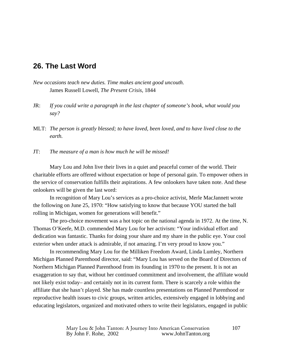## **26. The Last Word**

- *New occasions teach new duties. Time makes ancient good uncouth.* James Russell Lowell, *The Present Crisis*, 1844
- JR: *If you could write a paragraph in the last chapter of someone's book, what would you say?*
- MLT: *The person is greatly blessed; to have loved, been loved, and to have lived close to the earth.*
- JT: *The measure of a man is how much he will be missed!*

Mary Lou and John live their lives in a quiet and peaceful corner of the world. Their charitable efforts are offered without expectation or hope of personal gain. To empower others in the service of conservation fulfills their aspirations. A few onlookers have taken note. And these onlookers will be given the last word:

In recognition of Mary Lou's services as a pro-choice activist, Merle MacJannett wrote the following on June 25, 1970: "How satisfying to know that because YOU started the ball rolling in Michigan, women for generations will benefit."

The pro-choice movement was a hot topic on the national agenda in 1972. At the time, N. Thomas O'Keefe, M.D. commended Mary Lou for her activism: "Your individual effort and dedication was fantastic. Thanks for doing your share and my share in the public eye. Your cool exterior when under attack is admirable, if not amazing. I'm very proud to know you."

In recommending Mary Lou for the Milliken Freedom Award, Linda Lumley, Northern Michigan Planned Parenthood director, said: "Mary Lou has served on the Board of Directors of Northern Michigan Planned Parenthood from its founding in 1970 to the present. It is not an exaggeration to say that, without her continued commitment and involvement, the affiliate would not likely exist today– and certainly not in its current form. There is scarcely a role within the affiliate that she hasn't played. She has made countless presentations on Planned Parenthood or reproductive health issues to civic groups, written articles, extensively engaged in lobbying and educating legislators, organized and motivated others to write their legislators, engaged in public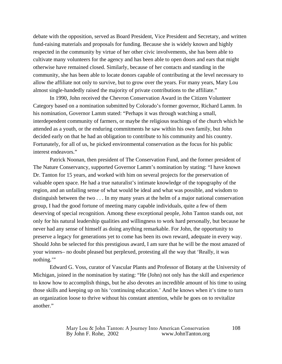debate with the opposition, served as Board President, Vice President and Secretary, and written fund-raising materials and proposals for funding. Because she is widely known and highly respected in the community by virtue of her other civic involvements, she has been able to cultivate many volunteers for the agency and has been able to open doors and ears that might otherwise have remained closed. Similarly, because of her contacts and standing in the community, she has been able to locate donors capable of contributing at the level necessary to allow the affiliate not only to survive, but to grow over the years. For many years, Mary Lou almost single-handedly raised the majority of private contributions to the affiliate."

In 1990, John received the Chevron Conservation Award in the Citizen Volunteer Category based on a nomination submitted by Colorado's former governor, Richard Lamm. In his nomination, Governor Lamm stated: "Perhaps it was through watching a small, interdependent community of farmers, or maybe the religious teachings of the church which he attended as a youth, or the enduring commitments he saw within his own family, but John decided early on that he had an obligation to contribute to his community and his country. Fortunately, for all of us, he picked environmental conservation as the focus for his public interest endeavors."

Patrick Noonan, then president of The Conservation Fund, and the former president of The Nature Conservancy, supported Governor Lamm's nomination by stating: "I have known Dr. Tanton for 15 years, and worked with him on several projects for the preservation of valuable open space. He had a true naturalist's intimate knowledge of the topography of the region, and an unfailing sense of what would be ideal and what was possible, and wisdom to distinguish between the two . . . In my many years at the helm of a major national conservation group, I had the good fortune of meeting many capable individuals, quite a few of them deserving of special recognition. Among these exceptional people, John Tanton stands out, not only for his natural leadership qualities and willingness to work hard personally, but because he never had any sense of himself as doing anything remarkable. For John, the opportunity to preserve a legacy for generations yet to come has been its own reward, adequate in every way. Should John be selected for this prestigious award, I am sure that he will be the most amazed of your winners– no doubt pleased but perplexed, protesting all the way that 'Really, it was nothing."

Edward G. Voss, curator of Vascular Plants and Professor of Botany at the University of Michigan, joined in the nomination by stating: "He (John) not only has the skill and experience to know how to accomplish things, but he also devotes an incredible amount of his time to using those skills and keeping up on his 'continuing education.' And he knows when it's time to turn an organization loose to thrive without his constant attention, while he goes on to revitalize another."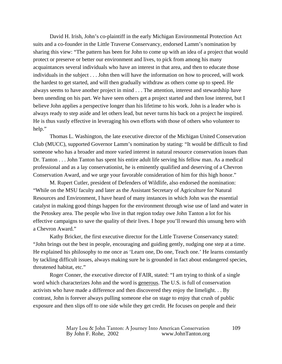David H. Irish, John's co-plaintiff in the early Michigan Environmental Protection Act suits and a co-founder in the Little Traverse Conservancy, endorsed Lamm's nomination by sharing this view: "The pattern has been for John to come up with an idea of a project that would protect or preserve or better our environment and lives, to pick from among his many acquaintances several individuals who have an interest in that area, and then to educate those individuals in the subject . . . John then will have the information on how to proceed, will work the hardest to get started, and will then gradually withdraw as others come up to speed. He always seems to have another project in mind . . . The attention, interest and stewardship have been unending on his part. We have seen others get a project started and then lose interest, but I believe John applies a perspective longer than his lifetime to his work. John is a leader who is always ready to step aside and let others lead, but never turns his back on a project he inspired. He is thus vastly effective in leveraging his own efforts with those of others who volunteer to help."

Thomas L. Washington, the late executive director of the Michigan United Conservation Club (MUCC), supported Governor Lamm's nomination by stating: "It would be difficult to find someone who has a broader and more varied interest in natural resource conservation issues than Dr. Tanton . . . John Tanton has spent his entire adult life serving his fellow man. As a medical professional and as a lay conservationist, he is eminently qualified and deserving of a Chevron Conservation Award, and we urge your favorable consideration of him for this high honor."

M. Rupert Cutler, president of Defenders of Wildlife, also endorsed the nomination: "While on the MSU faculty and later as the Assistant Secretary of Agriculture for Natural Resources and Environment, I have heard of many instances in which John was the essential catalyst in making good things happen for the environment through wise use of land and water in the Petoskey area. The people who live in that region today owe John Tanton a lot for his effective campaigns to save the quality of their lives. I hope you'll reward this unsung hero with a Chevron Award."

Kathy Bricker, the first executive director for the Little Traverse Conservancy stated: "John brings out the best in people, encouraging and guiding gently, nudging one step at a time. He explained his philosophy to me once as 'Learn one, Do one, Teach one.' He learns constantly by tackling difficult issues, always making sure he is grounded in fact about endangered species, threatened habitat, etc."

Roger Conner, the executive director of FAIR, stated: "I am trying to think of a single word which characterizes John and the word is generous. The U.S. is full of conservation activists who have made a difference and then discovered they enjoy the limelight. . . By contrast, John is forever always pulling someone else on stage to enjoy that crush of public exposure and then slips off to one side while they get credit. He focuses on people and their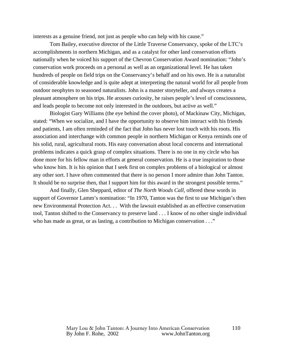interests as a genuine friend, not just as people who can help with his cause."

Tom Bailey, executive director of the Little Traverse Conservancy, spoke of the LTC's accomplishments in northern Michigan, and as a catalyst for other land conservation efforts nationally when he voiced his support of the Chevron Conservation Award nomination: "John's conservation work proceeds on a personal as well as an organizational level. He has taken hundreds of people on field trips on the Conservancy's behalf and on his own. He is a naturalist of considerable knowledge and is quite adept at interpreting the natural world for all people from outdoor neophytes to seasoned naturalists. John is a master storyteller, and always creates a pleasant atmosphere on his trips. He arouses curiosity, he raises people's level of consciousness, and leads people to become not only interested in the outdoors, but active as well."

Biologist Gary Williams (the eye behind the cover photo), of Mackinaw City, Michigan, stated: "When we socialize, and I have the opportunity to observe him interact with his friends and patients, I am often reminded of the fact that John has never lost touch with his roots. His association and interchange with common people in northern Michigan or Kenya reminds one of his solid, rural, agricultural roots. His easy conversation about local concerns and international problems indicates a quick grasp of complex situations. There is no one in my circle who has done more for his fellow man in efforts at general conservation. He is a true inspiration to those who know him. It is his opinion that I seek first on complex problems of a biological or almost any other sort. I have often commented that there is no person I more admire than John Tanton. It should be no surprise then, that I support him for this award in the strongest possible terms."

And finally, Glen Sheppard, editor of *The North Woods Call,* offered these words in support of Governor Lamm's nomination: "In 1970, Tanton was the first to use Michigan's then new Environmental Protection Act. . . With the lawsuit established as an effective conservation tool, Tanton shifted to the Conservancy to preserve land . . . I know of no other single individual who has made as great, or as lasting, a contribution to Michigan conservation  $\dots$ "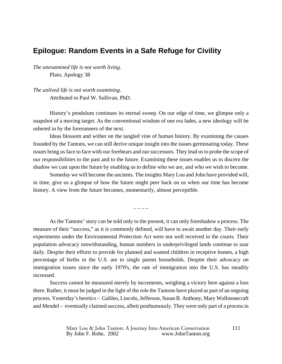# **Epilogue: Random Events in a Safe Refuge for Civility**

*The unexamined life is not worth living.* Plato, Apology 38

*The unlived life is not worth examining.* Attributed to Paul W. Sullivan, PhD.

History's pendulum continues its eternal sweep. On our edge of time, we glimpse only a snapshot of a moving target. As the conventional wisdom of one era fades, a new ideology will be ushered in by the forerunners of the next.

Ideas blossom and wither on the tangled vine of human history. By examining the causes founded by the Tantons, we can still derive unique insight into the issues germinating today. These issues bring us face to face with our forebears and our successors. They lead us to probe the scope of our responsibilities to the past and to the future. Examining these issues enables us to discern the shadow we cast upon the future by enabling us to define who we are, and who we wish to become.

Someday we will become the ancients. The insights Mary Lou and John have provided will, in time, give us a glimpse of how the future might peer back on us when our time has become history. A view from the future becomes, momentarily, almost perceptible.

 $\frac{1}{2}$ 

As the Tantons' story can be told only to the present, it can only foreshadow a process. The measure of their "success," as it is commonly defined, will have to await another day. Their early experiments under the Environmental Protection Act were not well received in the courts. Their population advocacy notwithstanding, human numbers in underprivileged lands continue to soar daily. Despite their efforts to provide for planned and wanted children in receptive homes, a high percentage of births in the U.S. are to single parent households. Despite their advocacy on immigration issues since the early 1970's, the rate of immigration into the U.S. has steadily increased.

Success cannot be measured merely by increments, weighing a victory here against a loss there. Rather, it must be judged in the light of the role the Tantons have played as part of an ongoing process. Yesterday's heretics – Galileo, Lincoln, Jefferson, Susan B. Anthony, Mary Wollstonecraft and Mendel – eventually claimed success, albeit posthumously. They were only part of a process in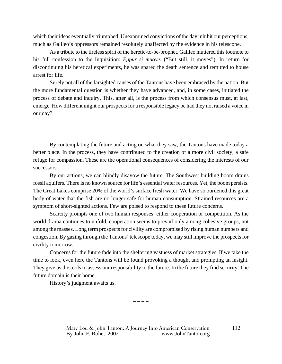which their ideas eventually triumphed. Unexamined convictions of the day inhibit our perceptions, much as Galileo's oppressors remained resolutely unaffected by the evidence in his telescope.

As a tribute to the tireless spirit of the heretic-to-be-prophet, Galileo muttered this footnote to his full confession to the Inquisition: *Eppur si muove*. ("But still, it moves"). In return for discontinuing his heretical experiments, he was spared the death sentence and remitted to house arrest for life.

Surely not all of the farsighted causes of the Tantons have been embraced by the nation. But the more fundamental question is whether they have advanced, and, in some cases, initiated the process of debate and inquiry. This, after all, is the process from which consensus must, at last, emerge. How different might our prospects for a responsible legacy be had they not raised a voice in our day?

 $\frac{1}{2}$ 

By contemplating the future and acting on what they saw, the Tantons have made today a better place. In the process, they have contributed to the creation of a more civil society; a safe refuge for compassion. These are the operational consequences of considering the interests of our successors.

By our actions, we can blindly disavow the future. The Southwest building boom drains fossil aquifers. There is no known source for life's essential water resources. Yet, the boom persists. The Great Lakes comprise 20% of the world's surface fresh water. We have so burdened this great body of water that the fish are no longer safe for human consumption. Strained resources are a symptom of short-sighted actions. Few are poised to respond to these future concerns.

 Scarcity prompts one of two human responses: either cooperation or competition. As the world drama continues to unfold, cooperation seems to prevail only among cohesive groups, not among the masses. Long term prospects for civility are compromised by rising human numbers and congestion. By gazing through the Tantons' telescope today, we may still improve the prospects for civility tomorrow.

Concerns for the future fade into the sheltering vastness of market strategies. If we take the time to look, even here the Tantons will be found provoking a thought and prompting an insight. They give us the tools to assess our responsibility to the future. In the future they find security. The future domain is their home.

History's judgment awaits us.

 $-$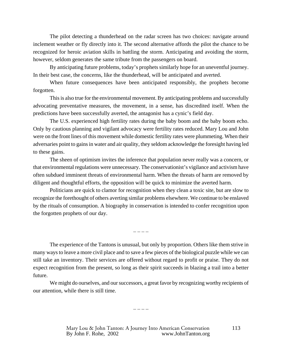The pilot detecting a thunderhead on the radar screen has two choices: navigate around inclement weather or fly directly into it. The second alternative affords the pilot the chance to be recognized for heroic aviation skills in battling the storm. Anticipating and avoiding the storm, however, seldom generates the same tribute from the passengers on board.

By anticipating future problems, today's prophets similarly hope for an uneventful journey. In their best case, the concerns, like the thunderhead, will be anticipated and averted.

When future consequences have been anticipated responsibly, the prophets become forgotten.

This is also true for the environmental movement. By anticipating problems and successfully advocating preventative measures, the movement, in a sense, has discredited itself. When the predictions have been successfully averted, the antagonist has a cynic's field day.

The U.S. experienced high fertility rates during the baby boom and the baby boom echo. Only by cautious planning and vigilant advocacy were fertility rates reduced. Mary Lou and John were on the front lines of this movement while domestic fertility rates were plummeting. When their adversaries point to gains in water and air quality, they seldom acknowledge the foresight having led to these gains.

The sheen of optimism invites the inference that population never really was a concern, or that environmental regulations were unnecessary. The conservationist's vigilance and activism have often subdued imminent threats of environmental harm. When the threats of harm are removed by diligent and thoughtful efforts, the opposition will be quick to minimize the averted harm.

Politicians are quick to clamor for recognition when they clean a toxic site, but are slow to recognize the forethought of others averting similar problems elsewhere. We continue to be enslaved by the rituals of consumption. A biography in conservation is intended to confer recognition upon the forgotten prophets of our day.

 $\frac{1}{100} = \frac{1}{100} = \frac{1}{100} = \frac{1}{100} = \frac{1}{100} = \frac{1}{100} = \frac{1}{100} = \frac{1}{100} = \frac{1}{100} = \frac{1}{100} = \frac{1}{100} = \frac{1}{100} = \frac{1}{100} = \frac{1}{100} = \frac{1}{100} = \frac{1}{100} = \frac{1}{100} = \frac{1}{100} = \frac{1}{100} = \frac{1}{100} = \frac{1}{100} = \frac{1}{100} =$ 

The experience of the Tantons is unusual, but only by proportion. Others like them strive in many ways to leave a more civil place and to save a few pieces of the biological puzzle while we can still take an inventory. Their services are offered without regard to profit or praise. They do not expect recognition from the present, so long as their spirit succeeds in blazing a trail into a better future.

We might do ourselves, and our successors, a great favor by recognizing worthy recipients of our attention, while there is still time.

 $\frac{1}{2}$ 

Mary Lou & John Tanton: A Journey Into American Conservation 113<br>By John F. Rohe, 2002 www.JohnTanton.org By John F. Rohe,  $2002$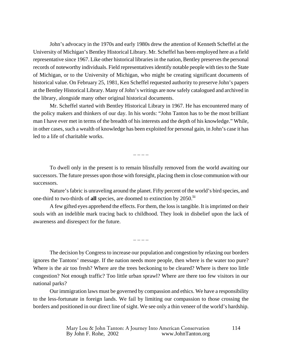John's advocacy in the 1970s and early 1980s drew the attention of Kenneth Scheffel at the University of Michigan's Bentley Historical Library. Mr. Scheffel has been employed here as a field representative since 1967. Like other historical libraries in the nation, Bentley preserves the personal records of noteworthy individuals. Field representatives identify notable people with ties to the State of Michigan, or to the University of Michigan, who might be creating significant documents of historical value. On February 25, 1981, Ken Scheffel requested authority to preserve John's papers at the Bentley Historical Library. Many of John's writings are now safely catalogued and archived in the library, alongside many other original historical documents.

Mr. Scheffel started with Bentley Historical Library in 1967. He has encountered many of the policy makers and thinkers of our day. In his words: "John Tanton has to be the most brilliant man I have ever met in terms of the breadth of his interests and the depth of his knowledge." While, in other cases, such a wealth of knowledge has been exploited for personal gain, in John's case it has led to a life of charitable works.

To dwell only in the present is to remain blissfully removed from the world awaiting our successors. The future presses upon those with foresight, placing them in close communion with our successors.

 $-$ 

Nature's fabric is unraveling around the planet. Fifty percent of the world's bird species, and one-third to two-thirds of **all** species, are doomed to extinction by 2050.<sup>lii</sup>

A few gifted eyes apprehend the effects. For them, the loss is tangible. It is imprinted on their souls with an indelible mark tracing back to childhood. They look in disbelief upon the lack of awareness and disrespect for the future.

 $\equiv$   $\equiv$   $\equiv$   $\equiv$ 

The decision by Congress to increase our population and congestion by relaxing our borders ignores the Tantons' message. If the nation needs more people, then where is the water too pure? Where is the air too fresh? Where are the trees beckoning to be cleared? Where is there too little congestion? Not enough traffic? Too little urban sprawl? Where are there too few visitors in our national parks?

Our immigration laws must be governed by compassion and ethics. We have a responsibility to the less-fortunate in foreign lands. We fail by limiting our compassion to those crossing the borders and positioned in our direct line of sight. We see only a thin veneer of the world's hardship.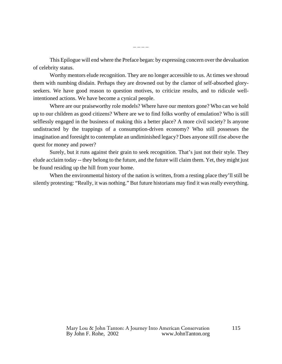This Epilogue will end where the Preface began: by expressing concern over the devaluation of celebrity status.

Worthy mentors elude recognition. They are no longer accessible to us. At times we shroud them with numbing disdain. Perhaps they are drowned out by the clamor of self-absorbed gloryseekers. We have good reason to question motives, to criticize results, and to ridicule wellintentioned actions. We have become a cynical people.

Where are our praiseworthy role models? Where have our mentors gone? Who can we hold up to our children as good citizens? Where are we to find folks worthy of emulation? Who is still selflessly engaged in the business of making this a better place? A more civil society? Is anyone undistracted by the trappings of a consumption-driven economy? Who still possesses the imagination and foresight to contemplate an undiminished legacy? Does anyone still rise above the quest for money and power?

Surely, but it runs against their grain to seek recognition. That's just not their style. They elude acclaim today -- they belong to the future, and the future will claim them. Yet, they might just be found residing up the hill from your home.

When the environmental history of the nation is written, from a resting place they'll still be silently protesting: "Really, it was nothing." But future historians may find it was really everything.

 $\frac{1}{2}$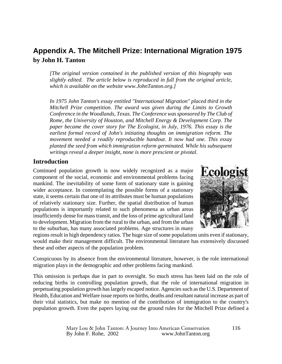# **Appendix A. The Mitchell Prize: International Migration 1975 by John H. Tanton**

*[The original version contained in the published version of this biography was slightly edited. The article below is reproduced in full from the original article, which is available on the website www.JohnTanton.org.]* 

*In 1975 John Tanton's essay entitled "International Migration" placed third in the Mitchell Prize competition. The award was given during the Limits to Growth Conference in the Woodlands, Texas. The Conference was sponsored by The Club of Rome, the University of Houston, and Mitchell Energy & Development Corp. The paper became the cover story for The Ecologist, in July, 1976. This essay is the earliest formal record of John's initiating thoughts on immigration reform. The movement needed a readily reproducible handout. It now had one. This essay planted the seed from which immigration reform germinated. While his subsequent writings reveal a deeper insight, none is more prescient or pivotal.* 

#### **Introduction**

Continued population growth is now widely recognized as a major component of the social, economic and environmental problems facing mankind. The inevitability of some form of stationary state is gaining wider acceptance. In contemplating the possible forms of a stationary state, it seems certain that one of its attributes must be human populations of relatively stationary size. Further, the spatial distribution of human populations is importantly related to such phenomena as urban areas insufficiently dense for mass transit, and the loss of prime agricultural land to development. Migration from the rural to the urban, and from the urban to the suburban, has many associated problems. Age structures in many



regions result in high dependency ratios. The huge size of some populations units even if stationary, would make their management difficult. The environmental literature has extensively discussed these and other aspects of the population problem.

Conspicuous by its absence from the environmental literature, however, is the role international migration plays in the demographic and other problems facing mankind.

This omission is perhaps due in part to oversight. So much stress has been laid on the role of reducing births in controlling population growth, that the role of international migration in perpetuating population growth has largely escaped notice. Agencies such as the U.S. Department of Health, Education and Welfare issue reports on births, deaths and resultant natural increase as part of their vital statistics, but make no mention of the contribution of immigration to the country's population growth. Even the papers laying out the ground rules for the Mitchell Prize defined a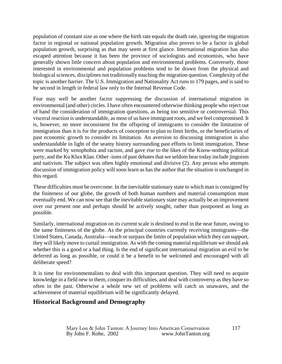population of constant size as one where the birth rate equals the death rate, ignoring the migration factor in regional or national population growth. Migration also proves to be a factor in global population growth, surprising as that may seem at first glance. International migration has also escaped attention because it has been the province of sociologists and economists, who have generally shown little concern about population and environmental problems. Conversely, those interested in environmental and population problems tend to be drawn from the physical and biological sciences, disciplines not traditionally touching the migration question. Complexity of the topic is another barrier. The U.S. Immigration and Nationality Act runs to 179 pages, and is said to be second in length in federal law only to the Internal Revenue Code.

Fear may well be another factor suppressing the discussion of international migration in environmental (and other) circles. I have often encountered otherwise thinking people who reject out of hand the consideration of immigration questions, as being too sensitive or controversial. This visceral reaction is understandable, as most of us have immigrant roots, and we feel compromised. It is, however, no more inconsistent for the offspring of immigrants to consider the limitation of immigration than it is for the products of conception to plan to limit births, or the beneficiaries of past economic growth to consider its limitation. An aversion to discussing immigration is also understandable in light of the seamy history surrounding past efforts to limit immigration. These were marked by xenophobia and racism, and gave rise to the likes of the Know-nothing political party, and the Ku Klux Klan. Other -isms of past debates that we seldom hear today include jingoism and nativism. The subject was often highly emotional and divisive (2). Any person who attempts discussion of immigration policy will soon learn as has the author that the situation is unchanged in this regard.

These difficulties must be overcome. In the inevitable stationary state to which man is consigned by the finiteness of our globe, the growth of both human numbers and material consumption must eventually end. We can now see that the inevitable stationary state may actually be an improvement over our present one and perhaps should be actively sought, rather than postponed as long as possible.

Similarly, international migration on its current scale is destined to end in the near future, owing to the same finiteness of the globe. As the principal countries currently receiving immigrants—the United States, Canada, Australia—reach or surpass the limits of population which they can support, they will likely move to curtail immigration. As with the coming material equilibrium we should ask whether this is a good or a bad thing. Is the end of significant international migration an evil to be deferred as long as possible, or could it be a benefit to be welcomed and encouraged with all deliberate speed?

It is time for environmentalists to deal with this important question. They will need to acquire knowledge in a field new to them, conquer its difficulties, and deal with controversy as they have so often in the past. Otherwise a whole new set of problems will catch us unawares, and the achievement of material equilibrium will be significantly delayed.

### **Historical Background and Demography**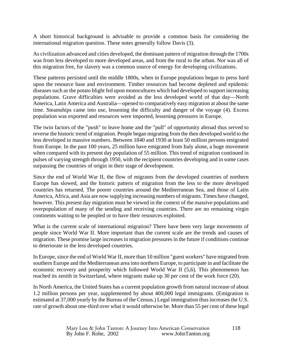A short historical background is advisable to provide a common basis for considering the international migration question. These notes generally follow Davis (3).

As civilization advanced and cities developed, the dominant pattern of migration through the 1700s was from less developed to more developed areas, and from the rural to the urban. Nor was all of this migration free, for slavery was a common source of energy for developing civilizations.

These patterns persisted until the middle 1800s, when in Europe populations began to press hard upon the resource base and environment. Timber resources had become depleted and epidemic diseases such as the potato blight fed upon monocultures which had developed to support increasing populations. Grave difficulties were avoided as the less developed world of that day—North America, Latin America and Australia—opened to comparatively easy migration at about the same time. Steamships came into use, lessening the difficulty and danger of the voyage (4). Excess population was exported and resources were imported, lessening pressures in Europe.

The twin factors of the "push" to leave home and the "pull" of opportunity abroad thus served to reverse the historic trend of migration. People began migrating from the then developed world to the less developed in massive numbers. Between 1840 and 1930 at least 50 million persons emigrated from Europe. In the past 100 years, 25 million have emigrated from Italy alone, a huge movement when compared with its present day population of 55 million. This trend of migration continued in pulses of varying strength through 1950, with the recipient countries developing and in some cases surpassing the countries of origin in their stage of development.

Since the end of World War II, the flow of migrants from the developed countries of northern Europe has slowed, and the historic pattern of migration from the less to the more developed countries has returned. The poorer countries around the Mediterranean Sea, and those of Latin America, Africa, and Asia are now supplying increasing numbers of migrants. Times have changed, however. This present day migration must be viewed in the context of the massive populations and overpopulation of many of the sending and receiving countries. There are no remaining virgin continents waiting to be peopled or to have their resources exploited.

What is the current scale of international migration? There have been very large movements of people since World War II. More important than the current scale are the trends and causes of migration. These promise large increases in migration pressures in the future if conditions continue to deteriorate in the less developed countries.

In Europe, since the end of World War II, more than 10 million "guest workers" have migrated from southern Europe and the Mediterranean area into northern Europe, to participate in and facilitate the economic recovery and prosperity which followed World War II (5,6). This phenomenon has reached its zenith in Switzerland, where migrants make up 30 per cent of the work force (20).

In North America, the United States has a current population growth from natural increase of about 1.2 million persons per year, supplemented by about 400,000 legal immigrants. (Emigration is estimated at 37,000 yearly by the Bureau of the Census.) Legal immigration thus increases the U.S. rate of growth about one-third over what it would otherwise be. More than 55 per cent of these legal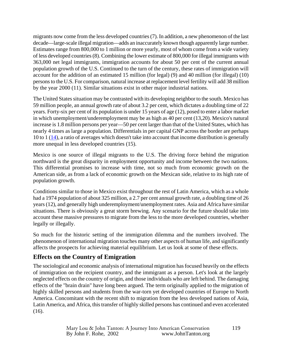migrants now come from the less developed countries (7). In addition, a new phenomenon of the last decade—large-scale illegal migration—adds an inaccurately known though apparently large number. Estimates range from 800,000 to 1 million or more yearly, most of whom come from a wide variety of less developed countries (8). Combining the lower estimate of 800,000 for illegal immigrants with 363,000 net legal immigrants, immigration accounts for about 50 per cent of the current annual population growth of the U.S. Continued to the turn of the century, these rates of immigration will account for the addition of an estimated 15 million (for legal) (9) and 40 million (for illegal) (10) persons to the U.S. For comparison, natural increase at replacement level fertility will add 38 million by the year 2000 (11). Similar situations exist in other major industrial nations.

The United States situation may be contrasted with its developing neighbor to the south. Mexico has 59 million people, an annual growth rate of about 3.2 per cent, which dictates a doubling time of 22 years. Forty-six per cent of its population is under 15 years of age (12), posed to enter a labor market in which unemployment/underemployment may be as high as 40 per cent (13,20). Mexico's natural increase is 1.8 million persons per year—50 per cent larger than that of the United States, which has nearly 4 times as large a population. Differentials in per capital GNP across the border are perhaps 10 to 1 [\(14](http://www.johntanton.org/articles/mitchell_essay_immigration.html#endnote14)), a ratio of averages which doesn't take into account that income distribution is generally more unequal in less developed countries (15).

Mexico is one source of illegal migrants to the U.S. The driving force behind the migration northward is the great disparity in employment opportunity and income between the two nations. This differential promises to increase with time, not so much from economic growth on the American side, as from a lack of economic growth on the Mexican side, relative to its high rate of population growth.

Conditions similar to those in Mexico exist throughout the rest of Latin America, which as a whole had a 1974 population of about 325 million, a 2.7 per cent annual growth rate, a doubling time of 26 years (12), and generally high underemployment/unemployment rates. Asia and Africa have similar situations. There is obviously a great storm brewing. Any scenario for the future should take into account these massive pressures to migrate from the less to the more developed countries, whether legally or illegally.

So much for the historic setting of the immigration dilemma and the numbers involved. The phenomenon of international migration touches many other aspects of human life, and significantly affects the prospects for achieving material equilibrium. Let us look at some of these effects.

### **Effects on the Country of Emigration**

The sociological and economic analysis of international migration has focused heavily on the effects of immigration on the recipient country, and the immigrant as a person. Let's look at the largely neglected effects on the country of origin, and those individuals who are left behind. The damaging effects of the "brain drain" have long been argued. The term originally applied to the migration of highly skilled persons and students from the war-torn yet developed countries of Europe to North America. Concomitant with the recent shift to migration from the less developed nations of Asia, Latin America, and Africa, this transfer of highly skilled persons has continued and even accelerated (16).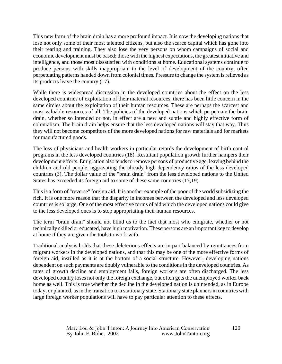This new form of the brain drain has a more profound impact. It is now the developing nations that lose not only some of their most talented citizens, but also the scarce capital which has gone into their rearing and training. They also lose the very persons on whom campaigns of social and economic development must be based; those with the highest expectations, the greatest initiative and intelligence, and those most dissatisfied with conditions at home. Educational systems continue to produce persons with skills inappropriate to the level of development of the country, often perpetuating patterns handed down from colonial times. Pressure to change the system is relieved as its products leave the country (17).

While there is widespread discussion in the developed countries about the effect on the less developed countries of exploitation of their material resources, there has been little concern in the same circles about the exploitation of their human resources. These are perhaps the scarcest and most valuable resources of all. The policies of the developed nations which perpetuate the brain drain, whether so intended or not, in effect are a new and subtle and highly effective form of colonialism. The brain drain helps ensure that the less developed nations will stay that way. Thus they will not become competitors of the more developed nations for raw materials and for markets for manufactured goods.

The loss of physicians and health workers in particular retards the development of birth control programs in the less developed countries (18). Resultant population growth further hampers their development efforts. Emigration also tends to remove persons of productive age, leaving behind the children and old people, aggravating the already high dependency ratios of the less developed countries (3). The dollar value of the "brain drain" from the less developed nations to the United States has exceeded its foreign aid to some of these same countries (17,19).

This is a form of "reverse" foreign aid. It is another example of the poor of the world subsidizing the rich. It is one more reason that the disparity in incomes between the developed and less developed countries is so large. One of the most effective forms of aid which the developed nations could give to the less developed ones is to stop appropriating their human resources.

The term "brain drain" should not blind us to the fact that most who emigrate, whether or not technically skilled or educated, have high motivation. These persons are an important key to develop at home if they are given the tools to work with.

Traditional analysis holds that these deleterious effects are in part balanced by remittances from migrant workers in the developed nations, and that this may be one of the more effective forms of foreign aid, instilled as it is at the bottom of a social structure. However, developing nations dependent on such payments are doubly vulnerable to the conditions in the developed countries. As rates of growth decline and employment falls, foreign workers are often discharged. The less developed country loses not only the foreign exchange, but often gets the unemployed worker back home as well. This is true whether the decline in the developed nation is unintended, as in Europe today, or planned, as in the transition to a stationary state. Stationary state planners in countries with large foreign worker populations will have to pay particular attention to these effects.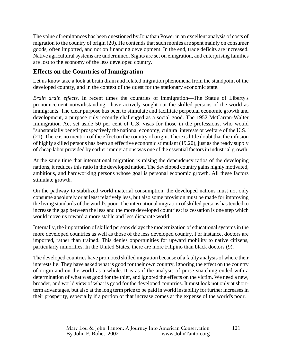The value of remittances has been questioned by Jonathan Power in an excellent analysis of costs of migration to the country of origin (20). He contends that such monies are spent mainly on consumer goods, often imported, and not on financing development. In the end, trade deficits are increased. Native agricultural systems are undermined. Sights are set on emigration, and enterprising families are lost to the economy of the less developed country.

## **Effects on the Countries of Immigration**

Let us know take a look at brain drain and related migration phenomena from the standpoint of the developed country, and in the context of the quest for the stationary economic state.

*Brain drain effects*. In recent times the countries of immigration—The Statue of Liberty's pronouncement notwithstanding—have actively sought out the skilled persons of the world as immigrants. The clear purpose has been to stimulate and facilitate perpetual economic growth and development, a purpose only recently challenged as a social good. The 1952 McCarran-Walter Immigration Act set aside 50 per cent of U.S. visas for those in the professions, who would "substantially benefit prospectively the national economy, cultural interests or welfare of the U.S." (21). There is no mention of the effect on the country of origin. There is little doubt that the infusion of highly skilled persons has been an effective economic stimulant (19,20), just as the ready supply of cheap labor provided by earlier immigrations was one of the essential factors in industrial growth.

At the same time that international migration is raising the dependency ratios of the developing nations, it reduces this ratio in the developed nation. The developed country gains highly motivated, ambitious, and hardworking persons whose goal is personal economic growth. All these factors stimulate growth.

On the pathway to stabilized world material consumption, the developed nations must not only consume absolutely or at least relatively less, but also some provision must be made for improving the living standards of the world's poor. The international migration of skilled persons has tended to increase the gap between the less and the more developed countries: its cessation is one step which would move us toward a more stable and less disparate world.

Internally, the importation of skilled persons delays the modernization of educational systems in the more developed countries as well as those of the less developed country. For instance, doctors are imported, rather than trained. This denies opportunities for upward mobility to native citizens, particularly minorities. In the United States, there are more Filipino than black doctors (9).

The developed countries have promoted skilled migration because of a faulty analysis of where their interests lie. They have asked what is good for their own country, ignoring the effect on the country of origin and on the world as a whole. It is as if the analysis of purse snatching ended with a determination of what was good for the thief, and ignored the effects on the victim. We need a new, broader, and world view of what is good for the developed countries. It must look not only at shortterm advantages, but also at the long term price to be paid in world instability for further increases in their prosperity, especially if a portion of that increase comes at the expense of the world's poor.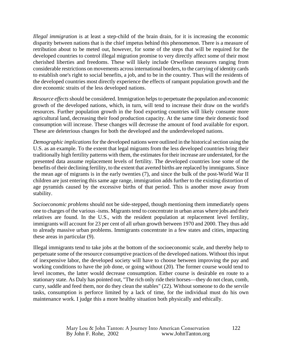*Illegal immigration* is at least a step-child of the brain drain, for it is increasing the economic disparity between nations that is the chief impetus behind this phenomenon. There is a measure of retribution about to be meted out, however, for some of the steps that will be required for the developed countries to control illegal migration promise to very directly affect some of their most cherished liberties and freedoms. These will likely include Orwellean measures ranging from considerable restrictions on movements across international borders, to the carrying of identity cards to establish one's right to social benefits, a job, and to be in the country. Thus will the residents of the developed countries most directly experience the effects of rampant population growth and the dire economic straits of the less developed nations.

*Resource effects* should be considered. Immigration helps to perpetuate the population and economic growth of the developed nations, which, in turn, will tend to increase their draw on the world's resources. Further population growth in the food exporting countries will likely consume more agricultural land, decreasing their food production capacity. At the same time their domestic food consumption will increase. These changes will decrease the amount of food available for export. These are deleterious changes for both the developed and the underdeveloped nations.

*Demographic implications* for the developed nations were outlined in the historical section using the U.S. as an example. To the extent that legal migrants from the less developed countries bring their traditionally high fertility patterns with them, the estimates for their increase are understated, for the presented data assume replacement levels of fertility. The developed countries lose some of the benefits of their declining fertility, to the extent that averted births are replaced by immigrants. Since the mean age of migrants is in the early twenties (7), and since the bulk of the post-World War II children are just entering this same age range, immigration adds further to the existing distortion of age pyramids caused by the excessive births of that period. This is another move away from stability.

*Socioeconomic problems* should not be side-stepped, though mentioning them immediately opens one to charges of the various -isms. Migrants tend to concentrate in urban areas where jobs and their relatives are found. In the U.S., with the resident population at replacement level fertility, immigrants will account for 23 per cent of all urban growth between 1970 and 2000. They thus add to already massive urban problems. Immigrants concentrate in a few states and cities, impacting these areas in particular (9).

Illegal immigrants tend to take jobs at the bottom of the socioeconomic scale, and thereby help to perpetuate some of the resource consumptive practices of the developed nations. Without this input of inexpensive labor, the developed society will have to choose between improving the pay and working conditions to have the job done, or going without (20). The former course would tend to level incomes, the latter would decrease consumption. Either course is desirable en route to a stationary state. As Daly has pointed out, "The rich only ride their horses—they do not clean, comb, curry, saddle and feed them, nor do they clean the stables" (22). Without someone to do the servile tasks, consumption is perforce limited by a lack of time, for the individual must do his own maintenance work. I judge this a more healthy situation both physically and ethically.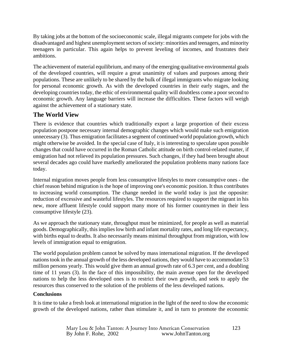By taking jobs at the bottom of the socioeconomic scale, illegal migrants compete for jobs with the disadvantaged and highest unemployment sectors of society: minorities and teenagers, and minority teenagers in particular. This again helps to prevent leveling of incomes, and frustrates their ambitions.

The achievement of material equilibrium, and many of the emerging qualitative environmental goals of the developed countries, will require a great unanimity of values and purposes among their populations. These are unlikely to be shared by the bulk of illegal immigrants who migrate looking for personal economic growth. As with the developed countries in their early stages, and the developing countries today, the ethic of environmental quality will doubtless come a poor second to economic growth. Any language barriers will increase the difficulties. These factors will weigh against the achievement of a stationary state.

# **The World View**

There is evidence that countries which traditionally export a large proportion of their excess population postpone necessary internal demographic changes which would make such emigration unnecessary (3). Thus emigration facilitates a segment of continued world population growth, which might otherwise be avoided. In the special case of Italy, it is interesting to speculate upon possible changes that could have occurred in the Roman Catholic attitude on birth control-related matter, if emigration had not relieved its population pressures. Such changes, if they had been brought about several decades ago could have markedly ameliorated the population problems many nations face today.

Internal migration moves people from less consumptive lifestyles to more consumptive ones - the chief reason behind migration is the hope of improving one's economic position. It thus contributes to increasing world consumption. The change needed in the world today is just the opposite: reduction of excessive and wasteful lifestyles. The resources required to support the migrant in his new, more affluent lifestyle could support many more of his former countrymen in their less consumptive lifestyle (23).

As we approach the stationary state, throughput must be minimized, for people as well as material goods. Demographically, this implies low birth and infant mortality rates, and long life expectancy, with births equal to deaths. It also necessarily means minimal throughput from migration, with low levels of immigration equal to emigration.

The world population problem cannot be solved by mass international migration. If the developed nations took in the annual growth of the less developed nations, they would have to accommodate 53 million persons yearly. This would give them an annual growth rate of 6.3 per cent, and a doubling time of 11 years (3). In the face of this impossibility, the main avenue open for the developed nations to help the less developed ones is to restrict their own growth, and seek to apply the resources thus conserved to the solution of the problems of the less developed nations.

### **Conclusions**

It is time to take a fresh look at international migration in the light of the need to slow the economic growth of the developed nations, rather than stimulate it, and in turn to promote the economic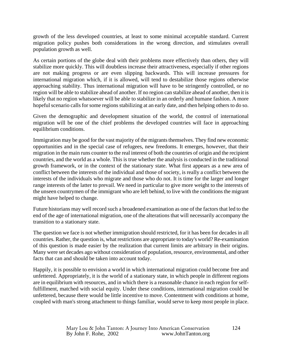growth of the less developed countries, at least to some minimal acceptable standard. Current migration policy pushes both considerations in the wrong direction, and stimulates overall population growth as well.

As certain portions of the globe deal with their problems more effectively than others, they will stabilize more quickly. This will doubtless increase their attractiveness, especially if other regions are not making progress or are even slipping backwards. This will increase pressures for international migration which, if it is allowed, will tend to destabilize those regions otherwise approaching stability. Thus international migration will have to be stringently controlled, or no region will be able to stabilize ahead of another. If no region can stabilize ahead of another, then it is likely that no region whatsoever will be able to stabilize in an orderly and humane fashion. A more hopeful scenario calls for some regions stabilizing at an early date, and then helping others to do so.

Given the demographic and development situation of the world, the control of international migration will be one of the chief problems the developed countries will face in approaching equilibrium conditions.

Immigration may be good for the vast majority of the migrants themselves. They find new economic opportunities and in the special case of refugees, new freedoms. It emerges, however, that their migration in the main runs counter to the real interest of both the countries of origin and the recipient countries, and the world as a whole. This is true whether the analysis is conducted in the traditional growth framework, or in the context of the stationary state. What first appears as a new area of conflict between the interests of the individual and those of society, is really a conflict between the interests of the individuals who migrate and those who do not. It is time for the larger and longer range interests of the latter to prevail. We need in particular to give more weight to the interests of the unseen countrymen of the immigrant who are left behind, to live with the conditions the migrant might have helped to change.

Future historians may well record such a broadened examination as one of the factors that led to the end of the age of international migration, one of the alterations that will necessarily accompany the transition to a stationary state.

The question we face is not whether immigration should restricted, for it has been for decades in all countries. Rather, the question is, what restrictions are appropriate to today's world? Re-examination of this question is made easier by the realization that current limits are arbitrary in their origins. Many were set decades ago without consideration of population, resource, environmental, and other facts that can and should be taken into account today.

Happily, it is possible to envision a world in which international migration could become free and unfettered. Appropriately, it is the world of a stationary state, in which people in different regions are in equilibrium with resources, and in which there is a reasonable chance in each region for selffulfillment, matched with social equity. Under these conditions, international migration could be unfettered, because there would be little incentive to move. Contentment with conditions at home, coupled with man's strong attachment to things familiar, would serve to keep most people in place.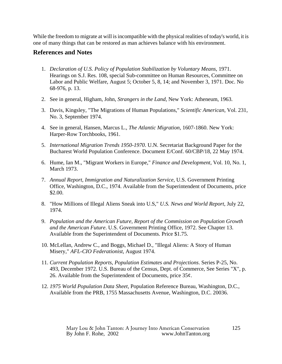While the freedom to migrate at will is incompatible with the physical realities of today's world, it is one of many things that can be restored as man achieves balance with his environment.

### **References and Notes**

- 1. *Declaration of U.S. Policy of Population Stabilization by Voluntary Means*, 1971. Hearings on S.J. Res. 108, special Sub-committee on Human Resources, Committee on Labor and Public Welfare, August 5; October 5, 8, 14; and November 3, 1971. Doc. No 68-976, p. 13.
- 2. See in general, Higham, John, *Strangers in the Land*, New York: Atheneum, 1963.
- 3. Davis, Kingsley, "The Migrations of Human Populations," *Scientific American*, Vol. 231, No. 3, September 1974.
- 4. See in general, Hansen, Marcus L., *The Atlantic Migration*, 1607-1860. New York: Harper-Row Torchbooks, 1961.
- 5. *International Migration Trends 1950-1970*. U.N. Secretariat Background Paper for the Bucharest World Population Conference. Document E/Conf. 60/CBP/18, 22 May 1974.
- 6. Hume, Ian M., "Migrant Workers in Europe," *Finance and Development*, Vol. 10, No. 1, March 1973.
- 7. *Annual Report, Immigration and Naturalization Service*, U.S. Government Printing Office, Washington, D.C., 1974. Available from the Superintendent of Documents, price \$2.00.
- 8. "How Millions of Illegal Aliens Sneak into U.S," *U.S. News and World Report*, July 22, 1974.
- 9. *Population and the American Future, Report of the Commission on Population Growth and the American Future*. U.S. Government Printing Office, 1972. See Chapter 13. Available from the Superintendent of Documents. Price \$1.75.
- 10. McLellan, Andrew C., and Boggs, Michael D., "Illegal Aliens: A Story of Human Misery," *AFL-CIO Federationist*, August 1974.
- 11. *Current Population Reports*, *Population Estimates and Projections*. Series P-25, No. 493, December 1972. U.S. Bureau of the Census, Dept. of Commerce, See Series "X", p. 26. Available from the Superintendent of Documents, price  $35¢$ .
- 12. *1975 World Population Data Sheet*, Population Reference Bureau, Washington, D.C., Available from the PRB, 1755 Massachusetts Avenue, Washington, D.C. 20036.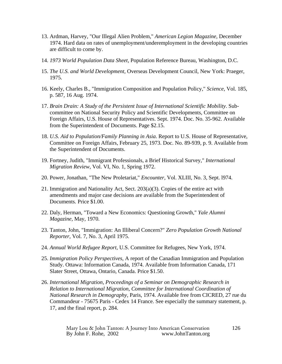- 13. Ardman, Harvey, "Our Illegal Alien Problem," *American Legion Magazine*, December 1974. Hard data on rates of unemployment/underemployment in the developing countries are difficult to come by.
- 14. *1973 World Population Data Sheet*, Population Reference Bureau, Washington, D.C.
- 15. *The U.S. and World Development*, Overseas Development Council, New York: Praeger, 1975.
- 16. Keely, Charles B., "Immigration Composition and Population Policy," *Science*, Vol. 185, p. 587, 16 Aug. 1974.
- 17. *Brain Drain: A Study of the Persistent Issue of International Scientific Mobility*. Subcommittee on National Security Policy and Scientific Developments, Committee on Foreign Affairs, U.S. House of Representatives. Sept. 1974. Doc. No. 35-962. Available from the Superintendent of Documents. Page \$2.15.
- 18. *U.S. Aid to Population/Family Planning in Asia*. Report to U.S. House of Representative, Committee on Foreign Affairs, February 25, 1973. Doc. No. 89-939, p. 9. Available from the Superintendent of Documents.
- 19. Fortney, Judith, "Immigrant Professionals, a Brief Historical Survey," *International Migration Review*, Vol. VI, No. 1, Spring 1972.
- 20. Power, Jonathan, "The New Proletariat," *Encounter*, Vol. XLIII, No. 3, Sept. l974.
- 21. Immigration and Nationality Act, Sect. 203(a)(3). Copies of the entire act with amendments and major case decisions are available from the Superintendent of Documents. Price \$1.00.
- 22. Daly, Herman, "Toward a New Economics: Questioning Growth," *Yale Alumni Magazine*, May, 1970.
- 23. Tanton, John, "Immigration: An Illiberal Concern?" *Zero Population Growth National Reporter*, Vol. 7, No. 3, April 1975.
- 24. *Annual World Refugee Report*, U.S. Committee for Refugees, New York, 1974.
- 25. *Immigration Policy Perspectives*, A report of the Canadian Immigration and Population Study. Ottawa: Information Canada, 1974. Available from Information Canada, 171 Slater Street, Ottawa, Ontario, Canada. Price \$1.50.
- 26. *International Migration, Proceedings of a Seminar on Demographic Research in Relation to International Migration, Committee for International Coordination of National Research in Demography*, Paris, 1974. Available free from CICRED, 27 rue du Commandeur - 75675 Paris - Cedex 14 France. See especially the summary statement, p. 17, and the final report, p. 284.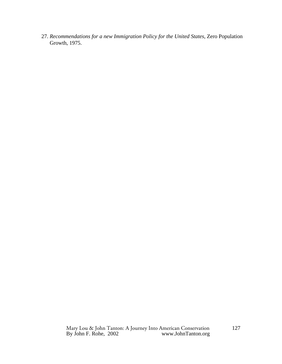27. *Recommendations for a new Immigration Policy for the United States*, Zero Population Growth, 1975.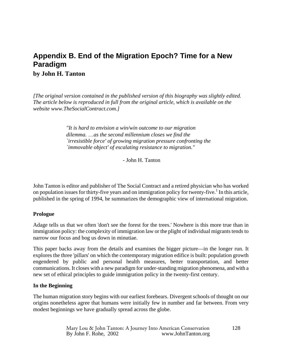# **Appendix B. End of the Migration Epoch? Time for a New Paradigm by John H. Tanton**

*[The original version contained in the published version of this biography was slightly edited. The article below is reproduced in full from the original article, which is available on the website www.TheSocialContract.com.]* 

> *"It is hard to envision a win/win outcome to our migration dilemma. as the second millennium closes we find the `irresistible force' of growing migration pressure confronting the `immovable object' of escalating resistance to migration."*

> > - John H. Tanton

John Tanton is editor and publisher of The Social Contract and a retired physician who has worked on population issues for thirty-five years and on immigration policy for twenty-five.<sup>1</sup> In this article, published in the spring of 1994, he summarizes the demographic view of international migration.

#### **Prologue**

Adage tells us that we often 'don't see the forest for the trees.' Nowhere is this more true than in immigration policy: the complexity of immigration law or the plight of individual migrants tends to narrow our focus and bog us down in minutiae.

This paper backs away from the details and examines the bigger picture—in the longer run. It explores the three 'pillars' on which the contemporary migration edifice is built: population growth engendered by public and personal health measures, better transportation, and better communications. It closes with a new paradigm for under-standing migration phenomena, and with a new set of ethical principles to guide immigration policy in the twenty-first century.

#### **In the Beginning**

The human migration story begins with our earliest forebears. Divergent schools of thought on our origins nonetheless agree that humans were initially few in number and far between. From very modest beginnings we have gradually spread across the globe.

> Mary Lou & John Tanton: A Journey Into American Conservation 128<br>By John F. Rohe, 2002 www.JohnTanton.org By John F. Rohe,  $2002$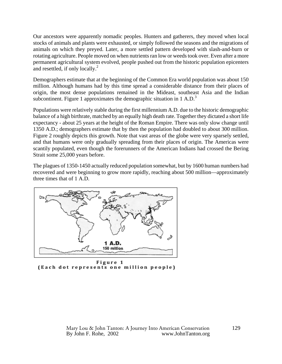Our ancestors were apparently nomadic peoples. Hunters and gatherers, they moved when local stocks of animals and plants were exhausted, or simply followed the seasons and the migrations of animals on which they preyed. Later, a more settled pattern developed with slash-and-burn or rotating agriculture. People moved on when nutrients ran low or weeds took over. Even after a more permanent agricultural system evolved, people pushed out from the historic population epicenters and resettled, if only locally.2

Demographers estimate that at the beginning of the Common Era world population was about 150 million. Although humans had by this time spread a considerable distance from their places of origin, the most dense populations remained in the Mideast, southeast Asia and the Indian subcontinent. Figure 1 approximates the demographic situation in  $1 A.D.<sup>3</sup>$ 

Populations were relatively stable during the first millennium A.D. due to the historic demographic balance of a high birthrate, matched by an equally high death rate. Together they dictated a short life expectancy - about 25 years at the height of the Roman Empire. There was only slow change until 1350 A.D.; demographers estimate that by then the population had doubled to about 300 million. Figure 2 roughly depicts this growth. Note that vast areas of the globe were very sparsely settled, and that humans were only gradually spreading from their places of origin. The Americas were scantily populated, even though the forerunners of the American Indians had crossed the Bering Strait some 25,000 years before.

The plagues of 1350-1450 actually reduced population somewhat, but by 1600 human numbers had recovered and were beginning to grow more rapidly, reaching about 500 million—approximately three times that of 1 A.D.



Figure 1 (Each dot represents one million people)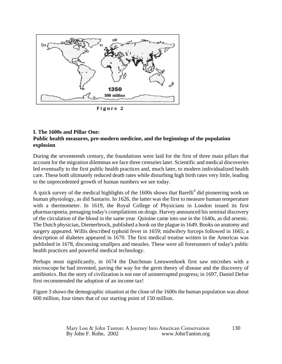

Figure 2

#### **I. The 1600s and Pillar One: Public health measures, pre-modern medicine, and the beginnings of the population explosion**

During the seventeenth century, the foundations were laid for the first of three main pillars that account for the migration dilemmas we face three centuries later. Scientific and medical discoveries led eventually to the first public health practices and, much later, to modern individualized health care. These both ultimately reduced death rates while disturbing high birth rates very little, leading to the unprecedented growth of human numbers we see today.

A quick survey of the medical highlights of the 1600s shows that Barelli<sup>4</sup> did pioneering work on human physiology, as did Santario. In 1626, the latter was the first to measure human temperature with a thermometer. In 1619, the Royal College of Physicians in London issued its first pharmacopoeia, presaging today's compilations on drugs. Harvey announced his seminal discovery of the circulation of the blood in the same year. Quinine came into use in the 1640s, as did arsenic. The Dutch physician, Diemerbrock, published a book on the plague in 1649. Books on anatomy and surgery appeared. Willis described typhoid fever in 1659; midwifery forceps followed in 1665; a description of diabetes appeared in 1670. The first medical treatise written in the Americas was published in 1678, discussing smallpox and measles. These were all forerunners of today's public health practices and powerful medical technology.

Perhaps most significantly, in 1674 the Dutchman Leeuwenhoek first saw microbes with a microscope he had invented, paving the way for the germ theory of disease and the discovery of antibiotics. But the story of civilization is not one of uninterrupted progress; in 1697, Daniel Defoe first recommended the adoption of an income tax!

Figure 3 shows the demographic situation at the close of the 1600s the human population was about 600 million, four times that of our starting point of 150 million.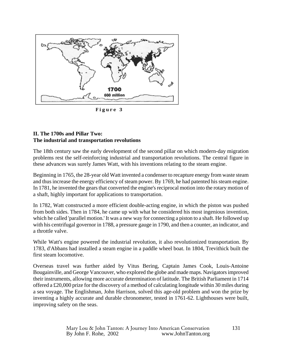

Figure 3

# **II. The 1700s and Pillar Two: The industrial and transportation revolutions**

The 18th century saw the early development of the second pillar on which modern-day migration problems rest the self-reinforcing industrial and transportation revolutions. The central figure in these advances was surely James Watt, with his inventions relating to the steam engine.

Beginning in 1765, the 28-year old Watt invented a condenser to recapture energy from waste steam and thus increase the energy efficiency of steam power. By 1769, he had patented his steam engine. In 1781, he invented the gears that converted the engine's reciprocal motion into the rotary motion of a shaft, highly important for applications to transportation.

In 1782, Watt constructed a more efficient double-acting engine, in which the piston was pushed from both sides. Then in 1784, he came up with what he considered his most ingenious invention, which he called 'parallel motion.' It was a new way for connecting a piston to a shaft. He followed up with his centrifugal governor in 1788, a pressure gauge in 1790, and then a counter, an indicator, and a throttle valve.

While Watt's engine powered the industrial revolution, it also revolutionized transportation. By 1783, d'Abbans had installed a steam engine in a paddle wheel boat. In 1804, Trevithick built the first steam locomotive.

Overseas travel was further aided by Vitus Bering, Captain James Cook, Louis-Antoine Bougainville, and George Vancouver, who explored the globe and made maps. Navigators improved their instruments, allowing more accurate determination of latitude. The British Parliament in 1714 offered a £20,000 prize for the discovery of a method of calculating longitude within 30 miles during a sea voyage. The Englishman, John Harrison, solved this age-old problem and won the prize by inventing a highly accurate and durable chronometer, tested in 1761-62. Lighthouses were built, improving safety on the seas.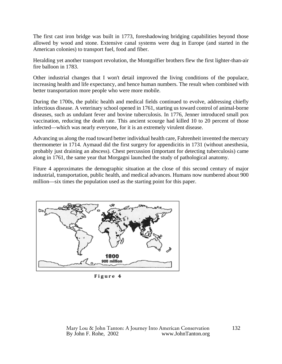The first cast iron bridge was built in 1773, foreshadowing bridging capabilities beyond those allowed by wood and stone. Extensive canal systems were dug in Europe (and started in the American colonies) to transport fuel, food and fiber.

Heralding yet another transport revolution, the Montgolfier brothers flew the first lighter-than-air fire balloon in 1783.

Other industrial changes that I won't detail improved the living conditions of the populace, increasing health and life expectancy, and hence human numbers. The result when combined with better transportation more people who were more mobile.

During the 1700s, the public health and medical fields continued to evolve, addressing chiefly infectious disease. A veterinary school opened in 1761, starting us toward control of animal-borne diseases, such as undulant fever and bovine tuberculosis. In 1776, Jenner introduced small pox vaccination, reducing the death rate. This ancient scourge had killed 10 to 20 percent of those infected—which was nearly everyone, for it is an extremely virulent disease.

Advancing us along the road toward better individual health care, Fahrenheit invented the mercury thermometer in 1714. Aymaud did the first surgery for appendicitis in 1731 (without anesthesia, probably just draining an abscess). Chest percussion (important for detecting tuberculosis) came along in 1761, the same year that Morgagni launched the study of pathological anatomy.

Fiture 4 approximates the demographic situation at the close of this second century of major industrial, transportation, public health, and medical advances. Humans now numbered about 900 million—six times the population used as the starting point for this paper.



Figure 4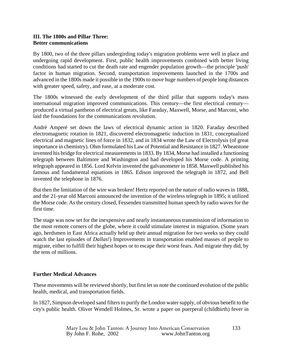# **III. The 1800s and Pillar Three: Better communications**

By 1800, two of the three pillars undergirding today's migration problems were well in place and undergoing rapid development. First, public health improvements combined with better living conditions had started to cut the death rate and engender population growth—the principle 'push' factor in human migration. Second, transportation improvements launched in the 1700s and advanced in the 1800s made it possible in the 1900s to move huge numbers of people long distances with greater speed, safety, and ease, at a moderate cost.

The 1800s witnessed the early development of the third pillar that supports today's mass international migration improved communications. This century—the first electrical century produced a virtual pantheon of electrical greats, like Faraday, Maxwell, Morse, and Marconi, who laid the foundations for the communications revolution.

André Amperé set down the laws of electrical dynamic action in 1820. Faraday described electromagnetic rotation in 1821, discovered electromagnetic induction in 1831, conceptualized electrical and magnetic lines of force in 1832, and in 1834 wrote the Law of Electrolysis (of great importance in chemistry). Ohm formulated his Law of Potential and Resistance in 1827. Wheatstone invented his bridge for electrical measurements in 1833. By 1834, Morse had installed a functioning telegraph between Baltimore and Washington and had developed his Morse code. A printing telegraph appeared in 1856. Lord Kelvin invented the galvanometer in 1858. Maxwell published his famous and fundamental equations in 1865. Edison improved the telegraph in 1872, and Bell invented the telephone in 1876.

But then the limitation of the wire was broken! Hertz reported on the nature of radio waves in 1888, and the 21-year old Marconi announced the invention of the wireless telegraph in 1895; it utilized the Morse code. As the century closed, Fessenden transmitted human speech by radio waves for the first time.

The stage was now set for the inexpensive and nearly instantaneous transmission of information to the most remote corners of the globe, where it could stimulate interest in migration. (Some years ago, herdsmen in East Africa actually held up their annual migration for two weeks so they could watch the last episodes of *Dallas*!) Improvements in transportation enabled masses of people to migrate, either to fulfill their highest hopes or to escape their worst fears. And migrate they did, by the tens of millions.

# **Further Medical Advances**

These movements will be reviewed shortly, but first let us note the continued evolution of the public health, medical, and transportation fields.

In 1827, Simpson developed sand filters to purify the London water supply, of obvious benefit to the city's public health. Oliver Wendell Holmes, Sr. wrote a paper on puerperal (childbirth) fever in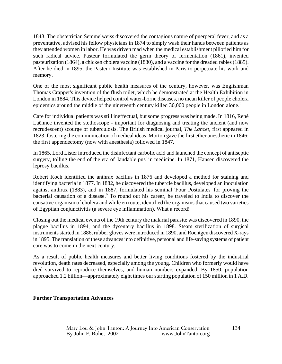1843. The obstetrician Semmelweiss discovered the contagious nature of puerperal fever, and as a preventative, advised his fellow physicians in 1874 to simply wash their hands between patients as they attended women in labor. He was driven mad when the medical establishment pilloried him for such radical advice. Pasteur formulated the germ theory of fermentation (1861), invented pasteurization (1864), a chicken cholera vaccine (1880), and a vaccine for the dreaded rabies (1885). After he died in 1895, the Pasteur Institute was established in Paris to perpetuate his work and memory.

One of the most significant public health measures of the century, however, was Englishman Thomas Crapper's invention of the flush toilet, which he demonstrated at the Health Exhibition in London in 1884. This device helped control water-borne diseases, no mean killer of people cholera epidemics around the middle of the nineteenth century killed 30,000 people in London alone.<sup>5</sup>

Care for individual patients was still ineffectual, but some progress was being made. In 1816, René Laënnec invented the stethoscope - important for diagnosing and treating the ancient (and now recrudescent) scourge of tuberculosis. The British medical journal, *The Lancet*, first appeared in 1823, fostering the communication of medical ideas. Morton gave the first ether anesthetic in 1846; the first appendectomy (now with anesthesia) followed in 1847.

In 1865, Lord Lister introduced the disinfectant carbolic acid and launched the concept of antiseptic surgery, tolling the end of the era of 'laudable pus' in medicine. In 1871, Hansen discovered the leprosy bacillus.

Robert Koch identified the anthrax bacillus in 1876 and developed a method for staining and identifying bacteria in 1877. In 1882, he discovered the tubercle bacillus, developed an inoculation against anthrax (1883), and in 1887, formulated his seminal 'Four Postulates' for proving the bacterial causation of a disease.<sup>6</sup> To round out his career, he traveled to India to discover the causative organism of cholera and while en route, identified the organisms that caused two varieties of Egyptian conjunctivitis (a severe eye inflammation). What a record!

Closing out the medical events of the 19th century the malarial parasite was discovered in 1890, the plague bacillus in 1894, and the dysentery bacillus in 1898. Steam sterilization of surgical instruments started in 1886, rubber gloves were introduced in 1890, and Roentgen discovered X-rays in 1895. The translation of these advances into definitive, personal and life-saving systems of patient care was to come in the next century.

As a result of public health measures and better living conditions fostered by the industrial revolution, death rates decreased, especially among the young. Children who formerly would have died survived to reproduce themselves, and human numbers expanded. By 1850, population approached 1.2 billion—approximately eight times our starting population of 150 million in 1 A.D.

### **Further Transportation Advances**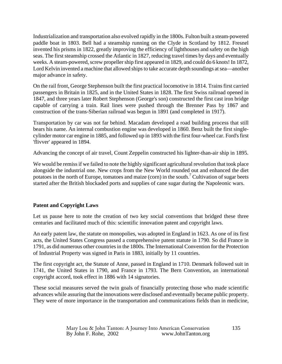Industrialization and transportation also evolved rapidly in the 1800s. Fulton built a steam-powered paddle boat in 1803. Bell had a steamship running on the Clyde in Scotland by 1812. Fresnel invented his prisms in 1822, greatly improving the efficiency of lighthouses and safety on the high seas. The first steamship crossed the Atlantic in 1827, reducing travel times by days and eventually weeks. A steam-powered, screw propeller ship first appeared in 1829, and could do 6 knots! In 1872, Lord Kelvin invented a machine that allowed ships to take accurate depth soundings at sea—another major advance in safety.

On the rail front, George Stephenson built the first practical locomotive in 1814. Trains first carried passengers in Britain in 1825, and in the United States in 1828. The first Swiss railroad opened in 1847, and three years later Robert Stephenson (George's son) constructed the first cast iron bridge capable of carrying a train. Rail lines were pushed through the Brenner Pass by 1867 and construction of the trans-Siberian railroad was begun in 1891 (and completed in 1917).

Transportation by car was not far behind. Macadam developed a road building process that still bears his name. An internal combustion engine was developed in 1860. Benz built the first singlecylinder motor car engine in 1885, and followed up in 1893 with the first four-wheel car. Ford's first 'flivver' appeared in 1894.

Advancing the concept of air travel, Count Zeppelin constructed his lighter-than-air ship in 1895.

We would be remiss if we failed to note the highly significant agricultural revolution that took place alongside the industrial one. New crops from the New World rounded out and enhanced the diet potatoes in the north of Europe, tomatoes and maize (corn) in the south.<sup>7</sup> Cultivation of sugar beets started after the British blockaded ports and supplies of cane sugar during the Napoleonic wars.

# **Patent and Copyright Laws**

Let us pause here to note the creation of two key social conventions that bridged these three centuries and facilitated much of this: scientific innovation patent and copyright laws.

An early patent law, the statute on monopolies, was adopted in England in 1623. As one of its first acts, the United States Congress passed a comprehensive patent statute in 1790. So did France in 1791, as did numerous other countries in the 1800s. The International Convention for the Protection of Industrial Property was signed in Paris in 1883, initially by 11 countries.

The first copyright act, the Statute of Anne, passed in England in 1710. Denmark followed suit in 1741, the United States in 1790, and France in 1793. The Bern Convention, an international copyright accord, took effect in 1886 with 14 signatories.

These social measures served the twin goals of financially protecting those who made scientific advances while assuring that the innovations were disclosed and eventually became public property. They were of more importance in the transportation and communications fields than in medicine,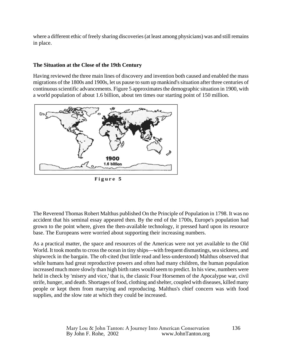where a different ethic of freely sharing discoveries (at least among physicians) was and still remains in place.

# **The Situation at the Close of the 19th Century**

Having reviewed the three main lines of discovery and invention both caused and enabled the mass migrations of the 1800s and 1900s, let us pause to sum up mankind's situation after three centuries of continuous scientific advancements. Figure 5 approximates the demographic situation in 1900, with a world population of about 1.6 billion, about ten times our starting point of 150 million.



Figure 5

The Reverend Thomas Robert Malthus published On the Principle of Population in 1798. It was no accident that his seminal essay appeared then. By the end of the 1700s, Europe's population had grown to the point where, given the then-available technology, it pressed hard upon its resource base. The Europeans were worried about supporting their increasing numbers.

As a practical matter, the space and resources of the Americas were not yet available to the Old World. It took months to cross the ocean in tiny ships—with frequent dismastings, sea sickness, and shipwreck in the bargain. The oft-cited (but little read and less-understood) Malthus observed that while humans had great reproductive powers and often had many children, the human population increased much more slowly than high birth rates would seem to predict. In his view, numbers were held in check by 'misery and vice,' that is, the classic Four Horsemen of the Apocalypse war, civil strife, hunger, and death. Shortages of food, clothing and shelter, coupled with diseases, killed many people or kept them from marrying and reproducing. Malthus's chief concern was with food supplies, and the slow rate at which they could be increased.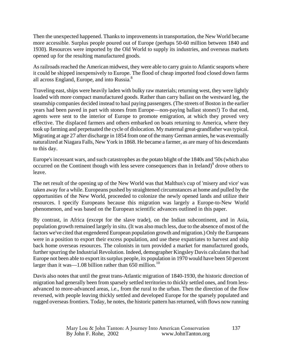Then the unexpected happened. Thanks to improvements in transportation, the New World became more accessible. Surplus people poured out of Europe (perhaps 50-60 million between 1840 and 1930). Resources were imported by the Old World to supply its industries, and overseas markets opened up for the resulting manufactured goods.

As railroads reached the American midwest, they were able to carry grain to Atlantic seaports where it could be shipped inexpensively to Europe. The flood of cheap imported food closed down farms all across England, Europe, and into Russia.<sup>8</sup>

Traveling east, ships were heavily laden with bulky raw materials; returning west, they were lightly loaded with more compact manufactured goods. Rather than carry ballast on the westward leg, the steamship companies decided instead to haul paying passengers. (The streets of Boston in the earlier years had been paved in part with stones from Europe—non-paying ballast stones!) To that end, agents were sent to the interior of Europe to promote emigration, at which they proved very effective. The displaced farmers and others embarked on boats returning to America, where they took up farming and perpetuated the cycle of dislocation. My maternal great-grandfather was typical. Migrating at age 27 after discharge in 1854 from one of the many German armies, he was eventually naturalized at Niagara Falls, New York in 1868. He became a farmer, as are many of his descendants to this day.

Europe's incessant wars, and such catastrophes as the potato blight of the 1840s and '50s (which also occurred on the Continent though with less severe consequences than in Ireland)<sup>9</sup> drove others to leave.

The net result of the opening up of the New World was that Malthus's cup of 'misery and vice' was taken away for a while. Europeans pushed by straightened circumstances at home and pulled by the opportunities of the New World, proceeded to colonize the newly opened lands and utilize their resources. I specify Europeans because this migration was largely a Europe-to-New World phenomenon, and was based on the European scientific advances outlined in this paper.

By contrast, in Africa (except for the slave trade), on the Indian subcontinent, and in Asia, population growth remained largely in situ. (It was also much less, due to the absence of most of the factors we've cited that engendered European population growth and migration.) Only the Europeans were in a position to export their excess population, and use these expatriates to harvest and ship back home overseas resources. The colonists in turn provided a market for manufactured goods, further spurring the Industrial Revolution. Indeed, demographer Kingsley Davis calculates that had Europe not been able to export its surplus people, its population in 1970 would have been 50 percent larger than it was—1.08 billion rather than  $650$  million.<sup>10</sup>

Davis also notes that until the great trans-Atlantic migration of 1840-1930, the historic direction of migration had generally been from sparsely settled territories to thickly settled ones, and from lessadvanced to more-advanced areas, i.e., from the rural to the urban. Then the direction of the flow reversed, with people leaving thickly settled and developed Europe for the sparsely populated and rugged overseas frontiers. Today, he notes, the historic pattern has returned, with flows now running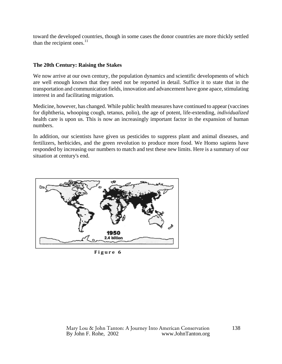toward the developed countries, though in some cases the donor countries are more thickly settled than the recipient ones.<sup>11</sup>

# **The 20th Century: Raising the Stakes**

We now arrive at our own century, the population dynamics and scientific developments of which are well enough known that they need not be reported in detail. Suffice it to state that in the transportation and communication fields, innovation and advancement have gone apace, stimulating interest in and facilitating migration.

Medicine, however, has changed. While public health measures have continued to appear (vaccines for diphtheria, whooping cough, tetanus, polio), the age of potent, life-extending, *individualized* health care is upon us. This is now an increasingly important factor in the expansion of human numbers.

In addition, our scientists have given us pesticides to suppress plant and animal diseases, and fertilizers, herbicides, and the green revolution to produce more food. We Homo sapiens have responded by increasing our numbers to match and test these new limits. Here is a summary of our situation at century's end.



Figure 6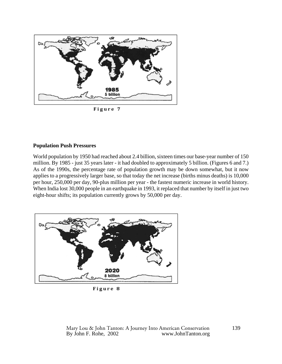

Figure 7

#### **Population Push Pressures**

World population by 1950 had reached about 2.4 billion, sixteen times our base-year number of 150 million. By 1985 - just 35 years later - it had doubled to approximately 5 billion. (Figures 6 and 7.) As of the 1990s, the percentage rate of population growth may be down somewhat, but it now applies to a progressively larger base, so that today the net increase (births minus deaths) is 10,000 per hour, 250,000 per day, 90-plus million per year - the fastest numeric increase in world history. When India lost 30,000 people in an earthquake in 1993, it replaced that number by itself in just two eight-hour shifts; its population currently grows by 50,000 per day.



Figure 8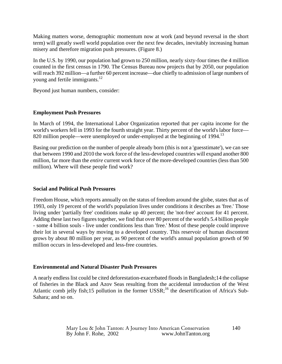Making matters worse, demographic momentum now at work (and beyond reversal in the short term) will greatly swell world population over the next few decades, inevitably increasing human misery and therefore migration push pressures. (Figure 8.)

In the U.S. by 1990, our population had grown to 250 million, nearly sixty-four times the 4 million counted in the first census in 1790. The Census Bureau now projects that by 2050, our population will reach 392 million—a further 60 percent increase—due chiefly to admission of large numbers of young and fertile immigrants.<sup>12</sup>

Beyond just human numbers, consider:

### **Employment Push Pressures**

In March of 1994, the International Labor Organization reported that per capita income for the world's workers fell in 1993 for the fourth straight year. Thirty percent of the world's labor force— 820 million people—were unemployed or under-employed at the beginning of 1994.<sup>13</sup>

Basing our prediction on the number of people already born (this is not a 'guesstimate'), we can see that between 1990 and 2010 the work force of the less-developed countries will expand another 800 million, far more than the *entire* current work force of the more-developed countries (less than 500 million). Where will these people find work?

### **Social and Political Push Pressures**

Freedom House, which reports annually on the status of freedom around the globe, states that as of 1993, only 19 percent of the world's population lives under conditions it describes as 'free.' Those living under 'partially free' conditions make up 40 percent; the 'not-free' account for 41 percent. Adding these last two figures together, we find that over 80 percent of the world's 5.4 billion people - some 4 billion souls - live under conditions less than 'free.' Most of these people could improve their lot in several ways by moving to a developed country. This reservoir of human discontent grows by about 80 million per year, as 90 percent of the world's annual population growth of 90 million occurs in less-developed and less-free countries.

### **Environmental and Natural Disaster Push Pressures**

A nearly endless list could be cited deforestation-exacerbated floods in Bangladesh;14 the collapse of fisheries in the Black and Azov Seas resulting from the accidental introduction of the West Atlantic comb jelly fish;15 pollution in the former  $USSR$ ;<sup>16</sup> the desertification of Africa's Sub-Sahara; and so on.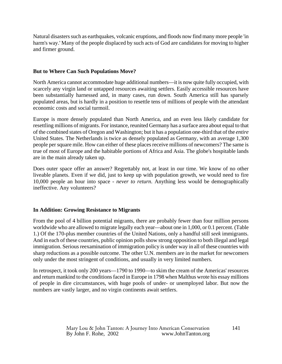Natural disasters such as earthquakes, volcanic eruptions, and floods now find many more people 'in harm's way.' Many of the people displaced by such acts of God are candidates for moving to higher and firmer ground.

# **But to Where Can Such Populations Move?**

North America cannot accommodate huge additional numbers—it is now quite fully occupied, with scarcely any virgin land or untapped resources awaiting settlers. Easily accessible resources have been substantially harnessed and, in many cases, run down. South America still has sparsely populated areas, but is hardly in a position to resettle tens of millions of people with the attendant economic costs and social turmoil.

Europe is more densely populated than North America, and an even less likely candidate for resettling millions of migrants. For instance, reunited Germany has a surface area about equal to that of the combined states of Oregon and Washington; but it has a population one-third that of the *entire* United States. The Netherlands is twice as densely populated as Germany, with an average 1,300 people per square mile. How can either of these places receive millions of newcomers? The same is true of most of Europe and the habitable portions of Africa and Asia. The globe's hospitable lands are in the main already taken up.

Does outer space offer an answer? Regrettably not, at least in our time. We know of no other liveable planets. Even if we did, just to keep up with population growth, we would need to fire 10,000 people an hour into space - *never to return*. Anything less would be demographically ineffective. Any volunteers?

# **In Addition: Growing Resistance to Migrants**

From the pool of 4 billion potential migrants, there are probably fewer than four million persons worldwide who are allowed to migrate legally each year—about one in 1,000, or 0.1 percent. (Table 1.) Of the 170-plus member countries of the United Nations, only a handful still *seek* immigrants. And in each of these countries, public opinion polls show strong opposition to both illegal and legal immigration. Serious reexamination of immigration policy is under way in all of these countries with sharp reductions as a possible outcome. The other U.N. members are in the market for newcomers only under the most stringent of conditions, and usually in very limited numbers.

In retrospect, it took only 200 years—1790 to 1990—to skim the cream of the Americas' resources and return mankind to the conditions faced in Europe in 1798 when Malthus wrote his essay millions of people in dire circumstances, with huge pools of under- or unemployed labor. But now the numbers are vastly larger, and no virgin continents await settlers.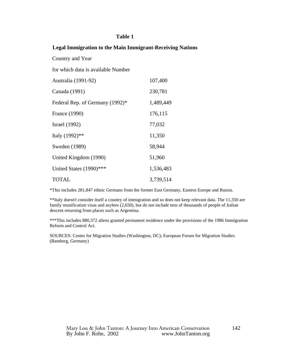#### **Table 1**

#### **Legal Immigration to the Main Immigrant-Receiving Nations**

Country and Year

for which data is available Number

| Australia (1991-92)             | 107,400   |
|---------------------------------|-----------|
| Canada (1991)                   | 230,781   |
| Federal Rep. of Germany (1992)* | 1,489,449 |
| <b>France (1990)</b>            | 176,115   |
| <b>Israel</b> (1992)            | 77,032    |
| Italy (1992)**                  | 11,350    |
| Sweden (1989)                   | 58,944    |
| United Kingdom (1990)           | 51,960    |
| United States $(1990)$ ***      | 1,536,483 |
| TOTAL                           | 3,739,514 |

\*This includes 281,847 ethnic Germans from the former East Germany, Eastern Europe and Russia.

\*\*Italy doesn't consider itself a country of immigration and so does not keep relevant data. The 11,350 are family reunification visas and asylees (2,650), but do not include tens of thousands of people of Italian descent returning from places such as Argentina.

\*\*\*This includes 880,372 aliens granted permanent residence under the provisions of the 1986 Immigration Reform and Control Act.

SOURCES: Center for Migration Studies (Washington, DC); European Forum for Migration Studies (Bamberg, Germany)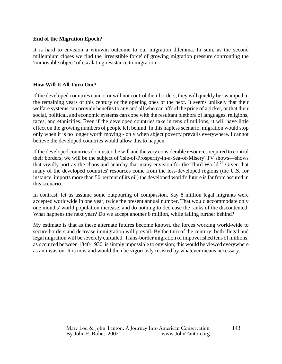## **End of the Migration Epoch?**

It is hard to envision a win/win outcome to our migration dilemma. In sum, as the second millennium closes we find the 'irresistible force' of growing migration pressure confronting the 'immovable object' of escalating resistance to migration.

# **How Will It All Turn Out?**

If the developed countries cannot or will not control their borders, they will quickly be swamped in the remaining years of this century or the opening ones of the next. It seems unlikely that their welfare systems can provide benefits to any and all who can afford the price of a ticket, or that their social, political, and economic systems can cope with the resultant plethora of languages, religions, races, and ethnicities. Even if the developed countries take in tens of millions, it will have little effect on the growing numbers of people left behind. In this hapless scenario, migration would stop only when it is no longer worth moving - only when abject poverty prevails everywhere. I cannot believe the developed countries would allow this to happen.

If the developed countries do muster the will and the very considerable resources required to control their borders, we will be the subject of 'Isle-of-Prosperity-in-a-Sea-of-Misery' TV shows—shows that vividly portray the chaos and anarchy that many envision for the Third World.17 Given that many of the developed countries' resources come from the less-developed regions (the U.S. for instance, imports more than 50 percent of its oil) the developed world's future is far from assured in this scenario.

In contrast, let us assume some outpouring of compassion. Say 8 million legal migrants were accepted worldwide in one year, twice the present annual number. That would accommodate only one months' world population increase, and do nothing to decrease the ranks of the discontented. What happens the next year? Do we accept another 8 million, while falling further behind?

My estimate is that as these alternate futures become known, the forces working world-wide to secure borders and decrease immigration will prevail. By the turn of the century, both illegal and legal migration will be severely curtailed. Trans-border migration of impoverished tens of millions, as occurred between 1840-1930, is simply impossible to envision; this would be viewed everywhere as an invasion. It is now and would then be vigorously resisted by whatever means necessary.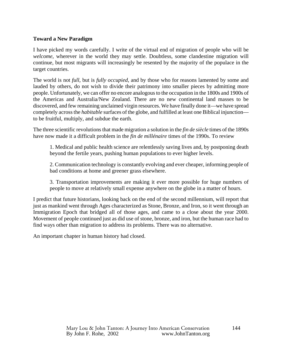# **Toward a New Paradigm**

I have picked my words carefully. I write of the virtual end of migration of people who will be *welcome*, wherever in the world they may settle. Doubtless, some clandestine migration will continue, but most migrants will increasingly be resented by the majority of the populace in the target countries.

The world is not *full*, but is *fully occupied*, and by those who for reasons lamented by some and lauded by others, do not wish to divide their patrimony into smaller pieces by admitting more people. Unfortunately, we can offer no encore analogous to the occupation in the 1800s and 1900s of the Americas and Australia/New Zealand. There are no new continental land masses to be discovered, and few remaining unclaimed virgin resources. We have finally done it—we have spread completely across the *habitable* surfaces of the globe, and fulfilled at least one Biblical injunction to be fruitful, multiply, and subdue the earth.

The three scientific revolutions that made migration a solution in the *fin de siècle* times of the 1890s have now made it a difficult problem in the *fin de millénaire* times of the 1990s. To review

1. Medical and public health science are relentlessly saving lives and, by postponing death beyond the fertile years, pushing human populations to ever higher levels.

2. Communication technology is constantly evolving and ever cheaper, informing people of bad conditions at home and greener grass elsewhere.

3. Transportation improvements are making it ever more possible for huge numbers of people to move at relatively small expense anywhere on the globe in a matter of hours.

I predict that future historians, looking back on the end of the second millennium, will report that just as mankind went through Ages characterized as Stone, Bronze, and Iron, so it went through an Immigration Epoch that bridged all of those ages, and came to a close about the year 2000. Movement of people continued just as did use of stone, bronze, and iron, but the human race had to find ways other than migration to address its problems. There was no alternative.

An important chapter in human history had closed.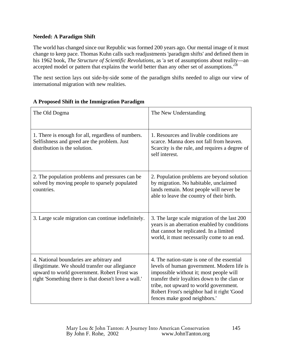# **Needed: A Paradigm Shift**

The world has changed since our Republic was formed 200 years ago. Our mental image of it must change to keep pace. Thomas Kuhn calls such readjustments 'paradigm shifts' and defined them in his 1962 book, *The Structure of Scientific Revolutions*, as 'a set of assumptions about reality—an accepted model or pattern that explains the world better than any other set of assumptions.<sup>18</sup>

The next section lays out side-by-side some of the paradigm shifts needed to align our view of international migration with new realities.

| The Old Dogma                                                                                                                                                                                       | The New Understanding                                                                                                                                                                                                                                                                                       |
|-----------------------------------------------------------------------------------------------------------------------------------------------------------------------------------------------------|-------------------------------------------------------------------------------------------------------------------------------------------------------------------------------------------------------------------------------------------------------------------------------------------------------------|
| 1. There is enough for all, regardless of numbers.<br>Selfishness and greed are the problem. Just<br>distribution is the solution.                                                                  | 1. Resources and livable conditions are<br>scarce. Manna does not fall from heaven.<br>Scarcity is the rule, and requires a degree of<br>self interest.                                                                                                                                                     |
| 2. The population problems and pressures can be.<br>solved by moving people to sparsely populated<br>countries.                                                                                     | 2. Population problems are beyond solution<br>by migration. No habitable, unclaimed<br>lands remain. Most people will never be<br>able to leave the country of their birth.                                                                                                                                 |
| 3. Large scale migration can continue indefinitely.                                                                                                                                                 | 3. The large scale migration of the last 200<br>years is an aberration enabled by conditions<br>that cannot be replicated. In a limited<br>world, it must necessarily come to an end.                                                                                                                       |
| 4. National boundaries are arbitrary and<br>illegitimate. We should transfer our allegiance<br>upward to world government. Robert Frost was<br>right 'Something there is that doesn't love a wall.' | 4. The nation-state is one of the essential<br>levels of human government. Modern life is<br>impossible without it; most people will<br>transfer their loyalties down to the clan or<br>tribe, not upward to world government.<br>Robert Frost's neighbor had it right 'Good<br>fences make good neighbors. |

# **A Proposed Shift in the Immigration Paradigm**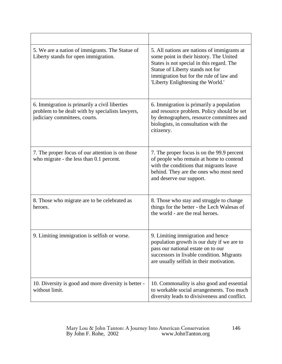| 5. We are a nation of immigrants. The Statue of<br>Liberty stands for open immigration.                                            | 5. All nations are nations of immigrants at<br>some point in their history. The United<br>States is not special in this regard. The<br>Statue of Liberty stands not for<br>immigration but for the rule of law and<br>'Liberty Enlightening the World.' |
|------------------------------------------------------------------------------------------------------------------------------------|---------------------------------------------------------------------------------------------------------------------------------------------------------------------------------------------------------------------------------------------------------|
| 6. Immigration is primarily a civil liberties<br>problem to be dealt with by specialists lawyers,<br>judiciary committees, courts. | 6. Immigration is primarily a population<br>and resource problem. Policy should be set<br>by demographers, resource committees and<br>biologists, in consultation with the<br>citizenry.                                                                |
| 7. The proper focus of our attention is on those<br>who migrate - the less than 0.1 percent.                                       | 7. The proper focus is on the 99.9 percent<br>of people who remain at home to contend<br>with the conditions that migrants leave<br>behind. They are the ones who most need<br>and deserve our support.                                                 |
| 8. Those who migrate are to be celebrated as<br>heroes.                                                                            | 8. Those who stay and struggle to change<br>things for the better - the Lech Walesas of<br>the world - are the real heroes.                                                                                                                             |
| 9. Limiting immigration is selfish or worse.                                                                                       | 9. Limiting immigration and hence<br>population growth is our duty if we are to<br>pass our national estate on to our<br>successors in livable condition. Migrants<br>are usually selfish in their motivation.                                          |
| 10. Diversity is good and more diversity is better -<br>without limit.                                                             | 10. Commonality is also good and essential<br>to workable social arrangements. Too much<br>diversity leads to divisiveness and conflict.                                                                                                                |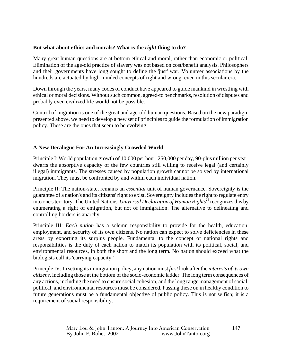# **But what about ethics and morals? What is the** *right* **thing to do?**

Many great human questions are at bottom ethical and moral, rather than economic or political. Elimination of the age-old practice of slavery was not based on cost/benefit analysis. Philosophers and their governments have long sought to define the 'just' war. Volunteer associations by the hundreds are actuated by high-minded concepts of right and wrong, even in this secular era.

Down through the years, many codes of conduct have appeared to guide mankind in wrestling with ethical or moral decisions. Without such common, agreed-to benchmarks, resolution of disputes and probably even civilized life would not be possible.

Control of migration is one of the great and age-old human questions. Based on the new paradigm presented above, we need to develop a new set of principles to guide the formulation of immigration policy. These are the ones that seem to be evolving:

# **A New Decalogue For An Increasingly Crowded World**

Principle I: World population growth of 10,000 per hour, 250,000 per day, 90-plus million per year, dwarfs the absorptive capacity of the few countries still willing to receive legal (and certainly illegal) immigrants. The stresses caused by population growth cannot be solved by international migration. They must be confronted by and within each individual nation.

Principle II: The nation-state, remains an *essential* unit of human governance. Sovereignty is the guarantee of a nation's and its citizens' right to exist. Sovereignty includes the right to regulate entry into one's territory. The United Nations' *Universal Declaration of Human Rights1*9 recognizes this by enumerating a right of emigration, but not of immigration. The alternative to delineating and controlling borders is anarchy.

Principle III: *Each nation* has a solemn responsibility to provide for the health, education, employment, and security of its own citizens. No nation can expect to solve deficiencies in these areas by exporting its surplus people. Fundamental to the concept of national rights and responsibilities is the duty of each nation to match its population with its political, social, and environmental resources, in both the short and the long term. No nation should exceed what the biologists call its 'carrying capacity.'

Principle IV: In setting its immigration policy, any nation must *first* look after the *interests of its own citizens*, including those at the bottom of the socio-economic ladder. The long term consequences of any actions, including the need to ensure social cohesion, and the long range management of social, political, and environmental resources must be considered. Passing these on in healthy condition to future generations must be a fundamental objective of public policy. This is not selfish; it is a requirement of social responsibility.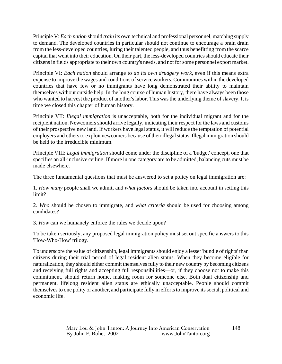Principle V: *Each nation* should *train* its own technical and professional personnel, matching supply to demand. The developed countries in particular should not continue to encourage a brain drain from the less-developed countries, luring their talented people, and thus benefitting from the scarce capital that went into their education. On their part, the less-developed countries should educate their citizens in fields appropriate to their own country's needs, and not for some personnel export market.

Principle VI: *Each nation* should arrange to *do its own drudgery work*, even if this means extra expense to improve the wages and conditions of service workers. Communities within the developed countries that have few or no immigrants have long demonstrated their ability to maintain themselves without outside help. In the long course of human history, there have always been those who wanted to harvest the product of another's labor. This was the underlying theme of slavery. It is time we closed this chapter of human history.

Principle VII: *Illegal immigration* is unacceptable, both for the individual migrant and for the recipient nation. Newcomers should arrive legally, indicating their respect for the laws and customs of their prospective new land. If workers have legal status, it will reduce the temptation of potential employers and others to exploit newcomers because of their illegal status. Illegal immigration should be held to the irreducible minimum.

Principle VIII: *Legal immigration* should come under the discipline of a 'budget' concept, one that specifies an all-inclusive ceiling. If more in one category are to be admitted, balancing cuts must be made elsewhere.

The three fundamental questions that must be answered to set a policy on legal immigration are:

1. *How many* people shall we admit, and *what factors* should be taken into account in setting this limit?

2. *Who* should be chosen to immigrate, and *what criteria* should be used for choosing among candidates?

3. *How* can we humanely enforce the rules we decide upon?

To be taken seriously, any proposed legal immigration policy must set out specific answers to this 'How-Who-How' trilogy.

To underscore the value of citizenship, legal immigrants should enjoy a lesser 'bundle of rights' than citizens during their trial period of legal resident alien status. When they become eligible for naturalization, they should either commit themselves fully to their new country by becoming citizens and receiving full rights and accepting full responsibilities—or, if they choose not to make this commitment, should return home, making room for someone else. Both dual citizenship and permanent, lifelong resident alien status are ethically unacceptable. People should commit themselves to one polity or another, and participate fully in efforts to improve its social, political and economic life.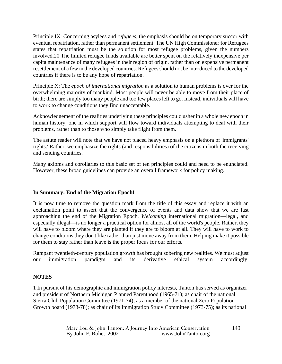Principle IX: Concerning asylees and *refugees*, the emphasis should be on temporary succor with eventual repatriation, rather than permanent settlement. The UN High Commissioner for Refugees states that repatriation must be the solution for most refugee problems, given the numbers involved.20 The limited refugee funds available are better spent on the relatively inexpensive per capita maintenance of many refugees in their region of origin, rather than on expensive permanent resettlement of a few in the developed countries. Refugees should not be introduced to the developed countries if there is to be any hope of repatriation.

Principle X: The *epoch of international migration* as a solution to human problems is over for the overwhelming majority of mankind. Most people will never be able to move from their place of birth; there are simply too many people and too few places left to go. Instead, individuals will have to work to change conditions they find unacceptable.

Acknowledgement of the realities underlying these principles could usher in a whole new epoch in human history, one in which support will flow toward individuals attempting to deal with their problems, rather than to those who simply take flight from them.

The astute reader will note that we have not placed heavy emphasis on a plethora of 'immigrants' rights.' Rather, we emphasize the rights (and responsibilities) of the citizens in both the receiving and sending countries.

Many axioms and corollaries to this basic set of ten principles could and need to be enunciated. However, these broad guidelines can provide an overall framework for policy making.

# **In Summary: End of the Migration Epoch!**

It is now time to remove the question mark from the title of this essay and replace it with an exclamation point to assert that the convergence of events and data show that we are fast approaching the end of the Migration Epoch. *Welcoming* international migration—legal, and especially illegal—is no longer a practical option for almost all of the world's people. Rather, they will have to bloom where they are planted if they are to bloom at all. They will have to work to change conditions they don't like rather than just move away from them. Helping make it possible for them to stay rather than leave is the proper focus for our efforts.

Rampant twentieth-century population growth has brought sobering new realities. We must adjust our immigration paradigm and its derivative ethical system accordingly.

# **NOTES**

1 In pursuit of his demographic and immigration policy interests, Tanton has served as organizer and president of Northern Michigan Planned Parenthood (1965-71); as chair of the national Sierra Club Population Committee (1971-74); as a member of the national Zero Population Growth board (1973-78); as chair of its Immigration Study Committee (1973-75); as its national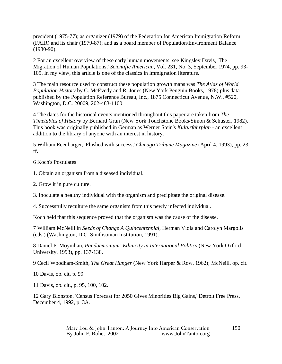president (1975-77); as organizer (1979) of the Federation for American Immigration Reform (FAIR) and its chair (1979-87); and as a board member of Population/Environment Balance (1980-90).

2 For an excellent overview of these early human movements, see Kingsley Davis, 'The Migration of Human Populations,' *Scientific American*, Vol. 231, No. 3, September 1974, pp. 93- 105. In my view, this article is one of the classics in immigration literature.

3 The main resource used to construct these population growth maps was *The Atlas of World Population History* by C. McEvedy and R. Jones (New York Penguin Books, 1978) plus data published by the Population Reference Bureau, Inc., 1875 Connecticut Avenue, N.W., #520, Washington, D.C. 20009, 202-483-1100.

4 The dates for the historical events mentioned throughout this paper are taken from *The Timetables of History* by Bernard Grun (New York Touchstone Books/Simon & Schuster, 1982). This book was originally published in German as Werner Stein's *Kulturfahrplan* - an excellent addition to the library of anyone with an interest in history.

5 William Ecenbarger, 'Flushed with success,' *Chicago Tribune Magazine* (April 4, 1993), pp. 23 ff.

6 Koch's Postulates

1. Obtain an organism from a diseased individual.

2. Grow it in pure culture.

3. Inoculate a healthy individual with the organism and precipitate the original disease.

4. Successfully reculture the same organism from this newly infected individual.

Koch held that this sequence proved that the organism was the cause of the disease.

7 William McNeill in *Seeds of Change A Quincentennial*, Herman Viola and Carolyn Margolis (eds.) (Washington, D.C. Smithsonian Institution, 1991).

8 Daniel P. Moynihan, *Pandaemonium: Ethnicity in International Politics* (New York Oxford University, 1993), pp. 137-138.

9 Cecil Woodham-Smith, *The Great Hunger* (New York Harper & Row, 1962); McNeill, op. cit.

10 Davis, op. cit, p. 99.

11 Davis, op. cit., p. 95, 100, 102.

12 Gary Blonston, 'Census Forecast for 2050 Gives Minorities Big Gains,' Detroit Free Press, December 4, 1992, p. 3A.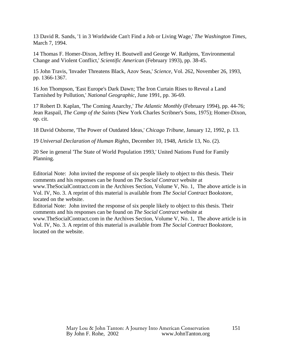13 David R. Sands, '1 in 3 Worldwide Can't Find a Job or Living Wage,' *The Washington Times*, March 7, 1994.

14 Thomas F. Homer-Dixon, Jeffrey H. Boutwell and George W. Rathjens, 'Environmental Change and Violent Conflict,' *Scientific American* (February 1993), pp. 38-45.

15 John Travis, 'Invader Threatens Black, Azov Seas,' *Science*, Vol. 262, November 26, 1993, pp. 1366-1367.

16 Jon Thompson, 'East Europe's Dark Dawn; The Iron Curtain Rises to Reveal a Land Tarnished by Pollution,' *National Geographic*, June 1991, pp. 36-69.

17 Robert D. Kaplan, 'The Coming Anarchy,' *The Atlantic Monthly* (February 1994), pp. 44-76; Jean Raspail, *The Camp of the Saints* (New York Charles Scribner's Sons, 1975); Homer-Dixon, op. cit.

18 David Osborne, 'The Power of Outdated Ideas,' *Chicago Tribune*, January 12, 1992, p. 13.

19 *Universal Declaration of Human Rights*, December 10, 1948, Article 13, No. (2).

20 See in general 'The State of World Population 1993,' United Nations Fund for Family Planning.

Editorial Note: John invited the response of six people likely to object to this thesis. Their comments and his responses can be found on *The Social Contract* website at

www.TheSocialContract.com in the Archives Section, Volume V, No. 1, The above article is in Vol. IV, No. 3. A reprint of this material is available from *The Social Contract* Bookstore, located on the website.

Editorial Note: John invited the response of six people likely to object to this thesis. Their comments and his responses can be found on *The Social Contract* website at www.TheSocialContract.com in the Archives Section, Volume V, No. 1, The above article is in Vol. IV, No. 3. A reprint of this material is available from *The Social Contract* Bookstore, located on the website.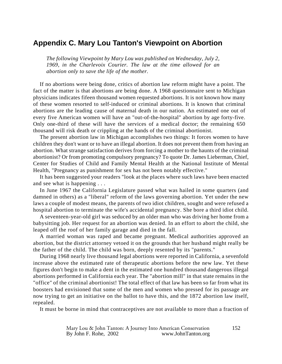# **Appendix C. Mary Lou Tanton's Viewpoint on Abortion**

*The following Viewpoint by Mary Lou was published on Wednesday, July 2, 1969, in the Charlevoix Courier. The law at the time allowed for an abortion only to save the life of the mother.* 

If no abortions were being done, critics of abortion law reform might have a point. The fact of the matter is that abortions are being done. A 1968 questionnaire sent to Michigan physicians indicates fifeen thousand women requested abortions. It is not known how many of these women resorted to self-induced or criminal abortions. It is known that criminal abortions are the leading cause of maternal death in our nation. An estimated one out of every five American women will have an "out-of-the-hospital" abortion by age forty-five. Only one-third of these will have the services of a medical doctor; the remaining 650 thousand will risk death or crippling at the hands of the criminal abortionist.

The present abortion law in Michigan accomplishes two things: It forces women to have children they don't want or to have an illegal abortion. It does not prevent them from having an abortion. What strange satisfaction derives from forcing a mother to the haunts of the criminal abortionist? Or from promoting compulsory pregnancy? To quote Dr. James Lieberman, Chief, Center for Studies of Child and Family Mental Health at the National Institute of Mental Health, "Pregnancy as punishment for sex has not been notably effective."

It has been suggested your readers "look at the places where such laws have been enacted and see what is happening . . .

In June 1967 the California Legislature passed what was hailed in some quarters (and damned in others) as a "liberal" reform of the laws governing abortion. Yet under the new laws a couple of modest means, the parents of two idiot children, sought and were refused a hospital abortion to terminate the wife's accidental pregnancy. She bore a third idiot child.

A seventeen-year-old girl was seduced by an older man who was driving her home from a babysitting job. Her request for an abortion was denied. In an effort to abort the child, she leaped off the roof of her family garage and died in the fall.

A married woman was raped and became pregnant. Medical authorities approved an abortion, but the district attorney vetoed it on the grounds that her husband might really be the father of the child. The child was born, deeply resented by its "parents."

During 1968 nearly live thousand legal abortions were reported in California, a sevenfold increase above the estimated rate of therapeutic abortions before the new law. Yet these figures don't begin to make a dent in the estimated one hundred thousand dangerous illegal abortions performed in California each year. The "abortion mill" in that state remains in the "office" of the criminal abortionist! The total effect of that law has been so far from what its boosters had envisioned that some of the men and women who pressed for its passage are now trying to get an initiative on the ballot to have this, and the 1872 abortion law itself, repealed.

It must be borne in mind that contraceptives are not available to more than a fraction of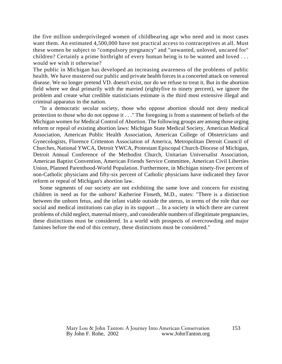the five million underprivileged women of childbearing age who need and in most cases want them. An estimated 4,500,000 have not practical access to contraceptives at all. Must these women be subject to "compulsory pregnancy" and "unwanted, unloved, uncared for" children? Certainly a prime birthright of every human being is to be wanted and loved . . . would we wish it otherwise?

The public in Michigan has developed an increasing awareness of the problems of public health. We have mustered our public and private health forces in a concerted attack on venereal disease. We no longer pretend VD. doesn't exist, nor do we refuse to treat it. But in the abortion field where we deal primarily with the married (eightyfive to ninety percent), we ignore the problem and create what credible statisticians estimate is the third most extensive illegal and criminal apparatus in the nation.

"In a democratic secular society, those who oppose abortion should not deny medical protection to those who do not oppose it . . ." The foregoing is from a statement of beliefs of the Michigan women for Medical Control of Abortion. The following groups are among those urging reform or repeal of existing abortion laws: Michigan State Medical Society, American Medical Association, American Public Health Association, American College of Obstetricians and Gynecologists, Florence Crittenton Association of America, Metropolitan Detroit Council of Churches, National YWCA, Detroit YWCA, Protestant Episcopal Church-Diocese of Michigan, Detroit Annual Conference of the Methodist Church, Unitarian Universalist Association, American Baptist Convention, American Friends Service Committee, American Civil Liberties Union, Planned Parenthood-World Population. Furthermore, in Michigan ninety-five percent of non-Catholic physicians and fifty-six percent of Catholic physicians have indicated they favor reform or repeal of Michigan's abortion law.

Some segments of our society are not exhibiting the same love and concern for existing children in need as for the unborn! Katherine Finseth, M.D., states: "There is a distinction between the unborn fetus, and the infant viable outside the uterus, in terms of the role that our social and medical institutions can play in its support ... In a society in which there are current problems of child neglect, maternal misery, and considerable numbers of illegitimate pregnancies, these distinctions must be considered. In a world with prospects of overcrowding and major famines before the end of this century, these distinctions must be considered."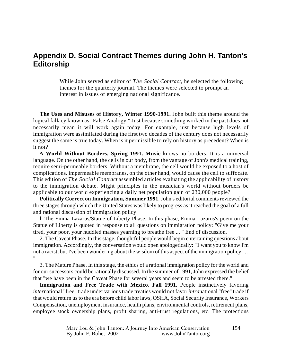# **Appendix D. Social Contract Themes during John H. Tanton's Editorship**

While John served as editor of *The Social Contract*, he selected the following themes for the quarterly journal. The themes were selected to prompt an interest in issues of emerging national significance.

**The Uses and Misuses of History, Winter 1990-1991.** John built this theme around the logical fallacy known as "False Analogy." Just because something worked in the past does not necessarily mean it will work again today. For example, just because high levels of immigration were assimilated during the first two decades of the century does not necessarily suggest the same is true today. When is it permissible to rely on history as precedent? When is it not?

**A World Without Borders, Spring 1991. Music** knows no borders. It is a universal language. On the other hand, the cells in our body, from the vantage of John's medical training, require semi-permeable borders. Without a membrane, the cell would be exposed to a host of complications. impermeable membranes, on the other hand, would cause the cell to suffocate. This edition of *The Social Contract* assembled articles evaluating the applicability of history to the immigration debate. Might principles in the musician's world without borders be applicable to our world experiencing a daily net population gain of 230,000 people?

**Politically Correct on Immigration, Summer 1991**. John's editorial comments reviewed the three stages through which the United States was likely to progress as it reached the goal of a full and rational discussion of immigration policy:

l. The Emma Lazarus/Statue of Liberty Phase. In this phase, Emma Lazarus's poem on the Statue of Liberty is quoted in response to all questions on immigration policy: "Give me your tired, your poor, your huddled masses yearning to breathe free ... " End of discussion.

2. The Caveat Phase. In this stage, thoughtful people would begin entertaining questions about immigration. Accordingly, the conversation would open apologetically: "1 want you to know I'm not a racist, but I've been wondering about the wisdom of this aspect of the immigration policy . . . "

3. The Mature Phase. In this stage, the ethics of a rational immigration policy for the world and for our successors could be rationally discussed. In the summer of 1991, John expressed the belief that "we have been in the Caveat Phase for several years and seem to be arrested there."

**Immigration and Free Trade with Mexico, Fall 1991.** People instinctively favoring *inter*national "free" trade under various trade treaties would not favor *intra*national "free" trade if that would return us to the era before child labor laws, OSHA, Social Security Insurance, Workers Compensation, unemployment insurance, health plans, environmental controls, retirement plans, employee stock ownership plans, profit sharing, anti-trust regulations, etc. The protections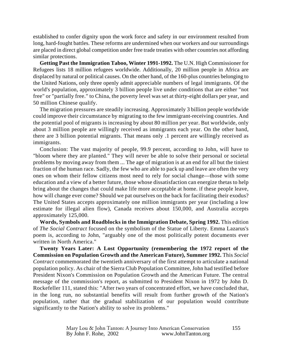established to confer dignity upon the work force and safety in our environment resulted from long, hard-fought battles. These reforms are undermined when our workers and our surroundings are placed in direct global competition under free trade treaties with other countries not affording similar protections.

**Getting Past the Immigration Taboo, Winter 1991-1992.** The U.N. High Commissioner for Refugees lists 18 million refugees worldwide. Additionally, 20 million people in Africa are displaced by natural or political causes. On the other hand, of the 160-plus countries belonging to the United Nations, only three openly admit appreciable numbers of legal immigrants. Of the world's population, approximately 3 billion people live under conditions that are either "not free" or "partially free." to China, the poverty level was set at thirty-eight dollars per year, and 50 million Chinese qualify.

The migration pressures are steadily increasing. Approximately 3 billion people worldwide could improve their circumstance by migrating to the few immigrant-receiving countries. And the potential pool of migrants is increasing by about 80 million per year. But worldwide, only about 3 million people are willingly received as immigrants each year. On the other hand, there are 3 billion potential migrants. That means only .1 percent are willingly received as immigrants.

Conclusion: The vast majority of people, 99.9 percent, according to John, will have to "bloom where they are planted." They will never be able to solve their personal or societal problems by moving away from them ... The age of migration is at an end for all but the tiniest fraction of the human race. Sadly, the few who are able to pack up and leave are often the very ones on whom their fellow citizens most need to rely for social change—those with some education and a view of a better future, those whose dissatisfaction can energize thetas to help bring about the changes that could make life more acceptable at home. if these people leave, how will change ever come? Should we pat ourselves on the back for facilitating their exodus? The United States accepts approximately one million immigrants per year (including a low estimate for illegal alien flow), Canada receives about 150,000, and Australia accepts approximately 125,000.

**Words, Symbols and Roadblocks in the Immigration Debate, Spring 1992.** This edition of *The Social Contract* focused on the symbolism of the Statue of Liberty. Emma Lazarus's poem is, according to John, "arguably one of the most politically potent documents ever written in North America."

**Twenty Years Later: A Lost Opportunity (remembering the 1972 report of the Commission on Population Growth and the American Future), Summer 1992.** This *Social Contract* commemorated the twentieth anniversary of the first attempt to articulate a national population policy. As chair of the Sierra Club Population Committee, John had testified before President Nixon's Commission on Population Growth and the American Future. The central message of the commission's report, as submitted to President Nixon in 1972 by John D. Rockefeller 111, stated this: "After two years of concentrated effort, we have concluded that, in the long run, no substantial benefits will result from further growth of the Nation's population, rather that the gradual stabilization of our population would contribute significantly to the Nation's ability to solve its problems."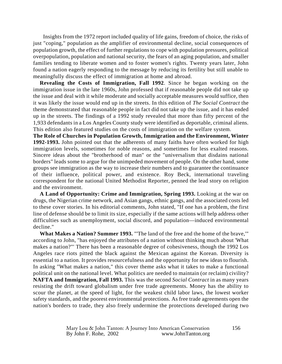Insights from the 1972 report included quality of life gains, freedom of choice, the risks of just "coping," population as the amplifier of environmental decline, social consequences of population growth, the effect of further regulations to cope with population pressures, political overpopulation, population and national security, the fears of an aging population, and smaller families tending to liberate women and to foster women's rights. Twenty years later, John found a nation eagerly responding to the message by reducing its fertility but still unable to meaningfully discuss the effect of immigration at home and abroad.

**Revealing the Costs of Immigration, Fall 1992**. Since he began working on the immigration issue in the late 1960s, John professed that if reasonable people did not take up the issue and deal with it while moderate and socially acceptable measures would suffice, then it was likely the issue would end up in the streets. In this edition of *The Social Contract* the theme demonstrated that reasonable people in fact did not take up the issue, and it has ended up in the streets. The findings of a 1992 study revealed that more than fifty percent of the 1,933 defendants in a Los Angeles County study were identified as deportable, criminal aliens. This edition also featured studies on the costs of immigration on the welfare system.

**The Role of Churches in Population Growth, Immigration and the Environment, Winter 1992-1993.** John pointed out that the adherents of many faiths have often worked for high immigration levels, sometimes for noble reasons, and sometimes for less exalted reasons. Sincere ideas about the "brotherhood of man" or the "universalism that disdains national borders" leads some to argue for the unimpeded movement of people. On the other hand, some groups see immigration as the way to increase their numbers and to guarantee the continuance of their influence, political power, and existence. Roy Beck, international traveling correspondent for the national United Methodist Reporter, penned the lead story on religion and the environment.

**A Land of Opportunity: Crime and Immigration, Spring 1993.** Looking at the war on drugs, the Nigerian crime network, and Asian gangs, ethnic gangs, and the associated costs led to these cover stories. In his editorial comments, John stated, "If one has a problem, the first line of defense should be to limit its size, especially if the same actions will help address other difficulties such as unemployment, social discord, and population—induced environmental decline."

**What Makes a Nation? Summer 1993.** "'The land of the free and the home of the brave,'" according to John, "has enjoyed the attributes of a nation without thinking much about 'What makes a nation?"' There has been a reasonable degree of cohesiveness, though the 1992 Los Angeles race riots pitted the black against the Mexican against the Korean. Diversity is essential to a nation. It provides resourcefulness and the opportunity for new ideas to flourish. In asking "What makes a nation," this cover theme asks what it takes to make a functional political unit on the national level. What politics are needed to maintain (or reclaim) civility? **NAFTA and Immigration, Fall 1993.** This was the second *Social Contract* in as many years resisting the drift toward globalism under free trade agreements. Money has the ability to scour the planet, at the speed of light, for the weakest child labor laws, the lowest worker safety standards, and the poorest environmental protections. As free trade agreements open the nation's borders to trade, they also freely undermine the protections developed during two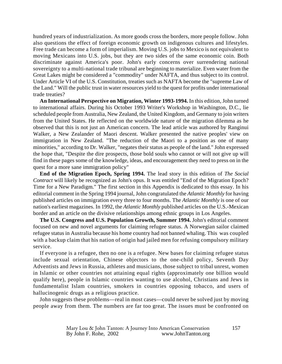hundred years of industrialization. As more goods cross the borders, more people follow. John also questions the effect of foreign economic growth on indigenous cultures and lifestyles. Free trade can become a form of imperialism. Moving U.S. jobs to Mexico is not equivalent to moving Mexicans into U.S. jobs, but they are two sides of the same economic coin. Both discriminate against America's poor. John's early concerns over surrendering national sovereignty to a multi-national trade tribunal are beginning to materialize. Even water from the Great Lakes might be considered a "commodity" under NAFTA, and thus subject to its control. Under Article VI of the U.S. Constitution, treaties such as NAFTA become the "supreme Law of the Land." Will the public trust in water resources yield to the quest for profits under international trade treaties?

**An International Perspective on Migration, Winter 1993-1994.** In this edition, John turned to international affairs. During his October 1993 Writer's Workshop in Washington, D.C., lie scheduled people from Australia, New Zealand, the United Kingdom, and Germany to join writers from the United States. He reflected on the worldwide nature of the migration dilemma as he observed that this is not just an American concern. The lead article was authored by Ranginui Walker, a New Zealander of Maori descent. Walker presented the native peoples' view on immigration in New Zealand. "The reduction of the Maori to a position as one of many minorities," according to Dr. Walker, "negates their status as people of the land." John expressed the hope that, "Despite the dire prospects, those bold souls who cannot or will not give up will find in these pages some of the knowledge, ideas, and encouragement they need to press on in the quest for a more sane immigration policy"

**End of the Migration Epoch, Spring 1994.** The lead story in this edition of *The Social Contract* will likely be recognized as John's opus. It was entitled "End of the Migration Epoch? Time for a New Paradigm." The first section in this Appendix is dedicated to this essay. In his editorial comment in the Spring 1994 journal, John congratulated the *Atlantic Monthly* for having published articles on immigration every three to four months. The *Atlantic Monthly* is one of our nation's earliest magazines. In 1992, the *Atlantic Monthly* published articles on the U.S.-Mexican border and an article on the divisive relationships among ethnic groups in Los Angeles.

**The U.S. Congress and U.S. Population Growth, Summer 1994.** John's editorial comment focused on new and novel arguments for claiming refugee status. A Norwegian sailor claimed refugee status in Australia because his home country had not banned whaling. This was coupled with a backup claim that his nation of origin had jailed men for refusing compulsory military service.

If everyone is a refugee, then no one is a refugee. New bases for claiming refugee status include sexual orientation, Chinese objectors to the one-child policy, Seventh Day Adventists and Jews in Russia, athletes and musicians, those subject to tribal unrest, women in Islamic or other countries not attaining equal rights (approximately one billion would qualify here), people in Islamic countries wanting to use alcohol, Christians and Jews in fundamentalist Islam countries, smokers in countries opposing tobacco, and users of hallucinogenic drugs as a religious practice.

John suggests these problems—real in most cases—could never be solved just by moving people away from them. The numbers are far too great. The issues must be confronted on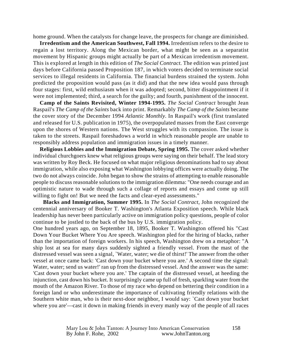home ground. When the catalysts for change leave, the prospects for change are diminished.

**Irredentism and the American Southwest, Fall 1994.** Irredentism refers to the desire to regain a lost territory. Along the Mexican border, what might be seen as a separatist movement by Hispanic groups might actually be part of a Mexican irredentism movement. This is explored at length in this edition of *The Social Contract.* The edition was printed just days before California passed Proposition 187, in which voters decided to terminate social services to illegal residents in California. The financial burdens strained the system. John predicted the proposition would pass (as it did) and that the new idea would pass through four stages: first, wild enthusiasm when it was adopted; second, bitter disappointment if it were not implemented; third, a search for the guilty; and fourth, punishment of the innocent.

**Camp of the Saints Revisited, Winter 1994-1995.** *The Social Contract* brought Jean Raspail's *The Camp of the Saints* back into print. Remarkably *The Camp of the Saints* became the cover story of the December 1994 *Atlantic Monthly.* In Raspail's work (first translated and released for U.S. publication in 1975), the overpopulated masses from the East converge upon the shores of Western nations. The West struggles with its compassion. The issue is taken to the streets. Raspail foreshadows a world in which reasonable people are unable to responsibly address population and immigration issues in a timely manner.

**Religious Lobbies and the Immigration Debate, Spring 1995.** The cover asked whether individual churchgoers knew what religious groups were saying on their behalf. The lead story was written by Roy Beck. He focused on what major religious denominations had to say about immigration, while also exposing what Washington lobbying offices were actually doing. The two do not always coincide. John began to show the strains of attempting to enable reasonable people to discuss reasonable solutions to the immigration dilemma: "One needs courage and an optimistic nature to wade through such a collage of reports and essays and come up still willing to fight on! But we need the facts and clear-eyed assessments."

**Blacks and Immigration, Summer 1995.** In *The Social Contract*, John recognized the centennial anniversary of Booker T. Washington's Atlanta Exposition speech. While black leadership has never been particularly active on immigration policy questions, people of color continue to be jostled to the back of the bus by U.S. immigration policy.

One hundred years ago, on September 18, 1895, Booker T. Washington offered his "Cast Down Your Bucket Where You Are speech. Washington pled for the hiring of blacks, rather than the importation of foreign workers. In his speech, Washington drew on a metaphor: "A ship lost at sea for many days suddenly sighted a friendly vessel. From the mast of the distressed vessel was seen a signal, `Water, water; we die of thirst!' The answer from the other vessel at once came back: 'Cast down your bucket where you are.' A second time the signal: Water, water; send us water!' ran up from the distressed vessel. And the answer was the same: 'Cast down your bucket where you are.' The captain of the distressed vessel, at heeding the injunction, cast down his bucket. It surprisingly came up full of fresh, sparkling water from the mouth of the Amazon River. To those of my race who depend on bettering their condition in a foreign land or who underestimate the importance of cultivating friendly relations with the Southern white man, who is their next-door neighbor, I would say: `Cast down your bucket where you are'—cast it down in making friends in every manly way of the people of all races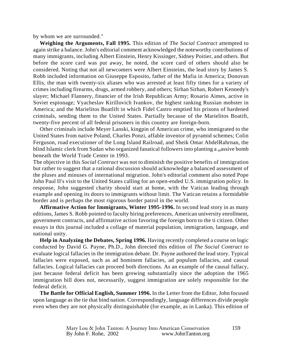by whom we are surrounded."

**Weighing the Arguments, Fall 1995.** This edition of *The Social Contract* attempted to again strike a balance. John's editorial comment acknowledged the noteworthy contributions of many immigrants, including Albert Einstein, Henry Kissinger, Sidney Poitier, and others. But before the score card was put away, he noted, the score card of others should also be considered. Noting that not all newcomers were Albert Einsteins, the lead story by James S. Robb included information on Giuseppe Esposito, father of the Mafia in America; Donovan Ellis, the man with twenty-six aliases who was arrested at least fifty times for a variety of crimes including firearms, drugs, armed robbery, and others; Sirhan Sirhan, Robert Kennedy's slayer; Michael Flannery, financier of the Irish Republican Army; Rosario Aimes, active in Soviet espionage; Vyacheslav Kirillovich Ivankov, the highest ranking Russian mobster in America; and the Marielitos Boatlift in which Fidel Castro emptied his prisons of hardened criminals, sending them to the United States. Partially because of the Marielitos Boatift, twenty-five percent of all federal prisoners in this country are foreign-born.

Other criminals include Meyer Lanski, kingpin of American crime, who immigrated to the United States from native Poland, Charles Ponzi, affable inventor of pyramid schemes; Colin Ferguson, road executioner of the Long Island Railroad, and Sheik Omar AbdelRahrnan, the blind Islamic clerk from Sudan who organized fanatical followers into planting a  $_{\text{max}}$ sive bomb beneath the World Trade Center in 1993.

The objective in this *Social Contract* was not to diminish the positive benefits of immigration but rather to suggest that a rational discussion should acknowledge a balanced assessment of the pluses and minuses of international migration. John's editorial comment also noted Pope John Paul II's visit to the United States calling for an open-ended U.S. immigration policy. In response, John suggested charity should start at home, with the Vatican leading through example and opening its doors to immigrants without limit. The Vatican retains a formidable border and is perhaps the most rigorous border patrol in the world.

**Affirmative Action for Immigrants, Winter 1995-1996.** In second lead story in as many editions, James S. Robb pointed to faculty hiring preferences, American university enrollment, government contracts, and affirmative action favoring the foreign born to the ti citizen. Other essays in this journal included a collage of material population, immigration, language, and national unity.

**Help in Analyzing the Debates, Spring 1996.** Having recently completed a course on logic conducted by David G. Payne, Ph.D., John directed this edition of *The Social Contract* to evaluate logical fallacies in the immigration debate. Dr. Payne authored the lead story. Typical fallacies were exposed, such as ad hominem fallacies, ad populum fallacies, and causal fallacies. Logical fallacies can proceed both directions. As an example of the causal fallacy, just because federal deficit has been growing substantially since the adoption the 1965 immigration bill does not, necessarily, suggest immigration are solely responsible for the federal deficit.

**The Battle for Official English, Summer 1996.** In the Letter from the Editor, John focused upon language as the tie that bind nation. Correspondingly, language differences divide people even when they are not physically distinguishable (for example, as in Lanka). This edition of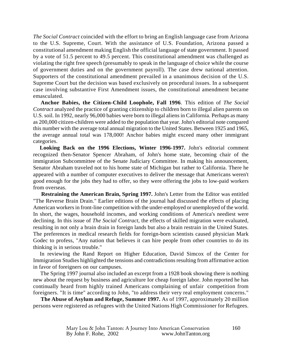*The Social Contract* coincided with the effort to bring an English language case from Arizona to the U.S. Supreme, Court. With the assistance of U.S. Foundation, Arizona passed a constitutional amendment making English the official language of state government. It passed by a vote of 51.5 percent to 49.5 percent. This constitutional amendment was challenged as violating the right free speech (presumably to speak in the language of choice while the course of government duties and on the government payroll). The case drew national attention. Supporters of the constitutional amendment prevailed in a unanimous decision of the U.S. Supreme Court but the decision was based exclusively on procedural issues. In a subsequent case involving substantive First Amendment issues, the constitutional amendment became emasculated.

 **Anchor Babies, the Citizen-Child Loophole, Fall 1996**. This edition of *The Social Contract* analyzed the practice of granting citizenship to children born to illegal alien parents on U.S. soil. In 1992, nearly 96,000 babies were born to illegal aliens in California. Perhaps as many as 200,000 citizen-children were added to the population that year. John's editorial note compared this number with the average total annual migration to the United States. Between 1925 and 1965, the average annual total was 178,000! Anchor babies might exceed many other immigrant categories.

**Looking Back on the 1996 Elections, Winter 1996-1997.** John's editorial comment recognized then-Senator Spencer Abraham, of John's home state, becoming chair of the immigration Subcommittee of the Senate Judiciary Committee. In making his announcement, Senator Abraham traveled not to his home state of Michigan but rather to California. There he appeared with a number of computer executives to deliver the message that Americans weren't good enough for the jobs they had to offer, so they were offering the jobs to low-paid workers from overseas.

 **Restraining the American Brain, Spring 1997.** John's Letter from the Editor was entitled "The Reverse Brain Drain." Earlier editions of the journal had discussed the effects of placing American workers in front-line competition with the under-employed or unemployed of the world. In short, the wages, household incomes, and working conditions of America's neediest were declining. In this issue of *The Social Contract*, the effects of skilled migration were evaluated, resulting in not only a brain drain in foreign lands but also a brain restrain in the United States. The preferences in medical research fields for foreign-born scientists caused physician Mark Godec to profess, "Any nation that believes it can hire people from other countries to do its thinking is in serious trouble."

In reviewing the Rand Report on Higher Education, David Simcox of the Center for Immigration Studies highlighted the tensions and contradictions resulting from affirmative action in favor of foreigners on our campuses.

 The Spring 1997 journal also included an excerpt from a 1928 book showing there is nothing new about the request by business and agriculture Ior cheap foreign labor. John reported he has continually heard from highly trained Americans complaining of unfair competition from foreigners. "It is time" according to John, "to address their very real employment concerns."

 **The Abuse of Asylum and Refuge, Summer 1997.** As of 1997, approximately 20 million persons were registered as refugees with the United Nations High Commissioner for Refugees.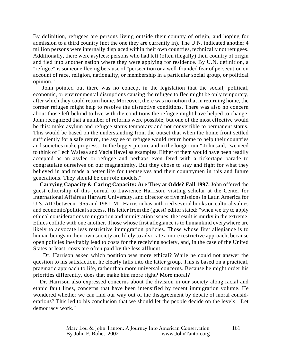By definition, refugees are persons living outside their country of origin, and hoping for admission to a third country (not the one they are currently in). The U.N. indicated another 4 million persons were internally displaced within their own countries, technically not refugees. Additionally, there were asylees: persons who had left (often illegally) their country of origin and fled into another nation where they were applying for residence. By U.N. definition, a "refugee" is someone fleeing because of "persecution or a well-founded fear of persecution on account of race, religion, nationality, or membership in a particular social group, or political opinion."

 John pointed out there was no concept in the legislation that the social, political, economic, or environmental disruptions causing the refugee to flee might be only temporary, after which they could return home. Moreover, there was no notion that in returning home, the former refugee might help to resolve the disruptive conditions. There was also no concern about those left behind to live with the conditions the refugee might have helped to change. John recognized that a number of reforms were possible, but one of the most effective would be this: make asylum and refugee status temporary and not convertible to permanent status. This would be based on the understanding from the outset that when the home front settled sufficiently for a safe return, the asylee or refugee would return home to help their countries and societies make progress. "In the bigger picture and in the longer run," John said, "we need to think of Lech Walesa and Vacla Havel as examples. Either of them would have been readily accepted as an asylee or refugee and perhaps even feted with a tickertape parade to congratulate ourselves on our magnanimity. But they chose to stay and fight for what they believed in and made a better life for themselves and their countrymen in this and future generations. They should be our role models."

**Carrying Capacity & Caring Capacity: Are They at Odds? Fall 1997.** John offered the guest editorship of this journal to Lawrence Harrison, visiting scholar at the Center for International Affairs at Harvard University, and director of five missions in Latin America for U.S. AID between 1965 and 1981. Mr. Harrison has authored several books on cultural values and economic/political success. His letter from the (guest) editor stated: "when we try to apply ethical considerations to migration and immigration issues, the result is murky in the extreme. Ethics collide with one another. Those whose first allegiance is to humankind everywhere are likely to advocate less restrictive immigration policies. Those whose first allegiance is to human beings in their own society are likely to advocate a more restrictive approach, because open policies inevitably lead to costs for the receiving society, and, in the case of the United States at least, costs are often paid by the less affluent.

Dr. Harrison asked which position was more ethical? While he could not answer the question to his satisfaction, he clearly falls into the latter group. This is based on a practical, pragmatic approach to life, rather than more universal concerns. Because he might order his priorities differently, does that make him more right? More moral?

Dr. Harrison also expressed concerns about the division in our society along racial and ethnic fault lines, concerns that have been intensified by recent immigration volume. He wondered whether we can find our way out of the disagreement by debate of moral considerations? This led to his conclusion that we should let the people decide on the levels. "Let democracy work."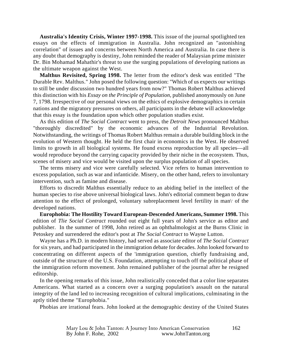**Australia's Identity Crisis, Winter 1997-1998.** This issue of the journal spotlighted ten essays on the effects of immigration in Australia. John recognized an "astonishing correlation" of issues and concerns between North America and Australia. In case there is any doubt that demography is destiny, John reminded the reader of Malaysian prime minister Dr. Bin Mohamad Mahathir's threat to use the surging populations of developing nations as the ultimate weapon against the West.

**Malthus Revisited, Spring 1998.** The letter from the editor's desk was entitled "The Durable Rev. Malthus." John posed the following question: "Which of us expects our writings to still be under discussion two hundred years from now?" Thomas Robert Malthus achieved this distinction with his *Essay on the Principle of Population,* published anonymously on June 7, 1798. Irrespective of our personal views on the ethics of explosive demographics in certain nations and the migratory pressures on others, all participants in the debate will acknowledge that this essay is the foundation upon which other population studies exist.

As this edition of *The Social Contract* went to press, the *Detroit News* pronounced Malthus "thoroughly discredited" by the economic advances of the Industrial Revolution. Notwithstanding, the writings of Thomas Robert Malthus remain a durable building block in the evolution of Western thought. He held the first chair in economics in the West. He observed limits to growth in all biological systems. He found excess reproduction by all species—all would reproduce beyond the carrying capacity provided by their niche in the ecosystem. Thus, scenes of misery and vice would be visited upon the surplus population of all species.

The terms misery and vice were carefully selected. Vice refers to human intervention to excess population, such as war and infanticide. Misery, on the other hand, refers to involuntary intervention, such as famine and disease.

Efforts to discredit Malthus essentially reduce to an abiding belief in the intellect of the human species to rise above universal biological laws. John's editorial comment began to draw attention to the effect of prolonged, voluntary subreplacement level fertility in man) of the developed nations.

**Europhobia: The Hostility Toward European-Descended Americans, Summer 1998.** This edition of *Tlie Social Contract* rounded out eight full years of John's service as editor and publisher. In the summer of 1998, John retired as an ophthalmologist at the Burns Clinic in Petoskey and surrendered the editor's post at *The Social Contract* to Wayne Lutton.

Wayne has a Ph.D. in modern history, had served as associate editor of *The Social Contract*  for six years, and had participated in the immigration debate for decades. John looked forward to concentrating on different aspects of the 'immigration question, chiefly fundraising and, outside of the structure of the U.S. Foundation, attempting to touch off the political phase of the immigration reform movement. John remained publisher of the journal after he resigned editorship.

In the opening remarks of this issue, John realistically conceded that a color line separates Americans. What started as a concern over a surging population's assault on the natural integrity of the land led to increasing recognition of cultural implications, culminating in the aptly titled theme "Europhobia."

Phobias are irrational fears. John looked at the demographic destiny of the United States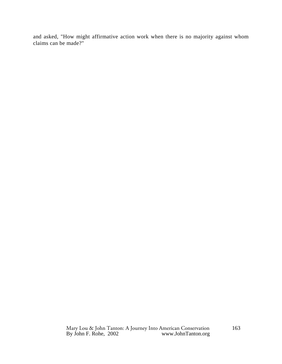and asked, "How might affirmative action work when there is no majority against whom claims can be made?"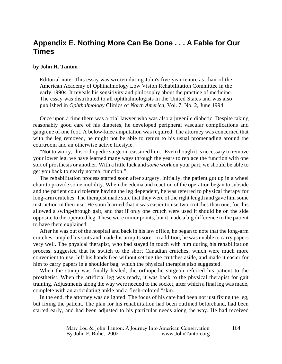# **Appendix E. Nothing More Can Be Done . . . A Fable for Our Times**

#### **by John H. Tanton**

Editorial note: This essay was written during John's five-year tenure as chair of the American Academy of Ophthalmology Low Vision Rehabilitation Committee in the early 1990s. It reveals his sensitivity and philosophy about the practice of medicine. The essay was distributed to all ophthalmologists in the United States and was also published in *Ophthalmology* Clinics of *North America,* Vol. 7, No. 2, June 1994.

Once upon a time there was a trial lawyer who was also a juvenile diabetic. Despite taking reasonably good care of his diabetes, he developed peripheral vascular complications and gangrene of one foot. A below-knee amputation was required. The attorney was concerned that with the leg removed, he might not be able to return to his usual promenading around the courtroom and an otherwise active lifestyle.

"Not to worry," his orthopedic surgeon reassured him. "Even though it is necessary to remove your lower leg, we have learned many ways through the years to replace the function with one sort of prosthesis or another. With a little luck and *some* work on your part, we should be able to get you back to nearly normal function."

The rehabilitation process started soon after surgery. initially, the patient got up in a wheel chair to provide some mobility. When the edema and reaction of the operation began to subside and the patient could tolerate having the leg dependent, he was referred to physical therapy for long-arm crutches. The therapist made sure that they were of the right length and gave him some instruction in their use. He soon learned that it was easier to use two crutches than one, for this allowed a swing-through gait, and that if only one crutch were used it should be on the side opposite to the operated leg. These were minor points, but it made a big difference to the patient to have them explained.

After he was out of the hospital and back in his law office, he began to note that the long-arm crutches rumpled his suits and made his armpits sore. In addition, he was unable to carry papers very well. The physical therapist, who had stayed in touch with him during his rehabilitation process, suggested that he switch to the short Canadian crutches, which were much more convenient to use, left his hands free without setting the crutches aside, and made it easier for him to carry papers in a shoulder bag, which the physical therapist also suggested.

When the stump was finally healed, the orthopedic surgeon referred his patient to the prosthetist. When the artificial leg was ready, it was back to the physical therapist for gait training. Adjustments along the way were needed to the socket, after which a final leg was made, complete with an articulating ankle and a flesh-colored "skin."

In the end, the attorney was delighted: The focus of his care had been not just fixing the leg, but fixing the patient. The plan for his rehabilitation had been outlined beforehand, had been started early, and had been adjusted to his particular needs along the way. He had received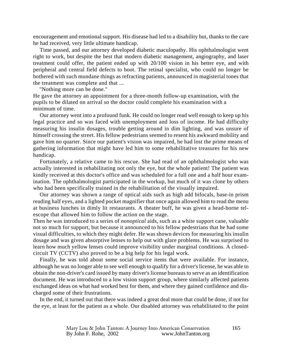encouragement and emotional support. His disease had led to a disability but, thanks to the care he had received, very little ultimate handicap.

Time passed, and our attorney developed diabetic maculopathy. His ophthalmologist went right to work, but despite the best that modern diabetic management, angiography, and laser treatment could offer, the patient ended up with 20/100 vision in his better eye, and with peripheral and central field defects to boot. The retinal specialist, who could no longer be bothered with such mundane things as refracting patients, announced in magisterial tones that the treatment was complete and that ...

"Nothing more can be done."

He gave the attorney an appointment for a three-month follow-up examination, with the pupils to be dilated on arrival so the doctor could complete his examination with a minimum of time.

Our attorney went into a profound funk. He could no longer read well enough to keep up his legal practice and so was faced with unemployment and loss of income. He had difficulty measuring his insulin dosages, trouble getting around in dim lighting, and was unsure of himself crossing the street. His fellow pedestrians seemed to resent his awkward mobility and gave him no quarter. Since our patient's vision was impaired, he had lost the prime means of gathering information that might have led him to some rehabilitative treasures for his new handicap.

Fortunately, a relative came to his rescue. She had read of an ophthalmologist who was actually interested in rehabilitating not only the eye, but the whole patient! The patient was kindly received at this doctor's office and was scheduled for a full one and a half hour examination. The ophthalmologist participated in the workup, but much of it was clone by others who had been specifically trained in the rehabilitation of the visually impaired.

Our attorney was shown a range of optical aids such as high add bifocals, base-in prism reading half eyes, and a lighted pocket magnifier that once again allowed him to read the menu at business lunches in dimly lit restaurants. A theater buff, he was given a head-borne telescope that allowed him to follow the action on the stage.

Then he was introduced to a series of *nonoptical* aids, such as a white support cane, valuable not so much for support, but because it announced to his fellow pedestrians that he had some visual difficulties, to which they might defer. He was shown devices for measuring his insulin dosage and was given absorptive lenses to help out with glare problems. He was surprised to learn how much yellow lenses could improve visibility under marginal conditions. A closedcircuit TV (CCTV) also proved to be a big help for his legal work.

Finally, he was told about some social service items that were available. For instance, although he was no longer able to see well enough to qualify for a driver's license, he was able to obtain the non-driver's card issued by many driver's license bureaus to serve as an identification document. He was introduced to a low vision support group, where similarly affected patients exchanged ideas on what had worked best for them, and where they gained confidence and discharged some of their frustrations.

In the end, it turned out that there was indeed a great deal more that could be done, if not for the eye, at least for the patient as a whole. Our disabled attorney was rehabilitated to the point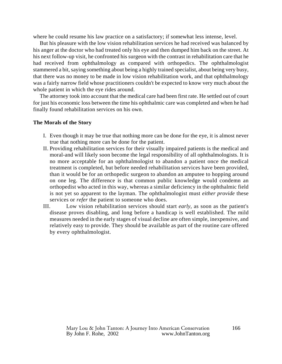where he could resume his law practice on a satisfactory; if somewhat less intense, level.

But his pleasure with the low vision rehabilitation services he had received was balanced by his anger at the doctor who had treated only his eye and then dumped him back on the street. At his next follow-up visit, he confronted his surgeon with the contrast in rehabilitation care that he had received from ophthalmology as compared with orthopedics. The ophthalmologist stammered a bit, saying something about being a highly trained specialist, about being very busy, that there was no money to be made in low vision rehabilitation work, and that ophthalmology was a fairly narrow field whose practitioners couldn't be expected to know very much about the whole patient in which the eye rides around.

The attorney took into account that the medical care had been first rate. He settled out of court for just his economic loss between the time his ophthalmic care was completed and when he had finally found rehabilitation services on his own.

#### **The Morals of the Story**

- I. Even though it may be true that nothing more can be done for the eye, it is almost never true that nothing more can be done for the patient.
- II. Providing rehabilitation services for their visually impaired patients is the medical and moral-and will likely soon become the legal responsibility of all ophthalmologists. It is no more acceptable for an ophthalmologist to abandon a patient once the medical treatment is completed, but before needed rehabilitation services have been provided, than it would be for an orthopedic surgeon to abandon an amputee to hopping around on one leg. The difference is that common public knowledge would condemn an orthopedist who acted in this way, whereas a similar deficiency in the ophthalmic field is not yet so apparent to the layman. The ophthalmologist must *either provide* these services or *refer* the patient to someone who does.
- III. Low vision rehabilitation services should start *early,* as soon as the patient's disease proves disabling, and long before a handicap is well established. The mild measures needed in the early stages of visual decline are often simple, inexpensive, and relatively easy to provide. They should be available as part of the routine care offered by every ophthalmologist.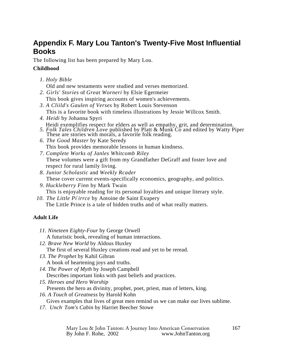# **Appendix F. Mary Lou Tanton's Twenty-Five Most Influential Books**

The following list has been prepared by Mary Lou.

### **Childhood**

*1. Holy Bible* 

Old and new testaments were studied and verses memorized.

- *2. Girls' Stories* of *Great Worneri* by Elsie Egermeier This book gives inspiring accounts of women's achievements.
- *3. A Cliild's Gaulen of Verses* by Robert Louis Stevenson This is a favorite book with timeless illustrations by Jessie Willcox Smith.
- *4. Heidi* by Johanna Spyri Heidi exemplifies respect for elders as well as empathy, grit, and determination.
- *5. Folk Tales Children Love* published by Platt & Munk Co and edited by Watty Piper These are stories with morals, a favorite folk reading.
- *6. The Good Master* by Kate Seredy This book provides memorable lessons in human kindness.
- *7. Complete Works of Janles Whitcomb Riley*  These volumes were a gift from my Grandfather DeGraff and foster love and respect for rural lamily living.
- *8. Junior Scholastic* and *Weekly Rcader*  These cover current events-specifically economics, geography, and politics.
- *9. Huckleberry Finn* by Mark Twain This is enjoyable reading for its personal loyalties and unique literary style.
- 10. The Little Pi<sup>i</sup>rrce by Antoine de Saint Exupery The Little Prince is a tale of hidden truths and of what really matters.

### **Adult Life**

- *11. Nineteen Eighty-Four* by George Orwell A futuristic book, revealing of human interactions.
- *12. Brave New World* by Aldous Huxley

The first of several Huxley creations read and yet to be reread.

- *13. The Prophet* by Kahil Gibran A book of heartening joys and truths.
- *14. The Power of Myth* by Joseph Campbell Describes important links with past beliefs and practices.
- *15. Heroes and Hero Worship*

Presents the hero as divinity, prophet, poet, priest, man of letters, king.

*16. A Touch* of *Greatness* by Harold Kohn

Gives examples that lives of great men remind us we can make our lives sublime.

17. Unch<sup>'</sup> Tom's Cabin by Harriet Beecher Stowe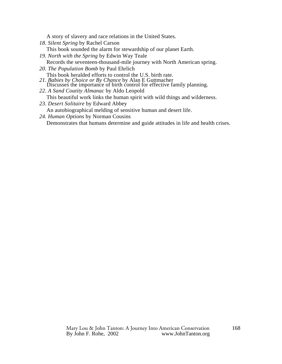A story of slavery and race relations in the United States.

- *18. Silent Spring* by Rachel Carson This book sounded the alarm for stewardship of our planet Earth.
- *19. North with the Spring* by Edwin Way Teale

Records the seventeen-thousand-mile journey with North American spring.

- *20. The Population Bomb* by Paul Ehrlich This book heralded efforts to control the U.S. birth rate.
- *21. Babies by Choice or By Chance* by Alan E Guttmacher Discusses the importance of birth control for effective family planning.
- *22. A Sand Coutity Almanac* by Aldo Leopold This beautiful work links the human spirit with wild things and wilderness.
- *23. Desert Solitaire* by Edward Abbey An autobiographical melding of sensitive human and desert life.
- *24. Human Options* by Norman Cousins Demonstrates that humans determine and guide attitudes in life and health crises.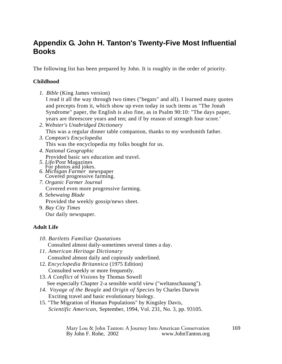# **Appendix G. John H. Tanton's Twenty-Five Most Influential Books**

The following list has been prepared by John. It is roughly in the order of priority.

#### **Childhood**

*1. Bible* (King James version)

 I read it all the way through two times ("begats" and all). I learned many quotes and precepts from it, which show up even today in such items as "The Jonah Syndrome" paper, the English is also fine, as in Psalm 90:10: "The days paper, years are threescore years and ten; and if by reason of strength four score.'

- *2. Webster's Unabridged Dictionary*  This was a regular dinner table companion, thanks to my wordsmith father.
- *3. Compton's Encyclopedia*  This was the encyclopedia my folks bought for us.
- *4. National Geographic*
- Provided basic sex education and travel.
- 
- *5. Life/Post* Magazines For photos and jokes. *6. Michigan Farmer* newspaper Covered progressive farming.
- *7. Organic Farmer Journal*  Covered even more progressive farming.
- *8. Sebewaing Blade*  Provided the weekly gossip/news sheet.
- 9. *Bay City Times* Our daily newspaper.

#### **Adult Life**

- *10. Bartletts Familiar Quotations*  Consulted almost daily-sometimes several times a day.
- *11. American Heritage Dictionary* Consulted almost daily and copiously underlined.
- 12. *Encyclopedia Britannica* (1975 Edition)
- Consulted weekly or more frequently.
- 13. *A Conflict* of *Visions* by Thomas Sowell See especially Chapter 2-a sensible world view ("weltanschauung").
- *14. Voyage of the Beagle* and *Origin of Species* by Charles Darwin Exciting travel and basic evolutionary biology.
- 15. "The Migration of Human Populations" by Kingsley Davis, *Scientific American,* September, 1994, Vol. 231, No. 3, pp. 93105.

Mary Lou & John Tanton: A Journey Into American Conservation 169<br>By John F. Rohe, 2002 www.John Tanton.org By John F. Rohe, 2002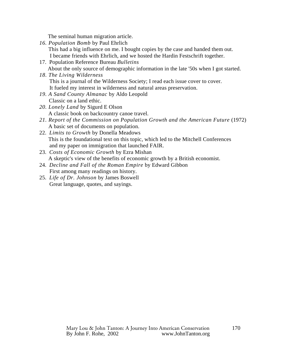The seminal human migration article.

- *16. Population Bomb* by Paul Ehrlich This had a big influence on me. I bought copies by the case and handed them out. I became friends with Ehrlich, and we hosted the Hardin Festschrift together.
- 17. Population Reference Bureau *Bulletins* About the only source of demographic information in the late '50s when I got started.
- *18. The Living Wilderness*  This is a journal of the Wilderness Society; I read each issue cover to cover. It fueled my interest in wilderness and natural areas preservation.
- *19. A Sand County Almanac* by Aldo Leopold Classic on a land ethic.
- *20. Lonely Land* by Sigurd E Olson A classic book on backcountry canoe travel.
- 21. Report of the Commission on Population Growth and the American Future (1972) A basic set of documents on population.
- 22. *Limits to Growth* by Donella Meadows This is the foundational text on this topic, which led to the Mitchell Conferences and my paper on immigration that launched FAIR.
- 23. *Costs of Economic Growth* by Ezra Mishan A skeptic's view of the benefits of economic growth by a British economist.
- 24. *Decline and Fall of the Roman Empire* by Edward Gibbon First among many readings on history.
- 25. *Life of Dr. Johnson* by James Boswell Great language, quotes, and sayings.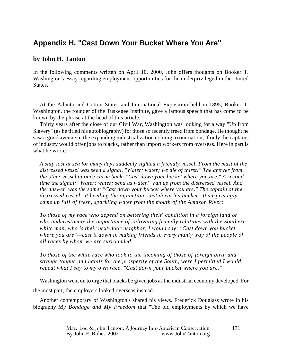# **Appendix H. "Cast Down Your Bucket Where You Are"**

### **by John H. Tanton**

In the following comments written on April 10, 2000, John offers thoughts on Booker T. Washington's essay regarding employment opportunities for the underprivileged in the United States.

At the Atlanta and Cotton States and International Exposition held in 1895, Booker T. Washington, the founder of the Tuskegee Institute, gave a famous speech that has come to be known by the phrase at the head of this article.

Thirty years after the close of our Civil War, Washington was looking for a way "Up from Slavery" (as he titled his autobiography) for those so recently freed from bondage. He thought he saw a good avenue in the expanding industrialization coming to our nation, if only the captains of industry would offer jobs to blacks, rather than import workers from overseas. Here in part is what he wrote:

*A ship lost at sea for many days suddenly sighted a friendly vessel. From the mast of the distressed vessel was seen a signal, "Water; water; we die of thirst!" The answer from the other vessel at once carne back: "Cast down your bucket where you are." A second time the signal: "Water; water; send us water!" ran up from the distressed vessel. And the answer- was the same: "Cast down your bucket where you are." The captain of the distressed vessel, at heeding the injunction, cast down his bucket. It surprisingly came up full of fresh, sparkling water from the mouth of the Amazon River:* 

*To those of my race who depend on bettering their- condition in a foreign land or who underestimate the importance of cultivating friendly relations with the Southern white man, who is their next-door neighbor, I would say: "Cast down you bucket where you are"—cast it down in making friends in every manly way of the people of all races by whom we are surrounded.* 

*To those of the white race who look to the incoming of those of foreign birth and strange tongue and habits for the prosperity of the South, were I permitted I would repeat what I say to my own race, "Cast down your bucket where you are."* 

Washington went on to urge that blacks be given jobs as the industrial economy developed. For the most part, the employers looked overseas instead.

Another contemporary of Washington's shared his views. Frederick Douglass wrote in his biography *My Bondage and My Freedom* that "The old employments by which we have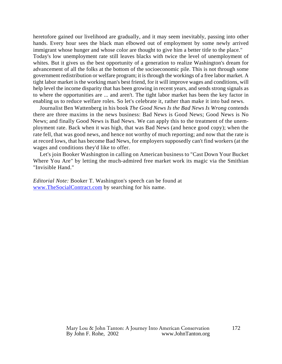heretofore gained our livelihood are gradually, and it may seem inevitably, passing into other hands. Every hour sees the black man elbowed out of employment by some newly arrived immigrant whose hunger and whose color are thought to give him a better title to the place." Today's low unemployment rate still leaves blacks with twice the level of unemployment of whites. But it gives us the best opportunity of a generation to realize Washington's dream for advancement of all the folks at the bottom of the socioeconomic pile. This is not through some government redistribution or welfare program; it is through the workings of a free labor market. A tight labor market is the working man's best friend, for it will improve wages and conditions, will help level the income disparity that has been growing in recent years, and sends strong signals as to where the opportunities are ... and aren't. The tight labor market has been the key factor in enabling us to reduce welfare roles. So let's celebrate it, rather than make it into bad news.

Journalist Ben Wattenberg in his book *The Good News Is the Bad News Is Wrong* contends there are three maxims in the news business: Bad News is Good News; Good News is No News; and finally Good News is Bad News. We can apply this to the treatment of the unemployment rate. Back when it was high, that was Bad News (and hence good copy); when the rate fell, that was good news, and hence not worthy of much reporting; and now that the rate is at record lows, that has become Bad News, for employers supposedly can't find workers (at the wages and conditions they'd like to offer.

Let's join Booker Washington in calling on American business to "Cast Down Your Bucket Where You Are" by letting the much-admired free market work its magic via the Smithian "Invisible Hand."

*Editorial Note:* Booker T. Washington's speech can be found at [www.TheSocialContract.com](http://www.thesocialcontract.com/) by searching for his name.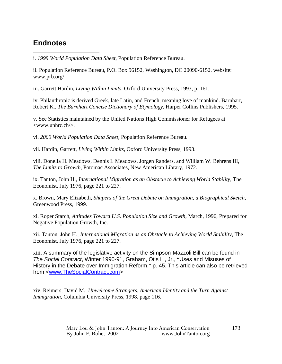# **Endnotes**

 $\overline{a}$ i. *1999 World Population Data Sheet*, Population Reference Bureau.

ii. Population Reference Bureau, P.O. Box 96152, Washington, DC 20090-6152. website: www.prb.org/

iii. Garrett Hardin, *Living Within Limits*, Oxford University Press, 1993, p. 161.

iv. Philanthropic is derived Greek, late Latin, and French, meaning love of mankind. Barnhart, Robert K., *The Barnhart Concise Dictionary of Etymology*, Harper Collins Publishers, 1995.

v. See Statistics maintained by the United Nations High Commissioner for Refugees at  $\langle$ www.unhrc.ch $\rangle$ .

vi. *2000 World Population Data Sheet,* Population Reference Bureau.

vii. Hardin, Garrett, *Living Within Limits*, Oxford University Press, 1993.

viii. Donella H. Meadows, Dennis L Meadows, Jorgen Randers, and William W. Behrens III, *The Limits to Growth*, Potomac Associates, New American Library, 1972.

ix. Tanton, John H., *International Migration as an Obstacle to Achieving World Stability*, The Economist, July 1976, page 221 to 227.

x. Brown, Mary Elizabeth, *Shapers of the Great Debate on Immigration, a Biographical Sketch*, Greenwood Press, 1999.

xi. Roper Starch, *Attitudes Toward U.S. Population Size and Growth*, March, 1996, Prepared for Negative Population Growth, Inc.

xii. Tanton, John H., *International Migration as an Obstacle to Achieving World Stability*, The Economist, July 1976, page 221 to 227.

xiii. A summary of the legislative activity on the Simpson-Mazzoli Bill can be found in *The Social Contract*, Winter 1990-91, Graham, Otis L., Jr., "Uses and Misuses of History in the Debate over Immigration Reform," p. 45. This article can also be retrieved from <www.TheSocialContract.com>

xiv. Reimers, David M., *Unwelcome Strangers, American Identity and the Turn Against Immigration*, Columbia University Press, 1998, page 116.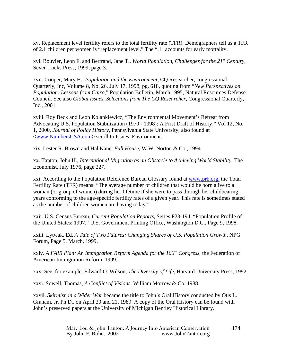xv. Replacement level fertility refers to the total fertility rate (TFR). Demographers tell us a TFR of 2.1 children per women is "replacement level." The ".1" accounts for early mortality.

xvi. Bouvier, Leon F. and Bertrand, Jane T., *World Population, Challenges for the 21st Century*, Seven Locks Press, 1999, page 3.

xvii. Cooper, Mary H., *Population and the Environment*, CQ Researcher, congressional Quarterly, Inc, Volume 8, No. 26, July 17, 1998, pg. 618, quoting from "*New Perspectives on Population: Lessons from Cairo*," Population Bulletin, March 1995, Natural Resources Defense Council. See also *Global Issues, Selections from The CQ Researcher*, Congressional Quarterly, Inc., 2001.

xviii. Roy Beck and Leon Kolankiewicz, "The Environmental Movement's Retreat from Advocating U.S. Population Stabilization (1970 - 1998): A First Draft of History," Vol 12, No. 1, 2000, *Journal of Policy History*, Pennsylvania State University, also found at <www.NumbersUSA.com> scroll to Issues, Environment.

xix. Lester R. Brown and Hal Kane, *Full House*, W.W. Norton & Co., 1994.

 $\overline{a}$ 

xx. Tanton, John H., *International Migration as an Obstacle to Achieving World Stability*, The Economist, July 1976, page 227.

xxi. According to the Population Reference Bureau Glossary found at www.prb.org, the Total Fertility Rate (TFR) means: "The average number of children that would be born alive to a woman (or group of women) during her lifetime if she were to pass through her childbearing years conforming to the age-specific fertility rates of a given year. This rate is sometimes stated as the number of children women are having today."

xxii. U.S. Census Bureau, *Current Population Reports*, Series P23-194, "Population Profile of the United States: 1997." U.S. Government Printing Office, Washington D.C., Page 9, 1998.

xxiii. Lytwak, Ed, *A Tale of Two Futures: Changing Shares of U.S. Population Growth*, NPG Forum, Page 5, March, 1999.

xxiv. *A FAIR Plan: An Immigration Reform Agenda for the 106th Congress*, the Federation of American Immigration Reform, 1999.

xxv. See, for example, Edward O. Wilson, *The Diversity of Life*, Harvard University Press, 1992.

xxvi. Sowell, Thomas, *A Conflict of Visions*, William Morrow & Co, 1988.

xxvii. *Skirmish in a Wider War* became the title to John's Oral History conducted by Otis L. Graham, Jr. Ph.D., on April 20 and 21, 1989. A copy of the Oral History can be found with John's preserved papers at the University of Michigan Bentley Historical Library.

> Mary Lou & John Tanton: A Journey Into American Conservation 174<br>By John F. Rohe, 2002 www.JohnTanton.org By John F. Rohe, 2002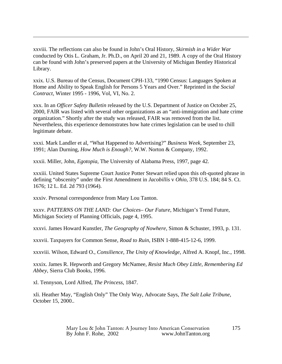xxviii. The reflections can also be found in John's Oral History, *Skirmish in a Wider War* conducted by Otis L. Graham, Jr. Ph.D., on April 20 and 21, 1989. A copy of the Oral History can be found with John's preserved papers at the University of Michigan Bentley Historical Library.

xxix. U.S. Bureau of the Census, Document CPH-133, "1990 Census: Languages Spoken at Home and Ability to Speak English for Persons 5 Years and Over." Reprinted in the *Social Contract*, Winter 1995 - 1996, Vol, VI, No. 2.

xxx. In an *Officer Safety Bulletin* released by the U.S. Department of Justice on October 25, 2000, FAIR was listed with several other organizations as an "anti-immigration and hate crime organization." Shortly after the study was released, FAIR was removed from the list. Nevertheless, this experience demonstrates how hate crimes legislation can be used to chill legitimate debate.

xxxi. Mark Landler et al, "What Happened to Advertising?" *Business Week*, September 23, 1991; Alan Durning, *How Much is Enough?*, W.W. Norton & Company, 1992.

xxxii. Miller, John, *Egotopia*, The University of Alabama Press, 1997, page 42.

xxxiii. United States Supreme Court Justice Potter Stewart relied upon this oft-quoted phrase in defining "obscenity" under the First Amendment in *Jacobillis* v *Ohio*, 378 U.S. 184; 84 S. Ct. 1676; 12 L. Ed. 2d 793 (1964).

xxxiv. Personal correspondence from Mary Lou Tanton.

 $\overline{a}$ 

xxxv. *PATTERNS ON THE LAND: Our Choices– Our Future*, Michigan's Trend Future, Michigan Society of Planning Officials, page 4, 1995.

xxxvi. James Howard Kunstler, *The Geography of Nowhere*, Simon & Schuster, 1993, p. 131.

xxxvii. Taxpayers for Common Sense, *Road to Ruin*, ISBN 1-888-415-12-6, 1999.

xxxviii. Wilson, Edward O., *Consilience, The Unity of Knowledge*, Alfred A. Knopf, Inc., 1998.

xxxix. James R. Hepworth and Gregory McNamee, *Resist Much Obey Little, Remembering Ed Abbey*, Sierra Club Books, 1996.

xl. Tennyson, Lord Alfred, *The Princess*, 1847.

xli. Heather May, "English Only" The Only Way, Advocate Says, *The Salt Lake Tribune*, October 15, 2000..